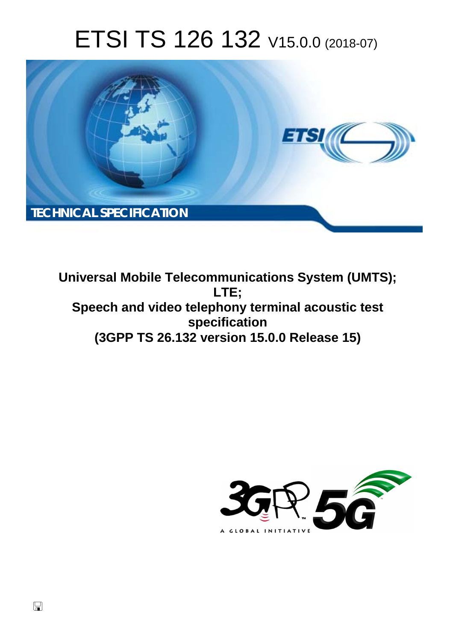# ETSI TS 126 132 V15.0.0 (2018-07)



**Universal Mobile Telecommunications System (UMTS); LTE; Speech and video telephony terminal acoustic test specification (3GPP TS 26.132 version 15.0.0 Release 15)** 

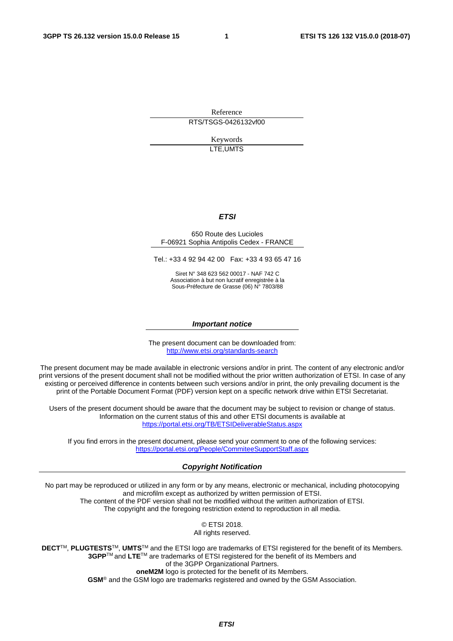Reference RTS/TSGS-0426132vf00

> Keywords LTE,UMTS

### *ETSI*

#### 650 Route des Lucioles F-06921 Sophia Antipolis Cedex - FRANCE

Tel.: +33 4 92 94 42 00 Fax: +33 4 93 65 47 16

Siret N° 348 623 562 00017 - NAF 742 C Association à but non lucratif enregistrée à la Sous-Préfecture de Grasse (06) N° 7803/88

#### *Important notice*

The present document can be downloaded from: <http://www.etsi.org/standards-search>

The present document may be made available in electronic versions and/or in print. The content of any electronic and/or print versions of the present document shall not be modified without the prior written authorization of ETSI. In case of any existing or perceived difference in contents between such versions and/or in print, the only prevailing document is the print of the Portable Document Format (PDF) version kept on a specific network drive within ETSI Secretariat.

Users of the present document should be aware that the document may be subject to revision or change of status. Information on the current status of this and other ETSI documents is available at <https://portal.etsi.org/TB/ETSIDeliverableStatus.aspx>

If you find errors in the present document, please send your comment to one of the following services: <https://portal.etsi.org/People/CommiteeSupportStaff.aspx>

#### *Copyright Notification*

No part may be reproduced or utilized in any form or by any means, electronic or mechanical, including photocopying and microfilm except as authorized by written permission of ETSI. The content of the PDF version shall not be modified without the written authorization of ETSI. The copyright and the foregoing restriction extend to reproduction in all media.

> © ETSI 2018. All rights reserved.

**DECT**TM, **PLUGTESTS**TM, **UMTS**TM and the ETSI logo are trademarks of ETSI registered for the benefit of its Members. **3GPP**TM and **LTE**TM are trademarks of ETSI registered for the benefit of its Members and of the 3GPP Organizational Partners. **oneM2M** logo is protected for the benefit of its Members.

**GSM**® and the GSM logo are trademarks registered and owned by the GSM Association.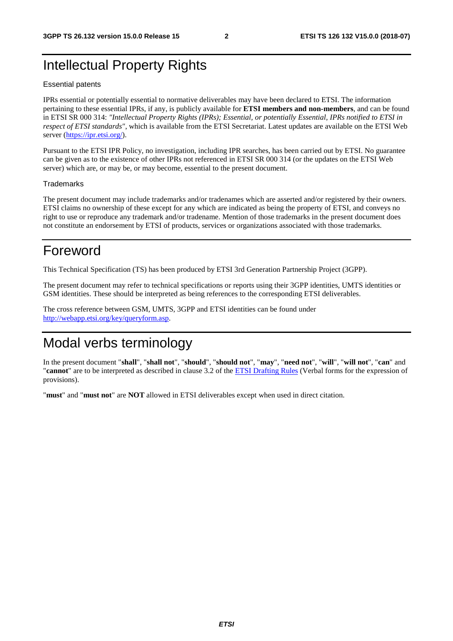# Intellectual Property Rights

#### Essential patents

IPRs essential or potentially essential to normative deliverables may have been declared to ETSI. The information pertaining to these essential IPRs, if any, is publicly available for **ETSI members and non-members**, and can be found in ETSI SR 000 314: *"Intellectual Property Rights (IPRs); Essential, or potentially Essential, IPRs notified to ETSI in respect of ETSI standards"*, which is available from the ETSI Secretariat. Latest updates are available on the ETSI Web server ([https://ipr.etsi.org/\)](https://ipr.etsi.org/).

Pursuant to the ETSI IPR Policy, no investigation, including IPR searches, has been carried out by ETSI. No guarantee can be given as to the existence of other IPRs not referenced in ETSI SR 000 314 (or the updates on the ETSI Web server) which are, or may be, or may become, essential to the present document.

#### **Trademarks**

The present document may include trademarks and/or tradenames which are asserted and/or registered by their owners. ETSI claims no ownership of these except for any which are indicated as being the property of ETSI, and conveys no right to use or reproduce any trademark and/or tradename. Mention of those trademarks in the present document does not constitute an endorsement by ETSI of products, services or organizations associated with those trademarks.

# Foreword

This Technical Specification (TS) has been produced by ETSI 3rd Generation Partnership Project (3GPP).

The present document may refer to technical specifications or reports using their 3GPP identities, UMTS identities or GSM identities. These should be interpreted as being references to the corresponding ETSI deliverables.

The cross reference between GSM, UMTS, 3GPP and ETSI identities can be found under [http://webapp.etsi.org/key/queryform.asp.](http://webapp.etsi.org/key/queryform.asp)

# Modal verbs terminology

In the present document "**shall**", "**shall not**", "**should**", "**should not**", "**may**", "**need not**", "**will**", "**will not**", "**can**" and "**cannot**" are to be interpreted as described in clause 3.2 of the [ETSI Drafting Rules](https://portal.etsi.org/Services/editHelp!/Howtostart/ETSIDraftingRules.aspx) (Verbal forms for the expression of provisions).

"**must**" and "**must not**" are **NOT** allowed in ETSI deliverables except when used in direct citation.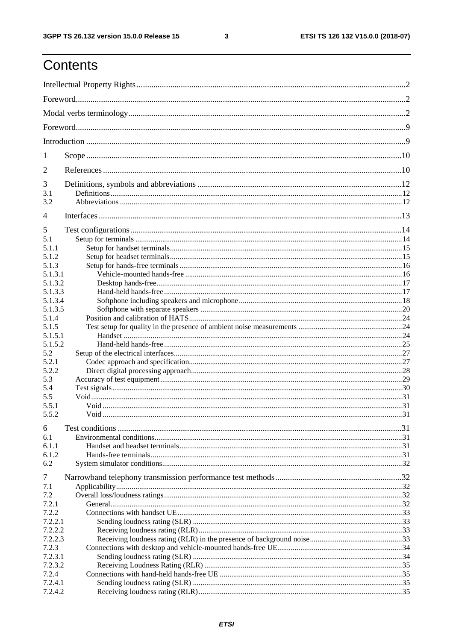# Contents

| 1                |  |  |  |
|------------------|--|--|--|
| $\overline{2}$   |  |  |  |
| 3                |  |  |  |
| 3.1              |  |  |  |
| 3.2              |  |  |  |
| 4                |  |  |  |
|                  |  |  |  |
| 5<br>5.1         |  |  |  |
| 5.1.1            |  |  |  |
| 5.1.2            |  |  |  |
| 5.1.3            |  |  |  |
| 5.1.3.1          |  |  |  |
| 5.1.3.2          |  |  |  |
| 5.1.3.3          |  |  |  |
| 5.1.3.4          |  |  |  |
| 5.1.3.5          |  |  |  |
| 5.1.4            |  |  |  |
| 5.1.5            |  |  |  |
| 5.1.5.1          |  |  |  |
| 5.1.5.2          |  |  |  |
| 5.2              |  |  |  |
| 5.2.1            |  |  |  |
| 5.2.2            |  |  |  |
| 5.3              |  |  |  |
| 5.4              |  |  |  |
| 5.5              |  |  |  |
| 5.5.1            |  |  |  |
| 5.5.2            |  |  |  |
| 6                |  |  |  |
| 6.1              |  |  |  |
| 6.1.1            |  |  |  |
| 6.1.2            |  |  |  |
| 6.2              |  |  |  |
| 7                |  |  |  |
| 7.1              |  |  |  |
| 7.2              |  |  |  |
| 7.2.1            |  |  |  |
| 7.2.2            |  |  |  |
| 7.2.2.1          |  |  |  |
| 7.2.2.2          |  |  |  |
| 7.2.2.3          |  |  |  |
| 7.2.3            |  |  |  |
| 7.2.3.1          |  |  |  |
| 7.2.3.2<br>7.2.4 |  |  |  |
| 7.2.4.1          |  |  |  |
| 7.2.4.2          |  |  |  |
|                  |  |  |  |

 $\mathbf{3}$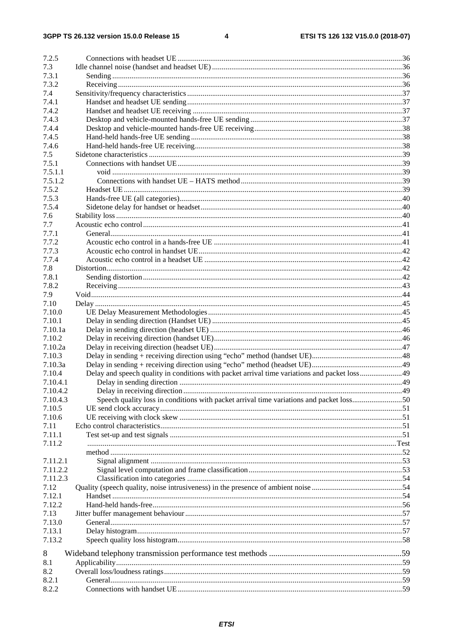$\overline{\mathbf{4}}$ 

| 7.2.5                |                                                                                         |  |
|----------------------|-----------------------------------------------------------------------------------------|--|
| 7.3                  |                                                                                         |  |
| 7.3.1                |                                                                                         |  |
| 7.3.2                |                                                                                         |  |
| 7.4                  |                                                                                         |  |
| 7.4.1                |                                                                                         |  |
| 7.4.2                |                                                                                         |  |
| 7.4.3                |                                                                                         |  |
| 7.4.4                |                                                                                         |  |
| 7.4.5                |                                                                                         |  |
| 7.4.6                |                                                                                         |  |
| 7.5                  |                                                                                         |  |
| 7.5.1                |                                                                                         |  |
| 7.5.1.1              |                                                                                         |  |
| 7.5.1.2              |                                                                                         |  |
| 7.5.2                |                                                                                         |  |
| 7.5.3                |                                                                                         |  |
| 7.5.4                |                                                                                         |  |
| 7.6                  |                                                                                         |  |
| 7.7                  |                                                                                         |  |
| 7.7.1                |                                                                                         |  |
| 7.7.2                |                                                                                         |  |
| 7.7.3                |                                                                                         |  |
| 7.7.4                |                                                                                         |  |
| 7.8                  |                                                                                         |  |
| 7.8.1                |                                                                                         |  |
|                      |                                                                                         |  |
| 7.8.2<br>7.9         |                                                                                         |  |
| 7.10                 |                                                                                         |  |
| 7.10.0               |                                                                                         |  |
| 7.10.1               |                                                                                         |  |
| 7.10.1a              |                                                                                         |  |
| 7.10.2               |                                                                                         |  |
| 7.10.2a              |                                                                                         |  |
| 7.10.3               |                                                                                         |  |
| 7.10.3a              |                                                                                         |  |
| 7.10.4               |                                                                                         |  |
| 7.10.4.1             |                                                                                         |  |
|                      |                                                                                         |  |
| 7.10.4.2<br>7.10.4.3 |                                                                                         |  |
| 7.10.5               | Speech quality loss in conditions with packet arrival time variations and packet loss50 |  |
| 7.10.6               |                                                                                         |  |
| 7.11                 |                                                                                         |  |
| 7.11.1               |                                                                                         |  |
| 7.11.2               |                                                                                         |  |
|                      |                                                                                         |  |
| 7.11.2.1             |                                                                                         |  |
| 7.11.2.2             |                                                                                         |  |
| 7.11.2.3             |                                                                                         |  |
| 7.12                 |                                                                                         |  |
| 7.12.1               |                                                                                         |  |
| 7.12.2               |                                                                                         |  |
| 7.13                 |                                                                                         |  |
| 7.13.0               |                                                                                         |  |
| 7.13.1               |                                                                                         |  |
| 7.13.2               |                                                                                         |  |
|                      |                                                                                         |  |
| 8                    |                                                                                         |  |
| 8.1                  |                                                                                         |  |
| 8.2                  |                                                                                         |  |
| 8.2.1                |                                                                                         |  |
| 8.2.2                |                                                                                         |  |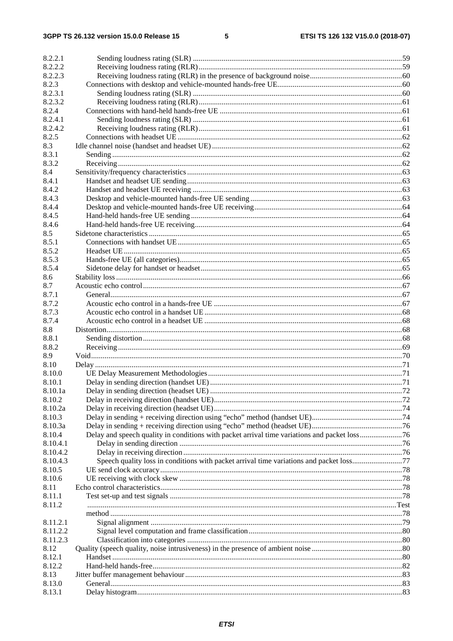| 8.2.2.1  |                                                                                         |  |
|----------|-----------------------------------------------------------------------------------------|--|
| 8.2.2.2  |                                                                                         |  |
| 8.2.2.3  |                                                                                         |  |
| 8.2.3    |                                                                                         |  |
| 8.2.3.1  |                                                                                         |  |
| 8.2.3.2  |                                                                                         |  |
| 8.2.4    |                                                                                         |  |
| 8.2.4.1  |                                                                                         |  |
| 8.2.4.2  |                                                                                         |  |
| 8.2.5    |                                                                                         |  |
| 8.3      |                                                                                         |  |
| 8.3.1    |                                                                                         |  |
| 8.3.2    |                                                                                         |  |
| 8.4      |                                                                                         |  |
| 8.4.1    |                                                                                         |  |
| 8.4.2    |                                                                                         |  |
| 8.4.3    |                                                                                         |  |
| 8.4.4    |                                                                                         |  |
| 8.4.5    |                                                                                         |  |
| 8.4.6    |                                                                                         |  |
| 8.5      |                                                                                         |  |
| 8.5.1    |                                                                                         |  |
| 8.5.2    |                                                                                         |  |
| 8.5.3    |                                                                                         |  |
| 8.5.4    |                                                                                         |  |
| 8.6      |                                                                                         |  |
| 8.7      |                                                                                         |  |
| 8.7.1    |                                                                                         |  |
| 8.7.2    |                                                                                         |  |
| 8.7.3    |                                                                                         |  |
| 8.7.4    |                                                                                         |  |
| 8.8      |                                                                                         |  |
| 8.8.1    |                                                                                         |  |
| 8.8.2    |                                                                                         |  |
| 8.9      |                                                                                         |  |
| 8.10     |                                                                                         |  |
| 8.10.0   |                                                                                         |  |
| 8.10.1   |                                                                                         |  |
| 8.10.1a  |                                                                                         |  |
| 8.10.2   |                                                                                         |  |
| 8.10.2a  |                                                                                         |  |
| 8.10.3   |                                                                                         |  |
| 8.10.3a  |                                                                                         |  |
| 8.10.4   |                                                                                         |  |
| 8.10.4.1 |                                                                                         |  |
| 8.10.4.2 |                                                                                         |  |
| 8.10.4.3 | Speech quality loss in conditions with packet arrival time variations and packet loss77 |  |
| 8.10.5   |                                                                                         |  |
| 8.10.6   |                                                                                         |  |
| 8.11     |                                                                                         |  |
| 8.11.1   |                                                                                         |  |
| 8.11.2   |                                                                                         |  |
|          |                                                                                         |  |
| 8.11.2.1 |                                                                                         |  |
| 8.11.2.2 |                                                                                         |  |
| 8.11.2.3 |                                                                                         |  |
| 8.12     |                                                                                         |  |
| 8.12.1   |                                                                                         |  |
| 8.12.2   |                                                                                         |  |
| 8.13     |                                                                                         |  |
| 8.13.0   |                                                                                         |  |
| 8.13.1   |                                                                                         |  |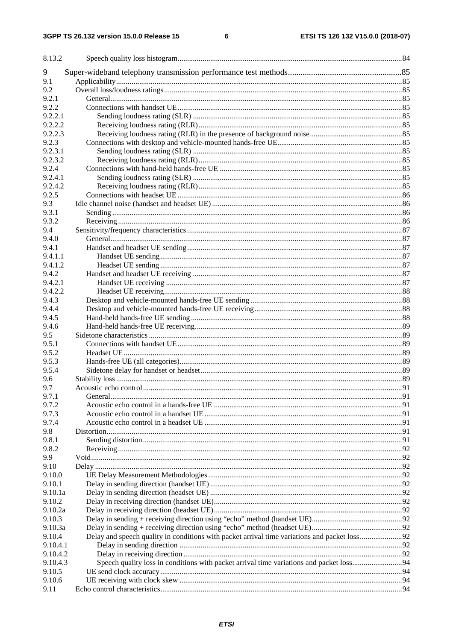| 8.13.2           |                                                                                              |  |
|------------------|----------------------------------------------------------------------------------------------|--|
| 9                |                                                                                              |  |
| 9.1              |                                                                                              |  |
| 9.2              |                                                                                              |  |
| 9.2.1            |                                                                                              |  |
| 9.2.2<br>9.2.2.1 |                                                                                              |  |
| 9.2.2.2          |                                                                                              |  |
| 9.2.2.3          |                                                                                              |  |
| 9.2.3            |                                                                                              |  |
| 9.2.3.1          |                                                                                              |  |
| 9.2.3.2          |                                                                                              |  |
| 9.2.4            |                                                                                              |  |
| 9.2.4.1          |                                                                                              |  |
| 9.2.4.2          |                                                                                              |  |
| 9.2.5            |                                                                                              |  |
| 9.3              |                                                                                              |  |
| 9.3.1            |                                                                                              |  |
| 9.3.2            |                                                                                              |  |
| 9.4              |                                                                                              |  |
| 9.4.0            |                                                                                              |  |
| 9.4.1            |                                                                                              |  |
| 9.4.1.1          |                                                                                              |  |
| 9.4.1.2<br>9.4.2 |                                                                                              |  |
| 9.4.2.1          |                                                                                              |  |
| 9.4.2.2          |                                                                                              |  |
| 9.4.3            |                                                                                              |  |
| 9.4.4            |                                                                                              |  |
| 9.4.5            |                                                                                              |  |
| 9.4.6            |                                                                                              |  |
| 9.5              |                                                                                              |  |
| 9.5.1            |                                                                                              |  |
| 9.5.2            |                                                                                              |  |
| 9.5.3            |                                                                                              |  |
| 9.5.4            |                                                                                              |  |
| 9.6              |                                                                                              |  |
| 9.7              |                                                                                              |  |
| 9.7.1            |                                                                                              |  |
| 9.7.2            |                                                                                              |  |
| 9.7.3            |                                                                                              |  |
| 9.7.4            |                                                                                              |  |
| 9.8<br>9.8.1     |                                                                                              |  |
| 9.8.2            |                                                                                              |  |
| 9.9              |                                                                                              |  |
| 9.10             |                                                                                              |  |
| 9.10.0           |                                                                                              |  |
| 9.10.1           |                                                                                              |  |
| 9.10.1a          |                                                                                              |  |
| 9.10.2           |                                                                                              |  |
| 9.10.2a          |                                                                                              |  |
| 9.10.3           |                                                                                              |  |
| 9.10.3a          |                                                                                              |  |
| 9.10.4           | Delay and speech quality in conditions with packet arrival time variations and packet loss92 |  |
| 9.10.4.1         |                                                                                              |  |
| 9.10.4.2         |                                                                                              |  |
| 9.10.4.3         |                                                                                              |  |
| 9.10.5<br>9.10.6 |                                                                                              |  |
| 9.11             |                                                                                              |  |
|                  |                                                                                              |  |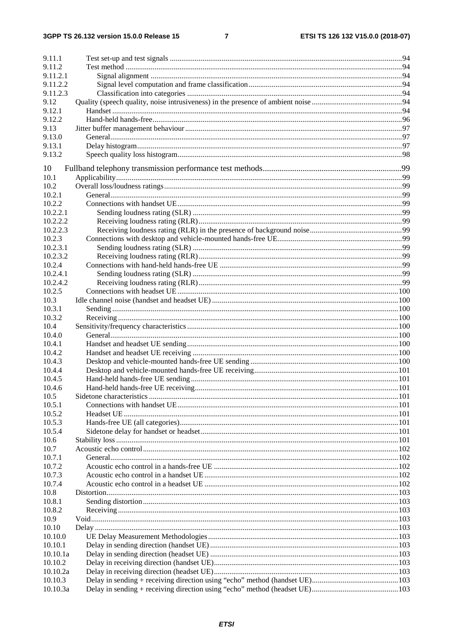### $\overline{7}$

| 9.11.1   |  |
|----------|--|
| 9.11.2   |  |
| 9.11.2.1 |  |
| 9.11.2.2 |  |
| 9.11.2.3 |  |
| 9.12     |  |
| 9.12.1   |  |
| 9.12.2   |  |
| 9.13     |  |
| 9.13.0   |  |
| 9.13.1   |  |
| 9.13.2   |  |
| 10       |  |
| 10.1     |  |
| 10.2     |  |
| 10.2.1   |  |
| 10.2.2   |  |
| 10.2.2.1 |  |
| 10.2.2.2 |  |
| 10.2.2.3 |  |
| 10.2.3   |  |
| 10.2.3.1 |  |
| 10.2.3.2 |  |
| 10.2.4   |  |
| 10.2.4.1 |  |
| 10.2.4.2 |  |
| 10.2.5   |  |
| 10.3     |  |
| 10.3.1   |  |
| 10.3.2   |  |
| 10.4     |  |
| 10.4.0   |  |
| 10.4.1   |  |
| 10.4.2   |  |
| 10.4.3   |  |
| 10.4.4   |  |
| 10.4.5   |  |
| 10.4.6   |  |
| 10.5     |  |
| 10.5.1   |  |
| 10.5.2   |  |
| 10.5.3   |  |
| 10.5.4   |  |
| 10.6     |  |
| 10.7     |  |
| 10.7.1   |  |
| 10.7.2   |  |
| 10.7.3   |  |
| 10.7.4   |  |
| 10.8     |  |
| 10.8.1   |  |
| 10.8.2   |  |
| 10.9     |  |
| 10.10    |  |
| 10.10.0  |  |
| 10.10.1  |  |
| 10.10.1a |  |
| 10.10.2  |  |
| 10.10.2a |  |
| 10.10.3  |  |
| 10.10.3a |  |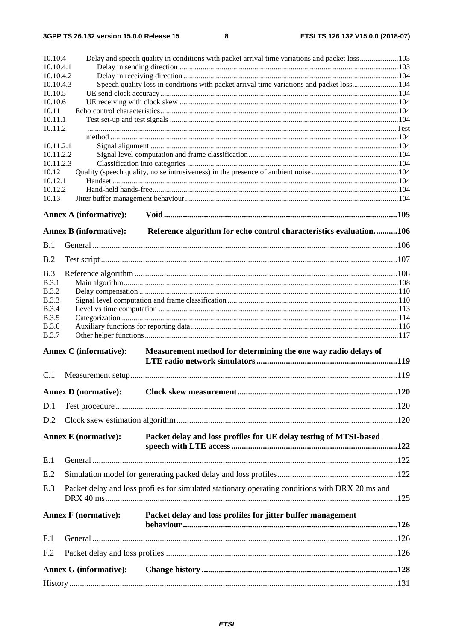| 10.10.4                      |                                                                                                 | Delay and speech quality in conditions with packet arrival time variations and packet loss103 |      |
|------------------------------|-------------------------------------------------------------------------------------------------|-----------------------------------------------------------------------------------------------|------|
| 10.10.4.1<br>10.10.4.2       |                                                                                                 |                                                                                               |      |
| 10.10.4.3                    |                                                                                                 | Speech quality loss in conditions with packet arrival time variations and packet loss104      |      |
| 10.10.5                      |                                                                                                 |                                                                                               |      |
| 10.10.6                      |                                                                                                 |                                                                                               |      |
| 10.11                        |                                                                                                 |                                                                                               |      |
| 10.11.1<br>10.11.2           |                                                                                                 |                                                                                               |      |
|                              |                                                                                                 |                                                                                               |      |
| 10.11.2.1                    |                                                                                                 |                                                                                               |      |
| 10.11.2.2                    |                                                                                                 |                                                                                               |      |
| 10.11.2.3                    |                                                                                                 |                                                                                               |      |
| 10.12                        |                                                                                                 |                                                                                               |      |
| 10.12.1<br>10.12.2           |                                                                                                 |                                                                                               |      |
| 10.13                        |                                                                                                 |                                                                                               |      |
|                              |                                                                                                 |                                                                                               |      |
|                              | <b>Annex A (informative):</b>                                                                   |                                                                                               |      |
|                              | <b>Annex B</b> (informative):                                                                   | Reference algorithm for echo control characteristics evaluation106                            |      |
| B.1                          |                                                                                                 |                                                                                               |      |
| B.2                          |                                                                                                 |                                                                                               |      |
| <b>B.3</b>                   |                                                                                                 |                                                                                               |      |
| B.3.1                        |                                                                                                 |                                                                                               |      |
| <b>B.3.2</b>                 |                                                                                                 |                                                                                               |      |
| <b>B.3.3</b>                 |                                                                                                 |                                                                                               |      |
| <b>B.3.4</b>                 |                                                                                                 |                                                                                               |      |
| <b>B.3.5</b><br><b>B.3.6</b> |                                                                                                 |                                                                                               |      |
| <b>B.3.7</b>                 |                                                                                                 |                                                                                               |      |
|                              | <b>Annex C</b> (informative):                                                                   | Measurement method for determining the one way radio delays of                                |      |
|                              |                                                                                                 |                                                                                               |      |
| C.1                          |                                                                                                 |                                                                                               |      |
|                              | <b>Annex D</b> (normative):                                                                     | Clock skew measurement                                                                        | .120 |
| D.1                          |                                                                                                 |                                                                                               |      |
| D.2                          |                                                                                                 |                                                                                               |      |
|                              | <b>Annex E</b> (normative):                                                                     | Packet delay and loss profiles for UE delay testing of MTSI-based                             |      |
|                              |                                                                                                 |                                                                                               |      |
| E.1                          |                                                                                                 |                                                                                               |      |
| E.2                          |                                                                                                 |                                                                                               |      |
| E.3                          | Packet delay and loss profiles for simulated stationary operating conditions with DRX 20 ms and |                                                                                               |      |
|                              | <b>Annex F</b> (normative):                                                                     | Packet delay and loss profiles for jitter buffer management                                   |      |
| F.1                          |                                                                                                 |                                                                                               |      |
| F <sub>.2</sub>              |                                                                                                 |                                                                                               |      |
|                              | <b>Annex G (informative):</b>                                                                   |                                                                                               |      |
|                              |                                                                                                 |                                                                                               |      |
|                              |                                                                                                 |                                                                                               |      |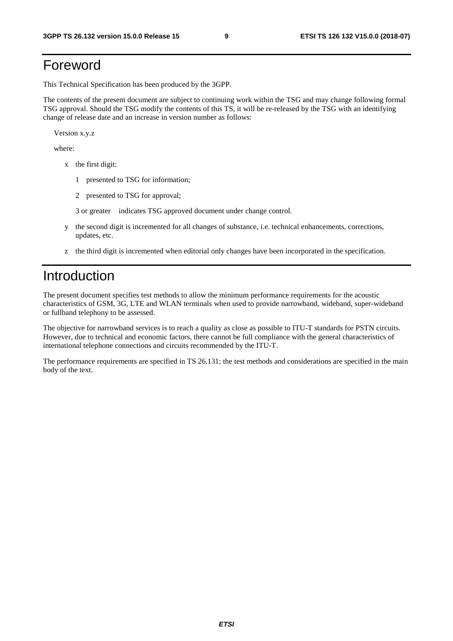# Foreword

This Technical Specification has been produced by the 3GPP.

The contents of the present document are subject to continuing work within the TSG and may change following formal TSG approval. Should the TSG modify the contents of this TS, it will be re-released by the TSG with an identifying change of release date and an increase in version number as follows:

Version x.y.z

where:

- x the first digit:
	- 1 presented to TSG for information;
	- 2 presented to TSG for approval;
	- 3 or greater indicates TSG approved document under change control.
- y the second digit is incremented for all changes of substance, i.e. technical enhancements, corrections, updates, etc.
- z the third digit is incremented when editorial only changes have been incorporated in the specification.

# Introduction

The present document specifies test methods to allow the minimum performance requirements for the acoustic characteristics of GSM, 3G, LTE and WLAN terminals when used to provide narrowband, wideband, super-wideband or fullband telephony to be assessed.

The objective for narrowband services is to reach a quality as close as possible to ITU-T standards for PSTN circuits. However, due to technical and economic factors, there cannot be full compliance with the general characteristics of international telephone connections and circuits recommended by the ITU-T.

The performance requirements are specified in TS 26.131; the test methods and considerations are specified in the main body of the text.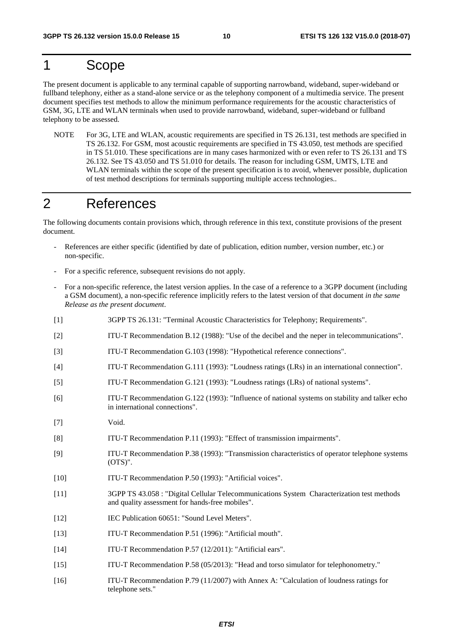# 1 Scope

The present document is applicable to any terminal capable of supporting narrowband, wideband, super-wideband or fullband telephony, either as a stand-alone service or as the telephony component of a multimedia service. The present document specifies test methods to allow the minimum performance requirements for the acoustic characteristics of GSM, 3G, LTE and WLAN terminals when used to provide narrowband, wideband, super-wideband or fullband telephony to be assessed.

NOTE For 3G, LTE and WLAN, acoustic requirements are specified in TS 26.131, test methods are specified in TS 26.132. For GSM, most acoustic requirements are specified in TS 43.050, test methods are specified in TS 51.010. These specifications are in many cases harmonized with or even refer to TS 26.131 and TS 26.132. See TS 43.050 and TS 51.010 for details. The reason for including GSM, UMTS, LTE and WLAN terminals within the scope of the present specification is to avoid, whenever possible, duplication of test method descriptions for terminals supporting multiple access technologies..

# 2 References

The following documents contain provisions which, through reference in this text, constitute provisions of the present document.

- References are either specific (identified by date of publication, edition number, version number, etc.) or non-specific.
- For a specific reference, subsequent revisions do not apply.
- For a non-specific reference, the latest version applies. In the case of a reference to a 3GPP document (including a GSM document), a non-specific reference implicitly refers to the latest version of that document *in the same Release as the present document*.
- [1] 3GPP TS 26.131: "Terminal Acoustic Characteristics for Telephony; Requirements".
- [2] ITU-T Recommendation B.12 (1988): "Use of the decibel and the neper in telecommunications".
- [3] ITU-T Recommendation G.103 (1998): "Hypothetical reference connections".
- [4] ITU-T Recommendation G.111 (1993): "Loudness ratings (LRs) in an international connection".
- [5] ITU-T Recommendation G.121 (1993): "Loudness ratings (LRs) of national systems".
- [6] ITU-T Recommendation G.122 (1993): "Influence of national systems on stability and talker echo in international connections".
- [7] Void.
- [8] ITU-T Recommendation P.11 (1993): "Effect of transmission impairments".
- [9] ITU-T Recommendation P.38 (1993): "Transmission characteristics of operator telephone systems (OTS)".
- [10] ITU-T Recommendation P.50 (1993): "Artificial voices".
- [11] 3GPP TS 43.058 : "Digital Cellular Telecommunications System Characterization test methods and quality assessment for hands-free mobiles".
- [12] IEC Publication 60651: "Sound Level Meters".
- [13] ITU-T Recommendation P.51 (1996): "Artificial mouth".
- [14] ITU-T Recommendation P.57 (12/2011): "Artificial ears".
- [15] ITU-T Recommendation P.58 (05/2013): "Head and torso simulator for telephonometry."
- [16] ITU-T Recommendation P.79 (11/2007) with Annex A: "Calculation of loudness ratings for telephone sets."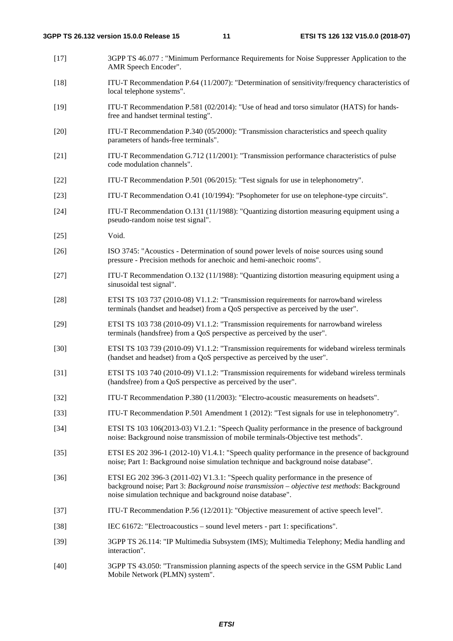- [17] 3GPP TS 46.077 : "Minimum Performance Requirements for Noise Suppresser Application to the AMR Speech Encoder".
- [18] ITU-T Recommendation P.64 (11/2007): "Determination of sensitivity/frequency characteristics of local telephone systems".
- [19] ITU-T Recommendation P.581 (02/2014): "Use of head and torso simulator (HATS) for handsfree and handset terminal testing".
- [20] ITU-T Recommendation P.340 (05/2000): "Transmission characteristics and speech quality parameters of hands-free terminals".
- [21] ITU-T Recommendation G.712 (11/2001): "Transmission performance characteristics of pulse code modulation channels".
- [22] ITU-T Recommendation P.501 (06/2015): "Test signals for use in telephonometry".
- [23] ITU-T Recommendation O.41 (10/1994): "Psophometer for use on telephone-type circuits".
- [24] ITU-T Recommendation O.131 (11/1988): "Quantizing distortion measuring equipment using a pseudo-random noise test signal".
- [25] Void.
- [26] ISO 3745: "Acoustics Determination of sound power levels of noise sources using sound pressure - Precision methods for anechoic and hemi-anechoic rooms".
- [27] ITU-T Recommendation O.132 (11/1988): "Quantizing distortion measuring equipment using a sinusoidal test signal".
- [28] ETSI TS 103 737 (2010-08) V1.1.2: "Transmission requirements for narrowband wireless terminals (handset and headset) from a QoS perspective as perceived by the user".
- [29] ETSI TS 103 738 (2010-09) V1.1.2: "Transmission requirements for narrowband wireless terminals (handsfree) from a QoS perspective as perceived by the user".
- [30] ETSI TS 103 739 (2010-09) V1.1.2: "Transmission requirements for wideband wireless terminals (handset and headset) from a QoS perspective as perceived by the user".
- [31] ETSI TS 103 740 (2010-09) V1.1.2: "Transmission requirements for wideband wireless terminals (handsfree) from a QoS perspective as perceived by the user".
- [32] ITU-T Recommendation P.380 (11/2003): "Electro-acoustic measurements on headsets".
- [33] ITU-T Recommendation P.501 Amendment 1 (2012): "Test signals for use in telephonometry".
- [34] ETSI TS 103 106(2013-03) V1.2.1: "Speech Quality performance in the presence of background noise: Background noise transmission of mobile terminals-Objective test methods".
- [35] ETSI ES 202 396-1 (2012-10) V1.4.1: "Speech quality performance in the presence of background noise; Part 1: Background noise simulation technique and background noise database".
- [36] ETSI EG 202 396-3 (2011-02) V1.3.1: "Speech quality performance in the presence of background noise; Part 3: *Background noise transmission – objective test methods*: Background noise simulation technique and background noise database".
- [37] ITU-T Recommendation P.56 (12/2011): "Objective measurement of active speech level".
- [38] IEC 61672: "Electroacoustics sound level meters part 1: specifications".
- [39] 3GPP TS 26.114: "IP Multimedia Subsystem (IMS); Multimedia Telephony; Media handling and interaction".
- [40] 3GPP TS 43.050: "Transmission planning aspects of the speech service in the GSM Public Land Mobile Network (PLMN) system".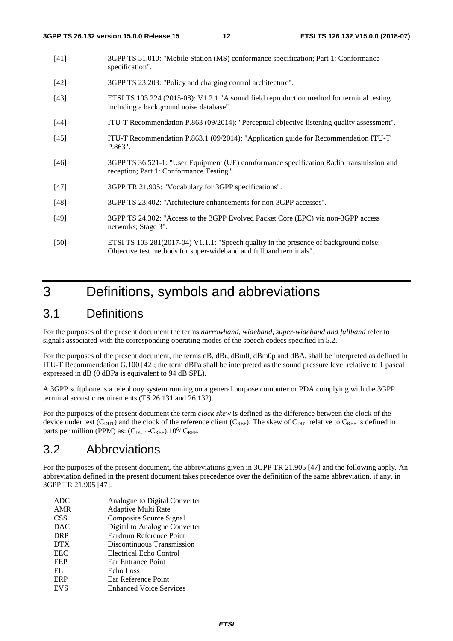- [41] 3GPP TS 51.010: "Mobile Station (MS) conformance specification; Part 1: Conformance specification".
- [42] 3GPP TS 23.203: "Policy and charging control architecture".
- [43] ETSI TS 103 224 (2015-08): V1.2.1 "A sound field reproduction method for terminal testing including a background noise database".
- [44] ITU-T Recommendation P.863 (09/2014): "Perceptual objective listening quality assessment".
- [45] ITU-T Recommendation P.863.1 (09/2014): "Application guide for Recommendation ITU-T P.863".
- [46] 3GPP TS 36.521-1: "User Equipment (UE) comformance specification Radio transmission and reception; Part 1: Conformance Testing".
- [47] 3GPP TR 21.905: "Vocabulary for 3GPP specifications".
- [48] 3GPP TS 23.402: "Architecture enhancements for non-3GPP accesses".
- [49] 3GPP TS 24.302: "Access to the 3GPP Evolved Packet Core (EPC) via non-3GPP access networks; Stage 3".
- [50] ETSI TS 103 281(2017-04) V1.1.1: "Speech quality in the presence of background noise: Objective test methods for super-wideband and fullband terminals".

# 3 Definitions, symbols and abbreviations

### 3.1 Definitions

For the purposes of the present document the terms *narrowband, wideband, super-wideband and fullband* refer to signals associated with the corresponding operating modes of the speech codecs specified in 5.2.

For the purposes of the present document, the terms dB, dBr, dBm0, dBm0p and dBA, shall be interpreted as defined in ITU-T Recommendation G.100 [42]; the term dBPa shall be interpreted as the sound pressure level relative to 1 pascal expressed in dB (0 dBPa is equivalent to 94 dB SPL).

A 3GPP softphone is a telephony system running on a general purpose computer or PDA complying with the 3GPP terminal acoustic requirements (TS 26.131 and 26.132).

For the purposes of the present document the term *clock skew* is defined as the difference between the clock of the device under test ( $C_{DUT}$ ) and the clock of the reference client ( $C_{REF}$ ). The skew of  $C_{DUT}$  relative to  $C_{REF}$  is defined in parts per million (PPM) as:  $(C_{DUT} - C_{REF})$ .  $10^{6}/ C_{REF}$ .

# 3.2 Abbreviations

For the purposes of the present document, the abbreviations given in 3GPP TR 21.905 [47] and the following apply. An abbreviation defined in the present document takes precedence over the definition of the same abbreviation, if any, in 3GPP TR 21.905 [47].

| ADC.       | Analogue to Digital Converter  |
|------------|--------------------------------|
| AMR        | <b>Adaptive Multi Rate</b>     |
| <b>CSS</b> | Composite Source Signal        |
| <b>DAC</b> | Digital to Analogue Converter  |
| <b>DRP</b> | Eardrum Reference Point        |
| <b>DTX</b> | Discontinuous Transmission     |
| <b>EEC</b> | Electrical Echo Control        |
| EEP        | Ear Entrance Point             |
| EL.        | Echo Loss                      |
| ERP        | Ear Reference Point            |
| <b>EVS</b> | <b>Enhanced Voice Services</b> |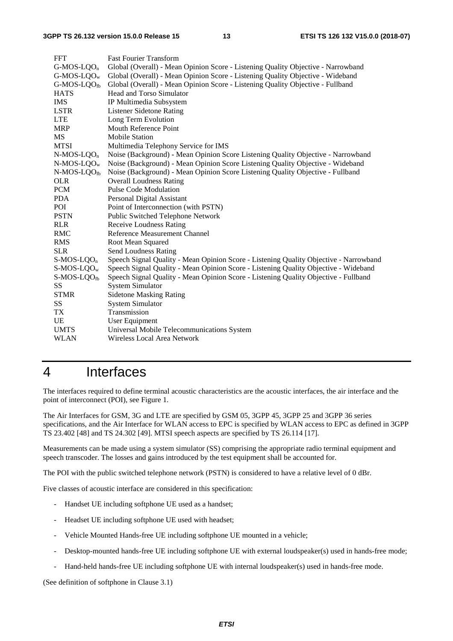| <b>Fast Fourier Transform</b>                                                         |  |  |
|---------------------------------------------------------------------------------------|--|--|
| Global (Overall) - Mean Opinion Score - Listening Quality Objective - Narrowband      |  |  |
| Global (Overall) - Mean Opinion Score - Listening Quality Objective - Wideband        |  |  |
| Global (Overall) - Mean Opinion Score - Listening Quality Objective - Fullband        |  |  |
| Head and Torso Simulator                                                              |  |  |
| IP Multimedia Subsystem                                                               |  |  |
| <b>Listener Sidetone Rating</b>                                                       |  |  |
| Long Term Evolution                                                                   |  |  |
| <b>Mouth Reference Point</b>                                                          |  |  |
| <b>Mobile Station</b>                                                                 |  |  |
| Multimedia Telephony Service for IMS                                                  |  |  |
| Noise (Background) - Mean Opinion Score Listening Quality Objective - Narrowband      |  |  |
| Noise (Background) - Mean Opinion Score Listening Quality Objective - Wideband        |  |  |
| Noise (Background) - Mean Opinion Score Listening Quality Objective - Fullband        |  |  |
| <b>Overall Loudness Rating</b>                                                        |  |  |
| <b>Pulse Code Modulation</b>                                                          |  |  |
| Personal Digital Assistant                                                            |  |  |
| Point of Interconnection (with PSTN)                                                  |  |  |
| Public Switched Telephone Network                                                     |  |  |
| <b>Receive Loudness Rating</b>                                                        |  |  |
| Reference Measurement Channel                                                         |  |  |
| Root Mean Squared                                                                     |  |  |
| <b>Send Loudness Rating</b>                                                           |  |  |
| Speech Signal Quality - Mean Opinion Score - Listening Quality Objective - Narrowband |  |  |
| Speech Signal Quality - Mean Opinion Score - Listening Quality Objective - Wideband   |  |  |
| Speech Signal Quality - Mean Opinion Score - Listening Quality Objective - Fullband   |  |  |
| <b>System Simulator</b>                                                               |  |  |
| <b>Sidetone Masking Rating</b>                                                        |  |  |
| <b>System Simulator</b>                                                               |  |  |
| Transmission                                                                          |  |  |
| <b>User Equipment</b>                                                                 |  |  |
| Universal Mobile Telecommunications System                                            |  |  |
| Wireless Local Area Network                                                           |  |  |
|                                                                                       |  |  |

# 4 Interfaces

The interfaces required to define terminal acoustic characteristics are the acoustic interfaces, the air interface and the point of interconnect (POI), see Figure 1.

The Air Interfaces for GSM, 3G and LTE are specified by GSM 05, 3GPP 45, 3GPP 25 and 3GPP 36 series specifications, and the Air Interface for WLAN access to EPC is specified by WLAN access to EPC as defined in 3GPP TS 23.402 [48] and TS 24.302 [49]. MTSI speech aspects are specified by TS 26.114 [17].

Measurements can be made using a system simulator (SS) comprising the appropriate radio terminal equipment and speech transcoder. The losses and gains introduced by the test equipment shall be accounted for.

The POI with the public switched telephone network (PSTN) is considered to have a relative level of 0 dBr.

Five classes of acoustic interface are considered in this specification:

- Handset UE including softphone UE used as a handset;
- Headset UE including softphone UE used with headset;
- Vehicle Mounted Hands-free UE including softphone UE mounted in a vehicle;
- Desktop-mounted hands-free UE including softphone UE with external loudspeaker(s) used in hands-free mode;
- Hand-held hands-free UE including softphone UE with internal loudspeaker(s) used in hands-free mode.

(See definition of softphone in Clause 3.1)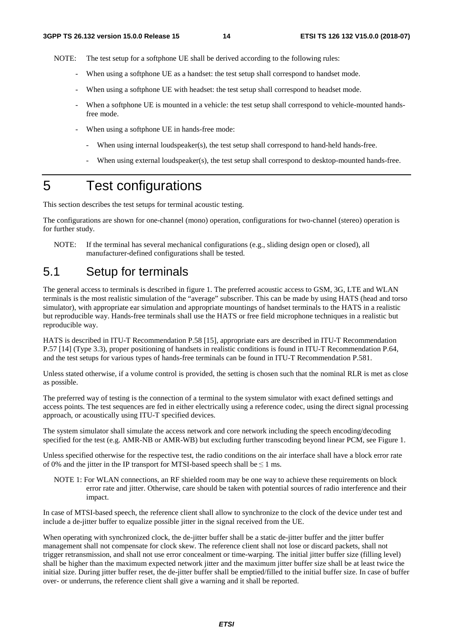NOTE: The test setup for a softphone UE shall be derived according to the following rules:

- When using a softphone UE as a handset: the test setup shall correspond to handset mode.
- When using a softphone UE with headset: the test setup shall correspond to headset mode.
- When a softphone UE is mounted in a vehicle: the test setup shall correspond to vehicle-mounted handsfree mode.
- When using a softphone UE in hands-free mode:
	- When using internal loudspeaker(s), the test setup shall correspond to hand-held hands-free.
	- When using external loudspeaker(s), the test setup shall correspond to desktop-mounted hands-free.

# 5 Test configurations

This section describes the test setups for terminal acoustic testing.

The configurations are shown for one-channel (mono) operation, configurations for two-channel (stereo) operation is for further study.

NOTE: If the terminal has several mechanical configurations (e.g., sliding design open or closed), all manufacturer-defined configurations shall be tested.

# 5.1 Setup for terminals

The general access to terminals is described in figure 1. The preferred acoustic access to GSM, 3G, LTE and WLAN terminals is the most realistic simulation of the "average" subscriber. This can be made by using HATS (head and torso simulator), with appropriate ear simulation and appropriate mountings of handset terminals to the HATS in a realistic but reproducible way. Hands-free terminals shall use the HATS or free field microphone techniques in a realistic but reproducible way.

HATS is described in ITU-T Recommendation P.58 [15], appropriate ears are described in ITU-T Recommendation P.57 [14] (Type 3.3), proper positioning of handsets in realistic conditions is found in ITU-T Recommendation P.64, and the test setups for various types of hands-free terminals can be found in ITU-T Recommendation P.581.

Unless stated otherwise, if a volume control is provided, the setting is chosen such that the nominal RLR is met as close as possible.

The preferred way of testing is the connection of a terminal to the system simulator with exact defined settings and access points. The test sequences are fed in either electrically using a reference codec, using the direct signal processing approach, or acoustically using ITU-T specified devices.

The system simulator shall simulate the access network and core network including the speech encoding/decoding specified for the test (e.g. AMR-NB or AMR-WB) but excluding further transcoding beyond linear PCM, see Figure 1.

Unless specified otherwise for the respective test, the radio conditions on the air interface shall have a block error rate of 0% and the jitter in the IP transport for MTSI-based speech shall be  $\leq 1$  ms.

NOTE 1: For WLAN connections, an RF shielded room may be one way to achieve these requirements on block error rate and jitter. Otherwise, care should be taken with potential sources of radio interference and their impact.

In case of MTSI-based speech, the reference client shall allow to synchronize to the clock of the device under test and include a de-jitter buffer to equalize possible jitter in the signal received from the UE.

When operating with synchronized clock, the de-jitter buffer shall be a static de-jitter buffer and the jitter buffer management shall not compensate for clock skew. The reference client shall not lose or discard packets, shall not trigger retransmission, and shall not use error concealment or time-warping. The initial jitter buffer size (filling level) shall be higher than the maximum expected network jitter and the maximum jitter buffer size shall be at least twice the initial size. During jitter buffer reset, the de-jitter buffer shall be emptied/filled to the initial buffer size. In case of buffer over- or underruns, the reference client shall give a warning and it shall be reported.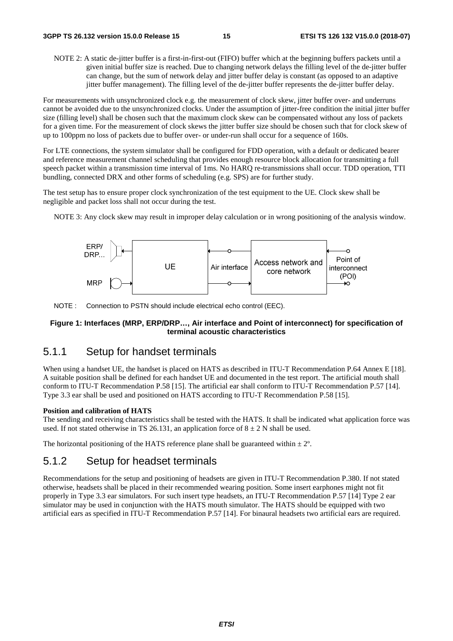NOTE 2: A static de-jitter buffer is a first-in-first-out (FIFO) buffer which at the beginning buffers packets until a given initial buffer size is reached. Due to changing network delays the filling level of the de-jitter buffer can change, but the sum of network delay and jitter buffer delay is constant (as opposed to an adaptive jitter buffer management). The filling level of the de-jitter buffer represents the de-jitter buffer delay.

For measurements with unsynchronized clock e.g. the measurement of clock skew, jitter buffer over- and underruns cannot be avoided due to the unsynchronized clocks. Under the assumption of jitter-free condition the initial jitter buffer size (filling level) shall be chosen such that the maximum clock skew can be compensated without any loss of packets for a given time. For the measurement of clock skews the jitter buffer size should be chosen such that for clock skew of up to 100ppm no loss of packets due to buffer over- or under-run shall occur for a sequence of 160s.

For LTE connections, the system simulator shall be configured for FDD operation, with a default or dedicated bearer and reference measurement channel scheduling that provides enough resource block allocation for transmitting a full speech packet within a transmission time interval of 1ms. No HARQ re-transmissions shall occur. TDD operation, TTI bundling, connected DRX and other forms of scheduling (e.g. SPS) are for further study.

The test setup has to ensure proper clock synchronization of the test equipment to the UE. Clock skew shall be negligible and packet loss shall not occur during the test.

NOTE 3: Any clock skew may result in improper delay calculation or in wrong positioning of the analysis window.



NOTE : Connection to PSTN should include electrical echo control (EEC).

### **Figure 1: Interfaces (MRP, ERP/DRP…, Air interface and Point of interconnect) for specification of terminal acoustic characteristics**

### 5.1.1 Setup for handset terminals

When using a handset UE, the handset is placed on HATS as described in ITU-T Recommendation P.64 Annex E [18]. A suitable position shall be defined for each handset UE and documented in the test report. The artificial mouth shall conform to ITU-T Recommendation P.58 [15]. The artificial ear shall conform to ITU-T Recommendation P.57 [14]. Type 3.3 ear shall be used and positioned on HATS according to ITU-T Recommendation P.58 [15].

#### **Position and calibration of HATS**

The sending and receiving characteristics shall be tested with the HATS. It shall be indicated what application force was used. If not stated otherwise in TS 26.131, an application force of  $8 \pm 2$  N shall be used.

The horizontal positioning of the HATS reference plane shall be guaranteed within  $\pm 2^{\circ}$ .

### 5.1.2 Setup for headset terminals

Recommendations for the setup and positioning of headsets are given in ITU-T Recommendation P.380. If not stated otherwise, headsets shall be placed in their recommended wearing position. Some insert earphones might not fit properly in Type 3.3 ear simulators. For such insert type headsets, an ITU-T Recommendation P.57 [14] Type 2 ear simulator may be used in conjunction with the HATS mouth simulator. The HATS should be equipped with two artificial ears as specified in ITU-T Recommendation P.57 [14]. For binaural headsets two artificial ears are required.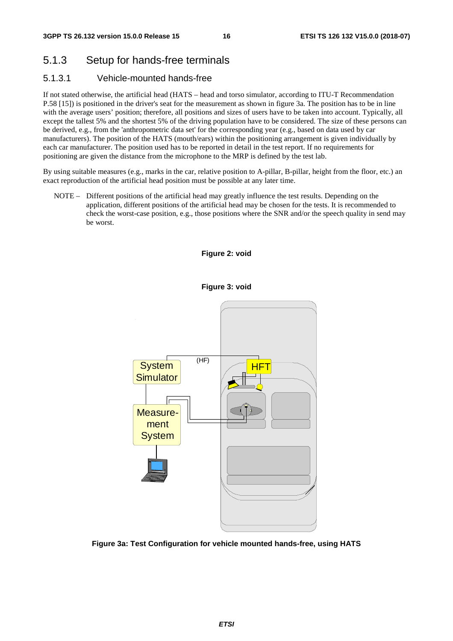# 5.1.3 Setup for hands-free terminals

### 5.1.3.1 Vehicle-mounted hands-free

If not stated otherwise, the artificial head (HATS – head and torso simulator, according to ITU-T Recommendation P.58 [15]) is positioned in the driver's seat for the measurement as shown in figure 3a. The position has to be in line with the average users' position; therefore, all positions and sizes of users have to be taken into account. Typically, all except the tallest 5% and the shortest 5% of the driving population have to be considered. The size of these persons can be derived, e.g., from the 'anthropometric data set' for the corresponding year (e.g., based on data used by car manufacturers). The position of the HATS (mouth/ears) within the positioning arrangement is given individually by each car manufacturer. The position used has to be reported in detail in the test report. If no requirements for positioning are given the distance from the microphone to the MRP is defined by the test lab.

By using suitable measures (e.g., marks in the car, relative position to A-pillar, B-pillar, height from the floor, etc.) an exact reproduction of the artificial head position must be possible at any later time.

NOTE – Different positions of the artificial head may greatly influence the test results. Depending on the application, different positions of the artificial head may be chosen for the tests. It is recommended to check the worst-case position, e.g., those positions where the SNR and/or the speech quality in send may be worst.



**Figure 3a: Test Configuration for vehicle mounted hands-free, using HATS** 

### **Figure 2: void**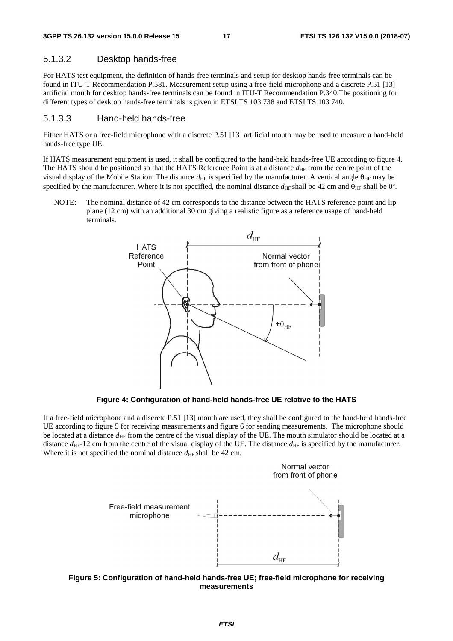### 5.1.3.2 Desktop hands-free

For HATS test equipment, the definition of hands-free terminals and setup for desktop hands-free terminals can be found in ITU-T Recommendation P.581. Measurement setup using a free-field microphone and a discrete P.51 [13] artificial mouth for desktop hands-free terminals can be found in ITU-T Recommendation P.340.The positioning for different types of desktop hands-free terminals is given in ETSI TS 103 738 and ETSI TS 103 740.

### 5.1.3.3 Hand-held hands-free

Either HATS or a free-field microphone with a discrete P.51 [13] artificial mouth may be used to measure a hand-held hands-free type UE.

If HATS measurement equipment is used, it shall be configured to the hand-held hands-free UE according to figure 4. The HATS should be positioned so that the HATS Reference Point is at a distance  $d_{HF}$  from the centre point of the visual display of the Mobile Station. The distance  $d_{HF}$  is specified by the manufacturer. A vertical angle  $\theta_{HF}$  may be specified by the manufacturer. Where it is not specified, the nominal distance  $d_{\text{HF}}$  shall be 42 cm and  $\theta_{\text{HF}}$  shall be 0°.

NOTE: The nominal distance of 42 cm corresponds to the distance between the HATS reference point and lipplane (12 cm) with an additional 30 cm giving a realistic figure as a reference usage of hand-held terminals.



**Figure 4: Configuration of hand-held hands-free UE relative to the HATS** 

If a free-field microphone and a discrete P.51 [13] mouth are used, they shall be configured to the hand-held hands-free UE according to figure 5 for receiving measurements and figure 6 for sending measurements. The microphone should be located at a distance  $d_{\text{HF}}$  from the centre of the visual display of the UE. The mouth simulator should be located at a distance  $d_{\text{HF}}$ -12 cm from the centre of the visual display of the UE. The distance  $d_{\text{HF}}$  is specified by the manufacturer. Where it is not specified the nominal distance  $d_{\text{HF}}$  shall be 42 cm.



**Figure 5: Configuration of hand-held hands-free UE; free-field microphone for receiving measurements**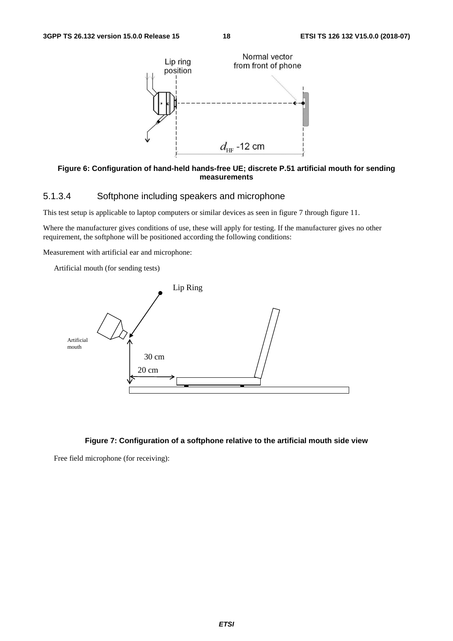

#### **Figure 6: Configuration of hand-held hands-free UE; discrete P.51 artificial mouth for sending measurements**

### 5.1.3.4 Softphone including speakers and microphone

This test setup is applicable to laptop computers or similar devices as seen in figure 7 through figure 11.

Where the manufacturer gives conditions of use, these will apply for testing. If the manufacturer gives no other requirement, the softphone will be positioned according the following conditions:

Measurement with artificial ear and microphone:

Artificial mouth (for sending tests)



### **Figure 7: Configuration of a softphone relative to the artificial mouth side view**

Free field microphone (for receiving):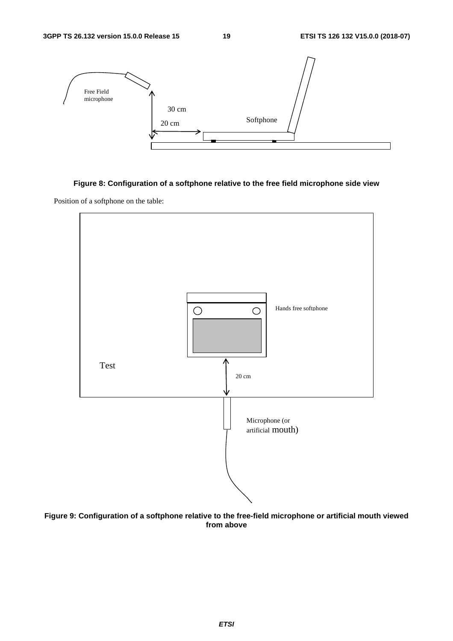

### **Figure 8: Configuration of a softphone relative to the free field microphone side view**

Position of a softphone on the table:



**Figure 9: Configuration of a softphone relative to the free-field microphone or artificial mouth viewed from above**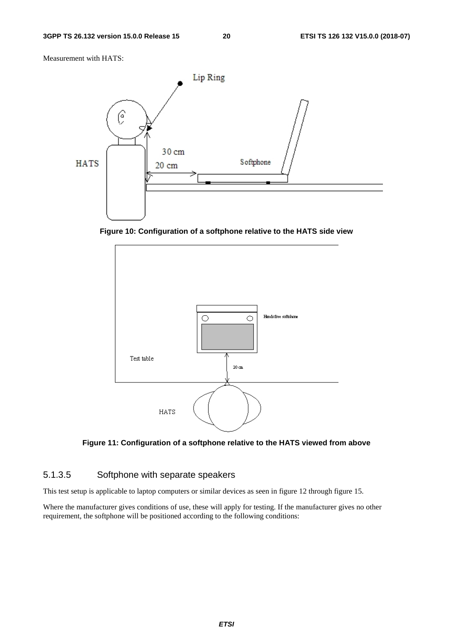Measurement with HATS:



**Figure 10: Configuration of a softphone relative to the HATS side view** 



**Figure 11: Configuration of a softphone relative to the HATS viewed from above** 

### 5.1.3.5 Softphone with separate speakers

This test setup is applicable to laptop computers or similar devices as seen in figure 12 through figure 15.

Where the manufacturer gives conditions of use, these will apply for testing. If the manufacturer gives no other requirement, the softphone will be positioned according to the following conditions: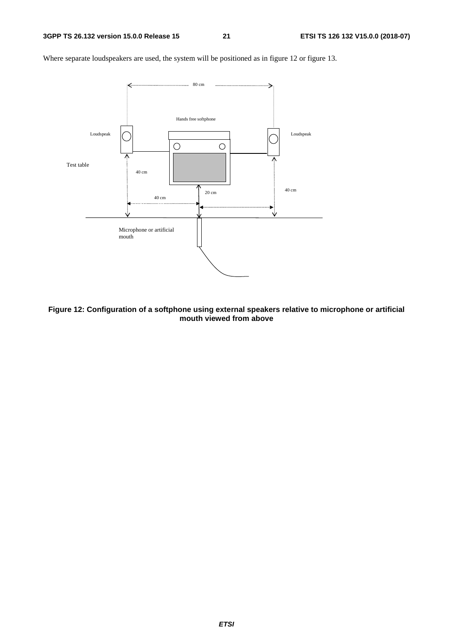

Where separate loudspeakers are used, the system will be positioned as in figure 12 or figure 13.

**Figure 12: Configuration of a softphone using external speakers relative to microphone or artificial mouth viewed from above**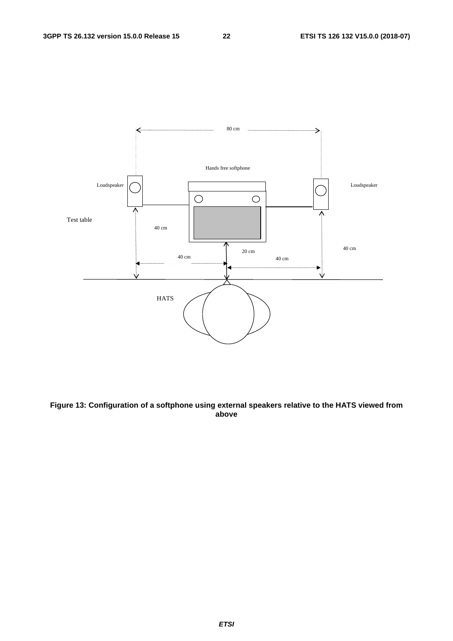

**Figure 13: Configuration of a softphone using external speakers relative to the HATS viewed from above**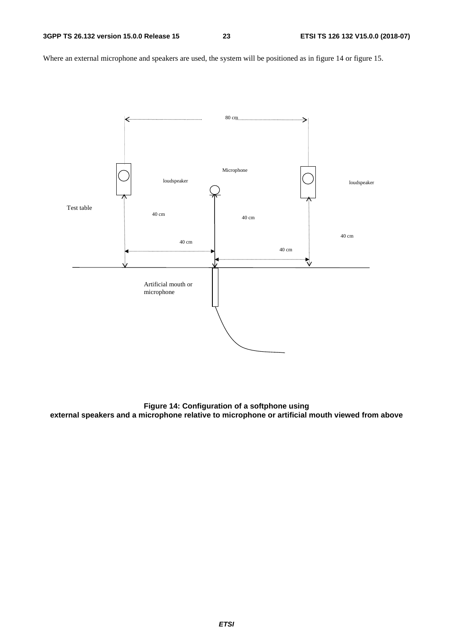Where an external microphone and speakers are used, the system will be positioned as in figure 14 or figure 15.



**Figure 14: Configuration of a softphone using external speakers and a microphone relative to microphone or artificial mouth viewed from above**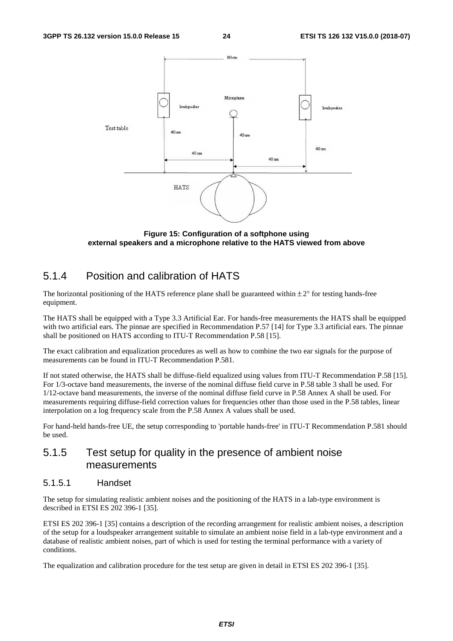

**Figure 15: Configuration of a softphone using external speakers and a microphone relative to the HATS viewed from above** 

### 5.1.4 Position and calibration of HATS

The horizontal positioning of the HATS reference plane shall be guaranteed within  $\pm 2^{\circ}$  for testing hands-free equipment.

The HATS shall be equipped with a Type 3.3 Artificial Ear. For hands-free measurements the HATS shall be equipped with two artificial ears. The pinnae are specified in Recommendation P.57 [14] for Type 3.3 artificial ears. The pinnae shall be positioned on HATS according to ITU-T Recommendation P.58 [15].

The exact calibration and equalization procedures as well as how to combine the two ear signals for the purpose of measurements can be found in ITU-T Recommendation P.581.

If not stated otherwise, the HATS shall be diffuse-field equalized using values from ITU-T Recommendation P.58 [15]. For 1/3-octave band measurements, the inverse of the nominal diffuse field curve in P.58 table 3 shall be used. For 1/12-octave band measurements, the inverse of the nominal diffuse field curve in P.58 Annex A shall be used. For measurements requiring diffuse-field correction values for frequencies other than those used in the P.58 tables, linear interpolation on a log frequency scale from the P.58 Annex A values shall be used.

For hand-held hands-free UE, the setup corresponding to 'portable hands-free' in ITU-T Recommendation P.581 should be used.

### 5.1.5 Test setup for quality in the presence of ambient noise measurements

### 5.1.5.1 Handset

The setup for simulating realistic ambient noises and the positioning of the HATS in a lab-type environment is described in ETSI ES 202 396-1 [35].

ETSI ES 202 396-1 [35] contains a description of the recording arrangement for realistic ambient noises, a description of the setup for a loudspeaker arrangement suitable to simulate an ambient noise field in a lab-type environment and a database of realistic ambient noises, part of which is used for testing the terminal performance with a variety of conditions.

The equalization and calibration procedure for the test setup are given in detail in ETSI ES 202 396-1 [35].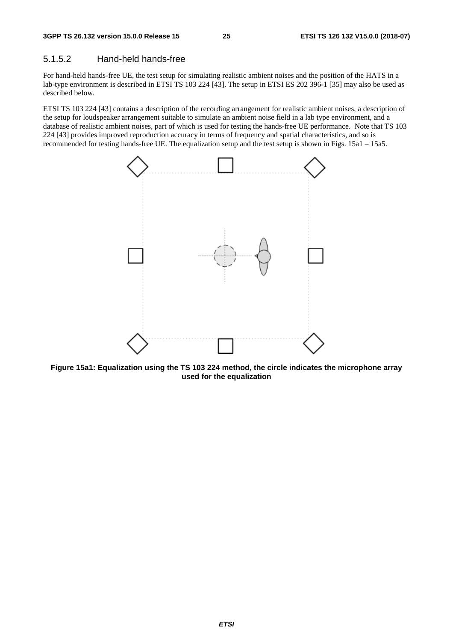### 5.1.5.2 Hand-held hands-free

For hand-held hands-free UE, the test setup for simulating realistic ambient noises and the position of the HATS in a lab-type environment is described in ETSI TS 103 224 [43]. The setup in ETSI ES 202 396-1 [35] may also be used as described below.

ETSI TS 103 224 [43] contains a description of the recording arrangement for realistic ambient noises, a description of the setup for loudspeaker arrangement suitable to simulate an ambient noise field in a lab type environment, and a database of realistic ambient noises, part of which is used for testing the hands-free UE performance. Note that TS 103 224 [43] provides improved reproduction accuracy in terms of frequency and spatial characteristics, and so is recommended for testing hands-free UE. The equalization setup and the test setup is shown in Figs. 15a1 – 15a5.



**Figure 15a1: Equalization using the TS 103 224 method, the circle indicates the microphone array used for the equalization**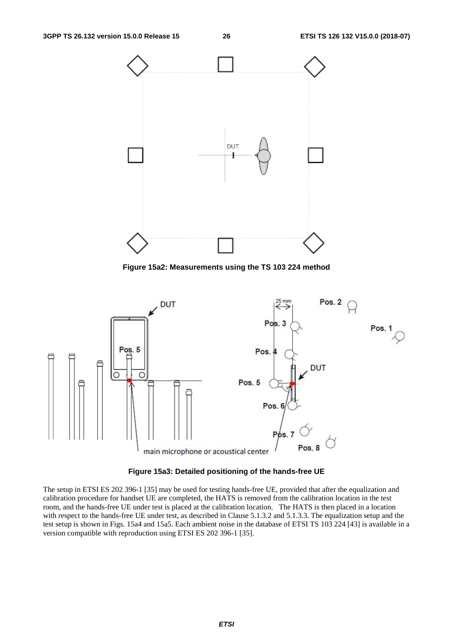

**Figure 15a2: Measurements using the TS 103 224 method** 



**Figure 15a3: Detailed positioning of the hands-free UE** 

The setup in ETSI ES 202 396-1 [35] may be used for testing hands-free UE, provided that after the equalization and calibration procedure for handset UE are completed, the HATS is removed from the calibration location in the test room, and the hands-free UE under test is placed at the calibration location. The HATS is then placed in a location with respect to the hands-free UE under test, as described in Clause 5.1.3.2 and 5.1.3.3. The equalization setup and the test setup is shown in Figs. 15a4 and 15a5. Each ambient noise in the database of ETSI TS 103 224 [43] is available in a version compatible with reproduction using ETSI ES 202 396-1 [35].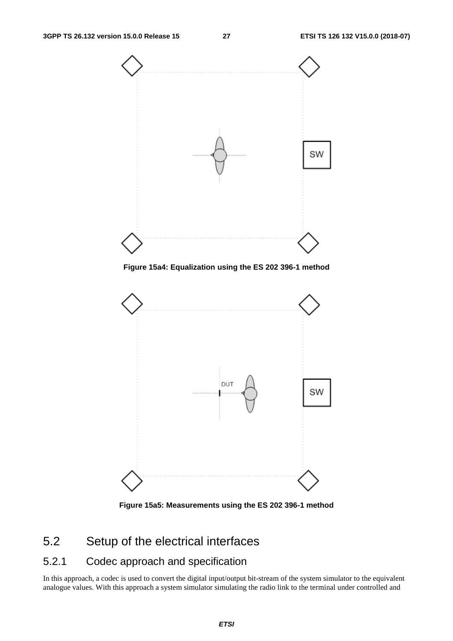

**Figure 15a5: Measurements using the ES 202 396-1 method** 

# 5.2 Setup of the electrical interfaces

### 5.2.1 Codec approach and specification

In this approach, a codec is used to convert the digital input/output bit-stream of the system simulator to the equivalent analogue values. With this approach a system simulator simulating the radio link to the terminal under controlled and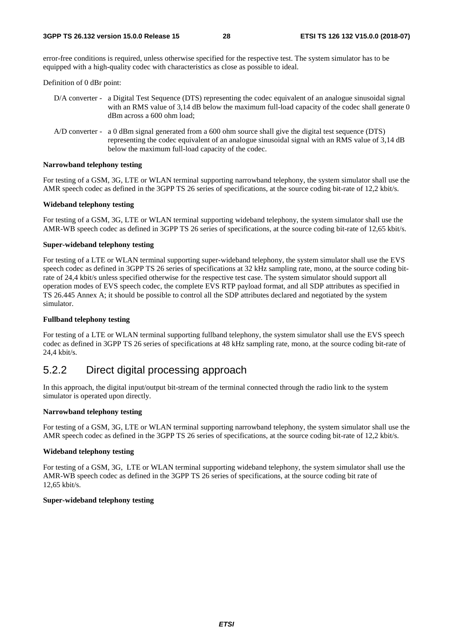error-free conditions is required, unless otherwise specified for the respective test. The system simulator has to be equipped with a high-quality codec with characteristics as close as possible to ideal.

Definition of 0 dBr point:

| D/A converter - a Digital Test Sequence (DTS) representing the codec equivalent of an analogue sinusoidal signal |
|------------------------------------------------------------------------------------------------------------------|
| with an RMS value of 3.14 dB below the maximum full-load capacity of the codec shall generate 0                  |
| dBm across a 600 ohm load:                                                                                       |

A/D converter - a 0 dBm signal generated from a 600 ohm source shall give the digital test sequence (DTS) representing the codec equivalent of an analogue sinusoidal signal with an RMS value of 3,14 dB below the maximum full-load capacity of the codec.

#### **Narrowband telephony testing**

For testing of a GSM, 3G, LTE or WLAN terminal supporting narrowband telephony, the system simulator shall use the AMR speech codec as defined in the 3GPP TS 26 series of specifications, at the source coding bit-rate of 12,2 kbit/s.

#### **Wideband telephony testing**

For testing of a GSM, 3G, LTE or WLAN terminal supporting wideband telephony, the system simulator shall use the AMR-WB speech codec as defined in 3GPP TS 26 series of specifications, at the source coding bit-rate of 12,65 kbit/s.

#### **Super-wideband telephony testing**

For testing of a LTE or WLAN terminal supporting super-wideband telephony, the system simulator shall use the EVS speech codec as defined in 3GPP TS 26 series of specifications at 32 kHz sampling rate, mono, at the source coding bitrate of 24,4 kbit/s unless specified otherwise for the respective test case. The system simulator should support all operation modes of EVS speech codec, the complete EVS RTP payload format, and all SDP attributes as specified in TS 26.445 Annex A; it should be possible to control all the SDP attributes declared and negotiated by the system simulator.

#### **Fullband telephony testing**

For testing of a LTE or WLAN terminal supporting fullband telephony, the system simulator shall use the EVS speech codec as defined in 3GPP TS 26 series of specifications at 48 kHz sampling rate, mono, at the source coding bit-rate of 24,4 kbit/s.

### 5.2.2 Direct digital processing approach

In this approach, the digital input/output bit-stream of the terminal connected through the radio link to the system simulator is operated upon directly.

#### **Narrowband telephony testing**

For testing of a GSM, 3G, LTE or WLAN terminal supporting narrowband telephony, the system simulator shall use the AMR speech codec as defined in the 3GPP TS 26 series of specifications, at the source coding bit-rate of 12,2 kbit/s.

#### **Wideband telephony testing**

For testing of a GSM, 3G, LTE or WLAN terminal supporting wideband telephony, the system simulator shall use the AMR-WB speech codec as defined in the 3GPP TS 26 series of specifications, at the source coding bit rate of 12,65 kbit/s.

#### **Super-wideband telephony testing**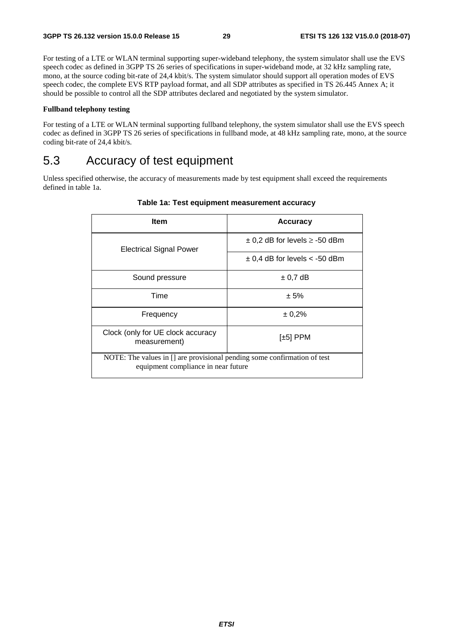For testing of a LTE or WLAN terminal supporting super-wideband telephony, the system simulator shall use the EVS speech codec as defined in 3GPP TS 26 series of specifications in super-wideband mode, at 32 kHz sampling rate, mono, at the source coding bit-rate of 24,4 kbit/s. The system simulator should support all operation modes of EVS speech codec, the complete EVS RTP payload format, and all SDP attributes as specified in TS 26.445 Annex A; it should be possible to control all the SDP attributes declared and negotiated by the system simulator.

#### **Fullband telephony testing**

For testing of a LTE or WLAN terminal supporting fullband telephony, the system simulator shall use the EVS speech codec as defined in 3GPP TS 26 series of specifications in fullband mode, at 48 kHz sampling rate, mono, at the source coding bit-rate of 24,4 kbit/s.

# 5.3 Accuracy of test equipment

Unless specified otherwise, the accuracy of measurements made by test equipment shall exceed the requirements defined in table 1a.

| <b>Item</b>                                                                                                     | <b>Accuracy</b>                       |
|-----------------------------------------------------------------------------------------------------------------|---------------------------------------|
| <b>Electrical Signal Power</b>                                                                                  | $\pm$ 0,2 dB for levels $\ge$ -50 dBm |
|                                                                                                                 | $\pm$ 0,4 dB for levels < -50 dBm     |
| Sound pressure                                                                                                  | $\pm$ 0.7 dB                          |
| Time                                                                                                            | ± 5%                                  |
| Frequency                                                                                                       | ± 0,2%                                |
| Clock (only for UE clock accuracy<br>measurement)                                                               | $[\pm 5]$ PPM                         |
| NOTE: The values in [] are provisional pending some confirmation of test<br>equipment compliance in near future |                                       |

### **Table 1a: Test equipment measurement accuracy**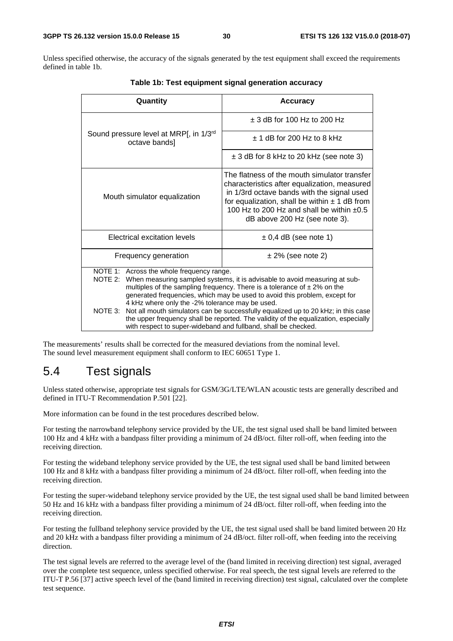Unless specified otherwise, the accuracy of the signals generated by the test equipment shall exceed the requirements defined in table 1b.

| Quantity                                                                                                                                                                                                                                                                                                                                                                                                                                                                                                                                                                                                | <b>Accuracy</b>                                                                                                                                                                                                                                                                 |
|---------------------------------------------------------------------------------------------------------------------------------------------------------------------------------------------------------------------------------------------------------------------------------------------------------------------------------------------------------------------------------------------------------------------------------------------------------------------------------------------------------------------------------------------------------------------------------------------------------|---------------------------------------------------------------------------------------------------------------------------------------------------------------------------------------------------------------------------------------------------------------------------------|
|                                                                                                                                                                                                                                                                                                                                                                                                                                                                                                                                                                                                         | $\pm$ 3 dB for 100 Hz to 200 Hz                                                                                                                                                                                                                                                 |
| Sound pressure level at MRP[, in 1/3rd<br>octave bands]                                                                                                                                                                                                                                                                                                                                                                                                                                                                                                                                                 | $+$ 1 dB for 200 Hz to 8 kHz                                                                                                                                                                                                                                                    |
|                                                                                                                                                                                                                                                                                                                                                                                                                                                                                                                                                                                                         | $\pm$ 3 dB for 8 kHz to 20 kHz (see note 3)                                                                                                                                                                                                                                     |
| Mouth simulator equalization                                                                                                                                                                                                                                                                                                                                                                                                                                                                                                                                                                            | The flatness of the mouth simulator transfer<br>characteristics after equalization, measured<br>in 1/3rd octave bands with the signal used<br>for equalization, shall be within $\pm$ 1 dB from<br>100 Hz to 200 Hz and shall be within $+0.5$<br>dB above 200 Hz (see note 3). |
| Electrical excitation levels                                                                                                                                                                                                                                                                                                                                                                                                                                                                                                                                                                            | $\pm$ 0,4 dB (see note 1)                                                                                                                                                                                                                                                       |
| Frequency generation                                                                                                                                                                                                                                                                                                                                                                                                                                                                                                                                                                                    | $± 2\%$ (see note 2)                                                                                                                                                                                                                                                            |
| NOTE 1: Across the whole frequency range.<br>NOTE 2: When measuring sampled systems, it is advisable to avoid measuring at sub-<br>multiples of the sampling frequency. There is a tolerance of $\pm 2\%$ on the<br>generated frequencies, which may be used to avoid this problem, except for<br>4 kHz where only the -2% tolerance may be used.<br>NOTE 3: Not all mouth simulators can be successfully equalized up to 20 kHz; in this case<br>the upper frequency shall be reported. The validity of the equalization, especially<br>with respect to super-wideband and fullband, shall be checked. |                                                                                                                                                                                                                                                                                 |

**Table 1b: Test equipment signal generation accuracy** 

The measurements' results shall be corrected for the measured deviations from the nominal level. The sound level measurement equipment shall conform to IEC 60651 Type 1.

### 5.4 Test signals

Unless stated otherwise, appropriate test signals for GSM/3G/LTE/WLAN acoustic tests are generally described and defined in ITU-T Recommendation P.501 [22].

More information can be found in the test procedures described below.

For testing the narrowband telephony service provided by the UE, the test signal used shall be band limited between 100 Hz and 4 kHz with a bandpass filter providing a minimum of 24 dB/oct. filter roll-off, when feeding into the receiving direction.

For testing the wideband telephony service provided by the UE, the test signal used shall be band limited between 100 Hz and 8 kHz with a bandpass filter providing a minimum of 24 dB/oct. filter roll-off, when feeding into the receiving direction.

For testing the super-wideband telephony service provided by the UE, the test signal used shall be band limited between 50 Hz and 16 kHz with a bandpass filter providing a minimum of 24 dB/oct. filter roll-off, when feeding into the receiving direction.

For testing the fullband telephony service provided by the UE, the test signal used shall be band limited between 20 Hz and 20 kHz with a bandpass filter providing a minimum of 24 dB/oct. filter roll-off, when feeding into the receiving direction.

The test signal levels are referred to the average level of the (band limited in receiving direction) test signal, averaged over the complete test sequence, unless specified otherwise. For real speech, the test signal levels are referred to the ITU-T P.56 [37] active speech level of the (band limited in receiving direction) test signal, calculated over the complete test sequence.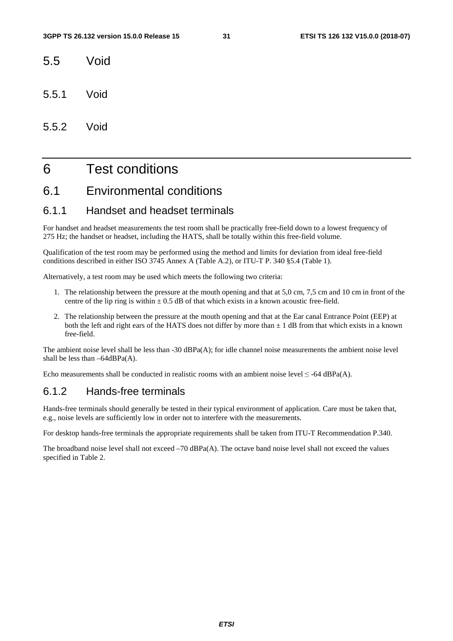- 5.5 Void
- 5.5.1 Void
- 5.5.2 Void

# 6 Test conditions

# 6.1 Environmental conditions

### 6.1.1 Handset and headset terminals

For handset and headset measurements the test room shall be practically free-field down to a lowest frequency of 275 Hz; the handset or headset, including the HATS, shall be totally within this free-field volume.

Qualification of the test room may be performed using the method and limits for deviation from ideal free-field conditions described in either ISO 3745 Annex A (Table A.2), or ITU-T P. 340 §5.4 (Table 1).

Alternatively, a test room may be used which meets the following two criteria:

- 1. The relationship between the pressure at the mouth opening and that at 5,0 cm, 7,5 cm and 10 cm in front of the centre of the lip ring is within  $\pm$  0.5 dB of that which exists in a known acoustic free-field.
- 2. The relationship between the pressure at the mouth opening and that at the Ear canal Entrance Point (EEP) at both the left and right ears of the HATS does not differ by more than  $\pm 1$  dB from that which exists in a known free-field.

The ambient noise level shall be less than -30 dBPa(A); for idle channel noise measurements the ambient noise level shall be less than  $-64$ d $BPa(A)$ .

Echo measurements shall be conducted in realistic rooms with an ambient noise level  $\leq$  -64 dBPa(A).

### 6.1.2 Hands-free terminals

Hands-free terminals should generally be tested in their typical environment of application. Care must be taken that, e.g., noise levels are sufficiently low in order not to interfere with the measurements.

For desktop hands-free terminals the appropriate requirements shall be taken from ITU-T Recommendation P.340.

The broadband noise level shall not exceed –70 dBPa(A). The octave band noise level shall not exceed the values specified in Table 2.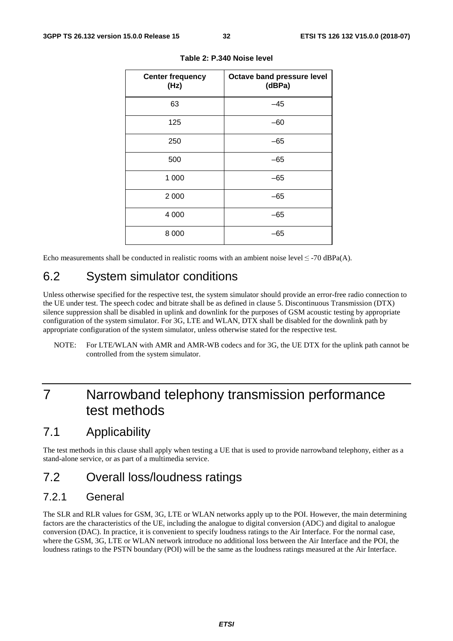| <b>Center frequency</b><br>(Hz) | Octave band pressure level<br>(dBPa) |
|---------------------------------|--------------------------------------|
| 63                              | $-45$                                |
| 125                             | $-60$                                |
| 250                             | $-65$                                |
| 500                             | $-65$                                |
| 1 000                           | $-65$                                |
| 2 0 0 0                         | $-65$                                |
| 4 0 0 0                         | $-65$                                |
| 8 0 0 0                         | -65                                  |

**Table 2: P.340 Noise level** 

Echo measurements shall be conducted in realistic rooms with an ambient noise level  $\leq$  -70 dBPa(A).

# 6.2 System simulator conditions

Unless otherwise specified for the respective test, the system simulator should provide an error-free radio connection to the UE under test. The speech codec and bitrate shall be as defined in clause 5. Discontinuous Transmission (DTX) silence suppression shall be disabled in uplink and downlink for the purposes of GSM acoustic testing by appropriate configuration of the system simulator. For 3G, LTE and WLAN, DTX shall be disabled for the downlink path by appropriate configuration of the system simulator, unless otherwise stated for the respective test.

NOTE: For LTE/WLAN with AMR and AMR-WB codecs and for 3G, the UE DTX for the uplink path cannot be controlled from the system simulator.

# 7 Narrowband telephony transmission performance test methods

# 7.1 Applicability

The test methods in this clause shall apply when testing a UE that is used to provide narrowband telephony, either as a stand-alone service, or as part of a multimedia service.

# 7.2 Overall loss/loudness ratings

### 7.2.1 General

The SLR and RLR values for GSM, 3G, LTE or WLAN networks apply up to the POI. However, the main determining factors are the characteristics of the UE, including the analogue to digital conversion (ADC) and digital to analogue conversion (DAC). In practice, it is convenient to specify loudness ratings to the Air Interface. For the normal case, where the GSM, 3G, LTE or WLAN network introduce no additional loss between the Air Interface and the POI, the loudness ratings to the PSTN boundary (POI) will be the same as the loudness ratings measured at the Air Interface.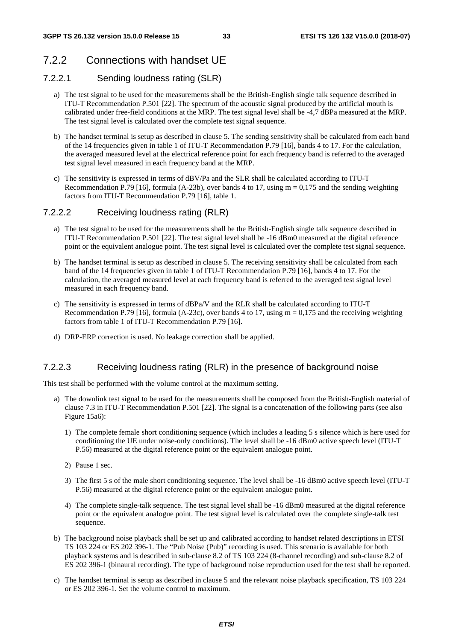# 7.2.2 Connections with handset UE

### 7.2.2.1 Sending loudness rating (SLR)

- a) The test signal to be used for the measurements shall be the British-English single talk sequence described in ITU-T Recommendation P.501 [22]. The spectrum of the acoustic signal produced by the artificial mouth is calibrated under free-field conditions at the MRP. The test signal level shall be -4,7 dBPa measured at the MRP. The test signal level is calculated over the complete test signal sequence.
- b) The handset terminal is setup as described in clause 5. The sending sensitivity shall be calculated from each band of the 14 frequencies given in table 1 of ITU-T Recommendation P.79 [16], bands 4 to 17. For the calculation, the averaged measured level at the electrical reference point for each frequency band is referred to the averaged test signal level measured in each frequency band at the MRP.
- c) The sensitivity is expressed in terms of dBV/Pa and the SLR shall be calculated according to ITU-T Recommendation P.79 [16], formula (A-23b), over bands 4 to 17, using  $m = 0,175$  and the sending weighting factors from ITU-T Recommendation P.79 [16], table 1.

### 7.2.2.2 Receiving loudness rating (RLR)

- a) The test signal to be used for the measurements shall be the British-English single talk sequence described in ITU-T Recommendation P.501 [22]. The test signal level shall be -16 dBm0 measured at the digital reference point or the equivalent analogue point. The test signal level is calculated over the complete test signal sequence.
- b) The handset terminal is setup as described in clause 5. The receiving sensitivity shall be calculated from each band of the 14 frequencies given in table 1 of ITU-T Recommendation P.79 [16], bands 4 to 17. For the calculation, the averaged measured level at each frequency band is referred to the averaged test signal level measured in each frequency band.
- c) The sensitivity is expressed in terms of dBPa/V and the RLR shall be calculated according to ITU-T Recommendation P.79 [16], formula (A-23c), over bands 4 to 17, using  $m = 0.175$  and the receiving weighting factors from table 1 of ITU-T Recommendation P.79 [16].
- d) DRP-ERP correction is used. No leakage correction shall be applied.

### 7.2.2.3 Receiving loudness rating (RLR) in the presence of background noise

This test shall be performed with the volume control at the maximum setting.

- a) The downlink test signal to be used for the measurements shall be composed from the British-English material of clause 7.3 in ITU-T Recommendation P.501 [22]. The signal is a concatenation of the following parts (see also Figure 15a6):
	- 1) The complete female short conditioning sequence (which includes a leading 5 s silence which is here used for conditioning the UE under noise-only conditions). The level shall be -16 dBm0 active speech level (ITU-T P.56) measured at the digital reference point or the equivalent analogue point.
	- 2) Pause 1 sec.
	- 3) The first 5 s of the male short conditioning sequence. The level shall be -16 dBm0 active speech level (ITU-T P.56) measured at the digital reference point or the equivalent analogue point.
	- 4) The complete single-talk sequence. The test signal level shall be -16 dBm0 measured at the digital reference point or the equivalent analogue point. The test signal level is calculated over the complete single-talk test sequence.
- b) The background noise playback shall be set up and calibrated according to handset related descriptions in ETSI TS 103 224 or ES 202 396-1. The "Pub Noise (Pub)" recording is used. This scenario is available for both playback systems and is described in sub-clause 8.2 of TS 103 224 (8-channel recording) and sub-clause 8.2 of ES 202 396-1 (binaural recording). The type of background noise reproduction used for the test shall be reported.
- c) The handset terminal is setup as described in clause 5 and the relevant noise playback specification, TS 103 224 or ES 202 396-1. Set the volume control to maximum.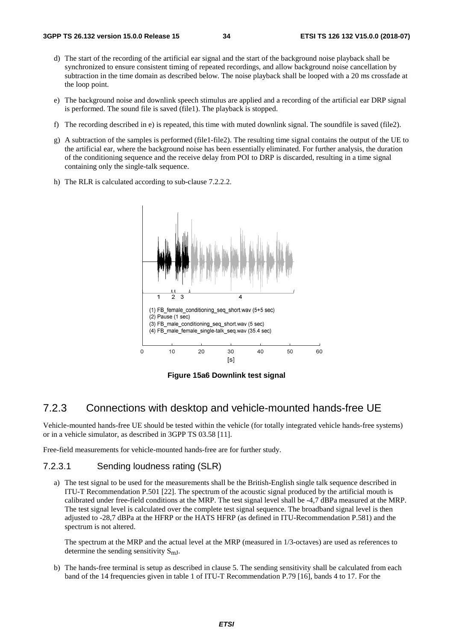- d) The start of the recording of the artificial ear signal and the start of the background noise playback shall be synchronized to ensure consistent timing of repeated recordings, and allow background noise cancellation by subtraction in the time domain as described below. The noise playback shall be looped with a 20 ms crossfade at the loop point.
- e) The background noise and downlink speech stimulus are applied and a recording of the artificial ear DRP signal is performed. The sound file is saved (file1). The playback is stopped.
- f) The recording described in e) is repeated, this time with muted downlink signal. The soundfile is saved (file2).
- g) A subtraction of the samples is performed (file1-file2). The resulting time signal contains the output of the UE to the artificial ear, where the background noise has been essentially eliminated. For further analysis, the duration of the conditioning sequence and the receive delay from POI to DRP is discarded, resulting in a time signal containing only the single-talk sequence.
- h) The RLR is calculated according to sub-clause 7.2.2.2.



**Figure 15a6 Downlink test signal**

### 7.2.3 Connections with desktop and vehicle-mounted hands-free UE

Vehicle-mounted hands-free UE should be tested within the vehicle (for totally integrated vehicle hands-free systems) or in a vehicle simulator, as described in 3GPP TS 03.58 [11].

Free-field measurements for vehicle-mounted hands-free are for further study.

### 7.2.3.1 Sending loudness rating (SLR)

a) The test signal to be used for the measurements shall be the British-English single talk sequence described in ITU-T Recommendation P.501 [22]. The spectrum of the acoustic signal produced by the artificial mouth is calibrated under free-field conditions at the MRP. The test signal level shall be -4,7 dBPa measured at the MRP. The test signal level is calculated over the complete test signal sequence. The broadband signal level is then adjusted to -28,7 dBPa at the HFRP or the HATS HFRP (as defined in ITU-Recommendation P.581) and the spectrum is not altered.

The spectrum at the MRP and the actual level at the MRP (measured in 1/3-octaves) are used as references to determine the sending sensitivity  $S_{mI}$ .

b) The hands-free terminal is setup as described in clause 5. The sending sensitivity shall be calculated from each band of the 14 frequencies given in table 1 of ITU-T Recommendation P.79 [16], bands 4 to 17. For the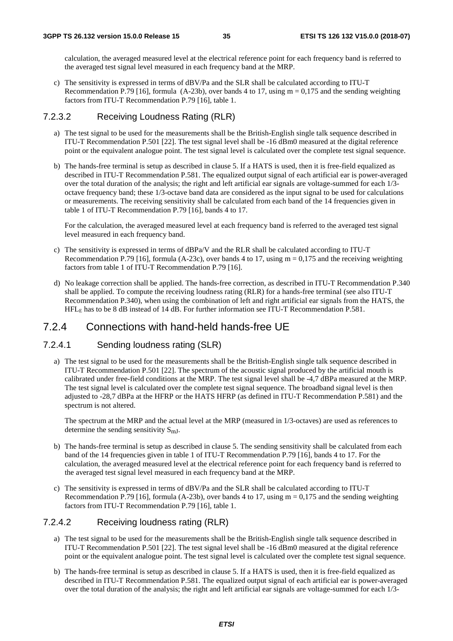calculation, the averaged measured level at the electrical reference point for each frequency band is referred to the averaged test signal level measured in each frequency band at the MRP.

c) The sensitivity is expressed in terms of dBV/Pa and the SLR shall be calculated according to ITU-T Recommendation P.79 [16], formula  $(A-23b)$ , over bands 4 to 17, using  $m = 0.175$  and the sending weighting factors from ITU-T Recommendation P.79 [16], table 1.

### 7.2.3.2 Receiving Loudness Rating (RLR)

- a) The test signal to be used for the measurements shall be the British-English single talk sequence described in ITU-T Recommendation P.501 [22]. The test signal level shall be -16 dBm0 measured at the digital reference point or the equivalent analogue point. The test signal level is calculated over the complete test signal sequence.
- b) The hands-free terminal is setup as described in clause 5. If a HATS is used, then it is free-field equalized as described in ITU-T Recommendation P.581. The equalized output signal of each artificial ear is power-averaged over the total duration of the analysis; the right and left artificial ear signals are voltage-summed for each 1/3 octave frequency band; these 1/3-octave band data are considered as the input signal to be used for calculations or measurements. The receiving sensitivity shall be calculated from each band of the 14 frequencies given in table 1 of ITU-T Recommendation P.79 [16], bands 4 to 17.

For the calculation, the averaged measured level at each frequency band is referred to the averaged test signal level measured in each frequency band.

- c) The sensitivity is expressed in terms of dBPa/V and the RLR shall be calculated according to ITU-T Recommendation P.79 [16], formula (A-23c), over bands 4 to 17, using  $m = 0.175$  and the receiving weighting factors from table 1 of ITU-T Recommendation P.79 [16].
- d) No leakage correction shall be applied. The hands-free correction, as described in ITU-T Recommendation P.340 shall be applied. To compute the receiving loudness rating (RLR) for a hands-free terminal (see also ITU-T Recommendation P.340), when using the combination of left and right artificial ear signals from the HATS, the HFLE has to be 8 dB instead of 14 dB. For further information see ITU-T Recommendation P.581.

### 7.2.4 Connections with hand-held hands-free UE

### 7.2.4.1 Sending loudness rating (SLR)

a) The test signal to be used for the measurements shall be the British-English single talk sequence described in ITU-T Recommendation P.501 [22]. The spectrum of the acoustic signal produced by the artificial mouth is calibrated under free-field conditions at the MRP. The test signal level shall be -4,7 dBPa measured at the MRP. The test signal level is calculated over the complete test signal sequence. The broadband signal level is then adjusted to -28,7 dBPa at the HFRP or the HATS HFRP (as defined in ITU-T Recommendation P.581) and the spectrum is not altered.

The spectrum at the MRP and the actual level at the MRP (measured in 1/3-octaves) are used as references to determine the sending sensitivity  $S_{mI}$ .

- b) The hands-free terminal is setup as described in clause 5. The sending sensitivity shall be calculated from each band of the 14 frequencies given in table 1 of ITU-T Recommendation P.79 [16], bands 4 to 17. For the calculation, the averaged measured level at the electrical reference point for each frequency band is referred to the averaged test signal level measured in each frequency band at the MRP.
- c) The sensitivity is expressed in terms of dBV/Pa and the SLR shall be calculated according to ITU-T Recommendation P.79 [16], formula (A-23b), over bands 4 to 17, using  $m = 0.175$  and the sending weighting factors from ITU-T Recommendation P.79 [16], table 1.

### 7.2.4.2 Receiving loudness rating (RLR)

- a) The test signal to be used for the measurements shall be the British-English single talk sequence described in ITU-T Recommendation P.501 [22]. The test signal level shall be -16 dBm0 measured at the digital reference point or the equivalent analogue point. The test signal level is calculated over the complete test signal sequence.
- b) The hands-free terminal is setup as described in clause 5. If a HATS is used, then it is free-field equalized as described in ITU-T Recommendation P.581. The equalized output signal of each artificial ear is power-averaged over the total duration of the analysis; the right and left artificial ear signals are voltage-summed for each 1/3-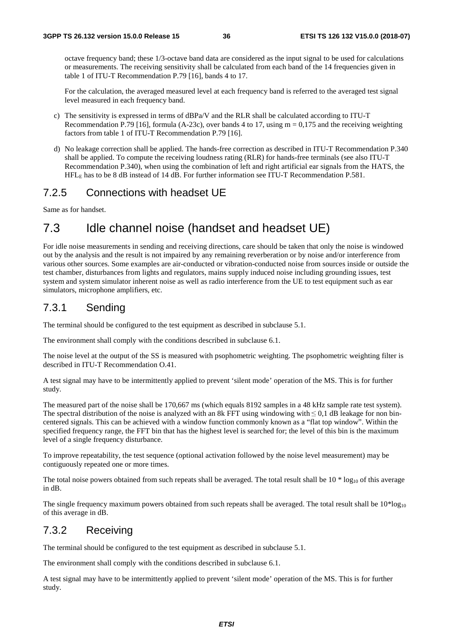octave frequency band; these 1/3-octave band data are considered as the input signal to be used for calculations or measurements. The receiving sensitivity shall be calculated from each band of the 14 frequencies given in table 1 of ITU-T Recommendation P.79 [16], bands 4 to 17.

For the calculation, the averaged measured level at each frequency band is referred to the averaged test signal level measured in each frequency band.

- c) The sensitivity is expressed in terms of dBPa/V and the RLR shall be calculated according to ITU-T Recommendation P.79 [16], formula (A-23c), over bands 4 to 17, using  $m = 0.175$  and the receiving weighting factors from table 1 of ITU-T Recommendation P.79 [16].
- d) No leakage correction shall be applied. The hands-free correction as described in ITU-T Recommendation P.340 shall be applied. To compute the receiving loudness rating (RLR) for hands-free terminals (see also ITU-T Recommendation P.340), when using the combination of left and right artificial ear signals from the HATS, the HFLE has to be 8 dB instead of 14 dB. For further information see ITU-T Recommendation P.581.

# 7.2.5 Connections with headset UE

Same as for handset.

# 7.3 Idle channel noise (handset and headset UE)

For idle noise measurements in sending and receiving directions, care should be taken that only the noise is windowed out by the analysis and the result is not impaired by any remaining reverberation or by noise and/or interference from various other sources. Some examples are air-conducted or vibration-conducted noise from sources inside or outside the test chamber, disturbances from lights and regulators, mains supply induced noise including grounding issues, test system and system simulator inherent noise as well as radio interference from the UE to test equipment such as ear simulators, microphone amplifiers, etc.

# 7.3.1 Sending

The terminal should be configured to the test equipment as described in subclause 5.1.

The environment shall comply with the conditions described in subclause 6.1.

The noise level at the output of the SS is measured with psophometric weighting. The psophometric weighting filter is described in ITU-T Recommendation O.41.

A test signal may have to be intermittently applied to prevent 'silent mode' operation of the MS. This is for further study.

The measured part of the noise shall be 170,667 ms (which equals 8192 samples in a 48 kHz sample rate test system). The spectral distribution of the noise is analyzed with an 8k FFT using windowing with  $\leq 0.1$  dB leakage for non bincentered signals. This can be achieved with a window function commonly known as a "flat top window". Within the specified frequency range, the FFT bin that has the highest level is searched for; the level of this bin is the maximum level of a single frequency disturbance.

To improve repeatability, the test sequence (optional activation followed by the noise level measurement) may be contiguously repeated one or more times.

The total noise powers obtained from such repeats shall be averaged. The total result shall be  $10 * log_{10}$  of this average in dB.

The single frequency maximum powers obtained from such repeats shall be averaged. The total result shall be  $10*log_{10}$ of this average in dB.

# 7.3.2 Receiving

The terminal should be configured to the test equipment as described in subclause 5.1.

The environment shall comply with the conditions described in subclause 6.1.

A test signal may have to be intermittently applied to prevent 'silent mode' operation of the MS. This is for further study.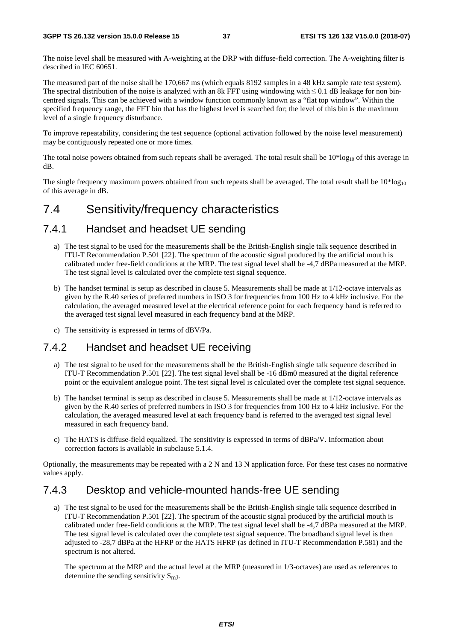The noise level shall be measured with A-weighting at the DRP with diffuse-field correction. The A-weighting filter is described in IEC 60651.

The measured part of the noise shall be 170,667 ms (which equals 8192 samples in a 48 kHz sample rate test system). The spectral distribution of the noise is analyzed with an 8k FFT using windowing with  $\leq 0.1$  dB leakage for non bincentred signals. This can be achieved with a window function commonly known as a "flat top window". Within the specified frequency range, the FFT bin that has the highest level is searched for; the level of this bin is the maximum level of a single frequency disturbance.

To improve repeatability, considering the test sequence (optional activation followed by the noise level measurement) may be contiguously repeated one or more times.

The total noise powers obtained from such repeats shall be averaged. The total result shall be  $10*log_{10}$  of this average in dB.

The single frequency maximum powers obtained from such repeats shall be averaged. The total result shall be  $10*log_{10}$ of this average in dB.

# 7.4 Sensitivity/frequency characteristics

# 7.4.1 Handset and headset UE sending

- a) The test signal to be used for the measurements shall be the British-English single talk sequence described in ITU-T Recommendation P.501 [22]. The spectrum of the acoustic signal produced by the artificial mouth is calibrated under free-field conditions at the MRP. The test signal level shall be -4,7 dBPa measured at the MRP. The test signal level is calculated over the complete test signal sequence.
- b) The handset terminal is setup as described in clause 5. Measurements shall be made at 1/12-octave intervals as given by the R.40 series of preferred numbers in ISO 3 for frequencies from 100 Hz to 4 kHz inclusive. For the calculation, the averaged measured level at the electrical reference point for each frequency band is referred to the averaged test signal level measured in each frequency band at the MRP.
- c) The sensitivity is expressed in terms of dBV/Pa.

# 7.4.2 Handset and headset UE receiving

- a) The test signal to be used for the measurements shall be the British-English single talk sequence described in ITU-T Recommendation P.501 [22]. The test signal level shall be -16 dBm0 measured at the digital reference point or the equivalent analogue point. The test signal level is calculated over the complete test signal sequence.
- b) The handset terminal is setup as described in clause 5. Measurements shall be made at 1/12-octave intervals as given by the R.40 series of preferred numbers in ISO 3 for frequencies from 100 Hz to 4 kHz inclusive. For the calculation, the averaged measured level at each frequency band is referred to the averaged test signal level measured in each frequency band.
- c) The HATS is diffuse-field equalized. The sensitivity is expressed in terms of dBPa/V. Information about correction factors is available in subclause 5.1.4.

Optionally, the measurements may be repeated with a 2 N and 13 N application force. For these test cases no normative values apply.

# 7.4.3 Desktop and vehicle-mounted hands-free UE sending

a) The test signal to be used for the measurements shall be the British-English single talk sequence described in ITU-T Recommendation P.501 [22]. The spectrum of the acoustic signal produced by the artificial mouth is calibrated under free-field conditions at the MRP. The test signal level shall be -4,7 dBPa measured at the MRP. The test signal level is calculated over the complete test signal sequence. The broadband signal level is then adjusted to -28,7 dBPa at the HFRP or the HATS HFRP (as defined in ITU-T Recommendation P.581) and the spectrum is not altered.

The spectrum at the MRP and the actual level at the MRP (measured in 1/3-octaves) are used as references to determine the sending sensitivity  $S_{mJ}$ .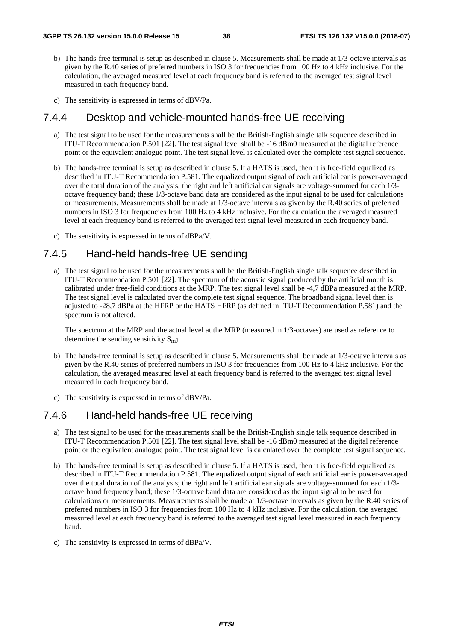- b) The hands-free terminal is setup as described in clause 5. Measurements shall be made at 1/3-octave intervals as given by the R.40 series of preferred numbers in ISO 3 for frequencies from 100 Hz to 4 kHz inclusive. For the calculation, the averaged measured level at each frequency band is referred to the averaged test signal level measured in each frequency band.
- c) The sensitivity is expressed in terms of dBV/Pa.

### 7.4.4 Desktop and vehicle-mounted hands-free UE receiving

- a) The test signal to be used for the measurements shall be the British-English single talk sequence described in ITU-T Recommendation P.501 [22]. The test signal level shall be -16 dBm0 measured at the digital reference point or the equivalent analogue point. The test signal level is calculated over the complete test signal sequence.
- b) The hands-free terminal is setup as described in clause 5. If a HATS is used, then it is free-field equalized as described in ITU-T Recommendation P.581. The equalized output signal of each artificial ear is power-averaged over the total duration of the analysis; the right and left artificial ear signals are voltage-summed for each 1/3 octave frequency band; these 1/3-octave band data are considered as the input signal to be used for calculations or measurements. Measurements shall be made at 1/3-octave intervals as given by the R.40 series of preferred numbers in ISO 3 for frequencies from 100 Hz to 4 kHz inclusive. For the calculation the averaged measured level at each frequency band is referred to the averaged test signal level measured in each frequency band.
- c) The sensitivity is expressed in terms of dBPa/V.

# 7.4.5 Hand-held hands-free UE sending

a) The test signal to be used for the measurements shall be the British-English single talk sequence described in ITU-T Recommendation P.501 [22]. The spectrum of the acoustic signal produced by the artificial mouth is calibrated under free-field conditions at the MRP. The test signal level shall be -4,7 dBPa measured at the MRP. The test signal level is calculated over the complete test signal sequence. The broadband signal level then is adjusted to -28,7 dBPa at the HFRP or the HATS HFRP (as defined in ITU-T Recommendation P.581) and the spectrum is not altered.

The spectrum at the MRP and the actual level at the MRP (measured in 1/3-octaves) are used as reference to determine the sending sensitivity  $S_{mI}$ .

- b) The hands-free terminal is setup as described in clause 5. Measurements shall be made at 1/3-octave intervals as given by the R.40 series of preferred numbers in ISO 3 for frequencies from 100 Hz to 4 kHz inclusive. For the calculation, the averaged measured level at each frequency band is referred to the averaged test signal level measured in each frequency band.
- c) The sensitivity is expressed in terms of dBV/Pa.

## 7.4.6 Hand-held hands-free UE receiving

- a) The test signal to be used for the measurements shall be the British-English single talk sequence described in ITU-T Recommendation P.501 [22]. The test signal level shall be -16 dBm0 measured at the digital reference point or the equivalent analogue point. The test signal level is calculated over the complete test signal sequence.
- b) The hands-free terminal is setup as described in clause 5. If a HATS is used, then it is free-field equalized as described in ITU-T Recommendation P.581. The equalized output signal of each artificial ear is power-averaged over the total duration of the analysis; the right and left artificial ear signals are voltage-summed for each 1/3 octave band frequency band; these 1/3-octave band data are considered as the input signal to be used for calculations or measurements. Measurements shall be made at 1/3-octave intervals as given by the R.40 series of preferred numbers in ISO 3 for frequencies from 100 Hz to 4 kHz inclusive. For the calculation, the averaged measured level at each frequency band is referred to the averaged test signal level measured in each frequency band.
- c) The sensitivity is expressed in terms of dBPa/V.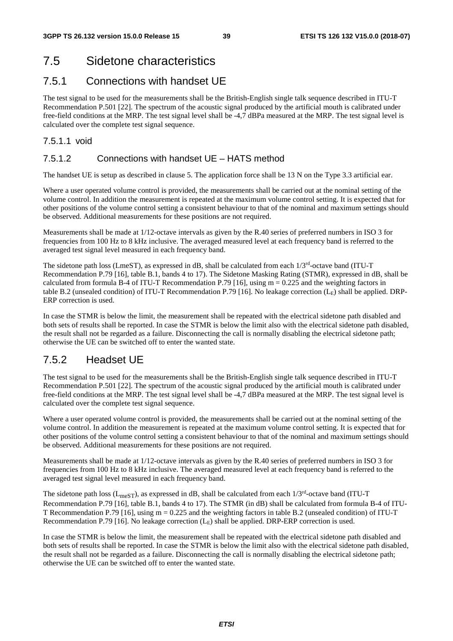# 7.5 Sidetone characteristics

## 7.5.1 Connections with handset UE

The test signal to be used for the measurements shall be the British-English single talk sequence described in ITU-T Recommendation P.501 [22]. The spectrum of the acoustic signal produced by the artificial mouth is calibrated under free-field conditions at the MRP. The test signal level shall be -4,7 dBPa measured at the MRP. The test signal level is calculated over the complete test signal sequence.

### 7.5.1.1 void

### 7.5.1.2 Connections with handset UE – HATS method

The handset UE is setup as described in clause 5. The application force shall be 13 N on the Type 3.3 artificial ear.

Where a user operated volume control is provided, the measurements shall be carried out at the nominal setting of the volume control. In addition the measurement is repeated at the maximum volume control setting. It is expected that for other positions of the volume control setting a consistent behaviour to that of the nominal and maximum settings should be observed. Additional measurements for these positions are not required.

Measurements shall be made at 1/12-octave intervals as given by the R.40 series of preferred numbers in ISO 3 for frequencies from 100 Hz to 8 kHz inclusive. The averaged measured level at each frequency band is referred to the averaged test signal level measured in each frequency band.

The sidetone path loss (LmeST), as expressed in dB, shall be calculated from each 1/3rd-octave band (ITU-T Recommendation P.79 [16], table B.1, bands 4 to 17). The Sidetone Masking Rating (STMR), expressed in dB, shall be calculated from formula B-4 of ITU-T Recommendation P.79 [16], using  $m = 0.225$  and the weighting factors in table B.2 (unsealed condition) of ITU-T Recommendation P.79 [16]. No leakage correction  $(L_E)$  shall be applied. DRP-ERP correction is used.

In case the STMR is below the limit, the measurement shall be repeated with the electrical sidetone path disabled and both sets of results shall be reported. In case the STMR is below the limit also with the electrical sidetone path disabled, the result shall not be regarded as a failure. Disconnecting the call is normally disabling the electrical sidetone path; otherwise the UE can be switched off to enter the wanted state.

# 7.5.2 Headset UE

The test signal to be used for the measurements shall be the British-English single talk sequence described in ITU-T Recommendation P.501 [22]. The spectrum of the acoustic signal produced by the artificial mouth is calibrated under free-field conditions at the MRP. The test signal level shall be -4,7 dBPa measured at the MRP. The test signal level is calculated over the complete test signal sequence.

Where a user operated volume control is provided, the measurements shall be carried out at the nominal setting of the volume control. In addition the measurement is repeated at the maximum volume control setting. It is expected that for other positions of the volume control setting a consistent behaviour to that of the nominal and maximum settings should be observed. Additional measurements for these positions are not required.

Measurements shall be made at 1/12-octave intervals as given by the R.40 series of preferred numbers in ISO 3 for frequencies from 100 Hz to 8 kHz inclusive. The averaged measured level at each frequency band is referred to the averaged test signal level measured in each frequency band.

The sidetone path loss ( $L_{\text{meST}}$ ), as expressed in dB, shall be calculated from each  $1/3^{\text{rd}}$ -octave band (ITU-T) Recommendation P.79 [16], table B.1, bands 4 to 17). The STMR (in dB) shall be calculated from formula B-4 of ITU-T Recommendation P.79 [16], using m = 0.225 and the weighting factors in table B.2 (unsealed condition) of ITU-T Recommendation P.79 [16]. No leakage correction  $(L<sub>E</sub>)$  shall be applied. DRP-ERP correction is used.

In case the STMR is below the limit, the measurement shall be repeated with the electrical sidetone path disabled and both sets of results shall be reported. In case the STMR is below the limit also with the electrical sidetone path disabled, the result shall not be regarded as a failure. Disconnecting the call is normally disabling the electrical sidetone path; otherwise the UE can be switched off to enter the wanted state.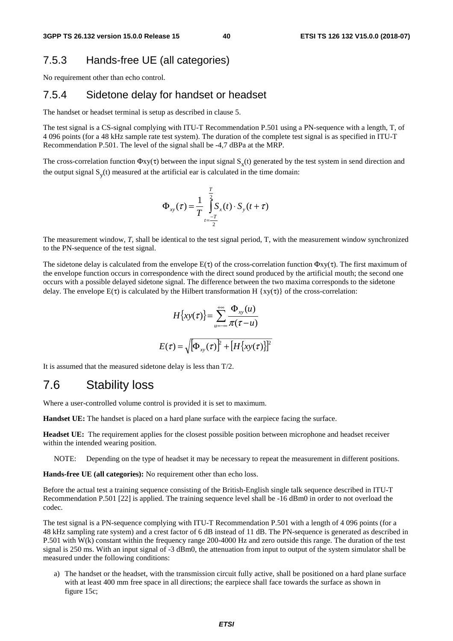# 7.5.3 Hands-free UE (all categories)

No requirement other than echo control.

# 7.5.4 Sidetone delay for handset or headset

The handset or headset terminal is setup as described in clause 5.

The test signal is a CS-signal complying with ITU-T Recommendation P.501 using a PN-sequence with a length, T, of 4 096 points (for a 48 kHz sample rate test system). The duration of the complete test signal is as specified in ITU-T Recommendation P.501. The level of the signal shall be -4,7 dBPa at the MRP.

The cross-correlation function  $\Phi xy(\tau)$  between the input signal  $S_x(t)$  generated by the test system in send direction and the output signal  $S<sub>v</sub>(t)$  measured at the artificial ear is calculated in the time domain:

$$
\Phi_{xy}(\tau) = \frac{1}{T} \int_{t=\frac{-T}{2}}^{\frac{T}{2}} S_x(t) \cdot S_y(t+\tau)
$$

The measurement window, *T*, shall be identical to the test signal period, T, with the measurement window synchronized to the PN-sequence of the test signal.

The sidetone delay is calculated from the envelope  $E(\tau)$  of the cross-correlation function  $\Phi$ xy( $\tau$ ). The first maximum of the envelope function occurs in correspondence with the direct sound produced by the artificial mouth; the second one occurs with a possible delayed sidetone signal. The difference between the two maxima corresponds to the sidetone delay. The envelope  $E(\tau)$  is calculated by the Hilbert transformation H {xy( $\tau$ )} of the cross-correlation:

$$
H\{xy(\tau)\} = \sum_{u=-\infty}^{+\infty} \frac{\Phi_{xy}(u)}{\pi(\tau - u)}
$$

$$
E(\tau) = \sqrt{\Phi_{xy}(\tau)}^2 + [H\{xy(\tau)\}]^2
$$

It is assumed that the measured sidetone delay is less than T/2.

# 7.6 Stability loss

Where a user-controlled volume control is provided it is set to maximum.

**Handset UE:** The handset is placed on a hard plane surface with the earpiece facing the surface.

**Headset UE:** The requirement applies for the closest possible position between microphone and headset receiver within the intended wearing position.

NOTE: Depending on the type of headset it may be necessary to repeat the measurement in different positions.

**Hands-free UE (all categories):** No requirement other than echo loss.

Before the actual test a training sequence consisting of the British-English single talk sequence described in ITU-T Recommendation P.501 [22] is applied. The training sequence level shall be -16 dBm0 in order to not overload the codec.

The test signal is a PN-sequence complying with ITU-T Recommendation P.501 with a length of 4 096 points (for a 48 kHz sampling rate system) and a crest factor of 6 dB instead of 11 dB. The PN-sequence is generated as described in P.501 with W(k) constant within the frequency range 200-4000 Hz and zero outside this range. The duration of the test signal is 250 ms. With an input signal of -3 dBm0, the attenuation from input to output of the system simulator shall be measured under the following conditions:

a) The handset or the headset, with the transmission circuit fully active, shall be positioned on a hard plane surface with at least 400 mm free space in all directions; the earpiece shall face towards the surface as shown in figure 15c;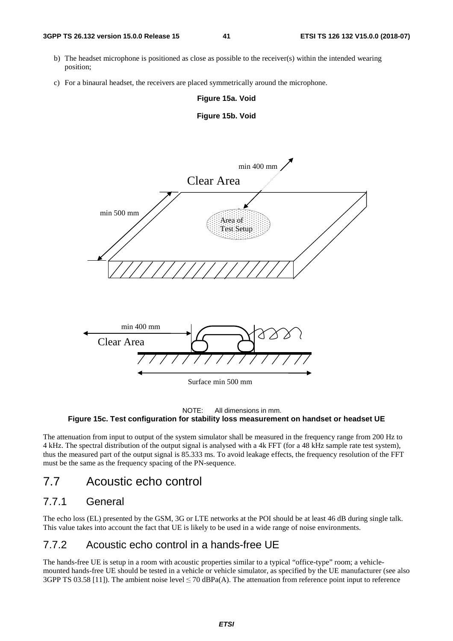- b) The headset microphone is positioned as close as possible to the receiver(s) within the intended wearing position;
- c) For a binaural headset, the receivers are placed symmetrically around the microphone.

#### **Figure 15a. Void**







The attenuation from input to output of the system simulator shall be measured in the frequency range from 200 Hz to 4 kHz. The spectral distribution of the output signal is analysed with a 4k FFT (for a 48 kHz sample rate test system), thus the measured part of the output signal is 85.333 ms. To avoid leakage effects, the frequency resolution of the FFT must be the same as the frequency spacing of the PN-sequence.

# 7.7 Acoustic echo control

### 7.7.1 General

The echo loss (EL) presented by the GSM, 3G or LTE networks at the POI should be at least 46 dB during single talk. This value takes into account the fact that UE is likely to be used in a wide range of noise environments.

## 7.7.2 Acoustic echo control in a hands-free UE

The hands-free UE is setup in a room with acoustic properties similar to a typical "office-type" room; a vehiclemounted hands-free UE should be tested in a vehicle or vehicle simulator, as specified by the UE manufacturer (see also 3GPP TS 03.58 [11]). The ambient noise level  $\leq$  70 dBPa(A). The attenuation from reference point input to reference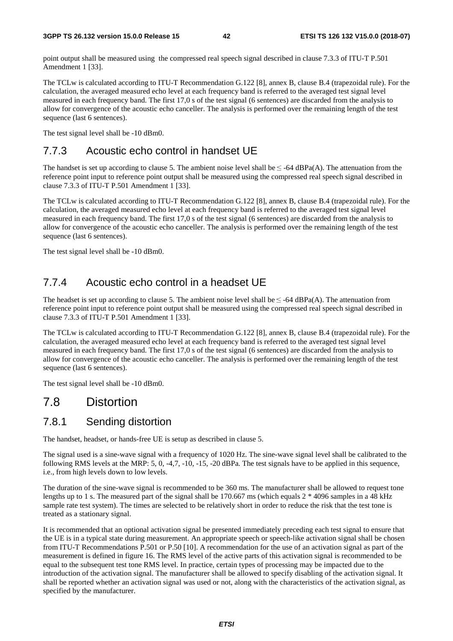point output shall be measured using the compressed real speech signal described in clause 7.3.3 of ITU-T P.501 Amendment 1 [33].

The TCLw is calculated according to ITU-T Recommendation G.122 [8], annex B, clause B.4 (trapezoidal rule). For the calculation, the averaged measured echo level at each frequency band is referred to the averaged test signal level measured in each frequency band. The first 17,0 s of the test signal (6 sentences) are discarded from the analysis to allow for convergence of the acoustic echo canceller. The analysis is performed over the remaining length of the test sequence (last 6 sentences).

The test signal level shall be -10 dBm0.

# 7.7.3 Acoustic echo control in handset UE

The handset is set up according to clause 5. The ambient noise level shall be  $\leq$  -64 dBPa(A). The attenuation from the reference point input to reference point output shall be measured using the compressed real speech signal described in clause 7.3.3 of ITU-T P.501 Amendment 1 [33].

The TCLw is calculated according to ITU-T Recommendation G.122 [8], annex B, clause B.4 (trapezoidal rule). For the calculation, the averaged measured echo level at each frequency band is referred to the averaged test signal level measured in each frequency band. The first 17,0 s of the test signal (6 sentences) are discarded from the analysis to allow for convergence of the acoustic echo canceller. The analysis is performed over the remaining length of the test sequence (last 6 sentences).

The test signal level shall be -10 dBm0.

# 7.7.4 Acoustic echo control in a headset UE

The headset is set up according to clause 5. The ambient noise level shall be  $\leq$  -64 dBPa(A). The attenuation from reference point input to reference point output shall be measured using the compressed real speech signal described in clause 7.3.3 of ITU-T P.501 Amendment 1 [33].

The TCLw is calculated according to ITU-T Recommendation G.122 [8], annex B, clause B.4 (trapezoidal rule). For the calculation, the averaged measured echo level at each frequency band is referred to the averaged test signal level measured in each frequency band. The first 17,0 s of the test signal (6 sentences) are discarded from the analysis to allow for convergence of the acoustic echo canceller. The analysis is performed over the remaining length of the test sequence (last 6 sentences).

The test signal level shall be -10 dBm0.

# 7.8 Distortion

### 7.8.1 Sending distortion

The handset, headset, or hands-free UE is setup as described in clause 5.

The signal used is a sine-wave signal with a frequency of 1020 Hz. The sine-wave signal level shall be calibrated to the following RMS levels at the MRP:  $5, 0, -4.7, -10, -15, -20$  dBPa. The test signals have to be applied in this sequence, i.e., from high levels down to low levels.

The duration of the sine-wave signal is recommended to be 360 ms. The manufacturer shall be allowed to request tone lengths up to 1 s. The measured part of the signal shall be 170.667 ms (which equals  $2 * 4096$  samples in a 48 kHz sample rate test system). The times are selected to be relatively short in order to reduce the risk that the test tone is treated as a stationary signal.

It is recommended that an optional activation signal be presented immediately preceding each test signal to ensure that the UE is in a typical state during measurement. An appropriate speech or speech-like activation signal shall be chosen from ITU-T Recommendations P.501 or P.50 [10]. A recommendation for the use of an activation signal as part of the measurement is defined in figure 16. The RMS level of the active parts of this activation signal is recommended to be equal to the subsequent test tone RMS level. In practice, certain types of processing may be impacted due to the introduction of the activation signal. The manufacturer shall be allowed to specify disabling of the activation signal. It shall be reported whether an activation signal was used or not, along with the characteristics of the activation signal, as specified by the manufacturer.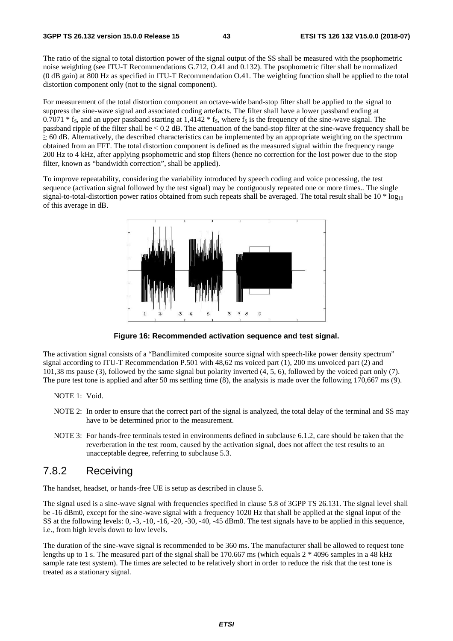The ratio of the signal to total distortion power of the signal output of the SS shall be measured with the psophometric noise weighting (see ITU-T Recommendations G.712, O.41 and 0.132). The psophometric filter shall be normalized (0 dB gain) at 800 Hz as specified in ITU-T Recommendation O.41. The weighting function shall be applied to the total distortion component only (not to the signal component).

For measurement of the total distortion component an octave-wide band-stop filter shall be applied to the signal to suppress the sine-wave signal and associated coding artefacts. The filter shall have a lower passband ending at  $0.7071 * f_s$ , and an upper passband starting at 1,4142  $* f_s$ , where  $f_s$  is the frequency of the sine-wave signal. The passband ripple of the filter shall be  $\leq 0.2$  dB. The attenuation of the band-stop filter at the sine-wave frequency shall be  $\geq$  60 dB. Alternatively, the described characteristics can be implemented by an appropriate weighting on the spectrum obtained from an FFT. The total distortion component is defined as the measured signal within the frequency range 200 Hz to 4 kHz, after applying psophometric and stop filters (hence no correction for the lost power due to the stop filter, known as "bandwidth correction", shall be applied).

To improve repeatability, considering the variability introduced by speech coding and voice processing, the test sequence (activation signal followed by the test signal) may be contiguously repeated one or more times.. The single signal-to-total-distortion power ratios obtained from such repeats shall be averaged. The total result shall be  $10 * 10g_{10}$ of this average in dB.



**Figure 16: Recommended activation sequence and test signal.** 

The activation signal consists of a "Bandlimited composite source signal with speech-like power density spectrum" signal according to ITU-T Recommendation P.501 with 48,62 ms voiced part (1), 200 ms unvoiced part (2) and 101,38 ms pause (3), followed by the same signal but polarity inverted (4, 5, 6), followed by the voiced part only (7). The pure test tone is applied and after 50 ms settling time (8), the analysis is made over the following 170,667 ms (9).

- NOTE 1: Void.
- NOTE 2: In order to ensure that the correct part of the signal is analyzed, the total delay of the terminal and SS may have to be determined prior to the measurement.
- NOTE 3: For hands-free terminals tested in environments defined in subclause 6.1.2, care should be taken that the reverberation in the test room, caused by the activation signal, does not affect the test results to an unacceptable degree, referring to subclause 5.3.

### 7.8.2 Receiving

The handset, headset, or hands-free UE is setup as described in clause 5.

The signal used is a sine-wave signal with frequencies specified in clause 5.8 of 3GPP TS 26.131. The signal level shall be -16 dBm0, except for the sine-wave signal with a frequency 1020 Hz that shall be applied at the signal input of the SS at the following levels: 0, -3, -10, -16, -20, -30, -40, -45 dBm0. The test signals have to be applied in this sequence, i.e., from high levels down to low levels.

The duration of the sine-wave signal is recommended to be 360 ms. The manufacturer shall be allowed to request tone lengths up to 1 s. The measured part of the signal shall be 170.667 ms (which equals 2  $*$  4096 samples in a 48 kHz sample rate test system). The times are selected to be relatively short in order to reduce the risk that the test tone is treated as a stationary signal.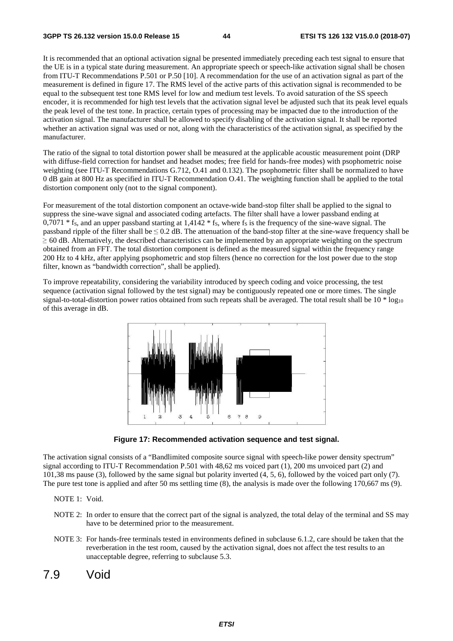It is recommended that an optional activation signal be presented immediately preceding each test signal to ensure that the UE is in a typical state during measurement. An appropriate speech or speech-like activation signal shall be chosen from ITU-T Recommendations P.501 or P.50 [10]. A recommendation for the use of an activation signal as part of the measurement is defined in figure 17. The RMS level of the active parts of this activation signal is recommended to be equal to the subsequent test tone RMS level for low and medium test levels. To avoid saturation of the SS speech encoder, it is recommended for high test levels that the activation signal level be adjusted such that its peak level equals the peak level of the test tone. In practice, certain types of processing may be impacted due to the introduction of the activation signal. The manufacturer shall be allowed to specify disabling of the activation signal. It shall be reported whether an activation signal was used or not, along with the characteristics of the activation signal, as specified by the manufacturer.

The ratio of the signal to total distortion power shall be measured at the applicable acoustic measurement point (DRP with diffuse-field correction for handset and headset modes; free field for hands-free modes) with psophometric noise weighting (see ITU-T Recommendations G.712, O.41 and 0.132). The psophometric filter shall be normalized to have 0 dB gain at 800 Hz as specified in ITU-T Recommendation O.41. The weighting function shall be applied to the total distortion component only (not to the signal component).

For measurement of the total distortion component an octave-wide band-stop filter shall be applied to the signal to suppress the sine-wave signal and associated coding artefacts. The filter shall have a lower passband ending at  $0.7071 * f<sub>S</sub>$ , and an upper passband starting at 1,4142  $* f<sub>S</sub>$ , where  $f<sub>S</sub>$  is the frequency of the sine-wave signal. The passband ripple of the filter shall be  $\leq 0.2$  dB. The attenuation of the band-stop filter at the sine-wave frequency shall be  $\geq$  60 dB. Alternatively, the described characteristics can be implemented by an appropriate weighting on the spectrum obtained from an FFT. The total distortion component is defined as the measured signal within the frequency range 200 Hz to 4 kHz, after applying psophometric and stop filters (hence no correction for the lost power due to the stop filter, known as "bandwidth correction", shall be applied).

To improve repeatability, considering the variability introduced by speech coding and voice processing, the test sequence (activation signal followed by the test signal) may be contiguously repeated one or more times. The single signal-to-total-distortion power ratios obtained from such repeats shall be averaged. The total result shall be  $10 * log_{10}$ of this average in dB.



**Figure 17: Recommended activation sequence and test signal.** 

The activation signal consists of a "Bandlimited composite source signal with speech-like power density spectrum" signal according to ITU-T Recommendation P.501 with 48,62 ms voiced part (1), 200 ms unvoiced part (2) and 101,38 ms pause (3), followed by the same signal but polarity inverted (4, 5, 6), followed by the voiced part only (7). The pure test tone is applied and after 50 ms settling time (8), the analysis is made over the following 170,667 ms (9).

NOTE 1: Void.

- NOTE 2: In order to ensure that the correct part of the signal is analyzed, the total delay of the terminal and SS may have to be determined prior to the measurement.
- NOTE 3: For hands-free terminals tested in environments defined in subclause 6.1.2, care should be taken that the reverberation in the test room, caused by the activation signal, does not affect the test results to an unacceptable degree, referring to subclause 5.3.
- 7.9 Void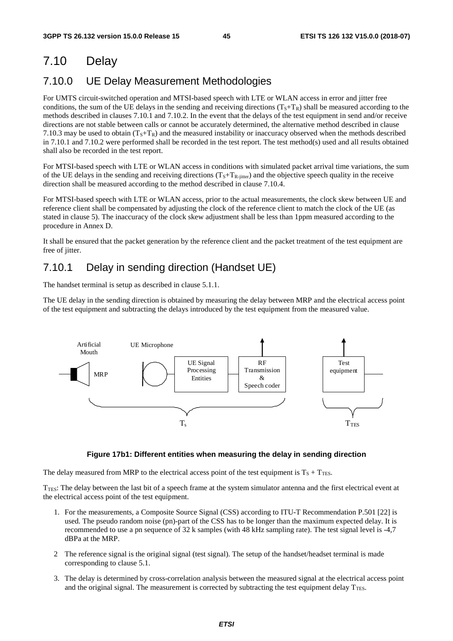# 7.10 Delay

# 7.10.0 UE Delay Measurement Methodologies

For UMTS circuit-switched operation and MTSI-based speech with LTE or WLAN access in error and jitter free conditions, the sum of the UE delays in the sending and receiving directions  $(T<sub>S</sub>+T<sub>R</sub>)$  shall be measured according to the methods described in clauses 7.10.1 and 7.10.2. In the event that the delays of the test equipment in send and/or receive directions are not stable between calls or cannot be accurately determined, the alternative method described in clause 7.10.3 may be used to obtain  $(T<sub>S</sub>+T<sub>R</sub>)$  and the measured instability or inaccuracy observed when the methods described in 7.10.1 and 7.10.2 were performed shall be recorded in the test report. The test method(s) used and all results obtained shall also be recorded in the test report.

For MTSI-based speech with LTE or WLAN access in conditions with simulated packet arrival time variations, the sum of the UE delays in the sending and receiving directions  $(T<sub>S</sub>+T<sub>R</sub>-j<sub>itter</sub>)$  and the objective speech quality in the receive direction shall be measured according to the method described in clause 7.10.4.

For MTSI-based speech with LTE or WLAN access, prior to the actual measurements, the clock skew between UE and reference client shall be compensated by adjusting the clock of the reference client to match the clock of the UE (as stated in clause 5). The inaccuracy of the clock skew adjustment shall be less than 1ppm measured according to the procedure in Annex D.

It shall be ensured that the packet generation by the reference client and the packet treatment of the test equipment are free of jitter.

# 7.10.1 Delay in sending direction (Handset UE)

The handset terminal is setup as described in clause 5.1.1.

The UE delay in the sending direction is obtained by measuring the delay between MRP and the electrical access point of the test equipment and subtracting the delays introduced by the test equipment from the measured value.



#### **Figure 17b1: Different entities when measuring the delay in sending direction**

The delay measured from MRP to the electrical access point of the test equipment is  $T_S + T_{\text{TES}}$ .

 $T_{\text{TES}}$ : The delay between the last bit of a speech frame at the system simulator antenna and the first electrical event at the electrical access point of the test equipment.

- 1. For the measurements, a Composite Source Signal (CSS) according to ITU-T Recommendation P.501 [22] is used. The pseudo random noise (pn)-part of the CSS has to be longer than the maximum expected delay. It is recommended to use a pn sequence of 32 k samples (with 48 kHz sampling rate). The test signal level is -4,7 dBPa at the MRP.
- 2 The reference signal is the original signal (test signal). The setup of the handset/headset terminal is made corresponding to clause 5.1.
- 3. The delay is determined by cross-correlation analysis between the measured signal at the electrical access point and the original signal. The measurement is corrected by subtracting the test equipment delay  $T_{\text{TES}}$ .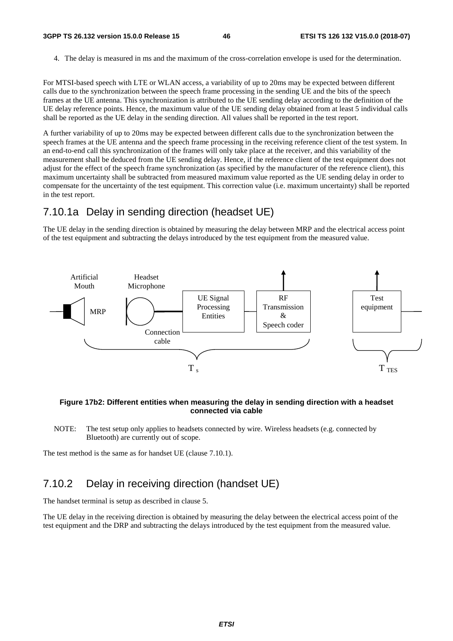4. The delay is measured in ms and the maximum of the cross-correlation envelope is used for the determination.

For MTSI-based speech with LTE or WLAN access, a variability of up to 20ms may be expected between different calls due to the synchronization between the speech frame processing in the sending UE and the bits of the speech frames at the UE antenna. This synchronization is attributed to the UE sending delay according to the definition of the UE delay reference points. Hence, the maximum value of the UE sending delay obtained from at least 5 individual calls shall be reported as the UE delay in the sending direction. All values shall be reported in the test report.

A further variability of up to 20ms may be expected between different calls due to the synchronization between the speech frames at the UE antenna and the speech frame processing in the receiving reference client of the test system. In an end-to-end call this synchronization of the frames will only take place at the receiver, and this variability of the measurement shall be deduced from the UE sending delay. Hence, if the reference client of the test equipment does not adjust for the effect of the speech frame synchronization (as specified by the manufacturer of the reference client), this maximum uncertainty shall be subtracted from measured maximum value reported as the UE sending delay in order to compensate for the uncertainty of the test equipment. This correction value (i.e. maximum uncertainty) shall be reported in the test report.

### 7.10.1a Delay in sending direction (headset UE)

The UE delay in the sending direction is obtained by measuring the delay between MRP and the electrical access point of the test equipment and subtracting the delays introduced by the test equipment from the measured value.



#### **Figure 17b2: Different entities when measuring the delay in sending direction with a headset connected via cable**

NOTE: The test setup only applies to headsets connected by wire. Wireless headsets (e.g. connected by Bluetooth) are currently out of scope.

The test method is the same as for handset UE (clause 7.10.1).

# 7.10.2 Delay in receiving direction (handset UE)

The handset terminal is setup as described in clause 5.

The UE delay in the receiving direction is obtained by measuring the delay between the electrical access point of the test equipment and the DRP and subtracting the delays introduced by the test equipment from the measured value.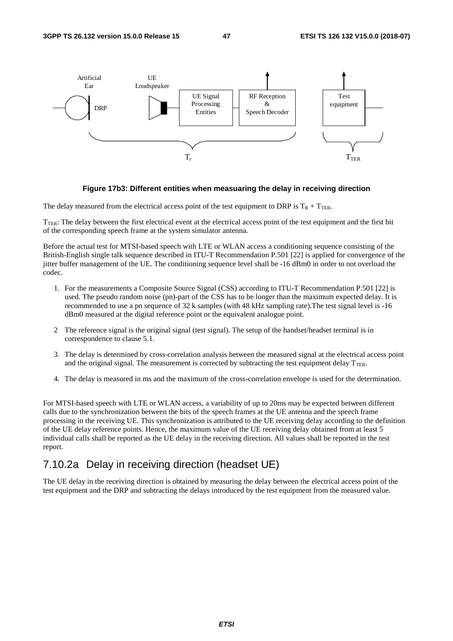

#### **Figure 17b3: Different entities when measuaring the delay in receiving direction**

The delay measured from the electrical access point of the test equipment to DRP is  $T_R + T_{TER}$ .

 $T_{TER}$ : The delay between the first electrical event at the electrical access point of the test equipment and the first bit of the corresponding speech frame at the system simulator antenna.

Before the actual test for MTSI-based speech with LTE or WLAN access a conditioning sequence consisting of the British-English single talk sequence described in ITU-T Recommendation P.501 [22] is applied for convergence of the jitter buffer management of the UE. The conditioning sequence level shall be -16 dBm0 in order to not overload the codec.

- 1. For the measurements a Composite Source Signal (CSS) according to ITU-T Recommendation P.501 [22] is used. The pseudo random noise (pn)-part of the CSS has to be longer than the maximum expected delay. It is recommended to use a pn sequence of 32 k samples (with 48 kHz sampling rate).The test signal level is -16 dBm0 measured at the digital reference point or the equivalent analogue point.
- 2 The reference signal is the original signal (test signal). The setup of the handset/headset terminal is in correspondence to clause 5.1.
- 3. The delay is determined by cross-correlation analysis between the measured signal at the electrical access point and the original signal. The measurement is corrected by subtracting the test equipment delay  $T_{\text{TER}}$ .
- 4. The delay is measured in ms and the maximum of the cross-correlation envelope is used for the determination.

For MTSI-based speech with LTE or WLAN access, a variability of up to 20ms may be expected between different calls due to the synchronization between the bits of the speech frames at the UE antenna and the speech frame processing in the receiving UE. This synchronization is attributed to the UE receiving delay according to the definition of the UE delay reference points. Hence, the maximum value of the UE receiving delay obtained from at least 5 individual calls shall be reported as the UE delay in the receiving direction. All values shall be reported in the test report.

### 7.10.2a Delay in receiving direction (headset UE)

The UE delay in the receiving direction is obtained by measuring the delay between the electrical access point of the test equipment and the DRP and subtracting the delays introduced by the test equipment from the measured value.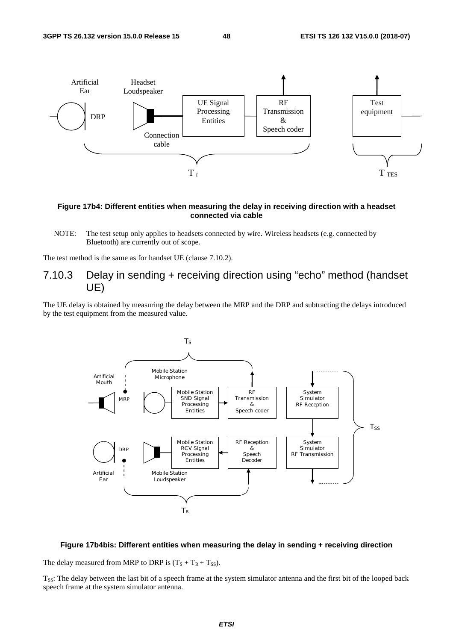

#### **Figure 17b4: Different entities when measuring the delay in receiving direction with a headset connected via cable**

NOTE: The test setup only applies to headsets connected by wire. Wireless headsets (e.g. connected by Bluetooth) are currently out of scope.

The test method is the same as for handset UE (clause 7.10.2).

7.10.3 Delay in sending + receiving direction using "echo" method (handset UE)

The UE delay is obtained by measuring the delay between the MRP and the DRP and subtracting the delays introduced by the test equipment from the measured value.



#### **Figure 17b4bis: Different entities when measuring the delay in sending + receiving direction**

The delay measured from MRP to DRP is  $(T<sub>S</sub> + T<sub>R</sub> + T<sub>SS</sub>)$ .

T<sub>SS</sub>: The delay between the last bit of a speech frame at the system simulator antenna and the first bit of the looped back speech frame at the system simulator antenna.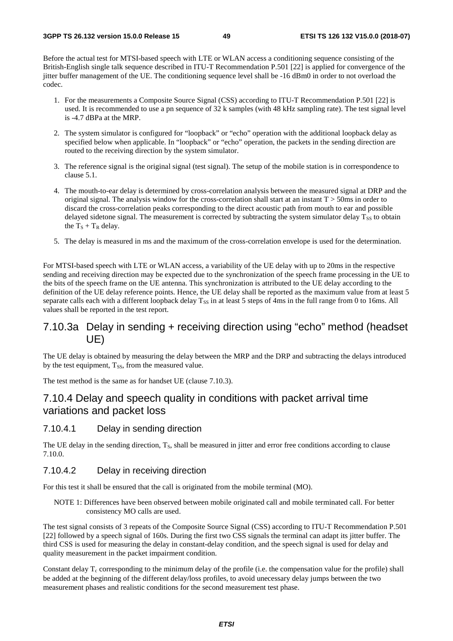Before the actual test for MTSI-based speech with LTE or WLAN access a conditioning sequence consisting of the British-English single talk sequence described in ITU-T Recommendation P.501 [22] is applied for convergence of the jitter buffer management of the UE. The conditioning sequence level shall be -16 dBm0 in order to not overload the codec.

- 1. For the measurements a Composite Source Signal (CSS) according to ITU-T Recommendation P.501 [22] is used. It is recommended to use a pn sequence of 32 k samples (with 48 kHz sampling rate). The test signal level is -4.7 dBPa at the MRP.
- 2. The system simulator is configured for "loopback" or "echo" operation with the additional loopback delay as specified below when applicable. In "loopback" or "echo" operation, the packets in the sending direction are routed to the receiving direction by the system simulator.
- 3. The reference signal is the original signal (test signal). The setup of the mobile station is in correspondence to clause 5.1.
- 4. The mouth-to-ear delay is determined by cross-correlation analysis between the measured signal at DRP and the original signal. The analysis window for the cross-correlation shall start at an instant  $T > 50$ ms in order to discard the cross-correlation peaks corresponding to the direct acoustic path from mouth to ear and possible delayed sidetone signal. The measurement is corrected by subtracting the system simulator delay  $T_{SS}$  to obtain the  $T_S + T_R$  delay.
- 5. The delay is measured in ms and the maximum of the cross-correlation envelope is used for the determination.

For MTSI-based speech with LTE or WLAN access, a variability of the UE delay with up to 20ms in the respective sending and receiving direction may be expected due to the synchronization of the speech frame processing in the UE to the bits of the speech frame on the UE antenna. This synchronization is attributed to the UE delay according to the definition of the UE delay reference points. Hence, the UE delay shall be reported as the maximum value from at least 5 separate calls each with a different loopback delay  $T_{SS}$  in at least 5 steps of 4ms in the full range from 0 to 16ms. All values shall be reported in the test report.

# 7.10.3a Delay in sending + receiving direction using "echo" method (headset UE)

The UE delay is obtained by measuring the delay between the MRP and the DRP and subtracting the delays introduced by the test equipment,  $T_{SS}$ , from the measured value.

The test method is the same as for handset UE (clause 7.10.3).

# 7.10.4 Delay and speech quality in conditions with packet arrival time variations and packet loss

#### 7.10.4.1 Delay in sending direction

The UE delay in the sending direction, T<sub>S</sub>, shall be measured in jitter and error free conditions according to clause 7.10.0.

### 7.10.4.2 Delay in receiving direction

For this test it shall be ensured that the call is originated from the mobile terminal (MO).

NOTE 1: Differences have been observed between mobile originated call and mobile terminated call. For better consistency MO calls are used.

The test signal consists of 3 repeats of the Composite Source Signal (CSS) according to ITU-T Recommendation P.501 [22] followed by a speech signal of 160s. During the first two CSS signals the terminal can adapt its jitter buffer. The third CSS is used for measuring the delay in constant-delay condition, and the speech signal is used for delay and quality measurement in the packet impairment condition.

Constant delay  $T_c$  corresponding to the minimum delay of the profile (i.e. the compensation value for the profile) shall be added at the beginning of the different delay/loss profiles, to avoid unecessary delay jumps between the two measurement phases and realistic conditions for the second measurement test phase.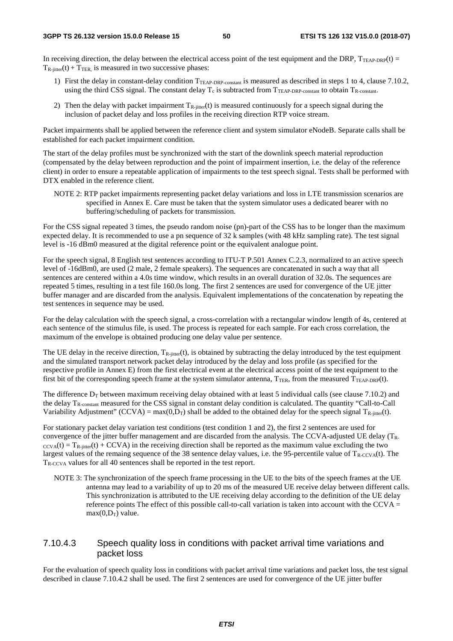In receiving direction, the delay between the electrical access point of the test equipment and the DRP,  $T_{TEAP-DRP}(t)$  =  $T_{\text{R-inter}}(t)$  +  $T_{\text{TER}}$  is measured in two successive phases:

- 1) First the delay in constant-delay condition  $T_{TEAP-DRP\text{-}constant}$  is measured as described in steps 1 to 4, clause 7.10.2, using the third CSS signal. The constant delay  $T_c$  is subtracted from  $T_{\text{TR-CP-DRP-constant}}$  to obtain  $T_{\text{R-constant}}$ .
- 2) Then the delay with packet impairment  $T_{R-jitter}(t)$  is measured continuously for a speech signal during the inclusion of packet delay and loss profiles in the receiving direction RTP voice stream.

Packet impairments shall be applied between the reference client and system simulator eNodeB. Separate calls shall be established for each packet impairment condition.

The start of the delay profiles must be synchronized with the start of the downlink speech material reproduction (compensated by the delay between reproduction and the point of impairment insertion, i.e. the delay of the reference client) in order to ensure a repeatable application of impairments to the test speech signal. Tests shall be performed with DTX enabled in the reference client.

NOTE 2: RTP packet impairments representing packet delay variations and loss in LTE transmission scenarios are specified in Annex E. Care must be taken that the system simulator uses a dedicated bearer with no buffering/scheduling of packets for transmission.

For the CSS signal repeated 3 times, the pseudo random noise (pn)-part of the CSS has to be longer than the maximum expected delay. It is recommended to use a pn sequence of 32 k samples (with 48 kHz sampling rate). The test signal level is -16 dBm0 measured at the digital reference point or the equivalent analogue point.

For the speech signal, 8 English test sentences according to ITU-T P.501 Annex C.2.3, normalized to an active speech level of -16dBm0, are used (2 male, 2 female speakers). The sequences are concatenated in such a way that all sentences are centered within a 4.0s time window, which results in an overall duration of 32.0s. The sequences are repeated 5 times, resulting in a test file 160.0s long. The first 2 sentences are used for convergence of the UE jitter buffer manager and are discarded from the analysis. Equivalent implementations of the concatenation by repeating the test sentences in sequence may be used.

For the delay calculation with the speech signal, a cross-correlation with a rectangular window length of 4s, centered at each sentence of the stimulus file, is used. The process is repeated for each sample. For each cross correlation, the maximum of the envelope is obtained producing one delay value per sentence.

The UE delay in the receive direction,  $T_{\text{R-inter}}(t)$ , is obtained by subtracting the delay introduced by the test equipment and the simulated transport network packet delay introduced by the delay and loss profile (as specified for the respective profile in Annex E) from the first electrical event at the electrical access point of the test equipment to the first bit of the corresponding speech frame at the system simulator antenna,  $T_{TER}$ , from the measured  $T_{TEAP-DRP}(t)$ .

The difference  $D_T$  between maximum receiving delay obtained with at least 5 individual calls (see clause 7.10.2) and the delay TR-constant measured for the CSS signal in constant delay condition is calculated. The quantity "Call-to-Call Variability Adjustment" (CCVA) = max $(0,D_T)$  shall be added to the obtained delay for the speech signal  $T_{R\text{-inter}}(t)$ .

For stationary packet delay variation test conditions (test condition 1 and 2), the first 2 sentences are used for convergence of the jitter buffer management and are discarded from the analysis. The CCVA-adjusted UE delay (TR- $\text{ccv}_A(t) = T_{R\text{-}inter}(t) + \text{CCVA}$  in the receiving direction shall be reported as the maximum value excluding the two largest values of the remaing sequence of the 38 sentence delay values, i.e. the 95-percentile value of  $T_{R-CCVA}(t)$ . The TR-CCVA values for all 40 sentences shall be reported in the test report.

NOTE 3: The synchronization of the speech frame processing in the UE to the bits of the speech frames at the UE antenna may lead to a variability of up to 20 ms of the measured UE receive delay between different calls. This synchronization is attributed to the UE receiving delay according to the definition of the UE delay reference points The effect of this possible call-to-call variation is taken into account with the CCVA  $=$  $max(0.D<sub>T</sub>)$  value.

### 7.10.4.3 Speech quality loss in conditions with packet arrival time variations and packet loss

For the evaluation of speech quality loss in conditions with packet arrival time variations and packet loss, the test signal described in clause 7.10.4.2 shall be used. The first 2 sentences are used for convergence of the UE jitter buffer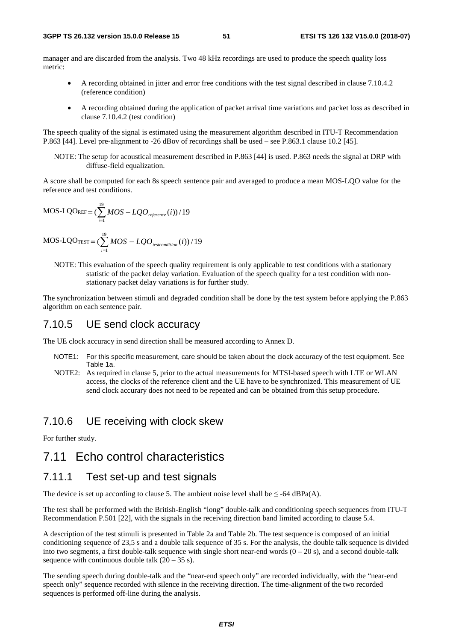manager and are discarded from the analysis. Two 48 kHz recordings are used to produce the speech quality loss metric:

- A recording obtained in jitter and error free conditions with the test signal described in clause 7.10.4.2 (reference condition)
- A recording obtained during the application of packet arrival time variations and packet loss as described in clause 7.10.4.2 (test condition)

The speech quality of the signal is estimated using the measurement algorithm described in ITU-T Recommendation P.863 [44]. Level pre-alignment to -26 dBov of recordings shall be used – see P.863.1 clause 10.2 [45].

NOTE: The setup for acoustical measurement described in P.863 [44] is used. P.863 needs the signal at DRP with diffuse-field equalization.

A score shall be computed for each 8s speech sentence pair and averaged to produce a mean MOS-LQO value for the reference and test conditions.

$$
MOS\text{-}LQO_{REF} = (\sum_{i=1}^{19} MOS - LQO_{reference}(i))/19
$$

$$
MOS\text{-}LQO_{\text{TEST}} = (\sum_{i=1}^{19} MOS - LQO_{\text{testcondition}}(i)) / 19
$$

NOTE: This evaluation of the speech quality requirement is only applicable to test conditions with a stationary statistic of the packet delay variation. Evaluation of the speech quality for a test condition with nonstationary packet delay variations is for further study.

The synchronization between stimuli and degraded condition shall be done by the test system before applying the P.863 algorithm on each sentence pair.

### 7.10.5 UE send clock accuracy

The UE clock accuracy in send direction shall be measured according to Annex D.

- NOTE1: For this specific measurement, care should be taken about the clock accuracy of the test equipment. See Table 1a.
- NOTE2: As required in clause 5, prior to the actual measurements for MTSI-based speech with LTE or WLAN access, the clocks of the reference client and the UE have to be synchronized. This measurement of UE send clock accurary does not need to be repeated and can be obtained from this setup procedure.

### 7.10.6 UE receiving with clock skew

For further study.

# 7.11 Echo control characteristics

### 7.11.1 Test set-up and test signals

The device is set up according to clause 5. The ambient noise level shall be  $\leq$  -64 dBPa(A).

The test shall be performed with the British-English "long" double-talk and conditioning speech sequences from ITU-T Recommendation P.501 [22], with the signals in the receiving direction band limited according to clause 5.4.

A description of the test stimuli is presented in Table 2a and Table 2b. The test sequence is composed of an initial conditioning sequence of 23,5 s and a double talk sequence of 35 s. For the analysis, the double talk sequence is divided into two segments, a first double-talk sequence with single short near-end words  $(0 - 20 s)$ , and a second double-talk sequence with continuous double talk  $(20 – 35 s)$ .

The sending speech during double-talk and the "near-end speech only" are recorded individually, with the "near-end speech only" sequence recorded with silence in the receiving direction. The time-alignment of the two recorded sequences is performed off-line during the analysis.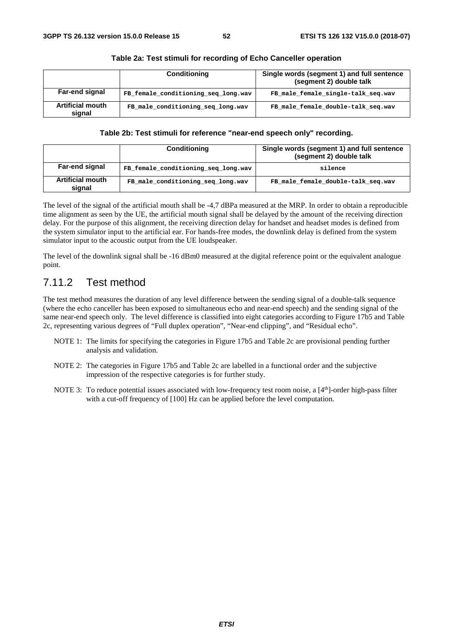|                                   | <b>Conditioning</b>                 | Single words (segment 1) and full sentence<br>(segment 2) double talk |
|-----------------------------------|-------------------------------------|-----------------------------------------------------------------------|
| Far-end signal                    | FB female conditioning seq long.wav | FB_male_female_single-talk seq.wav                                    |
| <b>Artificial mouth</b><br>signal | FB male conditioning seq long.wav   | FB male female double-talk seq.wav                                    |

#### **Table 2a: Test stimuli for recording of Echo Canceller operation**

#### **Table 2b: Test stimuli for reference "near-end speech only" recording.**

|                                   | <b>Conditioning</b>                 | Single words (segment 1) and full sentence<br>(segment 2) double talk |
|-----------------------------------|-------------------------------------|-----------------------------------------------------------------------|
| Far-end signal                    | FB female conditioning seq long.wav | silence                                                               |
| <b>Artificial mouth</b><br>sianal | FB male conditioning seq long.wav   | FB male female double-talk seq.wav                                    |

The level of the signal of the artificial mouth shall be -4,7 dBPa measured at the MRP. In order to obtain a reproducible time alignment as seen by the UE, the artificial mouth signal shall be delayed by the amount of the receiving direction delay. For the purpose of this alignment, the receiving direction delay for handset and headset modes is defined from the system simulator input to the artificial ear. For hands-free modes, the downlink delay is defined from the system simulator input to the acoustic output from the UE loudspeaker.

The level of the downlink signal shall be -16 dBm0 measured at the digital reference point or the equivalent analogue point.

# 7.11.2 Test method

The test method measures the duration of any level difference between the sending signal of a double-talk sequence (where the echo canceller has been exposed to simultaneous echo and near-end speech) and the sending signal of the same near-end speech only. The level difference is classified into eight categories according to Figure 17b5 and Table 2c, representing various degrees of "Full duplex operation", "Near-end clipping", and "Residual echo".

- NOTE 1: The limits for specifying the categories in Figure 17b5 and Table 2c are provisional pending further analysis and validation.
- NOTE 2: The categories in Figure 17b5 and Table 2c are labelled in a functional order and the subjective impression of the respective categories is for further study.
- NOTE 3: To reduce potential issues associated with low-frequency test room noise, a  $[4<sup>th</sup>]$ -order high-pass filter with a cut-off frequency of  $[100]$  Hz can be applied before the level computation.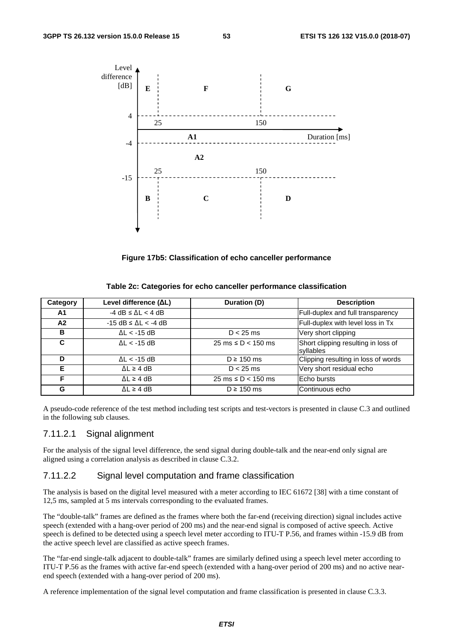

**Figure 17b5: Classification of echo canceller performance** 

| Table 2c: Categories for echo canceller performance classification |  |  |  |
|--------------------------------------------------------------------|--|--|--|
|--------------------------------------------------------------------|--|--|--|

| Category | Level difference (ΔL)                  | Duration (D)                            | <b>Description</b>                               |
|----------|----------------------------------------|-----------------------------------------|--------------------------------------------------|
| A1       | $-4$ dB $\leq$ $\Delta$ L $<$ 4 dB     |                                         | Full-duplex and full transparency                |
| A2       | $-15$ dB $\leq$ $\Delta$ L $\lt$ -4 dB |                                         | Full-duplex with level loss in Tx                |
| B        | $\Delta L < -15$ dB                    | $D < 25$ ms                             | Very short clipping                              |
| C        | $\Delta L < -15$ dB                    | $25 \text{ ms} \leq D < 150 \text{ ms}$ | Short clipping resulting in loss of<br>syllables |
| D        | $\Delta L < -15$ dB                    | $D \ge 150$ ms                          | Clipping resulting in loss of words              |
| Е        | $\Delta L \geq 4$ dB                   | $D < 25$ ms                             | Very short residual echo                         |
| F        | $\Delta L \geq 4$ dB                   | $25 \text{ ms} \leq D < 150 \text{ ms}$ | Echo bursts                                      |
| G        | $\Delta L \geq 4$ dB                   | $D \ge 150$ ms                          | Continuous echo                                  |

A pseudo-code reference of the test method including test scripts and test-vectors is presented in clause C.3 and outlined in the following sub clauses.

### 7.11.2.1 Signal alignment

For the analysis of the signal level difference, the send signal during double-talk and the near-end only signal are aligned using a correlation analysis as described in clause C.3.2.

#### 7.11.2.2 Signal level computation and frame classification

The analysis is based on the digital level measured with a meter according to IEC 61672 [38] with a time constant of 12,5 ms, sampled at 5 ms intervals corresponding to the evaluated frames.

The "double-talk" frames are defined as the frames where both the far-end (receiving direction) signal includes active speech (extended with a hang-over period of 200 ms) and the near-end signal is composed of active speech. Active speech is defined to be detected using a speech level meter according to ITU-T P.56, and frames within -15.9 dB from the active speech level are classified as active speech frames.

The "far-end single-talk adjacent to double-talk" frames are similarly defined using a speech level meter according to ITU-T P.56 as the frames with active far-end speech (extended with a hang-over period of 200 ms) and no active nearend speech (extended with a hang-over period of 200 ms).

A reference implementation of the signal level computation and frame classification is presented in clause C.3.3.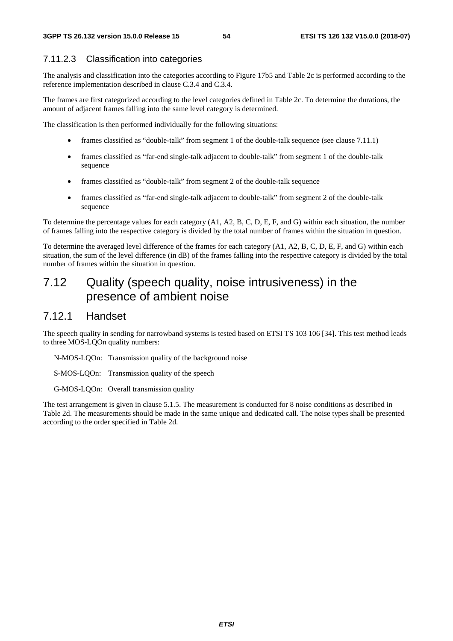### 7.11.2.3 Classification into categories

The analysis and classification into the categories according to Figure 17b5 and Table 2c is performed according to the reference implementation described in clause C.3.4 and C.3.4.

The frames are first categorized according to the level categories defined in Table 2c. To determine the durations, the amount of adjacent frames falling into the same level category is determined.

The classification is then performed individually for the following situations:

- frames classified as "double-talk" from segment 1 of the double-talk sequence (see clause 7.11.1)
- frames classified as "far-end single-talk adjacent to double-talk" from segment 1 of the double-talk sequence
- frames classified as "double-talk" from segment 2 of the double-talk sequence
- frames classified as "far-end single-talk adjacent to double-talk" from segment 2 of the double-talk sequence

To determine the percentage values for each category (A1, A2, B, C, D, E, F, and G) within each situation, the number of frames falling into the respective category is divided by the total number of frames within the situation in question.

To determine the averaged level difference of the frames for each category (A1, A2, B, C, D, E, F, and G) within each situation, the sum of the level difference (in dB) of the frames falling into the respective category is divided by the total number of frames within the situation in question.

# 7.12 Quality (speech quality, noise intrusiveness) in the presence of ambient noise

## 7.12.1 Handset

The speech quality in sending for narrowband systems is tested based on ETSI TS 103 106 [34]. This test method leads to three MOS-LQOn quality numbers:

- N-MOS-LQOn: Transmission quality of the background noise
- S-MOS-LQOn: Transmission quality of the speech
- G-MOS-LQOn: Overall transmission quality

The test arrangement is given in clause 5.1.5. The measurement is conducted for 8 noise conditions as described in Table 2d. The measurements should be made in the same unique and dedicated call. The noise types shall be presented according to the order specified in Table 2d.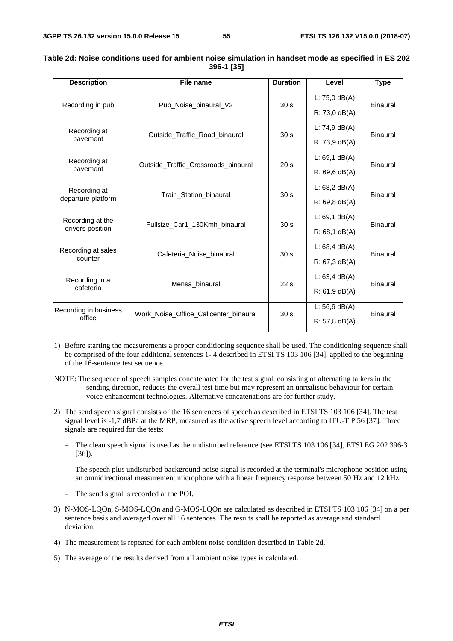| <b>Description</b>                   | File name                             | <b>Duration</b> | Level                               | <b>Type</b>     |
|--------------------------------------|---------------------------------------|-----------------|-------------------------------------|-----------------|
| Recording in pub                     | Pub Noise binaural V2                 | 30 <sub>s</sub> | L: $75,0$ dB(A)<br>$R: 73,0$ dB(A)  | <b>Binaural</b> |
| Recording at<br>pavement             | Outside Traffic Road binaural         | 30 <sub>s</sub> | L: $74,9$ dB(A)<br>$R: 73,9$ dB(A)  | <b>Binaural</b> |
| Recording at<br>pavement             | Outside Traffic Crossroads binaural   | 20 <sub>s</sub> | $L: 69.1$ dB(A)<br>$R: 69, 6$ dB(A) | Binaural        |
| Recording at<br>departure platform   | Train_Station_binaural                | 30 <sub>s</sub> | L: $68,2$ dB(A)<br>$R: 69.8$ dB(A)  | Binaural        |
| Recording at the<br>drivers position | Fullsize Car1 130Kmh binaural         | 30 <sub>s</sub> | L: $69,1$ dB(A)<br>$R: 68.1$ dB(A)  | <b>Binaural</b> |
| Recording at sales<br>counter        | Cafeteria Noise binaural              | 30 <sub>s</sub> | L: 68,4 dB(A)<br>R: 67, 3 dB(A)     | <b>Binaural</b> |
| Recording in a<br>cafeteria          | Mensa binaural                        | 22s             | L: $63,4$ dB(A)<br>$R: 61, 9$ dB(A) | <b>Binaural</b> |
| Recording in business<br>office      | Work Noise Office Callcenter binaural | 30 <sub>s</sub> | L: 56,6 $dB(A)$<br>$R: 57, 8$ dB(A) | <b>Binaural</b> |

| Table 2d: Noise conditions used for ambient noise simulation in handset mode as specified in ES 202 |            |  |
|-----------------------------------------------------------------------------------------------------|------------|--|
|                                                                                                     | 396-1 [35] |  |

1) Before starting the measurements a proper conditioning sequence shall be used. The conditioning sequence shall be comprised of the four additional sentences 1- 4 described in ETSI TS 103 106 [34], applied to the beginning of the 16-sentence test sequence.

NOTE: The sequence of speech samples concatenated for the test signal, consisting of alternating talkers in the sending direction, reduces the overall test time but may represent an unrealistic behaviour for certain voice enhancement technologies. Alternative concatenations are for further study.

- 2) The send speech signal consists of the 16 sentences of speech as described in ETSI TS 103 106 [34]. The test signal level is -1,7 dBPa at the MRP, measured as the active speech level according to ITU-T P.56 [37]. Three signals are required for the tests:
	- The clean speech signal is used as the undisturbed reference (see ETSI TS 103 106 [34], ETSI EG 202 396-3 [36]).
	- The speech plus undisturbed background noise signal is recorded at the terminal's microphone position using an omnidirectional measurement microphone with a linear frequency response between 50 Hz and 12 kHz.
	- The send signal is recorded at the POI.
- 3) N-MOS-LQOn, S-MOS-LQOn and G-MOS-LQOn are calculated as described in ETSI TS 103 106 [34] on a per sentence basis and averaged over all 16 sentences. The results shall be reported as average and standard deviation.
- 4) The measurement is repeated for each ambient noise condition described in Table 2d.
- 5) The average of the results derived from all ambient noise types is calculated.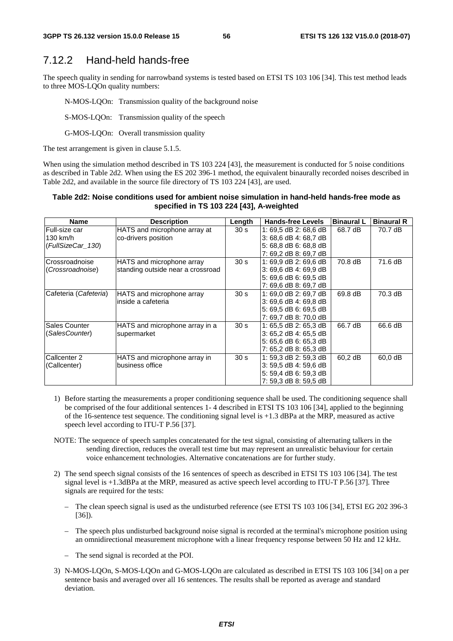## 7.12.2 Hand-held hands-free

The speech quality in sending for narrowband systems is tested based on ETSI TS 103 106 [34]. This test method leads to three MOS-LQOn quality numbers:

N-MOS-LQOn: Transmission quality of the background noise

S-MOS-LQOn: Transmission quality of the speech

G-MOS-LQOn: Overall transmission quality

The test arrangement is given in clause 5.1.5.

When using the simulation method described in TS 103 224 [43], the measurement is conducted for 5 noise conditions as described in Table 2d2. When using the ES 202 396-1 method, the equivalent binaurally recorded noises described in Table 2d2, and available in the source file directory of TS 103 224 [43], are used.

#### **Table 2d2: Noise conditions used for ambient noise simulation in hand-held hands-free mode as specified in TS 103 224 [43], A-weighted**

| <b>Name</b>           | <b>Description</b>                | Length          | <b>Hands-free Levels</b> | <b>Binaural L</b> | <b>Binaural R</b> |
|-----------------------|-----------------------------------|-----------------|--------------------------|-------------------|-------------------|
| lFull-size car        | HATS and microphone array at      | 30 <sub>s</sub> | 1: 69,5 dB 2: 68,6 dB    | 68.7 dB           | 70.7 dB           |
| 130 km/h              | co-drivers position               |                 | 3: 68.6 dB 4: 68.7 dB    |                   |                   |
| (FullSizeCar_130)     |                                   |                 | 5: 68,8 dB 6: 68,8 dB    |                   |                   |
|                       |                                   |                 | 7: 69,2 dB 8: 69,7 dB    |                   |                   |
| Crossroadnoise        | HATS and microphone array         | 30 <sub>s</sub> | 1: 69.9 dB 2: 69.6 dB    | 70.8 dB           | 71.6 dB           |
| (Crossroadnoise)      | standing outside near a crossroad |                 | 3: 69,6 dB 4: 69,9 dB    |                   |                   |
|                       |                                   |                 | 5: 69.6 dB 6: 69.5 dB    |                   |                   |
|                       |                                   |                 | 7: 69,6 dB 8: 69,7 dB    |                   |                   |
| Cafeteria (Cafeteria) | HATS and microphone array         | 30 <sub>s</sub> | 1: 69.0 dB 2: 69.7 dB    | 69.8 dB           | 70.3 dB           |
|                       | inside a cafeteria                |                 | 3: 69,6 dB 4: 69,8 dB    |                   |                   |
|                       |                                   |                 | 5: 69.5 dB 6: 69.5 dB    |                   |                   |
|                       |                                   |                 | 7: 69,7 dB 8: 70,0 dB    |                   |                   |
| Sales Counter         | HATS and microphone array in a    | 30 <sub>s</sub> | 1: 65.5 dB 2: 65.3 dB    | 66.7 dB           | 66.6 dB           |
| (SalesCounter)        | supermarket                       |                 | 3: 65,2 dB 4: 65,5 dB    |                   |                   |
|                       |                                   |                 | 5: 65,6 dB 6: 65,3 dB    |                   |                   |
|                       |                                   |                 | 7: 65,2 dB 8: 65,3 dB    |                   |                   |
| Callcenter 2          | HATS and microphone array in      | 30 <sub>s</sub> | 1: 59,3 dB 2: 59,3 dB    | 60,2 dB           | 60,0 dB           |
| (Callcenter)          | business office                   |                 | 3: 59,5 dB 4: 59,6 dB    |                   |                   |
|                       |                                   |                 | 5: 59,4 dB 6: 59,3 dB    |                   |                   |
|                       |                                   |                 | 7: 59.3 dB 8: 59.5 dB    |                   |                   |

- 1) Before starting the measurements a proper conditioning sequence shall be used. The conditioning sequence shall be comprised of the four additional sentences 1- 4 described in ETSI TS 103 106 [34], applied to the beginning of the 16-sentence test sequence. The conditioning signal level is +1.3 dBPa at the MRP, measured as active speech level according to ITU-T P.56 [37].
- NOTE: The sequence of speech samples concatenated for the test signal, consisting of alternating talkers in the sending direction, reduces the overall test time but may represent an unrealistic behaviour for certain voice enhancement technologies. Alternative concatenations are for further study.
- 2) The send speech signal consists of the 16 sentences of speech as described in ETSI TS 103 106 [34]. The test signal level is +1.3dBPa at the MRP, measured as active speech level according to ITU-T P.56 [37]. Three signals are required for the tests:
	- The clean speech signal is used as the undisturbed reference (see ETSI TS 103 106 [34], ETSI EG 202 396-3 [36]).
	- The speech plus undisturbed background noise signal is recorded at the terminal's microphone position using an omnidirectional measurement microphone with a linear frequency response between 50 Hz and 12 kHz.
	- The send signal is recorded at the POI.
- 3) N-MOS-LQOn, S-MOS-LQOn and G-MOS-LQOn are calculated as described in ETSI TS 103 106 [34] on a per sentence basis and averaged over all 16 sentences. The results shall be reported as average and standard deviation.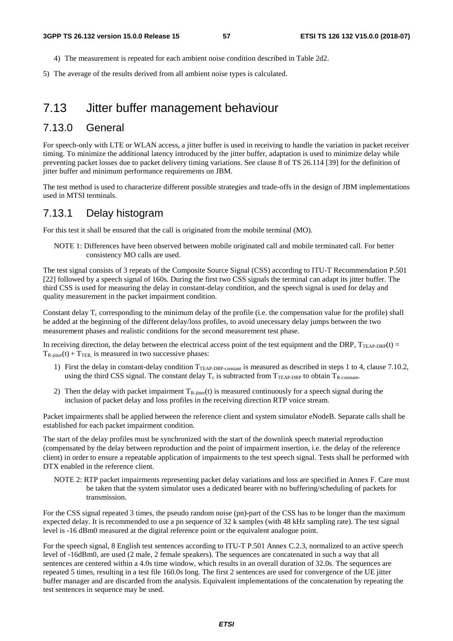- 4) The measurement is repeated for each ambient noise condition described in Table 2d2.
- 5) The average of the results derived from all ambient noise types is calculated.

# 7.13 Jitter buffer management behaviour

### 7.13.0 General

For speech-only with LTE or WLAN access, a jitter buffer is used in receiving to handle the variation in packet receiver timing. To minimize the additional latency introduced by the jitter buffer, adaptation is used to minimize delay while preventing packet losses due to packet delivery timing variations. See clause 8 of TS 26.114 [39] for the definition of jitter buffer and minimum performance requirements on JBM.

The test method is used to characterize different possible strategies and trade-offs in the design of JBM implementations used in MTSI terminals.

## 7.13.1 Delay histogram

For this test it shall be ensured that the call is originated from the mobile terminal (MO).

NOTE 1: Differences have been observed between mobile originated call and mobile terminated call. For better consistency MO calls are used.

The test signal consists of 3 repeats of the Composite Source Signal (CSS) according to ITU-T Recommendation P.501 [22] followed by a speech signal of 160s. During the first two CSS signals the terminal can adapt its jitter buffer. The third CSS is used for measuring the delay in constant-delay condition, and the speech signal is used for delay and quality measurement in the packet impairment condition.

Constant delay  $T_c$  corresponding to the minimum delay of the profile (i.e. the compensation value for the profile) shall be added at the beginning of the different delay/loss profiles, to avoid unecessary delay jumps between the two measurement phases and realistic conditions for the second measurement test phase.

In receiving direction, the delay between the electrical access point of the test equipment and the DRP,  $T_{TEAP-DRP}(t)$  =  $T_{\text{R-jitter}}(t) + T_{\text{TER}}$  is measured in two successive phases:

- 1) First the delay in constant-delay condition  $T_{TEAP-DRP_{constant}}$  is measured as described in steps 1 to 4, clause 7.10.2, using the third CSS signal. The constant delay  $T_c$  is subtracted from  $T_{TEAP-DRP}$  to obtain  $T_{R\text{-constant}}$ .
- 2) Then the delay with packet impairment  $T_{\rm R\text{-}jitter}(t)$  is measured continuously for a speech signal during the inclusion of packet delay and loss profiles in the receiving direction RTP voice stream.

Packet impairments shall be applied between the reference client and system simulator eNodeB. Separate calls shall be established for each packet impairment condition.

The start of the delay profiles must be synchronized with the start of the downlink speech material reproduction (compensated by the delay between reproduction and the point of impairment insertion, i.e. the delay of the reference client) in order to ensure a repeatable application of impairments to the test speech signal. Tests shall be performed with DTX enabled in the reference client.

NOTE 2: RTP packet impairments representing packet delay variations and loss are specified in Annex F. Care must be taken that the system simulator uses a dedicated bearer with no buffering/scheduling of packets for transmission.

For the CSS signal repeated 3 times, the pseudo random noise (pn)-part of the CSS has to be longer than the maximum expected delay. It is recommended to use a pn sequence of 32 k samples (with 48 kHz sampling rate). The test signal level is -16 dBm0 measured at the digital reference point or the equivalent analogue point.

For the speech signal, 8 English test sentences according to ITU-T P.501 Annex C.2.3, normalized to an active speech level of -16dBm0, are used (2 male, 2 female speakers). The sequences are concatenated in such a way that all sentences are centered within a 4.0s time window, which results in an overall duration of 32.0s. The sequences are repeated 5 times, resulting in a test file 160.0s long. The first 2 sentences are used for convergence of the UE jitter buffer manager and are discarded from the analysis. Equivalent implementations of the concatenation by repeating the test sentences in sequence may be used.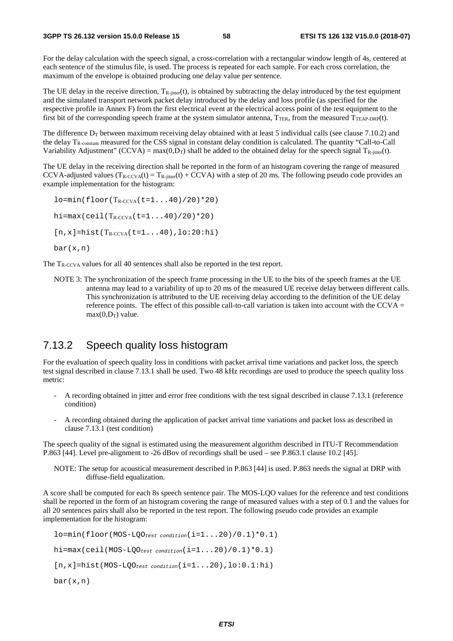For the delay calculation with the speech signal, a cross-correlation with a rectangular window length of 4s, centered at each sentence of the stimulus file, is used. The process is repeated for each sample. For each cross correlation, the maximum of the envelope is obtained producing one delay value per sentence.

The UE delay in the receive direction,  $T_{\text{R-inter}}(t)$ , is obtained by subtracting the delay introduced by the test equipment and the simulated transport network packet delay introduced by the delay and loss profile (as specified for the respective profile in Annex F) from the first electrical event at the electrical access point of the test equipment to the first bit of the corresponding speech frame at the system simulator antenna,  $T_{TER}$ , from the measured  $T_{TERP-DRP}(t)$ .

The difference  $D_T$  between maximum receiving delay obtained with at least 5 individual calls (see clause 7.10.2) and the delay  $T_{\rm R-constant}$  measured for the CSS signal in constant delay condition is calculated. The quantity "Call-to-Call" Variability Adjustment" (CCVA) = max $(0,D_T)$  shall be added to the obtained delay for the speech signal  $T_{\text{R-inter}}(t)$ .

The UE delay in the receiving direction shall be reported in the form of an histogram covering the range of measured CCVA-adjusted values  $(T_{R-CCVA}(t) = T_{R-iitter}(t) + CCVA)$  with a step of 20 ms. The following pseudo code provides an example implementation for the histogram:

 $l$ o=min(floor(T<sub>R-CCVA</sub>(t=1...40)/20)\*20)  $hi = max(ceil(T_{R-CVA}(t=1...40)/20)*20)$  $[n,x]$ =hist(T<sub>R-CCVA</sub>(t=1...40),lo:20:hi) bar(x,n)

The T<sub>R-CCVA</sub> values for all 40 sentences shall also be reported in the test report.

NOTE 3: The synchronization of the speech frame processing in the UE to the bits of the speech frames at the UE antenna may lead to a variability of up to 20 ms of the measured UE receive delay between different calls. This synchronization is attributed to the UE receiving delay according to the definition of the UE delay reference points. The effect of this possible call-to-call variation is taken into account with the CCVA  $=$  $max(0.D<sub>T</sub>)$  value.

### 7.13.2 Speech quality loss histogram

For the evaluation of speech quality loss in conditions with packet arrival time variations and packet loss, the speech test signal described in clause 7.13.1 shall be used. Two 48 kHz recordings are used to produce the speech quality loss metric:

- A recording obtained in jitter and error free conditions with the test signal described in clause 7.13.1 (reference condition)
- A recording obtained during the application of packet arrival time variations and packet loss as described in clause 7.13.1 (test condition)

The speech quality of the signal is estimated using the measurement algorithm described in ITU-T Recommendation P.863 [44]. Level pre-alignment to -26 dBov of recordings shall be used – see P.863.1 clause 10.2 [45].

NOTE: The setup for acoustical measurement described in P.863 [44] is used. P.863 needs the signal at DRP with diffuse-field equalization.

A score shall be computed for each 8s speech sentence pair. The MOS-LQO values for the reference and test conditions shall be reported in the form of an histogram covering the range of measured values with a step of 0.1 and the values for all 20 sentences pairs shall also be reported in the test report. The following pseudo code provides an example implementation for the histogram:

```
lo=min(floor(MOS-LQOtest condition(i=1...20)/0.1)*0.1) 
hi=max(ceil(MOS-LQOtest condition(i=1...20)/0.1)*0.1) 
[n,x]=hist(MOS-LQOtest condition(i=1...20),lo:0.1:hi) 
bar(x,n)
```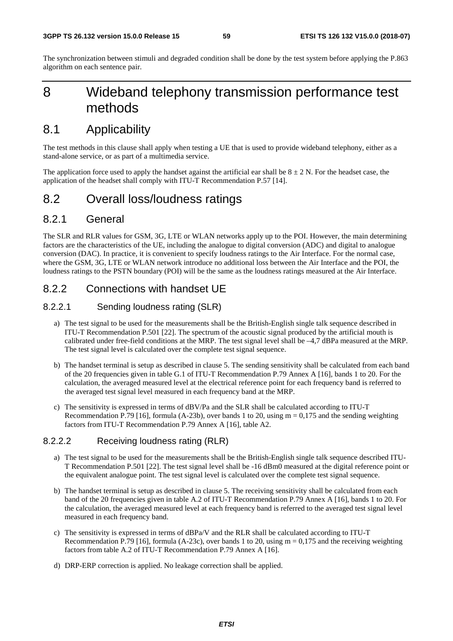The synchronization between stimuli and degraded condition shall be done by the test system before applying the P.863 algorithm on each sentence pair.

# 8 Wideband telephony transmission performance test methods

# 8.1 Applicability

The test methods in this clause shall apply when testing a UE that is used to provide wideband telephony, either as a stand-alone service, or as part of a multimedia service.

The application force used to apply the handset against the artificial ear shall be  $8 \pm 2$  N. For the headset case, the application of the headset shall comply with ITU-T Recommendation P.57 [14].

# 8.2 Overall loss/loudness ratings

### 8.2.1 General

The SLR and RLR values for GSM, 3G, LTE or WLAN networks apply up to the POI. However, the main determining factors are the characteristics of the UE, including the analogue to digital conversion (ADC) and digital to analogue conversion (DAC). In practice, it is convenient to specify loudness ratings to the Air Interface. For the normal case, where the GSM, 3G, LTE or WLAN network introduce no additional loss between the Air Interface and the POI, the loudness ratings to the PSTN boundary (POI) will be the same as the loudness ratings measured at the Air Interface.

# 8.2.2 Connections with handset UE

### 8.2.2.1 Sending loudness rating (SLR)

- a) The test signal to be used for the measurements shall be the British-English single talk sequence described in ITU-T Recommendation P.501 [22]. The spectrum of the acoustic signal produced by the artificial mouth is calibrated under free-field conditions at the MRP. The test signal level shall be –4,7 dBPa measured at the MRP. The test signal level is calculated over the complete test signal sequence.
- b) The handset terminal is setup as described in clause 5. The sending sensitivity shall be calculated from each band of the 20 frequencies given in table G.1 of ITU-T Recommendation P.79 Annex A [16], bands 1 to 20. For the calculation, the averaged measured level at the electrical reference point for each frequency band is referred to the averaged test signal level measured in each frequency band at the MRP.
- c) The sensitivity is expressed in terms of dBV/Pa and the SLR shall be calculated according to ITU-T Recommendation P.79 [16], formula (A-23b), over bands 1 to 20, using  $m = 0.175$  and the sending weighting factors from ITU-T Recommendation P.79 Annex A [16], table A2.

#### 8.2.2.2 Receiving loudness rating (RLR)

- a) The test signal to be used for the measurements shall be the British-English single talk sequence described ITU-T Recommendation P.501 [22]. The test signal level shall be -16 dBm0 measured at the digital reference point or the equivalent analogue point. The test signal level is calculated over the complete test signal sequence.
- b) The handset terminal is setup as described in clause 5. The receiving sensitivity shall be calculated from each band of the 20 frequencies given in table A.2 of ITU-T Recommendation P.79 Annex A [16], bands 1 to 20. For the calculation, the averaged measured level at each frequency band is referred to the averaged test signal level measured in each frequency band.
- c) The sensitivity is expressed in terms of dBPa/V and the RLR shall be calculated according to ITU-T Recommendation P.79 [16], formula (A-23c), over bands 1 to 20, using  $m = 0.175$  and the receiving weighting factors from table A.2 of ITU-T Recommendation P.79 Annex A [16].
- d) DRP-ERP correction is applied. No leakage correction shall be applied.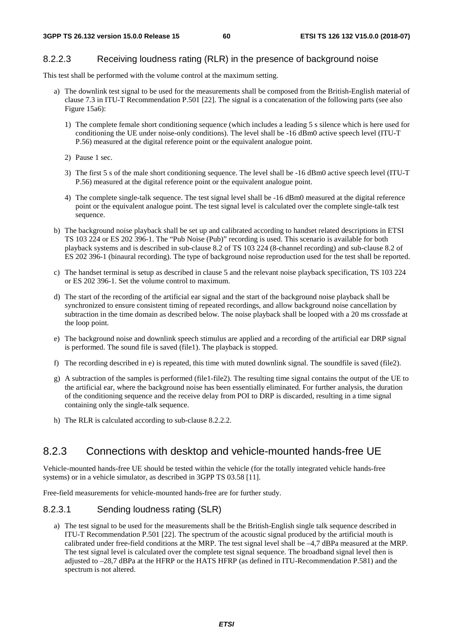### 8.2.2.3 Receiving loudness rating (RLR) in the presence of background noise

This test shall be performed with the volume control at the maximum setting.

- a) The downlink test signal to be used for the measurements shall be composed from the British-English material of clause 7.3 in ITU-T Recommendation P.501 [22]. The signal is a concatenation of the following parts (see also Figure 15a6):
	- 1) The complete female short conditioning sequence (which includes a leading 5 s silence which is here used for conditioning the UE under noise-only conditions). The level shall be -16 dBm0 active speech level (ITU-T P.56) measured at the digital reference point or the equivalent analogue point.
	- 2) Pause 1 sec.
	- 3) The first 5 s of the male short conditioning sequence. The level shall be -16 dBm0 active speech level (ITU-T P.56) measured at the digital reference point or the equivalent analogue point.
	- 4) The complete single-talk sequence. The test signal level shall be -16 dBm0 measured at the digital reference point or the equivalent analogue point. The test signal level is calculated over the complete single-talk test sequence.
- b) The background noise playback shall be set up and calibrated according to handset related descriptions in ETSI TS 103 224 or ES 202 396-1. The "Pub Noise (Pub)" recording is used. This scenario is available for both playback systems and is described in sub-clause 8.2 of TS 103 224 (8-channel recording) and sub-clause 8.2 of ES 202 396-1 (binaural recording). The type of background noise reproduction used for the test shall be reported.
- c) The handset terminal is setup as described in clause 5 and the relevant noise playback specification, TS 103 224 or ES 202 396-1. Set the volume control to maximum.
- d) The start of the recording of the artificial ear signal and the start of the background noise playback shall be synchronized to ensure consistent timing of repeated recordings, and allow background noise cancellation by subtraction in the time domain as described below. The noise playback shall be looped with a 20 ms crossfade at the loop point.
- e) The background noise and downlink speech stimulus are applied and a recording of the artificial ear DRP signal is performed. The sound file is saved (file1). The playback is stopped.
- f) The recording described in e) is repeated, this time with muted downlink signal. The soundfile is saved (file2).
- g) A subtraction of the samples is performed (file1-file2). The resulting time signal contains the output of the UE to the artificial ear, where the background noise has been essentially eliminated. For further analysis, the duration of the conditioning sequence and the receive delay from POI to DRP is discarded, resulting in a time signal containing only the single-talk sequence.
- h) The RLR is calculated according to sub-clause 8.2.2.2.

# 8.2.3 Connections with desktop and vehicle-mounted hands-free UE

Vehicle-mounted hands-free UE should be tested within the vehicle (for the totally integrated vehicle hands-free systems) or in a vehicle simulator, as described in 3GPP TS 03.58 [11].

Free-field measurements for vehicle-mounted hands-free are for further study.

#### 8.2.3.1 Sending loudness rating (SLR)

a) The test signal to be used for the measurements shall be the British-English single talk sequence described in ITU-T Recommendation P.501 [22]. The spectrum of the acoustic signal produced by the artificial mouth is calibrated under free-field conditions at the MRP. The test signal level shall be –4,7 dBPa measured at the MRP. The test signal level is calculated over the complete test signal sequence. The broadband signal level then is adjusted to –28,7 dBPa at the HFRP or the HATS HFRP (as defined in ITU-Recommendation P.581) and the spectrum is not altered.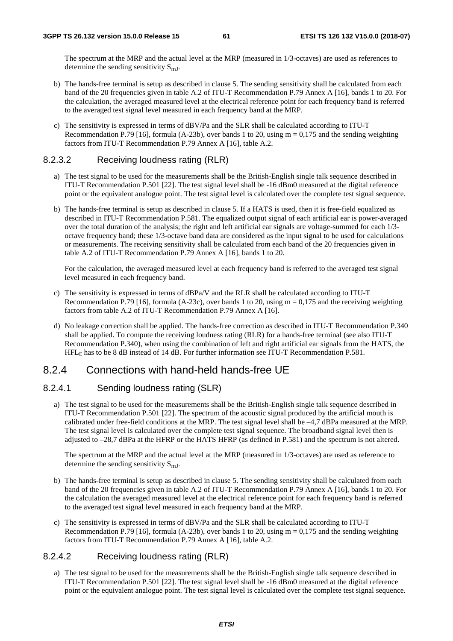The spectrum at the MRP and the actual level at the MRP (measured in 1/3-octaves) are used as references to determine the sending sensitivity  $S_{mJ}$ .

- b) The hands-free terminal is setup as described in clause 5. The sending sensitivity shall be calculated from each band of the 20 frequencies given in table A.2 of ITU-T Recommendation P.79 Annex A [16], bands 1 to 20. For the calculation, the averaged measured level at the electrical reference point for each frequency band is referred to the averaged test signal level measured in each frequency band at the MRP.
- c) The sensitivity is expressed in terms of dBV/Pa and the SLR shall be calculated according to ITU-T Recommendation P.79 [16], formula (A-23b), over bands 1 to 20, using  $m = 0.175$  and the sending weighting factors from ITU-T Recommendation P.79 Annex A [16], table A.2.

### 8.2.3.2 Receiving loudness rating (RLR)

- a) The test signal to be used for the measurements shall be the British-English single talk sequence described in ITU-T Recommendation P.501 [22]. The test signal level shall be -16 dBm0 measured at the digital reference point or the equivalent analogue point. The test signal level is calculated over the complete test signal sequence.
- b) The hands-free terminal is setup as described in clause 5. If a HATS is used, then it is free-field equalized as described in ITU-T Recommendation P.581. The equalized output signal of each artificial ear is power-averaged over the total duration of the analysis; the right and left artificial ear signals are voltage-summed for each 1/3 octave frequency band; these 1/3-octave band data are considered as the input signal to be used for calculations or measurements. The receiving sensitivity shall be calculated from each band of the 20 frequencies given in table A.2 of ITU-T Recommendation P.79 Annex A [16], bands 1 to 20.

For the calculation, the averaged measured level at each frequency band is referred to the averaged test signal level measured in each frequency band.

- c) The sensitivity is expressed in terms of dBPa/V and the RLR shall be calculated according to ITU-T Recommendation P.79 [16], formula (A-23c), over bands 1 to 20, using  $m = 0.175$  and the receiving weighting factors from table A.2 of ITU-T Recommendation P.79 Annex A [16].
- d) No leakage correction shall be applied. The hands-free correction as described in ITU-T Recommendation P.340 shall be applied. To compute the receiving loudness rating (RLR) for a hands-free terminal (see also ITU-T Recommendation P.340), when using the combination of left and right artificial ear signals from the HATS, the HFLE has to be 8 dB instead of 14 dB. For further information see ITU-T Recommendation P.581.

### 8.2.4 Connections with hand-held hands-free UE

### 8.2.4.1 Sending loudness rating (SLR)

a) The test signal to be used for the measurements shall be the British-English single talk sequence described in ITU-T Recommendation P.501 [22]. The spectrum of the acoustic signal produced by the artificial mouth is calibrated under free-field conditions at the MRP. The test signal level shall be –4,7 dBPa measured at the MRP. The test signal level is calculated over the complete test signal sequence. The broadband signal level then is adjusted to –28,7 dBPa at the HFRP or the HATS HFRP (as defined in P.581) and the spectrum is not altered.

The spectrum at the MRP and the actual level at the MRP (measured in 1/3-octaves) are used as reference to determine the sending sensitivity  $S_{mJ}$ .

- b) The hands-free terminal is setup as described in clause 5. The sending sensitivity shall be calculated from each band of the 20 frequencies given in table A.2 of ITU-T Recommendation P.79 Annex A [16], bands 1 to 20. For the calculation the averaged measured level at the electrical reference point for each frequency band is referred to the averaged test signal level measured in each frequency band at the MRP.
- c) The sensitivity is expressed in terms of dBV/Pa and the SLR shall be calculated according to ITU-T Recommendation P.79 [16], formula (A-23b), over bands 1 to 20, using  $m = 0.175$  and the sending weighting factors from ITU-T Recommendation P.79 Annex A [16], table A.2.

### 8.2.4.2 Receiving loudness rating (RLR)

a) The test signal to be used for the measurements shall be the British-English single talk sequence described in ITU-T Recommendation P.501 [22]. The test signal level shall be -16 dBm0 measured at the digital reference point or the equivalent analogue point. The test signal level is calculated over the complete test signal sequence.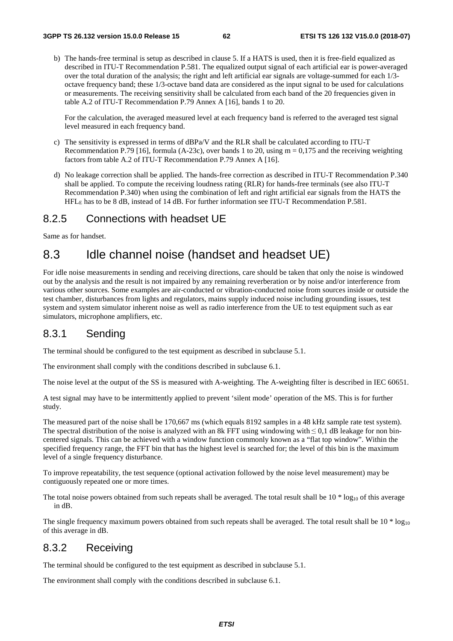b) The hands-free terminal is setup as described in clause 5. If a HATS is used, then it is free-field equalized as described in ITU-T Recommendation P.581. The equalized output signal of each artificial ear is power-averaged over the total duration of the analysis; the right and left artificial ear signals are voltage-summed for each 1/3 octave frequency band; these 1/3-octave band data are considered as the input signal to be used for calculations or measurements. The receiving sensitivity shall be calculated from each band of the 20 frequencies given in table A.2 of ITU-T Recommendation P.79 Annex A [16], bands 1 to 20.

For the calculation, the averaged measured level at each frequency band is referred to the averaged test signal level measured in each frequency band.

- c) The sensitivity is expressed in terms of dBPa/V and the RLR shall be calculated according to ITU-T Recommendation P.79 [16], formula (A-23c), over bands 1 to 20, using  $m = 0.175$  and the receiving weighting factors from table A.2 of ITU-T Recommendation P.79 Annex A [16].
- d) No leakage correction shall be applied. The hands-free correction as described in ITU-T Recommendation P.340 shall be applied. To compute the receiving loudness rating (RLR) for hands-free terminals (see also ITU-T Recommendation P.340) when using the combination of left and right artificial ear signals from the HATS the HFLE has to be 8 dB, instead of 14 dB. For further information see ITU-T Recommendation P.581.

# 8.2.5 Connections with headset UE

Same as for handset.

# 8.3 Idle channel noise (handset and headset UE)

For idle noise measurements in sending and receiving directions, care should be taken that only the noise is windowed out by the analysis and the result is not impaired by any remaining reverberation or by noise and/or interference from various other sources. Some examples are air-conducted or vibration-conducted noise from sources inside or outside the test chamber, disturbances from lights and regulators, mains supply induced noise including grounding issues, test system and system simulator inherent noise as well as radio interference from the UE to test equipment such as ear simulators, microphone amplifiers, etc.

# 8.3.1 Sending

The terminal should be configured to the test equipment as described in subclause 5.1.

The environment shall comply with the conditions described in subclause 6.1.

The noise level at the output of the SS is measured with A-weighting. The A-weighting filter is described in IEC 60651.

A test signal may have to be intermittently applied to prevent 'silent mode' operation of the MS. This is for further study.

The measured part of the noise shall be 170,667 ms (which equals 8192 samples in a 48 kHz sample rate test system). The spectral distribution of the noise is analyzed with an 8k FFT using windowing with  $\leq 0.1$  dB leakage for non bincentered signals. This can be achieved with a window function commonly known as a "flat top window". Within the specified frequency range, the FFT bin that has the highest level is searched for; the level of this bin is the maximum level of a single frequency disturbance.

To improve repeatability, the test sequence (optional activation followed by the noise level measurement) may be contiguously repeated one or more times.

The total noise powers obtained from such repeats shall be averaged. The total result shall be  $10 * log_{10}$  of this average in dB.

The single frequency maximum powers obtained from such repeats shall be averaged. The total result shall be  $10 * log_{10}$ of this average in dB.

# 8.3.2 Receiving

The terminal should be configured to the test equipment as described in subclause 5.1.

The environment shall comply with the conditions described in subclause 6.1.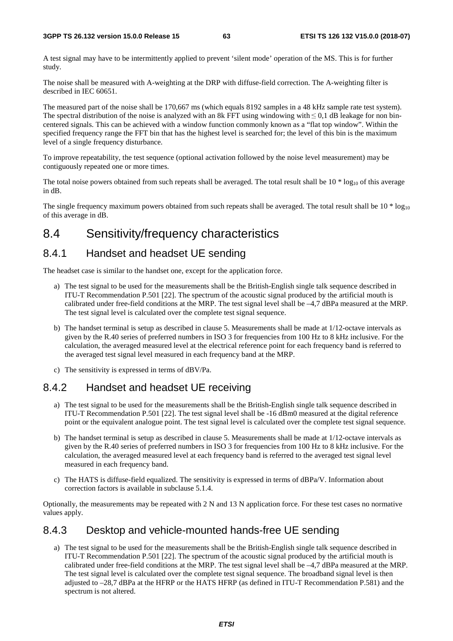A test signal may have to be intermittently applied to prevent 'silent mode' operation of the MS. This is for further study.

The noise shall be measured with A-weighting at the DRP with diffuse-field correction. The A-weighting filter is described in IEC 60651.

The measured part of the noise shall be 170,667 ms (which equals 8192 samples in a 48 kHz sample rate test system). The spectral distribution of the noise is analyzed with an 8k FFT using windowing with  $\leq 0.1$  dB leakage for non bincentered signals. This can be achieved with a window function commonly known as a "flat top window". Within the specified frequency range the FFT bin that has the highest level is searched for; the level of this bin is the maximum level of a single frequency disturbance.

To improve repeatability, the test sequence (optional activation followed by the noise level measurement) may be contiguously repeated one or more times.

The total noise powers obtained from such repeats shall be averaged. The total result shall be  $10 * log_{10}$  of this average in dB.

The single frequency maximum powers obtained from such repeats shall be averaged. The total result shall be  $10 * log_{10}$ of this average in dB.

# 8.4 Sensitivity/frequency characteristics

# 8.4.1 Handset and headset UE sending

The headset case is similar to the handset one, except for the application force.

- a) The test signal to be used for the measurements shall be the British-English single talk sequence described in ITU-T Recommendation P.501 [22]. The spectrum of the acoustic signal produced by the artificial mouth is calibrated under free-field conditions at the MRP. The test signal level shall be –4,7 dBPa measured at the MRP. The test signal level is calculated over the complete test signal sequence.
- b) The handset terminal is setup as described in clause 5. Measurements shall be made at 1/12-octave intervals as given by the R.40 series of preferred numbers in ISO 3 for frequencies from 100 Hz to 8 kHz inclusive. For the calculation, the averaged measured level at the electrical reference point for each frequency band is referred to the averaged test signal level measured in each frequency band at the MRP.
- c) The sensitivity is expressed in terms of dBV/Pa.

# 8.4.2 Handset and headset UE receiving

- a) The test signal to be used for the measurements shall be the British-English single talk sequence described in ITU-T Recommendation P.501 [22]. The test signal level shall be -16 dBm0 measured at the digital reference point or the equivalent analogue point. The test signal level is calculated over the complete test signal sequence.
- b) The handset terminal is setup as described in clause 5. Measurements shall be made at 1/12-octave intervals as given by the R.40 series of preferred numbers in ISO 3 for frequencies from 100 Hz to 8 kHz inclusive. For the calculation, the averaged measured level at each frequency band is referred to the averaged test signal level measured in each frequency band.
- c) The HATS is diffuse-field equalized. The sensitivity is expressed in terms of dBPa/V. Information about correction factors is available in subclause 5.1.4.

Optionally, the measurements may be repeated with 2 N and 13 N application force. For these test cases no normative values apply.

# 8.4.3 Desktop and vehicle-mounted hands-free UE sending

a) The test signal to be used for the measurements shall be the British-English single talk sequence described in ITU-T Recommendation P.501 [22]. The spectrum of the acoustic signal produced by the artificial mouth is calibrated under free-field conditions at the MRP. The test signal level shall be –4,7 dBPa measured at the MRP. The test signal level is calculated over the complete test signal sequence. The broadband signal level is then adjusted to –28,7 dBPa at the HFRP or the HATS HFRP (as defined in ITU-T Recommendation P.581) and the spectrum is not altered.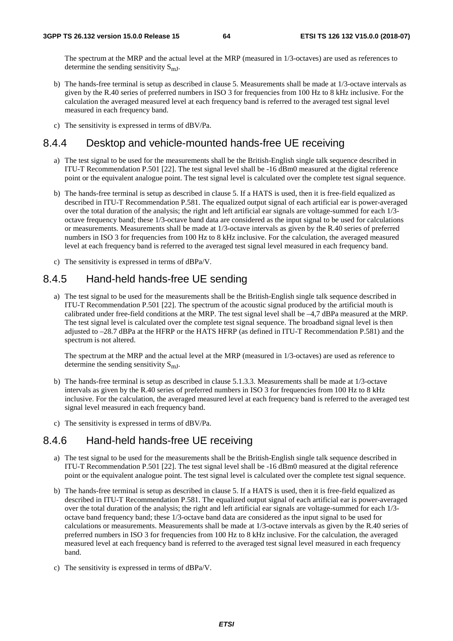The spectrum at the MRP and the actual level at the MRP (measured in 1/3-octaves) are used as references to determine the sending sensitivity  $S_{mJ}$ .

- b) The hands-free terminal is setup as described in clause 5. Measurements shall be made at 1/3-octave intervals as given by the R.40 series of preferred numbers in ISO 3 for frequencies from 100 Hz to 8 kHz inclusive. For the calculation the averaged measured level at each frequency band is referred to the averaged test signal level measured in each frequency band.
- c) The sensitivity is expressed in terms of dBV/Pa.

## 8.4.4 Desktop and vehicle-mounted hands-free UE receiving

- a) The test signal to be used for the measurements shall be the British-English single talk sequence described in ITU-T Recommendation P.501 [22]. The test signal level shall be -16 dBm0 measured at the digital reference point or the equivalent analogue point. The test signal level is calculated over the complete test signal sequence.
- b) The hands-free terminal is setup as described in clause 5. If a HATS is used, then it is free-field equalized as described in ITU-T Recommendation P.581. The equalized output signal of each artificial ear is power-averaged over the total duration of the analysis; the right and left artificial ear signals are voltage-summed for each 1/3 octave frequency band; these 1/3-octave band data are considered as the input signal to be used for calculations or measurements. Measurements shall be made at 1/3-octave intervals as given by the R.40 series of preferred numbers in ISO 3 for frequencies from 100 Hz to 8 kHz inclusive. For the calculation, the averaged measured level at each frequency band is referred to the averaged test signal level measured in each frequency band.
- c) The sensitivity is expressed in terms of dBPa/V.

# 8.4.5 Hand-held hands-free UE sending

a) The test signal to be used for the measurements shall be the British-English single talk sequence described in ITU-T Recommendation P.501 [22]. The spectrum of the acoustic signal produced by the artificial mouth is calibrated under free-field conditions at the MRP. The test signal level shall be –4,7 dBPa measured at the MRP. The test signal level is calculated over the complete test signal sequence. The broadband signal level is then adjusted to –28.7 dBPa at the HFRP or the HATS HFRP (as defined in ITU-T Recommendation P.581) and the spectrum is not altered.

The spectrum at the MRP and the actual level at the MRP (measured in 1/3-octaves) are used as reference to determine the sending sensitivity  $S<sub>mJ</sub>$ .

- b) The hands-free terminal is setup as described in clause 5.1.3.3. Measurements shall be made at 1/3-octave intervals as given by the R.40 series of preferred numbers in ISO 3 for frequencies from 100 Hz to 8 kHz inclusive. For the calculation, the averaged measured level at each frequency band is referred to the averaged test signal level measured in each frequency band.
- c) The sensitivity is expressed in terms of dBV/Pa.

### 8.4.6 Hand-held hands-free UE receiving

- a) The test signal to be used for the measurements shall be the British-English single talk sequence described in ITU-T Recommendation P.501 [22]. The test signal level shall be -16 dBm0 measured at the digital reference point or the equivalent analogue point. The test signal level is calculated over the complete test signal sequence.
- b) The hands-free terminal is setup as described in clause 5. If a HATS is used, then it is free-field equalized as described in ITU-T Recommendation P.581. The equalized output signal of each artificial ear is power-averaged over the total duration of the analysis; the right and left artificial ear signals are voltage-summed for each 1/3 octave band frequency band; these 1/3-octave band data are considered as the input signal to be used for calculations or measurements. Measurements shall be made at 1/3-octave intervals as given by the R.40 series of preferred numbers in ISO 3 for frequencies from 100 Hz to 8 kHz inclusive. For the calculation, the averaged measured level at each frequency band is referred to the averaged test signal level measured in each frequency band.
- c) The sensitivity is expressed in terms of dBPa/V.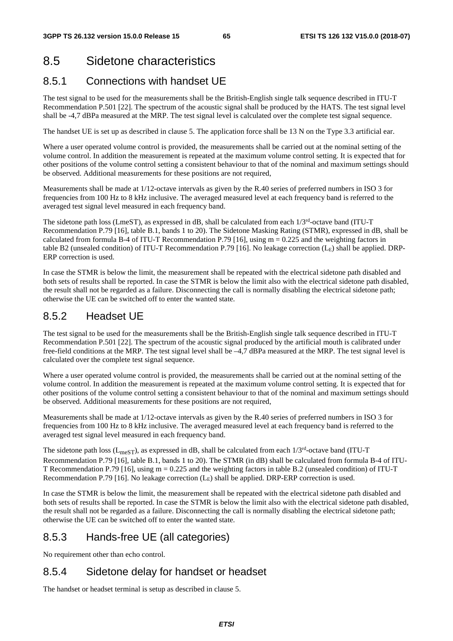# 8.5 Sidetone characteristics

# 8.5.1 Connections with handset UE

The test signal to be used for the measurements shall be the British-English single talk sequence described in ITU-T Recommendation P.501 [22]. The spectrum of the acoustic signal shall be produced by the HATS. The test signal level shall be -4,7 dBPa measured at the MRP. The test signal level is calculated over the complete test signal sequence.

The handset UE is set up as described in clause 5. The application force shall be 13 N on the Type 3.3 artificial ear.

Where a user operated volume control is provided, the measurements shall be carried out at the nominal setting of the volume control. In addition the measurement is repeated at the maximum volume control setting. It is expected that for other positions of the volume control setting a consistent behaviour to that of the nominal and maximum settings should be observed. Additional measurements for these positions are not required,

Measurements shall be made at 1/12-octave intervals as given by the R.40 series of preferred numbers in ISO 3 for frequencies from 100 Hz to 8 kHz inclusive. The averaged measured level at each frequency band is referred to the averaged test signal level measured in each frequency band.

The sidetone path loss (LmeST), as expressed in dB, shall be calculated from each  $1/3<sup>rd</sup>$ -octave band (ITU-T) Recommendation P.79 [16], table B.1, bands 1 to 20). The Sidetone Masking Rating (STMR), expressed in dB, shall be calculated from formula B-4 of ITU-T Recommendation P.79 [16], using  $m = 0.225$  and the weighting factors in table B2 (unsealed condition) of ITU-T Recommendation P.79 [16]. No leakage correction  $(L<sub>E</sub>)$  shall be applied. DRP-ERP correction is used.

In case the STMR is below the limit, the measurement shall be repeated with the electrical sidetone path disabled and both sets of results shall be reported. In case the STMR is below the limit also with the electrical sidetone path disabled, the result shall not be regarded as a failure. Disconnecting the call is normally disabling the electrical sidetone path; otherwise the UE can be switched off to enter the wanted state.

# 8.5.2 Headset UE

The test signal to be used for the measurements shall be the British-English single talk sequence described in ITU-T Recommendation P.501 [22]. The spectrum of the acoustic signal produced by the artificial mouth is calibrated under free-field conditions at the MRP. The test signal level shall be –4,7 dBPa measured at the MRP. The test signal level is calculated over the complete test signal sequence.

Where a user operated volume control is provided, the measurements shall be carried out at the nominal setting of the volume control. In addition the measurement is repeated at the maximum volume control setting. It is expected that for other positions of the volume control setting a consistent behaviour to that of the nominal and maximum settings should be observed. Additional measurements for these positions are not required,

Measurements shall be made at 1/12-octave intervals as given by the R.40 series of preferred numbers in ISO 3 for frequencies from 100 Hz to 8 kHz inclusive. The averaged measured level at each frequency band is referred to the averaged test signal level measured in each frequency band.

The sidetone path loss ( $L_{meST}$ ), as expressed in dB, shall be calculated from each  $1/3^{rd}$ -octave band (ITU-T Recommendation P.79 [16], table B.1, bands 1 to 20). The STMR (in dB) shall be calculated from formula B-4 of ITU-T Recommendation P.79 [16], using m = 0.225 and the weighting factors in table B.2 (unsealed condition) of ITU-T Recommendation P.79 [16]. No leakage correction  $(L<sub>E</sub>)$  shall be applied. DRP-ERP correction is used.

In case the STMR is below the limit, the measurement shall be repeated with the electrical sidetone path disabled and both sets of results shall be reported. In case the STMR is below the limit also with the electrical sidetone path disabled, the result shall not be regarded as a failure. Disconnecting the call is normally disabling the electrical sidetone path; otherwise the UE can be switched off to enter the wanted state.

# 8.5.3 Hands-free UE (all categories)

No requirement other than echo control.

# 8.5.4 Sidetone delay for handset or headset

The handset or headset terminal is setup as described in clause 5.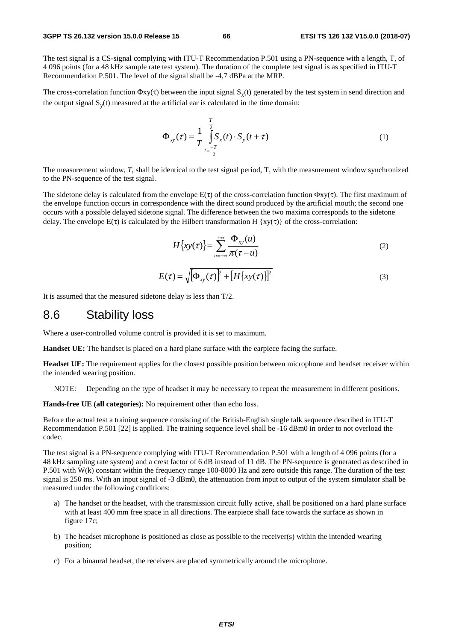The test signal is a CS-signal complying with ITU-T Recommendation P.501 using a PN-sequence with a length, T, of 4 096 points (for a 48 kHz sample rate test system). The duration of the complete test signal is as specified in ITU-T Recommendation P.501. The level of the signal shall be -4,7 dBPa at the MRP.

The cross-correlation function  $\Phi xy(\tau)$  between the input signal  $S_x(t)$  generated by the test system in send direction and the output signal  $S<sub>v</sub>(t)$  measured at the artificial ear is calculated in the time domain:

$$
\Phi_{xy}(\tau) = \frac{1}{T} \int_{t=\frac{-T}{2}}^{\frac{T}{2}} S_x(t) \cdot S_y(t+\tau)
$$
\n(1)

The measurement window, *T*, shall be identical to the test signal period, T, with the measurement window synchronized to the PN-sequence of the test signal.

The sidetone delay is calculated from the envelope  $E(\tau)$  of the cross-correlation function  $\Phi xy(\tau)$ . The first maximum of the envelope function occurs in correspondence with the direct sound produced by the artificial mouth; the second one occurs with a possible delayed sidetone signal. The difference between the two maxima corresponds to the sidetone delay. The envelope  $E(\tau)$  is calculated by the Hilbert transformation H {xy( $\tau$ )} of the cross-correlation:

$$
H\{xy(\tau)\} = \sum_{u=-\infty}^{+\infty} \frac{\Phi_{xy}(u)}{\pi(\tau - u)}
$$
\n(2)

$$
E(\tau) = \sqrt{\left[\Phi_{xy}(\tau)\right]^2 + \left[H\left\{xy(\tau)\right\}\right]^2} \tag{3}
$$

It is assumed that the measured sidetone delay is less than T/2.

# 8.6 Stability loss

Where a user-controlled volume control is provided it is set to maximum.

**Handset UE:** The handset is placed on a hard plane surface with the earpiece facing the surface.

**Headset UE:** The requirement applies for the closest possible position between microphone and headset receiver within the intended wearing position.

NOTE: Depending on the type of headset it may be necessary to repeat the measurement in different positions.

**Hands-free UE (all categories):** No requirement other than echo loss.

Before the actual test a training sequence consisting of the British-English single talk sequence described in ITU-T Recommendation P.501 [22] is applied. The training sequence level shall be -16 dBm0 in order to not overload the codec.

The test signal is a PN-sequence complying with ITU-T Recommendation P.501 with a length of 4 096 points (for a 48 kHz sampling rate system) and a crest factor of 6 dB instead of 11 dB. The PN-sequence is generated as described in P.501 with W(k) constant within the frequency range 100-8000 Hz and zero outside this range. The duration of the test signal is 250 ms. With an input signal of -3 dBm0, the attenuation from input to output of the system simulator shall be measured under the following conditions:

- a) The handset or the headset, with the transmission circuit fully active, shall be positioned on a hard plane surface with at least 400 mm free space in all directions. The earpiece shall face towards the surface as shown in figure 17c;
- b) The headset microphone is positioned as close as possible to the receiver(s) within the intended wearing position;
- c) For a binaural headset, the receivers are placed symmetrically around the microphone.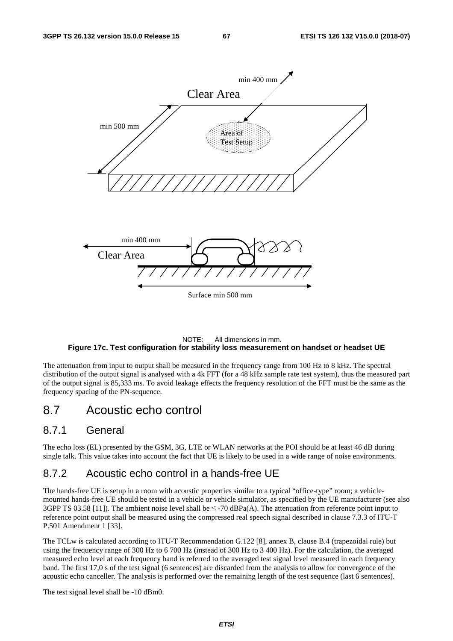

#### NOTE: All dimensions in mm. **Figure 17c. Test configuration for stability loss measurement on handset or headset UE**

The attenuation from input to output shall be measured in the frequency range from 100 Hz to 8 kHz. The spectral distribution of the output signal is analysed with a 4k FFT (for a 48 kHz sample rate test system), thus the measured part of the output signal is 85,333 ms. To avoid leakage effects the frequency resolution of the FFT must be the same as the frequency spacing of the PN-sequence.

# 8.7 Acoustic echo control

### 8.7.1 General

The echo loss (EL) presented by the GSM, 3G, LTE or WLAN networks at the POI should be at least 46 dB during single talk. This value takes into account the fact that UE is likely to be used in a wide range of noise environments.

# 8.7.2 Acoustic echo control in a hands-free UE

The hands-free UE is setup in a room with acoustic properties similar to a typical "office-type" room; a vehiclemounted hands-free UE should be tested in a vehicle or vehicle simulator, as specified by the UE manufacturer (see also 3GPP TS 03.58 [11]). The ambient noise level shall be  $\leq$ -70 dBPa(A). The attenuation from reference point input to reference point output shall be measured using the compressed real speech signal described in clause 7.3.3 of ITU-T P.501 Amendment 1 [33].

The TCLw is calculated according to ITU-T Recommendation G.122 [8], annex B, clause B.4 (trapezoidal rule) but using the frequency range of 300 Hz to 6 700 Hz (instead of 300 Hz to 3 400 Hz). For the calculation, the averaged measured echo level at each frequency band is referred to the averaged test signal level measured in each frequency band. The first 17,0 s of the test signal (6 sentences) are discarded from the analysis to allow for convergence of the acoustic echo canceller. The analysis is performed over the remaining length of the test sequence (last 6 sentences).

The test signal level shall be -10 dBm0.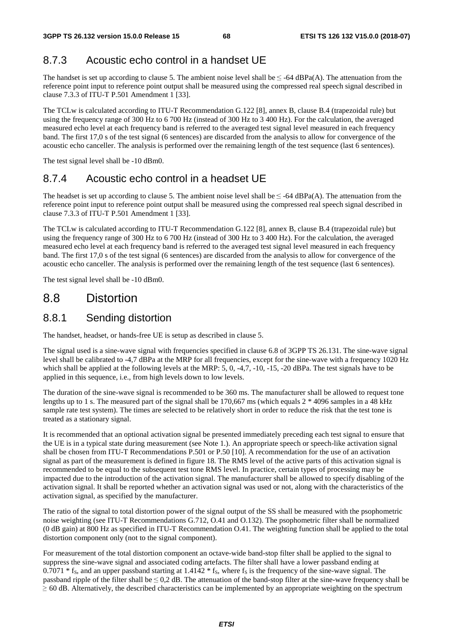# 8.7.3 Acoustic echo control in a handset UE

The handset is set up according to clause 5. The ambient noise level shall be  $\leq$  -64 dBPa(A). The attenuation from the reference point input to reference point output shall be measured using the compressed real speech signal described in clause 7.3.3 of ITU-T P.501 Amendment 1 [33].

The TCLw is calculated according to ITU-T Recommendation G.122 [8], annex B, clause B.4 (trapezoidal rule) but using the frequency range of 300 Hz to 6 700 Hz (instead of 300 Hz to 3 400 Hz). For the calculation, the averaged measured echo level at each frequency band is referred to the averaged test signal level measured in each frequency band. The first 17,0 s of the test signal (6 sentences) are discarded from the analysis to allow for convergence of the acoustic echo canceller. The analysis is performed over the remaining length of the test sequence (last 6 sentences).

The test signal level shall be -10 dBm0.

# 8.7.4 Acoustic echo control in a headset UE

The headset is set up according to clause 5. The ambient noise level shall be  $\leq$  -64 dBPa(A). The attenuation from the reference point input to reference point output shall be measured using the compressed real speech signal described in clause 7.3.3 of ITU-T P.501 Amendment 1 [33].

The TCLw is calculated according to ITU-T Recommendation G.122 [8], annex B, clause B.4 (trapezoidal rule) but using the frequency range of 300 Hz to 6 700 Hz (instead of 300 Hz to 3 400 Hz). For the calculation, the averaged measured echo level at each frequency band is referred to the averaged test signal level measured in each frequency band. The first 17,0 s of the test signal (6 sentences) are discarded from the analysis to allow for convergence of the acoustic echo canceller. The analysis is performed over the remaining length of the test sequence (last 6 sentences).

The test signal level shall be -10 dBm0.

# 8.8 Distortion

# 8.8.1 Sending distortion

The handset, headset, or hands-free UE is setup as described in clause 5.

The signal used is a sine-wave signal with frequencies specified in clause 6.8 of 3GPP TS 26.131. The sine-wave signal level shall be calibrated to -4,7 dBPa at the MRP for all frequencies, except for the sine-wave with a frequency 1020 Hz which shall be applied at the following levels at the MRP: 5, 0, -4,7, -10, -15, -20 dBPa. The test signals have to be applied in this sequence, i.e., from high levels down to low levels.

The duration of the sine-wave signal is recommended to be 360 ms. The manufacturer shall be allowed to request tone lengths up to 1 s. The measured part of the signal shall be 170,667 ms (which equals 2 \* 4096 samples in a 48 kHz sample rate test system). The times are selected to be relatively short in order to reduce the risk that the test tone is treated as a stationary signal.

It is recommended that an optional activation signal be presented immediately preceding each test signal to ensure that the UE is in a typical state during measurement (see Note 1.). An appropriate speech or speech-like activation signal shall be chosen from ITU-T Recommendations P.501 or P.50 [10]. A recommendation for the use of an activation signal as part of the measurement is defined in figure 18. The RMS level of the active parts of this activation signal is recommended to be equal to the subsequent test tone RMS level. In practice, certain types of processing may be impacted due to the introduction of the activation signal. The manufacturer shall be allowed to specify disabling of the activation signal. It shall be reported whether an activation signal was used or not, along with the characteristics of the activation signal, as specified by the manufacturer.

The ratio of the signal to total distortion power of the signal output of the SS shall be measured with the psophometric noise weighting (see ITU-T Recommendations G.712, O.41 and O.132). The psophometric filter shall be normalized (0 dB gain) at 800 Hz as specified in ITU-T Recommendation O.41. The weighting function shall be applied to the total distortion component only (not to the signal component).

For measurement of the total distortion component an octave-wide band-stop filter shall be applied to the signal to suppress the sine-wave signal and associated coding artefacts. The filter shall have a lower passband ending at  $0.7071 * f_s$ , and an upper passband starting at  $1.4142 * f_s$ , where  $f_s$  is the frequency of the sine-wave signal. The passband ripple of the filter shall be  $\leq 0.2$  dB. The attenuation of the band-stop filter at the sine-wave frequency shall be  $\geq$  60 dB. Alternatively, the described characteristics can be implemented by an appropriate weighting on the spectrum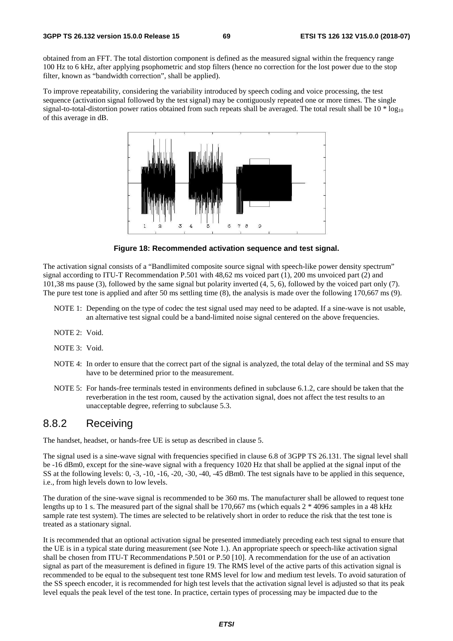obtained from an FFT. The total distortion component is defined as the measured signal within the frequency range 100 Hz to 6 kHz, after applying psophometric and stop filters (hence no correction for the lost power due to the stop filter, known as "bandwidth correction", shall be applied).

To improve repeatability, considering the variability introduced by speech coding and voice processing, the test sequence (activation signal followed by the test signal) may be contiguously repeated one or more times. The single signal-to-total-distortion power ratios obtained from such repeats shall be averaged. The total result shall be  $10 * log_{10}$ of this average in dB.



**Figure 18: Recommended activation sequence and test signal.** 

The activation signal consists of a "Bandlimited composite source signal with speech-like power density spectrum" signal according to ITU-T Recommendation P.501 with 48,62 ms voiced part (1), 200 ms unvoiced part (2) and 101,38 ms pause (3), followed by the same signal but polarity inverted (4, 5, 6), followed by the voiced part only (7). The pure test tone is applied and after 50 ms settling time (8), the analysis is made over the following 170,667 ms (9).

- NOTE 1: Depending on the type of codec the test signal used may need to be adapted. If a sine-wave is not usable, an alternative test signal could be a band-limited noise signal centered on the above frequencies.
- NOTE 2: Void.
- NOTE 3: Void.
- NOTE 4: In order to ensure that the correct part of the signal is analyzed, the total delay of the terminal and SS may have to be determined prior to the measurement.
- NOTE 5: For hands-free terminals tested in environments defined in subclause 6.1.2, care should be taken that the reverberation in the test room, caused by the activation signal, does not affect the test results to an unacceptable degree, referring to subclause 5.3.

### 8.8.2 Receiving

The handset, headset, or hands-free UE is setup as described in clause 5.

The signal used is a sine-wave signal with frequencies specified in clause 6.8 of 3GPP TS 26.131. The signal level shall be -16 dBm0, except for the sine-wave signal with a frequency 1020 Hz that shall be applied at the signal input of the SS at the following levels: 0, -3, -10, -16, -20, -30, -40, -45 dBm0. The test signals have to be applied in this sequence, i.e., from high levels down to low levels.

The duration of the sine-wave signal is recommended to be 360 ms. The manufacturer shall be allowed to request tone lengths up to 1 s. The measured part of the signal shall be 170,667 ms (which equals 2 \* 4096 samples in a 48 kHz sample rate test system). The times are selected to be relatively short in order to reduce the risk that the test tone is treated as a stationary signal.

It is recommended that an optional activation signal be presented immediately preceding each test signal to ensure that the UE is in a typical state during measurement (see Note 1.). An appropriate speech or speech-like activation signal shall be chosen from ITU-T Recommendations P.501 or P.50 [10]. A recommendation for the use of an activation signal as part of the measurement is defined in figure 19. The RMS level of the active parts of this activation signal is recommended to be equal to the subsequent test tone RMS level for low and medium test levels. To avoid saturation of the SS speech encoder, it is recommended for high test levels that the activation signal level is adjusted so that its peak level equals the peak level of the test tone. In practice, certain types of processing may be impacted due to the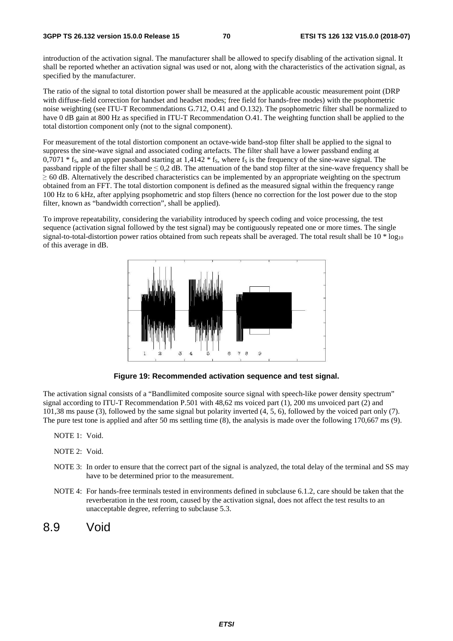introduction of the activation signal. The manufacturer shall be allowed to specify disabling of the activation signal. It shall be reported whether an activation signal was used or not, along with the characteristics of the activation signal, as specified by the manufacturer.

The ratio of the signal to total distortion power shall be measured at the applicable acoustic measurement point (DRP with diffuse-field correction for handset and headset modes; free field for hands-free modes) with the psophometric noise weighting (see ITU-T Recommendations G.712, O.41 and O.132). The psophometric filter shall be normalized to have 0 dB gain at 800 Hz as specified in ITU-T Recommendation O.41. The weighting function shall be applied to the total distortion component only (not to the signal component).

For measurement of the total distortion component an octave-wide band-stop filter shall be applied to the signal to suppress the sine-wave signal and associated coding artefacts. The filter shall have a lower passband ending at  $0,7071 * f_s$ , and an upper passband starting at 1,4142  $* f_s$ , where  $f_s$  is the frequency of the sine-wave signal. The passband ripple of the filter shall be  $\leq 0.2$  dB. The attenuation of the band stop filter at the sine-wave frequency shall be <sup>≥</sup> 60 dB. Alternatively the described characteristics can be implemented by an appropriate weighting on the spectrum obtained from an FFT. The total distortion component is defined as the measured signal within the frequency range 100 Hz to 6 kHz, after applying psophometric and stop filters (hence no correction for the lost power due to the stop filter, known as "bandwidth correction", shall be applied).

To improve repeatability, considering the variability introduced by speech coding and voice processing, the test sequence (activation signal followed by the test signal) may be contiguously repeated one or more times. The single signal-to-total-distortion power ratios obtained from such repeats shall be averaged. The total result shall be  $10 * log_{10}$ of this average in dB.



**Figure 19: Recommended activation sequence and test signal.** 

The activation signal consists of a "Bandlimited composite source signal with speech-like power density spectrum" signal according to ITU-T Recommendation P.501 with 48,62 ms voiced part (1), 200 ms unvoiced part (2) and 101,38 ms pause (3), followed by the same signal but polarity inverted (4, 5, 6), followed by the voiced part only (7). The pure test tone is applied and after 50 ms settling time (8), the analysis is made over the following 170,667 ms (9).

- NOTE 1: Void.
- NOTE 2: Void.
- NOTE 3: In order to ensure that the correct part of the signal is analyzed, the total delay of the terminal and SS may have to be determined prior to the measurement.
- NOTE 4: For hands-free terminals tested in environments defined in subclause 6.1.2, care should be taken that the reverberation in the test room, caused by the activation signal, does not affect the test results to an unacceptable degree, referring to subclause 5.3.
- 8.9 Void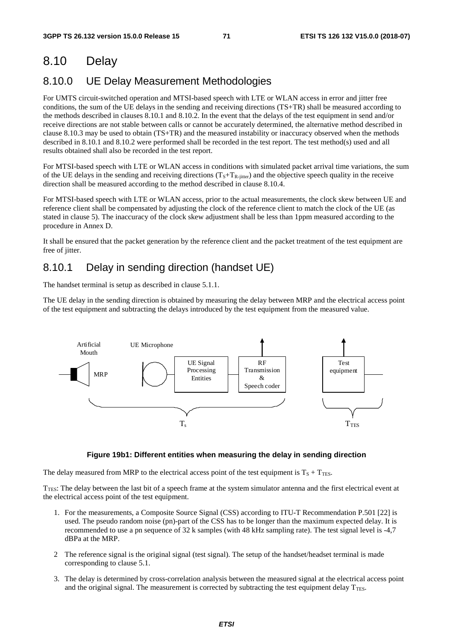# 8.10 Delay

# 8.10.0 UE Delay Measurement Methodologies

For UMTS circuit-switched operation and MTSI-based speech with LTE or WLAN access in error and jitter free conditions, the sum of the UE delays in the sending and receiving directions (TS+TR) shall be measured according to the methods described in clauses 8.10.1 and 8.10.2. In the event that the delays of the test equipment in send and/or receive directions are not stable between calls or cannot be accurately determined, the alternative method described in clause 8.10.3 may be used to obtain (TS+TR) and the measured instability or inaccuracy observed when the methods described in 8.10.1 and 8.10.2 were performed shall be recorded in the test report. The test method(s) used and all results obtained shall also be recorded in the test report.

For MTSI-based speech with LTE or WLAN access in conditions with simulated packet arrival time variations, the sum of the UE delays in the sending and receiving directions  $(T<sub>S</sub>+T<sub>R</sub>-j<sub>itter</sub>)$  and the objective speech quality in the receive direction shall be measured according to the method described in clause 8.10.4.

For MTSI-based speech with LTE or WLAN access, prior to the actual measurements, the clock skew between UE and reference client shall be compensated by adjusting the clock of the reference client to match the clock of the UE (as stated in clause 5). The inaccuracy of the clock skew adjustment shall be less than 1ppm measured according to the procedure in Annex D.

It shall be ensured that the packet generation by the reference client and the packet treatment of the test equipment are free of jitter.

# 8.10.1 Delay in sending direction (handset UE)

The handset terminal is setup as described in clause 5.1.1.

The UE delay in the sending direction is obtained by measuring the delay between MRP and the electrical access point of the test equipment and subtracting the delays introduced by the test equipment from the measured value.



#### **Figure 19b1: Different entities when measuring the delay in sending direction**

The delay measured from MRP to the electrical access point of the test equipment is  $T_S + T_{\text{TES}}$ .

 $T_{\text{TES}}$ : The delay between the last bit of a speech frame at the system simulator antenna and the first electrical event at the electrical access point of the test equipment.

- 1. For the measurements, a Composite Source Signal (CSS) according to ITU-T Recommendation P.501 [22] is used. The pseudo random noise (pn)-part of the CSS has to be longer than the maximum expected delay. It is recommended to use a pn sequence of 32 k samples (with 48 kHz sampling rate). The test signal level is -4,7 dBPa at the MRP.
- 2 The reference signal is the original signal (test signal). The setup of the handset/headset terminal is made corresponding to clause 5.1.
- 3. The delay is determined by cross-correlation analysis between the measured signal at the electrical access point and the original signal. The measurement is corrected by subtracting the test equipment delay  $T_{\text{TES}}$ .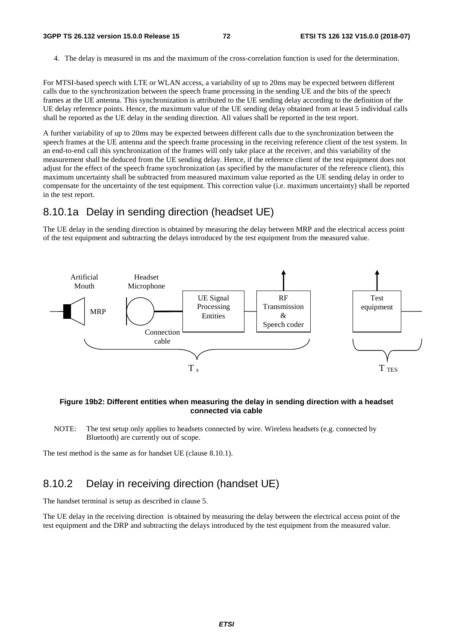4. The delay is measured in ms and the maximum of the cross-correlation function is used for the determination.

For MTSI-based speech with LTE or WLAN access, a variability of up to 20ms may be expected between different calls due to the synchronization between the speech frame processing in the sending UE and the bits of the speech frames at the UE antenna. This synchronization is attributed to the UE sending delay according to the definition of the UE delay reference points. Hence, the maximum value of the UE sending delay obtained from at least 5 individual calls shall be reported as the UE delay in the sending direction. All values shall be reported in the test report.

A further variability of up to 20ms may be expected between different calls due to the synchronization between the speech frames at the UE antenna and the speech frame processing in the receiving reference client of the test system. In an end-to-end call this synchronization of the frames will only take place at the receiver, and this variability of the measurement shall be deduced from the UE sending delay. Hence, if the reference client of the test equipment does not adjust for the effect of the speech frame synchronization (as specified by the manufacturer of the reference client), this maximum uncertainty shall be subtracted from measured maximum value reported as the UE sending delay in order to compensate for the uncertainty of the test equipment. This correction value (i.e. maximum uncertainty) shall be reported in the test report.

### 8.10.1a Delay in sending direction (headset UE)

The UE delay in the sending direction is obtained by measuring the delay between MRP and the electrical access point of the test equipment and subtracting the delays introduced by the test equipment from the measured value.



#### **Figure 19b2: Different entities when measuring the delay in sending direction with a headset connected via cable**

NOTE: The test setup only applies to headsets connected by wire. Wireless headsets (e.g. connected by Bluetooth) are currently out of scope.

The test method is the same as for handset UE (clause 8.10.1).

## 8.10.2 Delay in receiving direction (handset UE)

The handset terminal is setup as described in clause 5.

The UE delay in the receiving direction is obtained by measuring the delay between the electrical access point of the test equipment and the DRP and subtracting the delays introduced by the test equipment from the measured value.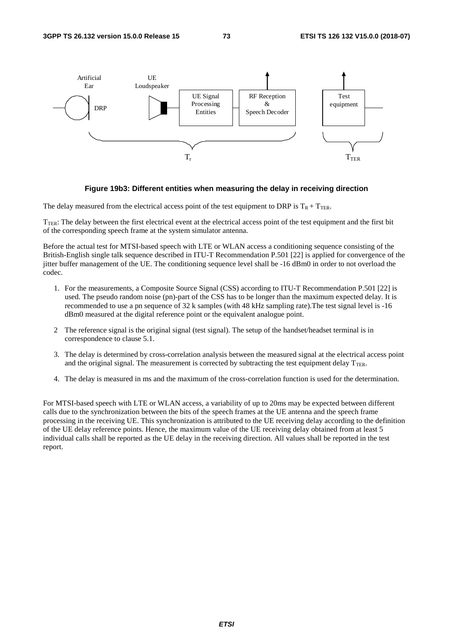

#### **Figure 19b3: Different entities when measuring the delay in receiving direction**

The delay measured from the electrical access point of the test equipment to DRP is  $T_R + T_{TER}$ .

 $T_{TER}$ : The delay between the first electrical event at the electrical access point of the test equipment and the first bit of the corresponding speech frame at the system simulator antenna.

Before the actual test for MTSI-based speech with LTE or WLAN access a conditioning sequence consisting of the British-English single talk sequence described in ITU-T Recommendation P.501 [22] is applied for convergence of the jitter buffer management of the UE. The conditioning sequence level shall be -16 dBm0 in order to not overload the codec.

- 1. For the measurements, a Composite Source Signal (CSS) according to ITU-T Recommendation P.501 [22] is used. The pseudo random noise (pn)-part of the CSS has to be longer than the maximum expected delay. It is recommended to use a pn sequence of 32 k samples (with 48 kHz sampling rate).The test signal level is -16 dBm0 measured at the digital reference point or the equivalent analogue point.
- 2 The reference signal is the original signal (test signal). The setup of the handset/headset terminal is in correspondence to clause 5.1.
- 3. The delay is determined by cross-correlation analysis between the measured signal at the electrical access point and the original signal. The measurement is corrected by subtracting the test equipment delay  $T_{\text{TER}}$ .
- 4. The delay is measured in ms and the maximum of the cross-correlation function is used for the determination.

For MTSI-based speech with LTE or WLAN access, a variability of up to 20ms may be expected between different calls due to the synchronization between the bits of the speech frames at the UE antenna and the speech frame processing in the receiving UE. This synchronization is attributed to the UE receiving delay according to the definition of the UE delay reference points. Hence, the maximum value of the UE receiving delay obtained from at least 5 individual calls shall be reported as the UE delay in the receiving direction. All values shall be reported in the test report.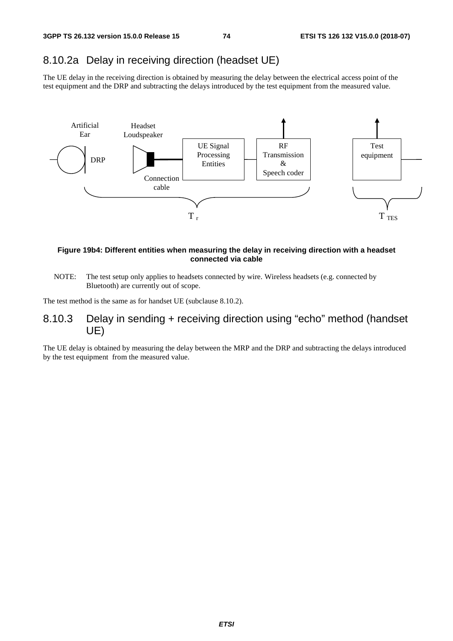### 8.10.2a Delay in receiving direction (headset UE)

The UE delay in the receiving direction is obtained by measuring the delay between the electrical access point of the test equipment and the DRP and subtracting the delays introduced by the test equipment from the measured value.



#### **Figure 19b4: Different entities when measuring the delay in receiving direction with a headset connected via cable**

NOTE: The test setup only applies to headsets connected by wire. Wireless headsets (e.g. connected by Bluetooth) are currently out of scope.

The test method is the same as for handset UE (subclause 8.10.2).

### 8.10.3 Delay in sending + receiving direction using "echo" method (handset UE)

The UE delay is obtained by measuring the delay between the MRP and the DRP and subtracting the delays introduced by the test equipment from the measured value.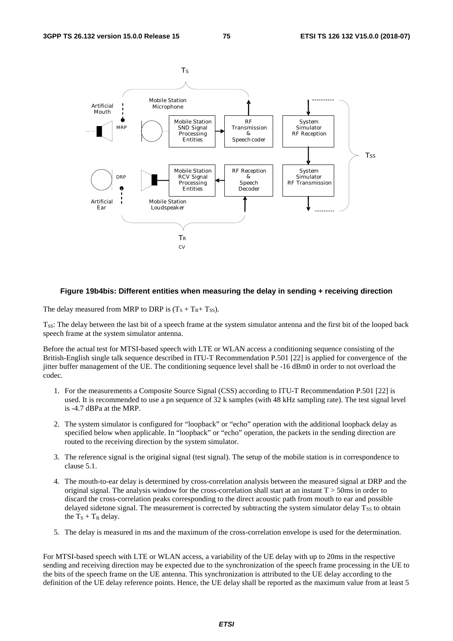

#### **Figure 19b4bis: Different entities when measuring the delay in sending + receiving direction**

The delay measured from MRP to DRP is  $(T_S + T_R + T_{SS})$ .

T<sub>SS</sub>: The delay between the last bit of a speech frame at the system simulator antenna and the first bit of the looped back speech frame at the system simulator antenna.

Before the actual test for MTSI-based speech with LTE or WLAN access a conditioning sequence consisting of the British-English single talk sequence described in ITU-T Recommendation P.501 [22] is applied for convergence of the jitter buffer management of the UE. The conditioning sequence level shall be -16 dBm0 in order to not overload the codec.

- 1. For the measurements a Composite Source Signal (CSS) according to ITU-T Recommendation P.501 [22] is used. It is recommended to use a pn sequence of 32 k samples (with 48 kHz sampling rate). The test signal level is -4.7 dBPa at the MRP.
- 2. The system simulator is configured for "loopback" or "echo" operation with the additional loopback delay as specified below when applicable. In "loopback" or "echo" operation, the packets in the sending direction are routed to the receiving direction by the system simulator.
- 3. The reference signal is the original signal (test signal). The setup of the mobile station is in correspondence to clause 5.1.
- 4. The mouth-to-ear delay is determined by cross-correlation analysis between the measured signal at DRP and the original signal. The analysis window for the cross-correlation shall start at an instant  $T > 50$ ms in order to discard the cross-correlation peaks corresponding to the direct acoustic path from mouth to ear and possible delayed sidetone signal. The measurement is corrected by subtracting the system simulator delay  $T_{SS}$  to obtain the  $T_S + T_R$  delay.
- 5. The delay is measured in ms and the maximum of the cross-correlation envelope is used for the determination.

For MTSI-based speech with LTE or WLAN access, a variability of the UE delay with up to 20ms in the respective sending and receiving direction may be expected due to the synchronization of the speech frame processing in the UE to the bits of the speech frame on the UE antenna. This synchronization is attributed to the UE delay according to the definition of the UE delay reference points. Hence, the UE delay shall be reported as the maximum value from at least 5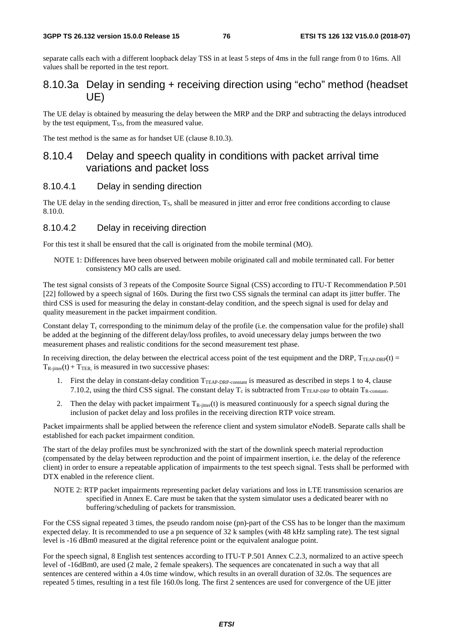separate calls each with a different loopback delay TSS in at least 5 steps of 4ms in the full range from 0 to 16ms. All values shall be reported in the test report.

### 8.10.3a Delay in sending + receiving direction using "echo" method (headset UE)

The UE delay is obtained by measuring the delay between the MRP and the DRP and subtracting the delays introduced by the test equipment,  $T_{SS}$ , from the measured value.

The test method is the same as for handset UE (clause 8.10.3).

### 8.10.4 Delay and speech quality in conditions with packet arrival time variations and packet loss

#### 8.10.4.1 Delay in sending direction

The UE delay in the sending direction,  $T<sub>S</sub>$ , shall be measured in jitter and error free conditions according to clause 8.10.0.

#### 8.10.4.2 Delay in receiving direction

For this test it shall be ensured that the call is originated from the mobile terminal (MO).

NOTE 1: Differences have been observed between mobile originated call and mobile terminated call. For better consistency MO calls are used.

The test signal consists of 3 repeats of the Composite Source Signal (CSS) according to ITU-T Recommendation P.501 [22] followed by a speech signal of 160s. During the first two CSS signals the terminal can adapt its jitter buffer. The third CSS is used for measuring the delay in constant-delay condition, and the speech signal is used for delay and quality measurement in the packet impairment condition.

Constant delay  $T_c$  corresponding to the minimum delay of the profile (i.e. the compensation value for the profile) shall be added at the beginning of the different delay/loss profiles, to avoid unecessary delay jumps between the two measurement phases and realistic conditions for the second measurement test phase.

In receiving direction, the delay between the electrical access point of the test equipment and the DRP,  $T_{TEAP-DRP}(t) =$  $T_{\text{R}-\text{jitter}}(t) + T_{\text{TER}}$  is measured in two successive phases:

- 1. First the delay in constant-delay condition TTEAP-DRP-constant is measured as described in steps 1 to 4, clause 7.10.2, using the third CSS signal. The constant delay  $T_c$  is subtracted from  $T_{TEAP-DRP}$  to obtain  $T_{R\text{-constant}}$ .
- 2. Then the delay with packet impairment  $T_{R\text{-}jitter}(t)$  is measured continuously for a speech signal during the inclusion of packet delay and loss profiles in the receiving direction RTP voice stream.

Packet impairments shall be applied between the reference client and system simulator eNodeB. Separate calls shall be established for each packet impairment condition.

The start of the delay profiles must be synchronized with the start of the downlink speech material reproduction (compensated by the delay between reproduction and the point of impairment insertion, i.e. the delay of the reference client) in order to ensure a repeatable application of impairments to the test speech signal. Tests shall be performed with DTX enabled in the reference client.

NOTE 2: RTP packet impairments representing packet delay variations and loss in LTE transmission scenarios are specified in Annex E. Care must be taken that the system simulator uses a dedicated bearer with no buffering/scheduling of packets for transmission.

For the CSS signal repeated 3 times, the pseudo random noise (pn)-part of the CSS has to be longer than the maximum expected delay. It is recommended to use a pn sequence of 32 k samples (with 48 kHz sampling rate). The test signal level is -16 dBm0 measured at the digital reference point or the equivalent analogue point.

For the speech signal, 8 English test sentences according to ITU-T P.501 Annex C.2.3, normalized to an active speech level of -16dBm0, are used (2 male, 2 female speakers). The sequences are concatenated in such a way that all sentences are centered within a 4.0s time window, which results in an overall duration of 32.0s. The sequences are repeated 5 times, resulting in a test file 160.0s long. The first 2 sentences are used for convergence of the UE jitter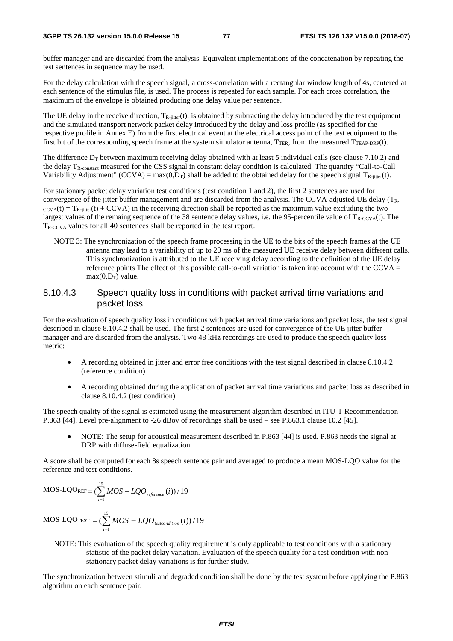buffer manager and are discarded from the analysis. Equivalent implementations of the concatenation by repeating the test sentences in sequence may be used.

For the delay calculation with the speech signal, a cross-correlation with a rectangular window length of 4s, centered at each sentence of the stimulus file, is used. The process is repeated for each sample. For each cross correlation, the maximum of the envelope is obtained producing one delay value per sentence.

The UE delay in the receive direction,  $T_{R-jitter}(t)$ , is obtained by subtracting the delay introduced by the test equipment and the simulated transport network packet delay introduced by the delay and loss profile (as specified for the respective profile in Annex E) from the first electrical event at the electrical access point of the test equipment to the first bit of the corresponding speech frame at the system simulator antenna,  $T_{TER}$ , from the measured  $T_{TER\text{-}DRP}(t)$ .

The difference  $D<sub>T</sub>$  between maximum receiving delay obtained with at least 5 individual calls (see clause 7.10.2) and the delay  $T_{\rm R-constant}$  measured for the CSS signal in constant delay condition is calculated. The quantity "Call-to-Call" Variability Adjustment" (CCVA) = max(0,D<sub>T</sub>) shall be added to the obtained delay for the speech signal T<sub>R-jitter</sub>(t).

For stationary packet delay variation test conditions (test condition 1 and 2), the first 2 sentences are used for convergence of the jitter buffer management and are discarded from the analysis. The CCVA-adjusted UE delay (TR- $\text{ccv}_A(t) = T_{R\text{-}inter}(t) + \text{CCVA}$  in the receiving direction shall be reported as the maximum value excluding the two largest values of the remaing sequence of the 38 sentence delay values, i.e. the 95-percentile value of  $T_{R-CCV\{At\}}$ . The TR-CCVA values for all 40 sentences shall be reported in the test report.

NOTE 3: The synchronization of the speech frame processing in the UE to the bits of the speech frames at the UE antenna may lead to a variability of up to 20 ms of the measured UE receive delay between different calls. This synchronization is attributed to the UE receiving delay according to the definition of the UE delay reference points The effect of this possible call-to-call variation is taken into account with the CCVA  $=$  $max(0, D_T)$  value.

#### 8.10.4.3 Speech quality loss in conditions with packet arrival time variations and packet loss

For the evaluation of speech quality loss in conditions with packet arrival time variations and packet loss, the test signal described in clause 8.10.4.2 shall be used. The first 2 sentences are used for convergence of the UE jitter buffer manager and are discarded from the analysis. Two 48 kHz recordings are used to produce the speech quality loss metric:

- A recording obtained in jitter and error free conditions with the test signal described in clause 8.10.4.2 (reference condition)
- A recording obtained during the application of packet arrival time variations and packet loss as described in clause 8.10.4.2 (test condition)

The speech quality of the signal is estimated using the measurement algorithm described in ITU-T Recommendation P.863 [44]. Level pre-alignment to -26 dBov of recordings shall be used – see P.863.1 clause 10.2 [45].

• NOTE: The setup for acoustical measurement described in P.863 [44] is used. P.863 needs the signal at DRP with diffuse-field equalization.

A score shall be computed for each 8s speech sentence pair and averaged to produce a mean MOS-LQO value for the reference and test conditions.

$$
MOS\text{-}LQO_{REF} = (\sum_{i=1}^{19} MOS - LQO_{reference}(i)) / 19
$$

$$
MOS\text{-}LQO_{TEST} = (\sum_{i=1}^{19} MOS - LQO_{testcondition}(i)) / 19
$$

NOTE: This evaluation of the speech quality requirement is only applicable to test conditions with a stationary statistic of the packet delay variation. Evaluation of the speech quality for a test condition with nonstationary packet delay variations is for further study.

The synchronization between stimuli and degraded condition shall be done by the test system before applying the P.863 algorithm on each sentence pair.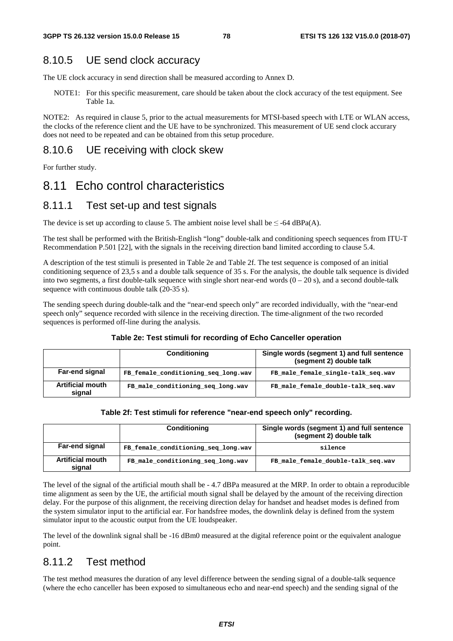### 8.10.5 UE send clock accuracy

The UE clock accuracy in send direction shall be measured according to Annex D.

NOTE1: For this specific measurement, care should be taken about the clock accuracy of the test equipment. See Table 1a.

NOTE2: As required in clause 5, prior to the actual measurements for MTSI-based speech with LTE or WLAN access, the clocks of the reference client and the UE have to be synchronized. This measurement of UE send clock accurary does not need to be repeated and can be obtained from this setup procedure.

### 8.10.6 UE receiving with clock skew

For further study.

### 8.11 Echo control characteristics

#### 8.11.1 Test set-up and test signals

The device is set up according to clause 5. The ambient noise level shall be  $\leq$  -64 dBPa(A).

The test shall be performed with the British-English "long" double-talk and conditioning speech sequences from ITU-T Recommendation P.501 [22], with the signals in the receiving direction band limited according to clause 5.4.

A description of the test stimuli is presented in Table 2e and Table 2f. The test sequence is composed of an initial conditioning sequence of 23,5 s and a double talk sequence of 35 s. For the analysis, the double talk sequence is divided into two segments, a first double-talk sequence with single short near-end words  $(0 - 20 s)$ , and a second double-talk sequence with continuous double talk (20-35 s).

The sending speech during double-talk and the "near-end speech only" are recorded individually, with the "near-end speech only" sequence recorded with silence in the receiving direction. The time-alignment of the two recorded sequences is performed off-line during the analysis.

#### **Table 2e: Test stimuli for recording of Echo Canceller operation**

|                                   | <b>Conditioning</b>                 | Single words (segment 1) and full sentence<br>(segment 2) double talk |  |  |
|-----------------------------------|-------------------------------------|-----------------------------------------------------------------------|--|--|
| Far-end signal                    | FB female conditioning seq long.wav | FB male female single-talk seq.wav                                    |  |  |
| <b>Artificial mouth</b><br>signal | FB male conditioning seq long.wav   | FB male female double-talk seq.wav                                    |  |  |

| Table 2f: Test stimuli for reference "near-end speech only" recording. |  |  |
|------------------------------------------------------------------------|--|--|
|------------------------------------------------------------------------|--|--|

| <b>Conditioning</b>               |                                     | Single words (segment 1) and full sentence<br>(segment 2) double talk |  |
|-----------------------------------|-------------------------------------|-----------------------------------------------------------------------|--|
| Far-end signal                    | FB female conditioning seq long.wav | silence                                                               |  |
| <b>Artificial mouth</b><br>signal | FB male conditioning seq long.wav   | FB male female double-talk seq.wav                                    |  |

The level of the signal of the artificial mouth shall be - 4.7 dBPa measured at the MRP. In order to obtain a reproducible time alignment as seen by the UE, the artificial mouth signal shall be delayed by the amount of the receiving direction delay. For the purpose of this alignment, the receiving direction delay for handset and headset modes is defined from the system simulator input to the artificial ear. For handsfree modes, the downlink delay is defined from the system simulator input to the acoustic output from the UE loudspeaker.

The level of the downlink signal shall be -16 dBm0 measured at the digital reference point or the equivalent analogue point.

#### 8.11.2 Test method

The test method measures the duration of any level difference between the sending signal of a double-talk sequence (where the echo canceller has been exposed to simultaneous echo and near-end speech) and the sending signal of the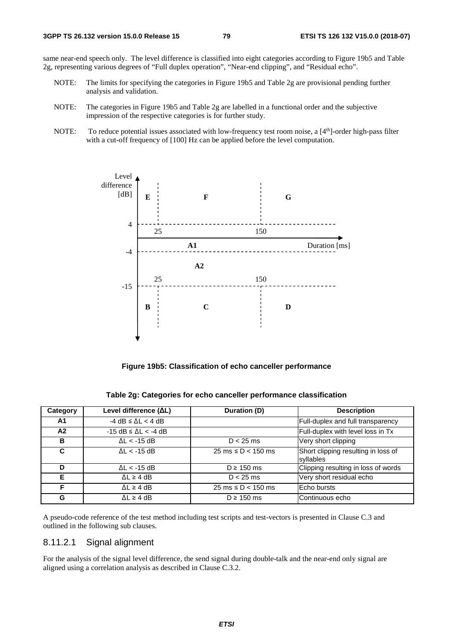same near-end speech only. The level difference is classified into eight categories according to Figure 19b5 and Table 2g, representing various degrees of "Full duplex operation", "Near-end clipping", and "Residual echo".

- NOTE: The limits for specifying the categories in Figure 19b5 and Table 2g are provisional pending further analysis and validation.
- NOTE: The categories in Figure 19b5 and Table 2g are labelled in a functional order and the subjective impression of the respective categories is for further study.
- NOTE: To reduce potential issues associated with low-frequency test room noise, a [4<sup>th</sup>]-order high-pass filter with a cut-off frequency of [100] Hz can be applied before the level computation.



**Figure 19b5: Classification of echo canceller performance** 

| Table 2g: Categories for echo canceller performance classification |  |
|--------------------------------------------------------------------|--|
|--------------------------------------------------------------------|--|

| Category | Level difference (ΔL)                | Duration (D)                            | <b>Description</b>                               |
|----------|--------------------------------------|-----------------------------------------|--------------------------------------------------|
| A1       | $-4$ dB $\leq$ $\Delta$ L $<$ 4 dB   |                                         | Full-duplex and full transparency                |
| A2       | $-15$ dB $\leq$ $\Delta$ L $<$ -4 dB |                                         | Full-duplex with level loss in Tx                |
| B        | $\Delta L < -15$ dB                  | $D < 25$ ms                             | Very short clipping                              |
| C        | $\Delta L < -15$ dB                  | $25 \text{ ms} \le D < 150 \text{ ms}$  | Short clipping resulting in loss of<br>syllables |
| D        | $\Delta L < -15$ dB                  | $D \ge 150$ ms                          | Clipping resulting in loss of words              |
| Е        | $\Delta L \geq 4$ dB                 | $D < 25$ ms                             | Very short residual echo                         |
| F        | $\Delta L \geq 4$ dB                 | $25 \text{ ms} \leq D < 150 \text{ ms}$ | Echo bursts                                      |
| G        | $\Delta L \geq 4$ dB                 | $D \ge 150$ ms                          | Continuous echo                                  |

A pseudo-code reference of the test method including test scripts and test-vectors is presented in Clause C.3 and outlined in the following sub clauses.

#### 8.11.2.1 Signal alignment

For the analysis of the signal level difference, the send signal during double-talk and the near-end only signal are aligned using a correlation analysis as described in Clause C.3.2.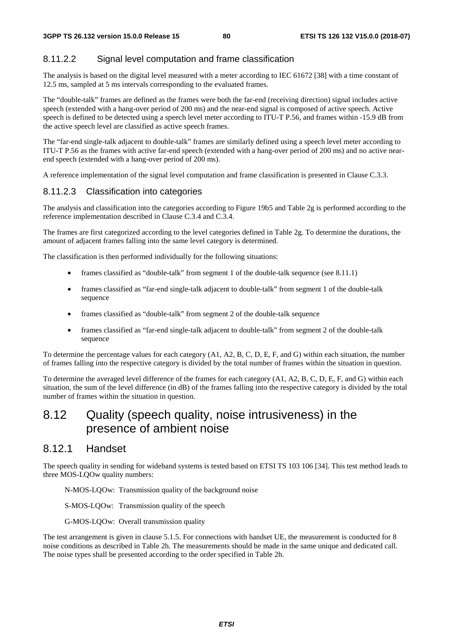### 8.11.2.2 Signal level computation and frame classification

The analysis is based on the digital level measured with a meter according to IEC 61672 [38] with a time constant of 12.5 ms, sampled at 5 ms intervals corresponding to the evaluated frames.

The "double-talk" frames are defined as the frames were both the far-end (receiving direction) signal includes active speech (extended with a hang-over period of 200 ms) and the near-end signal is composed of active speech. Active speech is defined to be detected using a speech level meter according to ITU-T P.56, and frames within -15.9 dB from the active speech level are classified as active speech frames.

The "far-end single-talk adjacent to double-talk" frames are similarly defined using a speech level meter according to ITU-T P.56 as the frames with active far-end speech (extended with a hang-over period of 200 ms) and no active nearend speech (extended with a hang-over period of 200 ms).

A reference implementation of the signal level computation and frame classification is presented in Clause C.3.3.

#### 8.11.2.3 Classification into categories

The analysis and classification into the categories according to Figure 19b5 and Table 2g is performed according to the reference implementation described in Clause C.3.4 and C.3.4.

The frames are first categorized according to the level categories defined in Table 2g. To determine the durations, the amount of adjacent frames falling into the same level category is determined.

The classification is then performed individually for the following situations:

- frames classified as "double-talk" from segment 1 of the double-talk sequence (see 8.11.1)
- frames classified as "far-end single-talk adjacent to double-talk" from segment 1 of the double-talk sequence
- frames classified as "double-talk" from segment 2 of the double-talk sequence
- frames classified as "far-end single-talk adjacent to double-talk" from segment 2 of the double-talk sequence

To determine the percentage values for each category (A1, A2, B, C, D, E, F, and G) within each situation, the number of frames falling into the respective category is divided by the total number of frames within the situation in question.

To determine the averaged level difference of the frames for each category (A1, A2, B, C, D, E, F, and G) within each situation, the sum of the level difference (in dB) of the frames falling into the respective category is divided by the total number of frames within the situation in question.

## 8.12 Quality (speech quality, noise intrusiveness) in the presence of ambient noise

### 8.12.1 Handset

The speech quality in sending for wideband systems is tested based on ETSI TS 103 106 [34]. This test method leads to three MOS-LQOw quality numbers:

N-MOS-LQOw: Transmission quality of the background noise

S-MOS-LQOw: Transmission quality of the speech

G-MOS-LQOw: Overall transmission quality

The test arrangement is given in clause 5.1.5. For connections with handset UE, the measurement is conducted for 8 noise conditions as described in Table 2h. The measurements should be made in the same unique and dedicated call. The noise types shall be presented according to the order specified in Table 2h.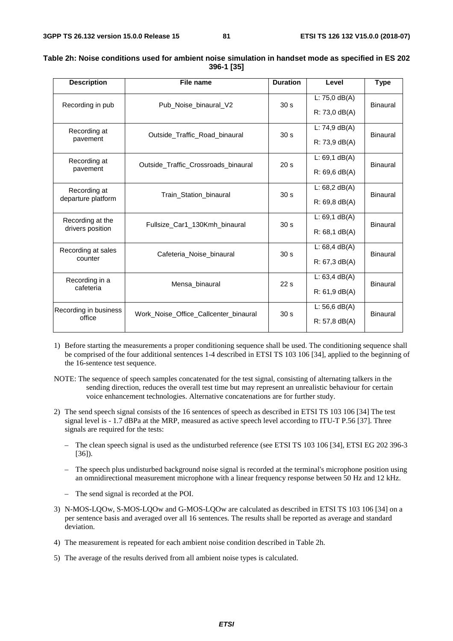| <b>Description</b>    | File name                             | <b>Duration</b> | Level            | <b>Type</b>     |  |
|-----------------------|---------------------------------------|-----------------|------------------|-----------------|--|
| Recording in pub      | Pub Noise binaural V2                 | 30 <sub>s</sub> | L: $75,0$ dB(A)  | Binaural        |  |
|                       |                                       |                 | $R: 73,0$ dB(A)  |                 |  |
| Recording at          |                                       | 30 <sub>s</sub> | L: $74,9$ dB(A)  | <b>Binaural</b> |  |
| pavement              | Outside Traffic Road binaural         |                 | $R: 73, 9$ dB(A) |                 |  |
| Recording at          | Outside Traffic Crossroads binaural   | 20 <sub>s</sub> | $L: 69, 1$ dB(A) | Binaural        |  |
| pavement              |                                       |                 | $R: 69, 6$ dB(A) |                 |  |
| Recording at          | Train Station binaural                | 30 <sub>s</sub> | L: $68,2$ dB(A)  | Binaural        |  |
| departure platform    |                                       |                 | $R: 69.8$ dB(A)  |                 |  |
| Recording at the      | Fullsize Car1 130Kmh binaural         | 30 <sub>s</sub> | L: $69,1$ dB(A)  | <b>Binaural</b> |  |
| drivers position      |                                       |                 | $R: 68, 1$ dB(A) |                 |  |
| Recording at sales    | Cafeteria Noise binaural              | 30 <sub>s</sub> | L: $68,4$ dB(A)  | Binaural        |  |
| counter               |                                       |                 | $R: 67, 3$ dB(A) |                 |  |
| Recording in a        | Mensa binaural                        | 22s             | L: $63.4$ dB(A)  | <b>Binaural</b> |  |
| cafeteria             |                                       |                 | $R: 61.9$ dB(A)  |                 |  |
| Recording in business | Work Noise Office Callcenter binaural | 30 <sub>s</sub> | L: 56,6 $dB(A)$  | Binaural        |  |
| office                |                                       |                 | $R: 57, 8$ dB(A) |                 |  |

#### **Table 2h: Noise conditions used for ambient noise simulation in handset mode as specified in ES 202 396-1 [35]**

1) Before starting the measurements a proper conditioning sequence shall be used. The conditioning sequence shall be comprised of the four additional sentences 1-4 described in ETSI TS 103 106 [34], applied to the beginning of the 16-sentence test sequence.

NOTE: The sequence of speech samples concatenated for the test signal, consisting of alternating talkers in the sending direction, reduces the overall test time but may represent an unrealistic behaviour for certain voice enhancement technologies. Alternative concatenations are for further study.

- 2) The send speech signal consists of the 16 sentences of speech as described in ETSI TS 103 106 [34] The test signal level is - 1.7 dBPa at the MRP, measured as active speech level according to ITU-T P.56 [37]. Three signals are required for the tests:
	- The clean speech signal is used as the undisturbed reference (see ETSI TS 103 106 [34], ETSI EG 202 396-3 [36]).
	- The speech plus undisturbed background noise signal is recorded at the terminal's microphone position using an omnidirectional measurement microphone with a linear frequency response between 50 Hz and 12 kHz.
	- The send signal is recorded at the POI.
- 3) N-MOS-LQOw, S-MOS-LQOw and G-MOS-LQOw are calculated as described in ETSI TS 103 106 [34] on a per sentence basis and averaged over all 16 sentences. The results shall be reported as average and standard deviation.
- 4) The measurement is repeated for each ambient noise condition described in Table 2h.
- 5) The average of the results derived from all ambient noise types is calculated.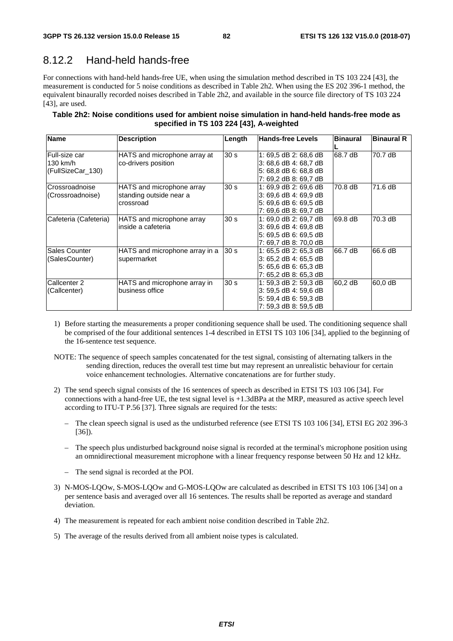### 8.12.2 Hand-held hands-free

For connections with hand-held hands-free UE, when using the simulation method described in TS 103 224 [43], the measurement is conducted for 5 noise conditions as described in Table 2h2. When using the ES 202 396-1 method, the equivalent binaurally recorded noises described in Table 2h2, and available in the source file directory of TS 103 224 [43], are used.

| Table 2h2: Noise conditions used for ambient noise simulation in hand-held hands-free mode as |
|-----------------------------------------------------------------------------------------------|
| specified in TS 103 224 [43], A-weighted                                                      |

| <b>Name</b>           | <b>Description</b>             | Length          | <b>Hands-free Levels</b> | <b>Binaural</b> | <b>Binaural R</b> |
|-----------------------|--------------------------------|-----------------|--------------------------|-----------------|-------------------|
|                       |                                |                 |                          |                 |                   |
| Full-size car         | HATS and microphone array at   | 30 <sub>s</sub> | 1: 69.5 dB 2: 68.6 dB    | 68.7 dB         | 70.7 dB           |
| 130 km/h              | co-drivers position            |                 | 3: 68,6 dB 4: 68,7 dB    |                 |                   |
| (FullSizeCar_130)     |                                |                 | 5: 68,8 dB 6: 68,8 dB    |                 |                   |
|                       |                                |                 | 7: 69,2 dB 8: 69,7 dB    |                 |                   |
| Crossroadnoise        | HATS and microphone array      | 30 <sub>s</sub> | 1: 69.9 dB 2: 69.6 dB    | 70.8 dB         | 71.6 dB           |
| (Crossroadnoise)      | standing outside near a        |                 | 3: 69.6 dB 4: 69.9 dB    |                 |                   |
|                       | crossroad                      |                 | 5: 69.6 dB 6: 69.5 dB    |                 |                   |
|                       |                                |                 | 7: 69.6 dB 8: 69.7 dB    |                 |                   |
| Cafeteria (Cafeteria) | HATS and microphone array      | 30 <sub>s</sub> | 1:69.0 dB 2:69.7 dB      | 69.8 dB         | 70.3 dB           |
|                       | inside a cafeteria             |                 | 3: 69,6 dB 4: 69,8 dB    |                 |                   |
|                       |                                |                 | 5: 69,5 dB 6: 69,5 dB    |                 |                   |
|                       |                                |                 | 7: 69.7 dB 8: 70.0 dB    |                 |                   |
| Sales Counter         | HATS and microphone array in a | 30 <sub>s</sub> | 1: 65,5 dB 2: 65,3 dB    | 66.7 dB         | 66.6 dB           |
| (SalesCounter)        | supermarket                    |                 | 3: 65,2 dB 4: 65,5 dB    |                 |                   |
|                       |                                |                 | 5: 65,6 dB 6: 65,3 dB    |                 |                   |
|                       |                                |                 | 7: 65,2 dB 8: 65,3 dB    |                 |                   |
| Callcenter 2          | HATS and microphone array in   | 30 <sub>s</sub> | 1: 59.3 dB 2: 59.3 dB    | 60,2 dB         | 60,0 dB           |
| (Callcenter)          | business office                |                 | 3: 59,5 dB 4: 59,6 dB    |                 |                   |
|                       |                                |                 | 5: 59,4 dB 6: 59,3 dB    |                 |                   |
|                       |                                |                 | 7: 59.3 dB 8: 59.5 dB    |                 |                   |

- 1) Before starting the measurements a proper conditioning sequence shall be used. The conditioning sequence shall be comprised of the four additional sentences 1-4 described in ETSI TS 103 106 [34], applied to the beginning of the 16-sentence test sequence.
- NOTE: The sequence of speech samples concatenated for the test signal, consisting of alternating talkers in the sending direction, reduces the overall test time but may represent an unrealistic behaviour for certain voice enhancement technologies. Alternative concatenations are for further study.
- 2) The send speech signal consists of the 16 sentences of speech as described in ETSI TS 103 106 [34]. For connections with a hand-free UE, the test signal level is +1.3dBPa at the MRP, measured as active speech level according to ITU-T P.56 [37]. Three signals are required for the tests:
	- The clean speech signal is used as the undisturbed reference (see ETSI TS 103 106 [34], ETSI EG 202 396-3 [36]).
	- The speech plus undisturbed background noise signal is recorded at the terminal's microphone position using an omnidirectional measurement microphone with a linear frequency response between 50 Hz and 12 kHz.
	- The send signal is recorded at the POI.
- 3) N-MOS-LQOw, S-MOS-LQOw and G-MOS-LQOw are calculated as described in ETSI TS 103 106 [34] on a per sentence basis and averaged over all 16 sentences. The results shall be reported as average and standard deviation.
- 4) The measurement is repeated for each ambient noise condition described in Table 2h2.
- 5) The average of the results derived from all ambient noise types is calculated.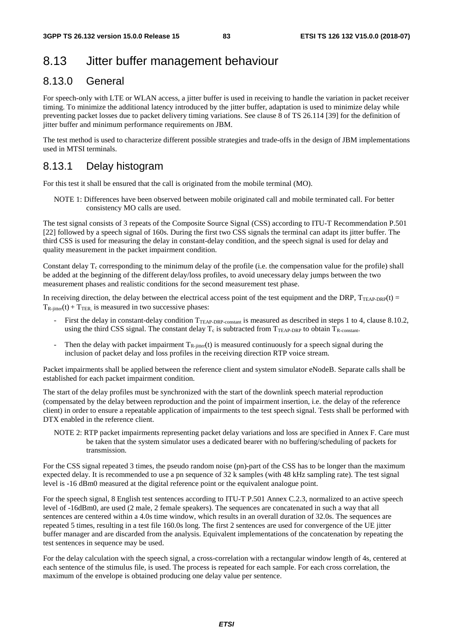# 8.13 Jitter buffer management behaviour

### 8.13.0 General

For speech-only with LTE or WLAN access, a jitter buffer is used in receiving to handle the variation in packet receiver timing. To minimize the additional latency introduced by the jitter buffer, adaptation is used to minimize delay while preventing packet losses due to packet delivery timing variations. See clause 8 of TS 26.114 [39] for the definition of jitter buffer and minimum performance requirements on JBM.

The test method is used to characterize different possible strategies and trade-offs in the design of JBM implementations used in MTSI terminals.

#### 8.13.1 Delay histogram

For this test it shall be ensured that the call is originated from the mobile terminal (MO).

NOTE 1: Differences have been observed between mobile originated call and mobile terminated call. For better consistency MO calls are used.

The test signal consists of 3 repeats of the Composite Source Signal (CSS) according to ITU-T Recommendation P.501 [22] followed by a speech signal of 160s. During the first two CSS signals the terminal can adapt its jitter buffer. The third CSS is used for measuring the delay in constant-delay condition, and the speech signal is used for delay and quality measurement in the packet impairment condition.

Constant delay  $T_c$  corresponding to the minimum delay of the profile (i.e. the compensation value for the profile) shall be added at the beginning of the different delay/loss profiles, to avoid unecessary delay jumps between the two measurement phases and realistic conditions for the second measurement test phase.

In receiving direction, the delay between the electrical access point of the test equipment and the DRP,  $T_{\text{TEAP-DRP}}(t)$  =  $T_{\text{R}-\text{inter}}(t) + T_{\text{TER}}$  is measured in two successive phases:

- First the delay in constant-delay condition T<sub>TEAP-DRP-constant</sub> is measured as described in steps 1 to 4, clause 8.10.2, using the third CSS signal. The constant delay  $T_c$  is subtracted from  $T_{TEAP-DRP}$  to obtain  $T_{R\text{-constant}}$ .
- Then the delay with packet impairment  $T_{R-jitter}(t)$  is measured continuously for a speech signal during the inclusion of packet delay and loss profiles in the receiving direction RTP voice stream.

Packet impairments shall be applied between the reference client and system simulator eNodeB. Separate calls shall be established for each packet impairment condition.

The start of the delay profiles must be synchronized with the start of the downlink speech material reproduction (compensated by the delay between reproduction and the point of impairment insertion, i.e. the delay of the reference client) in order to ensure a repeatable application of impairments to the test speech signal. Tests shall be performed with DTX enabled in the reference client.

NOTE 2: RTP packet impairments representing packet delay variations and loss are specified in Annex F. Care must be taken that the system simulator uses a dedicated bearer with no buffering/scheduling of packets for transmission.

For the CSS signal repeated 3 times, the pseudo random noise (pn)-part of the CSS has to be longer than the maximum expected delay. It is recommended to use a pn sequence of 32 k samples (with 48 kHz sampling rate). The test signal level is -16 dBm0 measured at the digital reference point or the equivalent analogue point.

For the speech signal, 8 English test sentences according to ITU-T P.501 Annex C.2.3, normalized to an active speech level of -16dBm0, are used (2 male, 2 female speakers). The sequences are concatenated in such a way that all sentences are centered within a 4.0s time window, which results in an overall duration of 32.0s. The sequences are repeated 5 times, resulting in a test file 160.0s long. The first 2 sentences are used for convergence of the UE jitter buffer manager and are discarded from the analysis. Equivalent implementations of the concatenation by repeating the test sentences in sequence may be used.

For the delay calculation with the speech signal, a cross-correlation with a rectangular window length of 4s, centered at each sentence of the stimulus file, is used. The process is repeated for each sample. For each cross correlation, the maximum of the envelope is obtained producing one delay value per sentence.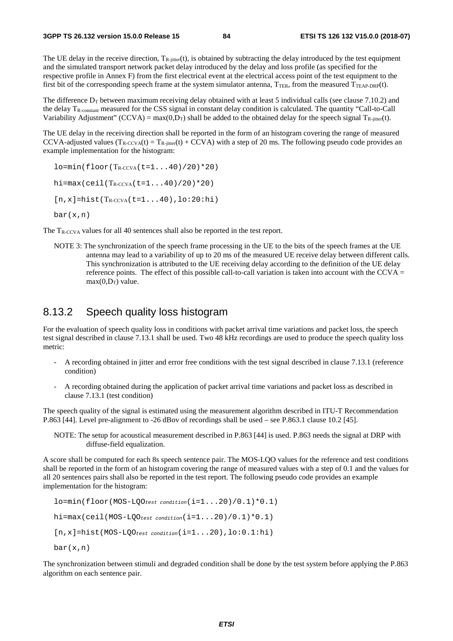The UE delay in the receive direction,  $T_{R\text{-}jitter}(t)$ , is obtained by subtracting the delay introduced by the test equipment and the simulated transport network packet delay introduced by the delay and loss profile (as specified for the respective profile in Annex F) from the first electrical event at the electrical access point of the test equipment to the first bit of the corresponding speech frame at the system simulator antenna,  $T_{TER}$ , from the measured  $T_{TEAP-DRP}(t)$ .

The difference  $D_T$  between maximum receiving delay obtained with at least 5 individual calls (see clause 7.10.2) and the delay TR-constant measured for the CSS signal in constant delay condition is calculated. The quantity "Call-to-Call Variability Adjustment" (CCVA) = max $(0, D_T)$  shall be added to the obtained delay for the speech signal  $T_{\text{R-iitter}}(t)$ .

The UE delay in the receiving direction shall be reported in the form of an histogram covering the range of measured CCVA-adjusted values  $(T_{R-CCVA}(t) = T_{R-<sub>ijtter</sub>}(t) + CCVA)$  with a step of 20 ms. The following pseudo code provides an example implementation for the histogram:

 $l$ o=min(floor(T<sub>R-CCVA</sub>(t=1...40)/20)\*20) hi=max(ceil(T<sub>R-CCVA</sub>(t=1...40)/20)\*20)  $[n,x]$ =hist(T<sub>R-CCVA</sub>(t=1...40),lo:20:hi)  $bar(x,n)$ 

The T<sub>R-CCVA</sub> values for all 40 sentences shall also be reported in the test report.

NOTE 3: The synchronization of the speech frame processing in the UE to the bits of the speech frames at the UE antenna may lead to a variability of up to 20 ms of the measured UE receive delay between different calls. This synchronization is attributed to the UE receiving delay according to the definition of the UE delay reference points. The effect of this possible call-to-call variation is taken into account with the CCVA  $=$  $max(0, D_T)$  value.

#### 8.13.2 Speech quality loss histogram

For the evaluation of speech quality loss in conditions with packet arrival time variations and packet loss, the speech test signal described in clause 7.13.1 shall be used. Two 48 kHz recordings are used to produce the speech quality loss metric:

- A recording obtained in jitter and error free conditions with the test signal described in clause 7.13.1 (reference condition)
- A recording obtained during the application of packet arrival time variations and packet loss as described in clause 7.13.1 (test condition)

The speech quality of the signal is estimated using the measurement algorithm described in ITU-T Recommendation P.863 [44]. Level pre-alignment to -26 dBov of recordings shall be used – see P.863.1 clause 10.2 [45].

NOTE: The setup for acoustical measurement described in P.863 [44] is used. P.863 needs the signal at DRP with diffuse-field equalization.

A score shall be computed for each 8s speech sentence pair. The MOS-LQO values for the reference and test conditions shall be reported in the form of an histogram covering the range of measured values with a step of 0.1 and the values for all 20 sentences pairs shall also be reported in the test report. The following pseudo code provides an example implementation for the histogram:

lo=min(floor(MOS-LQO*test condition*(i=1...20)/0.1)\*0.1) hi=max(ceil(MOS-LQO*test condition*(i=1...20)/0.1)\*0.1) [n,x]=hist(MOS-LQO*test condition*(i=1...20),lo:0.1:hi)  $bar(x,n)$ 

The synchronization between stimuli and degraded condition shall be done by the test system before applying the P.863 algorithm on each sentence pair.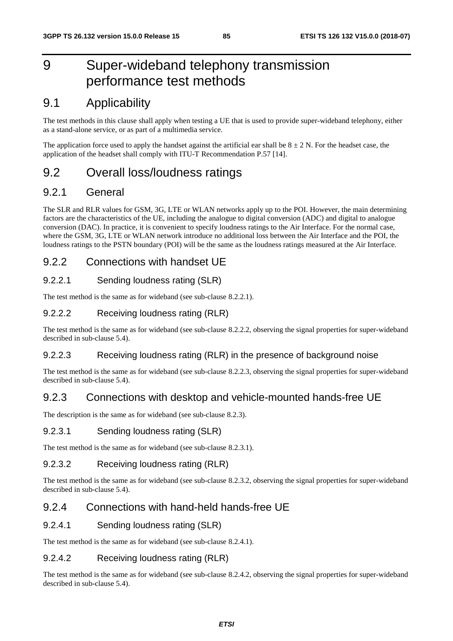# 9 Super-wideband telephony transmission performance test methods

# 9.1 Applicability

The test methods in this clause shall apply when testing a UE that is used to provide super-wideband telephony, either as a stand-alone service, or as part of a multimedia service.

The application force used to apply the handset against the artificial ear shall be  $8 \pm 2$  N. For the headset case, the application of the headset shall comply with ITU-T Recommendation P.57 [14].

## 9.2 Overall loss/loudness ratings

### 9.2.1 General

The SLR and RLR values for GSM, 3G, LTE or WLAN networks apply up to the POI. However, the main determining factors are the characteristics of the UE, including the analogue to digital conversion (ADC) and digital to analogue conversion (DAC). In practice, it is convenient to specify loudness ratings to the Air Interface. For the normal case, where the GSM, 3G, LTE or WLAN network introduce no additional loss between the Air Interface and the POI, the loudness ratings to the PSTN boundary (POI) will be the same as the loudness ratings measured at the Air Interface.

### 9.2.2 Connections with handset UE

#### 9.2.2.1 Sending loudness rating (SLR)

The test method is the same as for wideband (see sub-clause 8.2.2.1).

#### 9.2.2.2 Receiving loudness rating (RLR)

The test method is the same as for wideband (see sub-clause 8.2.2.2, observing the signal properties for super-wideband described in sub-clause 5.4).

#### 9.2.2.3 Receiving loudness rating (RLR) in the presence of background noise

The test method is the same as for wideband (see sub-clause 8.2.2.3, observing the signal properties for super-wideband described in sub-clause 5.4).

### 9.2.3 Connections with desktop and vehicle-mounted hands-free UE

The description is the same as for wideband (see sub-clause 8.2.3).

#### 9.2.3.1 Sending loudness rating (SLR)

The test method is the same as for wideband (see sub-clause 8.2.3.1).

#### 9.2.3.2 Receiving loudness rating (RLR)

The test method is the same as for wideband (see sub-clause 8.2.3.2, observing the signal properties for super-wideband described in sub-clause 5.4).

### 9.2.4 Connections with hand-held hands-free UE

#### 9.2.4.1 Sending loudness rating (SLR)

The test method is the same as for wideband (see sub-clause 8.2.4.1).

#### 9.2.4.2 Receiving loudness rating (RLR)

The test method is the same as for wideband (see sub-clause 8.2.4.2, observing the signal properties for super-wideband described in sub-clause 5.4).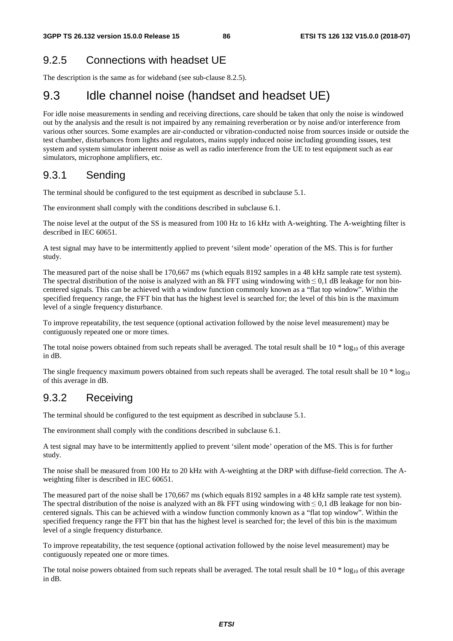### 9.2.5 Connections with headset UE

The description is the same as for wideband (see sub-clause 8.2.5).

# 9.3 Idle channel noise (handset and headset UE)

For idle noise measurements in sending and receiving directions, care should be taken that only the noise is windowed out by the analysis and the result is not impaired by any remaining reverberation or by noise and/or interference from various other sources. Some examples are air-conducted or vibration-conducted noise from sources inside or outside the test chamber, disturbances from lights and regulators, mains supply induced noise including grounding issues, test system and system simulator inherent noise as well as radio interference from the UE to test equipment such as ear simulators, microphone amplifiers, etc.

### 9.3.1 Sending

The terminal should be configured to the test equipment as described in subclause 5.1.

The environment shall comply with the conditions described in subclause 6.1.

The noise level at the output of the SS is measured from 100 Hz to 16 kHz with A-weighting. The A-weighting filter is described in IEC 60651.

A test signal may have to be intermittently applied to prevent 'silent mode' operation of the MS. This is for further study.

The measured part of the noise shall be 170,667 ms (which equals 8192 samples in a 48 kHz sample rate test system). The spectral distribution of the noise is analyzed with an 8k FFT using windowing with  $\leq 0.1$  dB leakage for non bincentered signals. This can be achieved with a window function commonly known as a "flat top window". Within the specified frequency range, the FFT bin that has the highest level is searched for; the level of this bin is the maximum level of a single frequency disturbance.

To improve repeatability, the test sequence (optional activation followed by the noise level measurement) may be contiguously repeated one or more times.

The total noise powers obtained from such repeats shall be averaged. The total result shall be  $10 * log_{10}$  of this average in dB.

The single frequency maximum powers obtained from such repeats shall be averaged. The total result shall be  $10 * log_{10}$ of this average in dB.

### 9.3.2 Receiving

The terminal should be configured to the test equipment as described in subclause 5.1.

The environment shall comply with the conditions described in subclause 6.1.

A test signal may have to be intermittently applied to prevent 'silent mode' operation of the MS. This is for further study.

The noise shall be measured from 100 Hz to 20 kHz with A-weighting at the DRP with diffuse-field correction. The Aweighting filter is described in IEC 60651.

The measured part of the noise shall be 170,667 ms (which equals 8192 samples in a 48 kHz sample rate test system). The spectral distribution of the noise is analyzed with an 8k FFT using windowing with  $\leq 0,1$  dB leakage for non bincentered signals. This can be achieved with a window function commonly known as a "flat top window". Within the specified frequency range the FFT bin that has the highest level is searched for; the level of this bin is the maximum level of a single frequency disturbance.

To improve repeatability, the test sequence (optional activation followed by the noise level measurement) may be contiguously repeated one or more times.

The total noise powers obtained from such repeats shall be averaged. The total result shall be  $10 * log_{10}$  of this average in dB.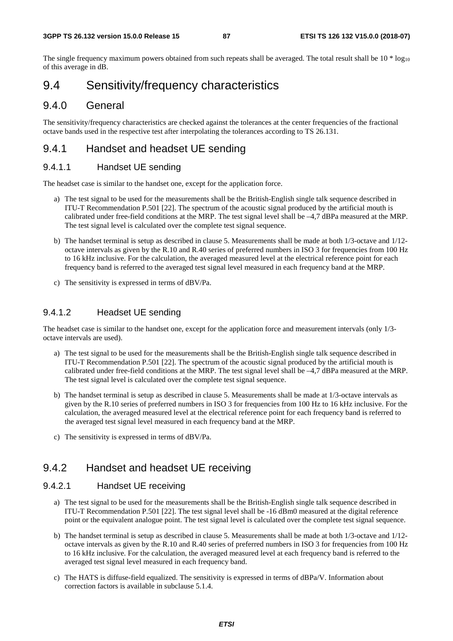The single frequency maximum powers obtained from such repeats shall be averaged. The total result shall be  $10 * log_{10}$ of this average in dB.

### 9.4 Sensitivity/frequency characteristics

### 9.4.0 General

The sensitivity/frequency characteristics are checked against the tolerances at the center frequencies of the fractional octave bands used in the respective test after interpolating the tolerances according to TS 26.131.

### 9.4.1 Handset and headset UE sending

#### 9.4.1.1 Handset UE sending

The headset case is similar to the handset one, except for the application force.

- a) The test signal to be used for the measurements shall be the British-English single talk sequence described in ITU-T Recommendation P.501 [22]. The spectrum of the acoustic signal produced by the artificial mouth is calibrated under free-field conditions at the MRP. The test signal level shall be –4,7 dBPa measured at the MRP. The test signal level is calculated over the complete test signal sequence.
- b) The handset terminal is setup as described in clause 5. Measurements shall be made at both 1/3-octave and 1/12 octave intervals as given by the R.10 and R.40 series of preferred numbers in ISO 3 for frequencies from 100 Hz to 16 kHz inclusive. For the calculation, the averaged measured level at the electrical reference point for each frequency band is referred to the averaged test signal level measured in each frequency band at the MRP.
- c) The sensitivity is expressed in terms of dBV/Pa.

#### 9.4.1.2 Headset UE sending

The headset case is similar to the handset one, except for the application force and measurement intervals (only 1/3 octave intervals are used).

- a) The test signal to be used for the measurements shall be the British-English single talk sequence described in ITU-T Recommendation P.501 [22]. The spectrum of the acoustic signal produced by the artificial mouth is calibrated under free-field conditions at the MRP. The test signal level shall be –4,7 dBPa measured at the MRP. The test signal level is calculated over the complete test signal sequence.
- b) The handset terminal is setup as described in clause 5. Measurements shall be made at 1/3-octave intervals as given by the R.10 series of preferred numbers in ISO 3 for frequencies from 100 Hz to 16 kHz inclusive. For the calculation, the averaged measured level at the electrical reference point for each frequency band is referred to the averaged test signal level measured in each frequency band at the MRP.
- c) The sensitivity is expressed in terms of dBV/Pa.

### 9.4.2 Handset and headset UE receiving

#### 9.4.2.1 Handset UE receiving

- a) The test signal to be used for the measurements shall be the British-English single talk sequence described in ITU-T Recommendation P.501 [22]. The test signal level shall be -16 dBm0 measured at the digital reference point or the equivalent analogue point. The test signal level is calculated over the complete test signal sequence.
- b) The handset terminal is setup as described in clause 5. Measurements shall be made at both 1/3-octave and 1/12 octave intervals as given by the R.10 and R.40 series of preferred numbers in ISO 3 for frequencies from 100 Hz to 16 kHz inclusive. For the calculation, the averaged measured level at each frequency band is referred to the averaged test signal level measured in each frequency band.
- c) The HATS is diffuse-field equalized. The sensitivity is expressed in terms of dBPa/V. Information about correction factors is available in subclause 5.1.4.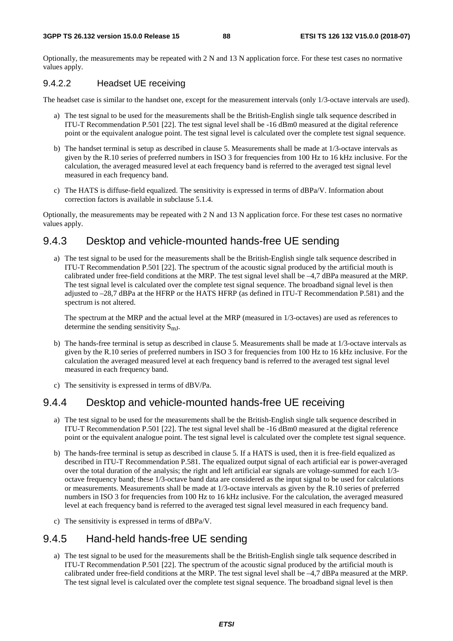Optionally, the measurements may be repeated with 2 N and 13 N application force. For these test cases no normative values apply.

#### 9.4.2.2 Headset UE receiving

The headset case is similar to the handset one, except for the measurement intervals (only 1/3-octave intervals are used).

- a) The test signal to be used for the measurements shall be the British-English single talk sequence described in ITU-T Recommendation P.501 [22]. The test signal level shall be -16 dBm0 measured at the digital reference point or the equivalent analogue point. The test signal level is calculated over the complete test signal sequence.
- b) The handset terminal is setup as described in clause 5. Measurements shall be made at 1/3-octave intervals as given by the R.10 series of preferred numbers in ISO 3 for frequencies from 100 Hz to 16 kHz inclusive. For the calculation, the averaged measured level at each frequency band is referred to the averaged test signal level measured in each frequency band.
- c) The HATS is diffuse-field equalized. The sensitivity is expressed in terms of dBPa/V. Information about correction factors is available in subclause 5.1.4.

Optionally, the measurements may be repeated with 2 N and 13 N application force. For these test cases no normative values apply.

### 9.4.3 Desktop and vehicle-mounted hands-free UE sending

a) The test signal to be used for the measurements shall be the British-English single talk sequence described in ITU-T Recommendation P.501 [22]. The spectrum of the acoustic signal produced by the artificial mouth is calibrated under free-field conditions at the MRP. The test signal level shall be –4,7 dBPa measured at the MRP. The test signal level is calculated over the complete test signal sequence. The broadband signal level is then adjusted to –28,7 dBPa at the HFRP or the HATS HFRP (as defined in ITU-T Recommendation P.581) and the spectrum is not altered.

The spectrum at the MRP and the actual level at the MRP (measured in 1/3-octaves) are used as references to determine the sending sensitivity  $S_{mI}$ .

- b) The hands-free terminal is setup as described in clause 5. Measurements shall be made at 1/3-octave intervals as given by the R.10 series of preferred numbers in ISO 3 for frequencies from 100 Hz to 16 kHz inclusive. For the calculation the averaged measured level at each frequency band is referred to the averaged test signal level measured in each frequency band.
- c) The sensitivity is expressed in terms of dBV/Pa.

### 9.4.4 Desktop and vehicle-mounted hands-free UE receiving

- a) The test signal to be used for the measurements shall be the British-English single talk sequence described in ITU-T Recommendation P.501 [22]. The test signal level shall be -16 dBm0 measured at the digital reference point or the equivalent analogue point. The test signal level is calculated over the complete test signal sequence.
- b) The hands-free terminal is setup as described in clause 5. If a HATS is used, then it is free-field equalized as described in ITU-T Recommendation P.581. The equalized output signal of each artificial ear is power-averaged over the total duration of the analysis; the right and left artificial ear signals are voltage-summed for each 1/3 octave frequency band; these 1/3-octave band data are considered as the input signal to be used for calculations or measurements. Measurements shall be made at 1/3-octave intervals as given by the R.10 series of preferred numbers in ISO 3 for frequencies from 100 Hz to 16 kHz inclusive. For the calculation, the averaged measured level at each frequency band is referred to the averaged test signal level measured in each frequency band.
- c) The sensitivity is expressed in terms of dBPa/V.

### 9.4.5 Hand-held hands-free UE sending

a) The test signal to be used for the measurements shall be the British-English single talk sequence described in ITU-T Recommendation P.501 [22]. The spectrum of the acoustic signal produced by the artificial mouth is calibrated under free-field conditions at the MRP. The test signal level shall be –4,7 dBPa measured at the MRP. The test signal level is calculated over the complete test signal sequence. The broadband signal level is then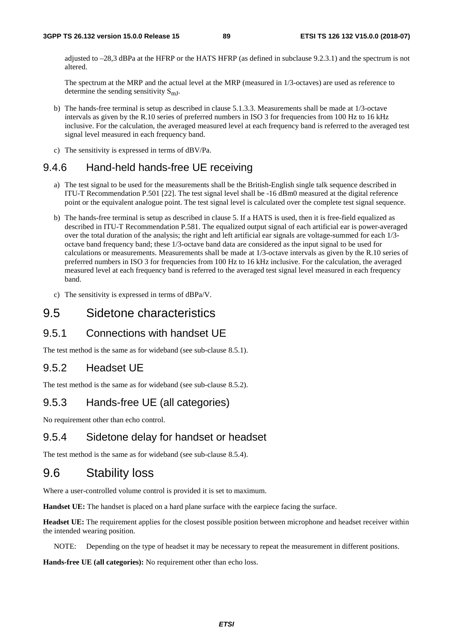adjusted to –28,3 dBPa at the HFRP or the HATS HFRP (as defined in subclause 9.2.3.1) and the spectrum is not altered.

The spectrum at the MRP and the actual level at the MRP (measured in 1/3-octaves) are used as reference to determine the sending sensitivity  $S_{mI}$ .

- b) The hands-free terminal is setup as described in clause 5.1.3.3. Measurements shall be made at 1/3-octave intervals as given by the R.10 series of preferred numbers in ISO 3 for frequencies from 100 Hz to 16 kHz inclusive. For the calculation, the averaged measured level at each frequency band is referred to the averaged test signal level measured in each frequency band.
- c) The sensitivity is expressed in terms of dBV/Pa.

### 9.4.6 Hand-held hands-free UE receiving

- a) The test signal to be used for the measurements shall be the British-English single talk sequence described in ITU-T Recommendation P.501 [22]. The test signal level shall be -16 dBm0 measured at the digital reference point or the equivalent analogue point. The test signal level is calculated over the complete test signal sequence.
- b) The hands-free terminal is setup as described in clause 5. If a HATS is used, then it is free-field equalized as described in ITU-T Recommendation P.581. The equalized output signal of each artificial ear is power-averaged over the total duration of the analysis; the right and left artificial ear signals are voltage-summed for each 1/3 octave band frequency band; these 1/3-octave band data are considered as the input signal to be used for calculations or measurements. Measurements shall be made at 1/3-octave intervals as given by the R.10 series of preferred numbers in ISO 3 for frequencies from 100 Hz to 16 kHz inclusive. For the calculation, the averaged measured level at each frequency band is referred to the averaged test signal level measured in each frequency band.
- c) The sensitivity is expressed in terms of dBPa/V.

### 9.5 Sidetone characteristics

#### 9.5.1 Connections with handset UE

The test method is the same as for wideband (see sub-clause 8.5.1).

### 9.5.2 Headset UE

The test method is the same as for wideband (see sub-clause 8.5.2).

### 9.5.3 Hands-free UE (all categories)

No requirement other than echo control.

#### 9.5.4 Sidetone delay for handset or headset

The test method is the same as for wideband (see sub-clause 8.5.4).

### 9.6 Stability loss

Where a user-controlled volume control is provided it is set to maximum.

**Handset UE:** The handset is placed on a hard plane surface with the earpiece facing the surface.

**Headset UE:** The requirement applies for the closest possible position between microphone and headset receiver within the intended wearing position.

NOTE: Depending on the type of headset it may be necessary to repeat the measurement in different positions.

**Hands-free UE (all categories):** No requirement other than echo loss.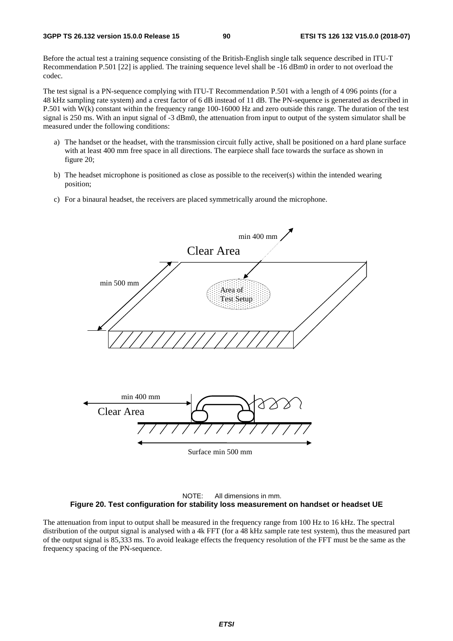Before the actual test a training sequence consisting of the British-English single talk sequence described in ITU-T Recommendation P.501 [22] is applied. The training sequence level shall be -16 dBm0 in order to not overload the codec.

The test signal is a PN-sequence complying with ITU-T Recommendation P.501 with a length of 4 096 points (for a 48 kHz sampling rate system) and a crest factor of 6 dB instead of 11 dB. The PN-sequence is generated as described in P.501 with W(k) constant within the frequency range 100-16000 Hz and zero outside this range. The duration of the test signal is 250 ms. With an input signal of -3 dBm0, the attenuation from input to output of the system simulator shall be measured under the following conditions:

- a) The handset or the headset, with the transmission circuit fully active, shall be positioned on a hard plane surface with at least 400 mm free space in all directions. The earpiece shall face towards the surface as shown in figure 20;
- b) The headset microphone is positioned as close as possible to the receiver(s) within the intended wearing position;
- c) For a binaural headset, the receivers are placed symmetrically around the microphone.





The attenuation from input to output shall be measured in the frequency range from 100 Hz to 16 kHz. The spectral distribution of the output signal is analysed with a 4k FFT (for a 48 kHz sample rate test system), thus the measured part of the output signal is 85,333 ms. To avoid leakage effects the frequency resolution of the FFT must be the same as the frequency spacing of the PN-sequence.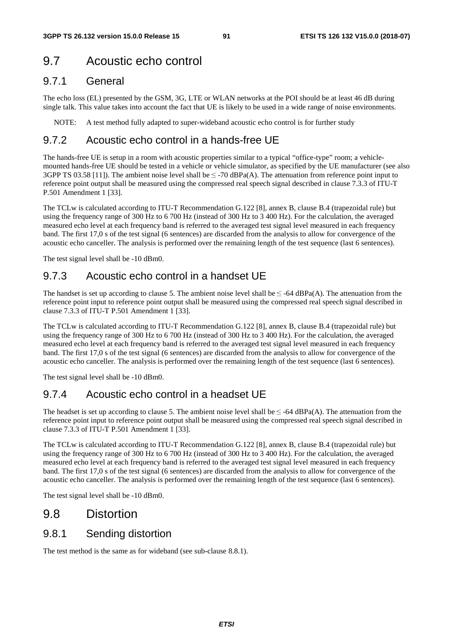# 9.7 Acoustic echo control

### 9.7.1 General

The echo loss (EL) presented by the GSM, 3G, LTE or WLAN networks at the POI should be at least 46 dB during single talk. This value takes into account the fact that UE is likely to be used in a wide range of noise environments.

NOTE: A test method fully adapted to super-wideband acoustic echo control is for further study

### 9.7.2 Acoustic echo control in a hands-free UE

The hands-free UE is setup in a room with acoustic properties similar to a typical "office-type" room; a vehiclemounted hands-free UE should be tested in a vehicle or vehicle simulator, as specified by the UE manufacturer (see also 3GPP TS 03.58 [11]). The ambient noise level shall be  $\leq$  -70 dBPa(A). The attenuation from reference point input to reference point output shall be measured using the compressed real speech signal described in clause 7.3.3 of ITU-T P.501 Amendment 1 [33].

The TCLw is calculated according to ITU-T Recommendation G.122 [8], annex B, clause B.4 (trapezoidal rule) but using the frequency range of 300 Hz to 6 700 Hz (instead of 300 Hz to 3 400 Hz). For the calculation, the averaged measured echo level at each frequency band is referred to the averaged test signal level measured in each frequency band. The first 17,0 s of the test signal (6 sentences) are discarded from the analysis to allow for convergence of the acoustic echo canceller. The analysis is performed over the remaining length of the test sequence (last 6 sentences).

The test signal level shall be -10 dBm0.

### 9.7.3 Acoustic echo control in a handset UE

The handset is set up according to clause 5. The ambient noise level shall be  $\leq$  -64 dBPa(A). The attenuation from the reference point input to reference point output shall be measured using the compressed real speech signal described in clause 7.3.3 of ITU-T P.501 Amendment 1 [33].

The TCLw is calculated according to ITU-T Recommendation G.122 [8], annex B, clause B.4 (trapezoidal rule) but using the frequency range of 300 Hz to 6 700 Hz (instead of 300 Hz to 3 400 Hz). For the calculation, the averaged measured echo level at each frequency band is referred to the averaged test signal level measured in each frequency band. The first 17,0 s of the test signal (6 sentences) are discarded from the analysis to allow for convergence of the acoustic echo canceller. The analysis is performed over the remaining length of the test sequence (last 6 sentences).

The test signal level shall be -10 dBm0.

### 9.7.4 Acoustic echo control in a headset UE

The headset is set up according to clause 5. The ambient noise level shall be  $\leq$  -64 dBPa(A). The attenuation from the reference point input to reference point output shall be measured using the compressed real speech signal described in clause 7.3.3 of ITU-T P.501 Amendment 1 [33].

The TCLw is calculated according to ITU-T Recommendation G.122 [8], annex B, clause B.4 (trapezoidal rule) but using the frequency range of 300 Hz to 6 700 Hz (instead of 300 Hz to 3 400 Hz). For the calculation, the averaged measured echo level at each frequency band is referred to the averaged test signal level measured in each frequency band. The first 17,0 s of the test signal (6 sentences) are discarded from the analysis to allow for convergence of the acoustic echo canceller. The analysis is performed over the remaining length of the test sequence (last 6 sentences).

The test signal level shall be -10 dBm0.

### 9.8 Distortion

### 9.8.1 Sending distortion

The test method is the same as for wideband (see sub-clause 8.8.1).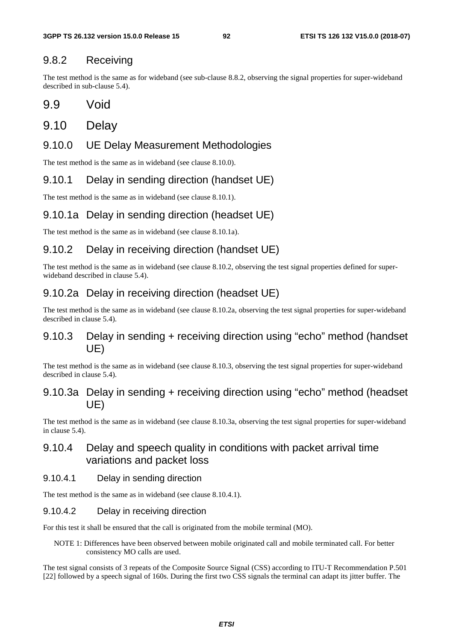### 9.8.2 Receiving

The test method is the same as for wideband (see sub-clause 8.8.2, observing the signal properties for super-wideband described in sub-clause 5.4).

9.9 Void

### 9.10 Delay

### 9.10.0 UE Delay Measurement Methodologies

The test method is the same as in wideband (see clause 8.10.0).

### 9.10.1 Delay in sending direction (handset UE)

The test method is the same as in wideband (see clause 8.10.1).

### 9.10.1a Delay in sending direction (headset UE)

The test method is the same as in wideband (see clause 8.10.1a).

### 9.10.2 Delay in receiving direction (handset UE)

The test method is the same as in wideband (see clause 8.10.2, observing the test signal properties defined for superwideband described in clause 5.4).

### 9.10.2a Delay in receiving direction (headset UE)

The test method is the same as in wideband (see clause 8.10.2a, observing the test signal properties for super-wideband described in clause 5.4).

### 9.10.3 Delay in sending + receiving direction using "echo" method (handset UE)

The test method is the same as in wideband (see clause 8.10.3, observing the test signal properties for super-wideband described in clause 5.4).

### 9.10.3a Delay in sending + receiving direction using "echo" method (headset UE)

The test method is the same as in wideband (see clause 8.10.3a, observing the test signal properties for super-wideband in clause 5.4).

### 9.10.4 Delay and speech quality in conditions with packet arrival time variations and packet loss

#### 9.10.4.1 Delay in sending direction

The test method is the same as in wideband (see clause 8.10.4.1).

#### 9.10.4.2 Delay in receiving direction

For this test it shall be ensured that the call is originated from the mobile terminal (MO).

NOTE 1: Differences have been observed between mobile originated call and mobile terminated call. For better consistency MO calls are used.

The test signal consists of 3 repeats of the Composite Source Signal (CSS) according to ITU-T Recommendation P.501 [22] followed by a speech signal of 160s. During the first two CSS signals the terminal can adapt its jitter buffer. The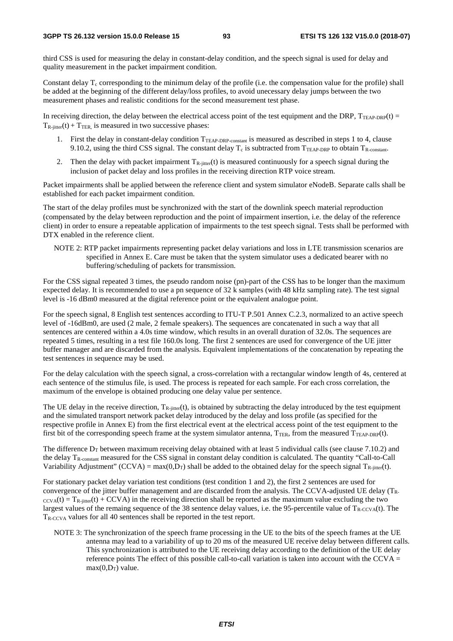third CSS is used for measuring the delay in constant-delay condition, and the speech signal is used for delay and quality measurement in the packet impairment condition.

Constant delay  $T_c$  corresponding to the minimum delay of the profile (i.e. the compensation value for the profile) shall be added at the beginning of the different delay/loss profiles, to avoid unecessary delay jumps between the two measurement phases and realistic conditions for the second measurement test phase.

In receiving direction, the delay between the electrical access point of the test equipment and the DRP,  $T_{TEAP-DRP}(t)$  =  $T_{\text{R-iiiter}}(t) + T_{\text{TER}}$  is measured in two successive phases:

- 1. First the delay in constant-delay condition  $T_{\text{TEAP-DRP-constant}}$  is measured as described in steps 1 to 4, clause 9.10.2, using the third CSS signal. The constant delay  $T_c$  is subtracted from  $T_{TRAP-DRP}$  to obtain  $T_{R\text{-constant}}$ .
- 2. Then the delay with packet impairment  $T_{R\text{-}litter}(t)$  is measured continuously for a speech signal during the inclusion of packet delay and loss profiles in the receiving direction RTP voice stream.

Packet impairments shall be applied between the reference client and system simulator eNodeB. Separate calls shall be established for each packet impairment condition.

The start of the delay profiles must be synchronized with the start of the downlink speech material reproduction (compensated by the delay between reproduction and the point of impairment insertion, i.e. the delay of the reference client) in order to ensure a repeatable application of impairments to the test speech signal. Tests shall be performed with DTX enabled in the reference client.

NOTE 2: RTP packet impairments representing packet delay variations and loss in LTE transmission scenarios are specified in Annex E. Care must be taken that the system simulator uses a dedicated bearer with no buffering/scheduling of packets for transmission.

For the CSS signal repeated 3 times, the pseudo random noise (pn)-part of the CSS has to be longer than the maximum expected delay. It is recommended to use a pn sequence of 32 k samples (with 48 kHz sampling rate). The test signal level is -16 dBm0 measured at the digital reference point or the equivalent analogue point.

For the speech signal, 8 English test sentences according to ITU-T P.501 Annex C.2.3, normalized to an active speech level of -16dBm0, are used (2 male, 2 female speakers). The sequences are concatenated in such a way that all sentences are centered within a 4.0s time window, which results in an overall duration of 32.0s. The sequences are repeated 5 times, resulting in a test file 160.0s long. The first 2 sentences are used for convergence of the UE jitter buffer manager and are discarded from the analysis. Equivalent implementations of the concatenation by repeating the test sentences in sequence may be used.

For the delay calculation with the speech signal, a cross-correlation with a rectangular window length of 4s, centered at each sentence of the stimulus file, is used. The process is repeated for each sample. For each cross correlation, the maximum of the envelope is obtained producing one delay value per sentence.

The UE delay in the receive direction,  $T_{R-jitter}(t)$ , is obtained by subtracting the delay introduced by the test equipment and the simulated transport network packet delay introduced by the delay and loss profile (as specified for the respective profile in Annex E) from the first electrical event at the electrical access point of the test equipment to the first bit of the corresponding speech frame at the system simulator antenna,  $T_{TER}$ , from the measured  $T_{TEAP-DRP}(t)$ .

The difference  $D<sub>T</sub>$  between maximum receiving delay obtained with at least 5 individual calls (see clause 7.10.2) and the delay  $T_{\text{R-constant}}$  measured for the CSS signal in constant delay condition is calculated. The quantity "Call-to-Call" Variability Adjustment" (CCVA) = max(0,D<sub>T</sub>) shall be added to the obtained delay for the speech signal T<sub>R-jitter</sub>(t).

For stationary packet delay variation test conditions (test condition 1 and 2), the first 2 sentences are used for convergence of the jitter buffer management and are discarded from the analysis. The CCVA-adjusted UE delay (TR- $\text{CCv}(t) = T_R$ -jitter(t) + CCVA) in the receiving direction shall be reported as the maximum value excluding the two largest values of the remaing sequence of the 38 sentence delay values, i.e. the 95-percentile value of  $T_{R-CCVA}(t)$ . The  $T_{R-CCVA}$  values for all 40 sentences shall be reported in the test report.

NOTE 3: The synchronization of the speech frame processing in the UE to the bits of the speech frames at the UE antenna may lead to a variability of up to 20 ms of the measured UE receive delay between different calls. This synchronization is attributed to the UE receiving delay according to the definition of the UE delay reference points The effect of this possible call-to-call variation is taken into account with the CCVA =  $max(0, D_T)$  value.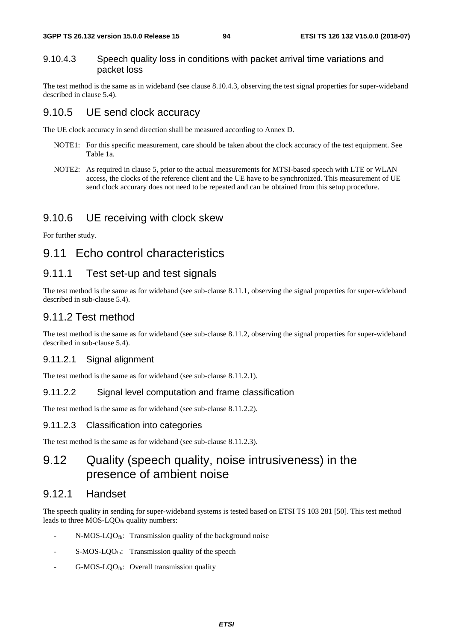#### 9.10.4.3 Speech quality loss in conditions with packet arrival time variations and packet loss

The test method is the same as in wideband (see clause 8.10.4.3, observing the test signal properties for super-wideband described in clause 5.4).

### 9.10.5 UE send clock accuracy

The UE clock accuracy in send direction shall be measured according to Annex D.

- NOTE1: For this specific measurement, care should be taken about the clock accuracy of the test equipment. See Table 1a.
- NOTE2: As required in clause 5, prior to the actual measurements for MTSI-based speech with LTE or WLAN access, the clocks of the reference client and the UE have to be synchronized. This measurement of UE send clock accurary does not need to be repeated and can be obtained from this setup procedure.

### 9.10.6 UE receiving with clock skew

For further study.

## 9.11 Echo control characteristics

### 9.11.1 Test set-up and test signals

The test method is the same as for wideband (see sub-clause 8.11.1, observing the signal properties for super-wideband described in sub-clause 5.4).

### 9.11.2 Test method

The test method is the same as for wideband (see sub-clause 8.11.2, observing the signal properties for super-wideband described in sub-clause 5.4).

#### 9.11.2.1 Signal alignment

The test method is the same as for wideband (see sub-clause 8.11.2.1).

#### 9.11.2.2 Signal level computation and frame classification

The test method is the same as for wideband (see sub-clause 8.11.2.2).

#### 9.11.2.3 Classification into categories

The test method is the same as for wideband (see sub-clause 8.11.2.3).

# 9.12 Quality (speech quality, noise intrusiveness) in the presence of ambient noise

#### 9.12.1 Handset

The speech quality in sending for super-wideband systems is tested based on ETSI TS 103 281 [50]. This test method leads to three MOS-LQO<sub>fb</sub> quality numbers:

- $N-MOS-LOO<sub>fb</sub>:$  Transmission quality of the background noise
- S-MOS-LQOfb: Transmission quality of the speech
- $G-MOS-LQO<sub>fb</sub>:$  Overall transmission quality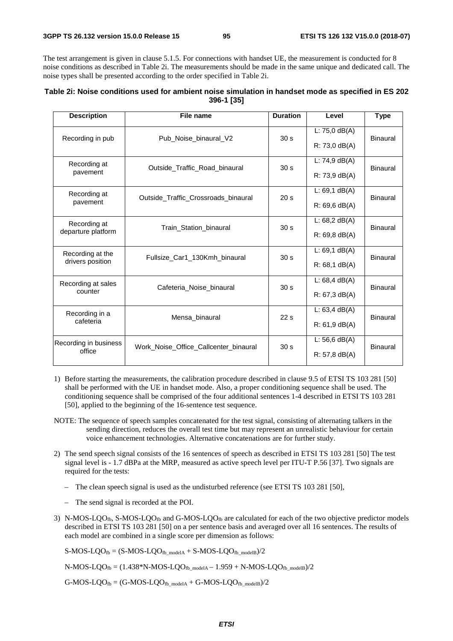The test arrangement is given in clause 5.1.5. For connections with handset UE, the measurement is conducted for 8 noise conditions as described in Table 2i. The measurements should be made in the same unique and dedicated call. The noise types shall be presented according to the order specified in Table 2i.

| Table 2i: Noise conditions used for ambient noise simulation in handset mode as specified in ES 202 |  |
|-----------------------------------------------------------------------------------------------------|--|
| 396-1 [35]                                                                                          |  |

| <b>Description</b>    | File name                             | <b>Duration</b>                     | Level            | <b>Type</b>     |  |
|-----------------------|---------------------------------------|-------------------------------------|------------------|-----------------|--|
| Recording in pub      | Pub Noise binaural V2                 | 30 <sub>s</sub>                     | L: $75,0$ dB(A)  | <b>Binaural</b> |  |
|                       |                                       |                                     | $R: 73,0$ dB(A)  |                 |  |
| Recording at          | Outside Traffic Road binaural         | 30 <sub>s</sub>                     | L: $74,9$ dB(A)  | Binaural        |  |
| pavement              |                                       |                                     | $R: 73, 9$ dB(A) |                 |  |
| Recording at          |                                       | 20 <sub>s</sub>                     | $L: 69, 1$ dB(A) | Binaural        |  |
| pavement              |                                       | Outside_Traffic_Crossroads_binaural |                  |                 |  |
| Recording at          | Train_Station_binaural                | 30 <sub>s</sub>                     | L: $68,2$ dB(A)  | Binaural        |  |
| departure platform    |                                       |                                     | $R: 69, 8$ dB(A) |                 |  |
| Recording at the      | Fullsize Car1_130Kmh_binaural         | 30 <sub>s</sub>                     | $L: 69, 1$ dB(A) | Binaural        |  |
| drivers position      |                                       |                                     | $R: 68.1$ dB(A)  |                 |  |
| Recording at sales    | Cafeteria Noise binaural              | 30 <sub>s</sub>                     | $L: 68,4$ dB(A)  | <b>Binaural</b> |  |
| counter               |                                       |                                     | R: 67, 3 dB(A)   |                 |  |
| Recording in a        | Mensa binaural                        | 22s                                 | L: $63,4$ dB(A)  | Binaural        |  |
| cafeteria             |                                       |                                     | $R: 61, 9$ dB(A) |                 |  |
| Recording in business | Work_Noise_Office_Callcenter_binaural | 30 <sub>s</sub>                     | L: $56,6$ dB(A)  | Binaural        |  |
| office                |                                       |                                     | $R: 57, 8$ dB(A) |                 |  |

- 1) Before starting the measurements, the calibration procedure described in clause 9.5 of ETSI TS 103 281 [50] shall be performed with the UE in handset mode. Also, a proper conditioning sequence shall be used. The conditioning sequence shall be comprised of the four additional sentences 1-4 described in ETSI TS 103 281 [50], applied to the beginning of the 16-sentence test sequence.
- NOTE: The sequence of speech samples concatenated for the test signal, consisting of alternating talkers in the sending direction, reduces the overall test time but may represent an unrealistic behaviour for certain voice enhancement technologies. Alternative concatenations are for further study.
- 2) The send speech signal consists of the 16 sentences of speech as described in ETSI TS 103 281 [50] The test signal level is - 1.7 dBPa at the MRP, measured as active speech level per ITU-T P.56 [37]. Two signals are required for the tests:
	- The clean speech signal is used as the undisturbed reference (see ETSI TS 103 281 [50],
	- The send signal is recorded at the POI.
- 3) N-MOS-LQO<sub>fb</sub>, S-MOS-LQO<sub>fb</sub> and G-MOS-LQO<sub>fb</sub> are calculated for each of the two objective predictor models described in ETSI TS 103 281 [50] on a per sentence basis and averaged over all 16 sentences. The results of each model are combined in a single score per dimension as follows:

 $S-MOS-LQO<sub>fb</sub> = (S-MOS-LQO<sub>fb_modelA</sub> + S-MOS-LQO<sub>fb_modelB</sub>)/2$ 

 $N-MOS-LQO<sub>fb</sub> = (1.438*N-MOS-LQO<sub>fb_modelA</sub> - 1.959 + N-MOS-LQO<sub>fb_modelB</sub>)/2$ 

 $G-MOS-LQO_{fb} = (G-MOS-LQO_{fb\_modelA} + G-MOS-LQO_{fb\_modelB})/2$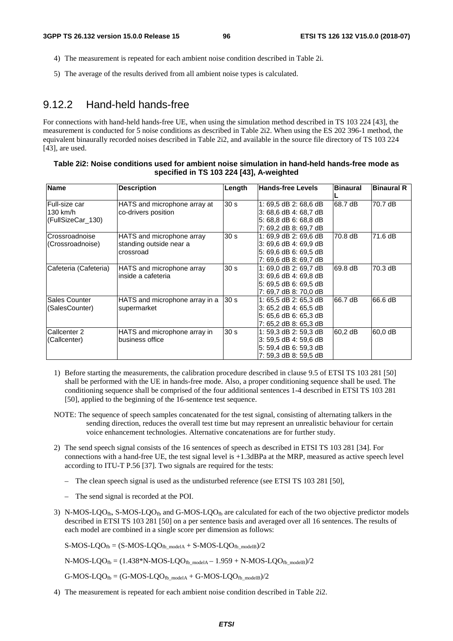- 4) The measurement is repeated for each ambient noise condition described in Table 2i.
- 5) The average of the results derived from all ambient noise types is calculated.

### 9.12.2 Hand-held hands-free

For connections with hand-held hands-free UE, when using the simulation method described in TS 103 224 [43], the measurement is conducted for 5 noise conditions as described in Table 2i2. When using the ES 202 396-1 method, the equivalent binaurally recorded noises described in Table 2i2, and available in the source file directory of TS 103 224 [43], are used.

#### **Table 2i2: Noise conditions used for ambient noise simulation in hand-held hands-free mode as specified in TS 103 224 [43], A-weighted**

| <b>Name</b>           | <b>Description</b>             | Length          | <b>Hands-free Levels</b> | <b>Binaural</b> | <b>Binaural R</b> |
|-----------------------|--------------------------------|-----------------|--------------------------|-----------------|-------------------|
| Full-size car         | HATS and microphone array at   | 30 <sub>s</sub> | 1: 69,5 dB 2: 68,6 dB    | 68.7 dB         | 70.7 dB           |
| 130 km/h              | co-drivers position            |                 | 3: 68,6 dB 4: 68,7 dB    |                 |                   |
| (FullSizeCar 130)     |                                |                 | 5: 68,8 dB 6: 68,8 dB    |                 |                   |
|                       |                                |                 | 7: 69,2 dB 8: 69,7 dB    |                 |                   |
| Crossroadnoise        | HATS and microphone array      | 30 <sub>s</sub> | 1: 69.9 dB 2: 69.6 dB    | 70.8 dB         | 71.6 dB           |
| (Crossroadnoise)      | standing outside near a        |                 | 3: 69,6 dB 4: 69,9 dB    |                 |                   |
|                       | crossroad                      |                 | 5: 69,6 dB 6: 69,5 dB    |                 |                   |
|                       |                                |                 | 7: 69.6 dB 8: 69.7 dB    |                 |                   |
| Cafeteria (Cafeteria) | HATS and microphone array      | 30 <sub>s</sub> | 1: 69,0 dB 2: 69,7 dB    | 69.8 dB         | 70.3 dB           |
|                       | inside a cafeteria             |                 | 3: 69,6 dB 4: 69,8 dB    |                 |                   |
|                       |                                |                 | 5: 69,5 dB 6: 69,5 dB    |                 |                   |
|                       |                                |                 | 7: 69.7 dB 8: 70.0 dB    |                 |                   |
| Sales Counter         | HATS and microphone array in a | 30 <sub>s</sub> | 1: 65,5 dB 2: 65,3 dB    | 66.7 dB         | 66.6 dB           |
| (SalesCounter)        | supermarket                    |                 | 3: 65,2 dB 4: 65,5 dB    |                 |                   |
|                       |                                |                 | 5: 65,6 dB 6: 65,3 dB    |                 |                   |
|                       |                                |                 | 7: 65,2 dB 8: 65,3 dB    |                 |                   |
| Callcenter 2          | HATS and microphone array in   | 30 <sub>s</sub> | 1: 59,3 dB 2: 59,3 dB    | 60,2 dB         | 60,0 dB           |
| (Callcenter)          | business office                |                 | 3: 59.5 dB 4: 59.6 dB    |                 |                   |
|                       |                                |                 | 5: 59,4 dB 6: 59,3 dB    |                 |                   |
|                       |                                |                 | 7: 59.3 dB 8: 59.5 dB    |                 |                   |

- 1) Before starting the measurements, the calibration procedure described in clause 9.5 of ETSI TS 103 281 [50] shall be performed with the UE in hands-free mode. Also, a proper conditioning sequence shall be used. The conditioning sequence shall be comprised of the four additional sentences 1-4 described in ETSI TS 103 281 [50], applied to the beginning of the 16-sentence test sequence.
- NOTE: The sequence of speech samples concatenated for the test signal, consisting of alternating talkers in the sending direction, reduces the overall test time but may represent an unrealistic behaviour for certain voice enhancement technologies. Alternative concatenations are for further study.
- 2) The send speech signal consists of the 16 sentences of speech as described in ETSI TS 103 281 [34]. For connections with a hand-free UE, the test signal level is +1.3dBPa at the MRP, measured as active speech level according to ITU-T P.56 [37]. Two signals are required for the tests:
	- The clean speech signal is used as the undisturbed reference (see ETSI TS 103 281 [50],
	- The send signal is recorded at the POI.
- 3) N-MOS-LQO<sub>fb</sub>, S-MOS-LQO<sub>fb</sub> and G-MOS-LQO<sub>fb</sub> are calculated for each of the two objective predictor models described in ETSI TS 103 281 [50] on a per sentence basis and averaged over all 16 sentences. The results of each model are combined in a single score per dimension as follows:

 $S-MOS-LQO<sub>fb</sub> = (S-MOS-LQO<sub>fb</sub>_{modelA} + S-MOS-LQO<sub>fb</sub>_{modelB})/2$ 

 $N-MOS-LQO_{fb} = (1.438*N-MOS-LQO_{fb\_modelA} - 1.959 + N-MOS-LQO_{fb\_modelB})/2$ 

 $G-MOS-LQO_{fb} = (G-MOS-LQO_{fb\_modelA} + G-MOS-LQO_{fb\_modelB})/2$ 

4) The measurement is repeated for each ambient noise condition described in Table 2i2.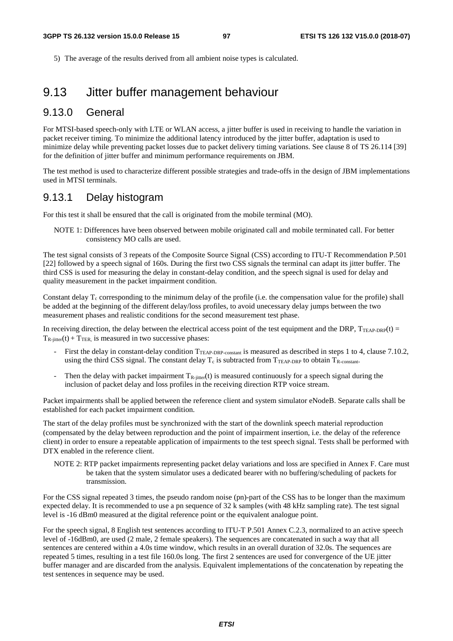5) The average of the results derived from all ambient noise types is calculated.

### 9.13 Jitter buffer management behaviour

#### 9.13.0 General

For MTSI-based speech-only with LTE or WLAN access, a jitter buffer is used in receiving to handle the variation in packet receiver timing. To minimize the additional latency introduced by the jitter buffer, adaptation is used to minimize delay while preventing packet losses due to packet delivery timing variations. See clause 8 of TS 26.114 [39] for the definition of jitter buffer and minimum performance requirements on JBM.

The test method is used to characterize different possible strategies and trade-offs in the design of JBM implementations used in MTSI terminals.

#### 9.13.1 Delay histogram

For this test it shall be ensured that the call is originated from the mobile terminal (MO).

NOTE 1: Differences have been observed between mobile originated call and mobile terminated call. For better consistency MO calls are used.

The test signal consists of 3 repeats of the Composite Source Signal (CSS) according to ITU-T Recommendation P.501 [22] followed by a speech signal of 160s. During the first two CSS signals the terminal can adapt its jitter buffer. The third CSS is used for measuring the delay in constant-delay condition, and the speech signal is used for delay and quality measurement in the packet impairment condition.

Constant delay  $T_c$  corresponding to the minimum delay of the profile (i.e. the compensation value for the profile) shall be added at the beginning of the different delay/loss profiles, to avoid unecessary delay jumps between the two measurement phases and realistic conditions for the second measurement test phase.

In receiving direction, the delay between the electrical access point of the test equipment and the DRP,  $T_{TEAP-DRP}(t)$  =  $T_{\text{R-inter}}(t) + T_{\text{TER}}$  is measured in two successive phases:

- First the delay in constant-delay condition T<sub>TEAP-DRP-constant</sub> is measured as described in steps 1 to 4, clause 7.10.2, using the third CSS signal. The constant delay  $T_c$  is subtracted from  $T_{T\text{EAP-DRP}}$  to obtain  $T_{R\text{-constant}}$ .
- Then the delay with packet impairment  $T_{R-iitter}(t)$  is measured continuously for a speech signal during the inclusion of packet delay and loss profiles in the receiving direction RTP voice stream.

Packet impairments shall be applied between the reference client and system simulator eNodeB. Separate calls shall be established for each packet impairment condition.

The start of the delay profiles must be synchronized with the start of the downlink speech material reproduction (compensated by the delay between reproduction and the point of impairment insertion, i.e. the delay of the reference client) in order to ensure a repeatable application of impairments to the test speech signal. Tests shall be performed with DTX enabled in the reference client.

NOTE 2: RTP packet impairments representing packet delay variations and loss are specified in Annex F. Care must be taken that the system simulator uses a dedicated bearer with no buffering/scheduling of packets for transmission.

For the CSS signal repeated 3 times, the pseudo random noise (pn)-part of the CSS has to be longer than the maximum expected delay. It is recommended to use a pn sequence of 32 k samples (with 48 kHz sampling rate). The test signal level is -16 dBm0 measured at the digital reference point or the equivalent analogue point.

For the speech signal, 8 English test sentences according to ITU-T P.501 Annex C.2.3, normalized to an active speech level of -16dBm0, are used (2 male, 2 female speakers). The sequences are concatenated in such a way that all sentences are centered within a 4.0s time window, which results in an overall duration of 32.0s. The sequences are repeated 5 times, resulting in a test file 160.0s long. The first 2 sentences are used for convergence of the UE jitter buffer manager and are discarded from the analysis. Equivalent implementations of the concatenation by repeating the test sentences in sequence may be used.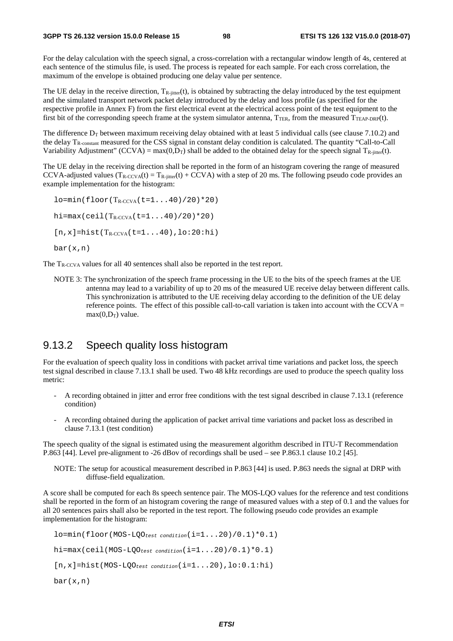For the delay calculation with the speech signal, a cross-correlation with a rectangular window length of 4s, centered at each sentence of the stimulus file, is used. The process is repeated for each sample. For each cross correlation, the maximum of the envelope is obtained producing one delay value per sentence.

The UE delay in the receive direction,  $T_{\text{R-inter}}(t)$ , is obtained by subtracting the delay introduced by the test equipment and the simulated transport network packet delay introduced by the delay and loss profile (as specified for the respective profile in Annex F) from the first electrical event at the electrical access point of the test equipment to the first bit of the corresponding speech frame at the system simulator antenna,  $T_{TER}$ , from the measured  $T_{TERP-DRP}(t)$ .

The difference  $D_T$  between maximum receiving delay obtained with at least 5 individual calls (see clause 7.10.2) and the delay  $T_{\rm R\text{-constant}}$  measured for the CSS signal in constant delay condition is calculated. The quantity "Call-to-Call" Variability Adjustment" (CCVA) = max $(0,D_T)$  shall be added to the obtained delay for the speech signal  $T_{R\text{-inter}}(t)$ .

The UE delay in the receiving direction shall be reported in the form of an histogram covering the range of measured CCVA-adjusted values  $(T_{R-CCVA}(t) = T_{R-iitter}(t) + CCVA)$  with a step of 20 ms. The following pseudo code provides an example implementation for the histogram:

 $l$ o=min(floor(T<sub>R-CCVA</sub>(t=1...40)/20)\*20)  $hi = max(ceil(T_{R-CVA}(t=1...40)/20)*20)$  $[n,x]$ =hist(T<sub>R-CCVA</sub>(t=1...40),lo:20:hi) bar(x,n)

The T<sub>R-CCVA</sub> values for all 40 sentences shall also be reported in the test report.

NOTE 3: The synchronization of the speech frame processing in the UE to the bits of the speech frames at the UE antenna may lead to a variability of up to 20 ms of the measured UE receive delay between different calls. This synchronization is attributed to the UE receiving delay according to the definition of the UE delay reference points. The effect of this possible call-to-call variation is taken into account with the CCVA  $=$  $max(0.D<sub>T</sub>)$  value.

#### 9.13.2 Speech quality loss histogram

For the evaluation of speech quality loss in conditions with packet arrival time variations and packet loss, the speech test signal described in clause 7.13.1 shall be used. Two 48 kHz recordings are used to produce the speech quality loss metric:

- A recording obtained in jitter and error free conditions with the test signal described in clause 7.13.1 (reference condition)
- A recording obtained during the application of packet arrival time variations and packet loss as described in clause 7.13.1 (test condition)

The speech quality of the signal is estimated using the measurement algorithm described in ITU-T Recommendation P.863 [44]. Level pre-alignment to -26 dBov of recordings shall be used – see P.863.1 clause 10.2 [45].

NOTE: The setup for acoustical measurement described in P.863 [44] is used. P.863 needs the signal at DRP with diffuse-field equalization.

A score shall be computed for each 8s speech sentence pair. The MOS-LQO values for the reference and test conditions shall be reported in the form of an histogram covering the range of measured values with a step of 0.1 and the values for all 20 sentences pairs shall also be reported in the test report. The following pseudo code provides an example implementation for the histogram:

```
lo=min(floor(MOS-LQOtest condition(i=1...20)/0.1)*0.1) 
hi=max(ceil(MOS-LQOtest condition(i=1...20)/0.1)*0.1) 
[n,x]=hist(MOS-LQOtest condition(i=1...20),lo:0.1:hi) 
bar(x,n)
```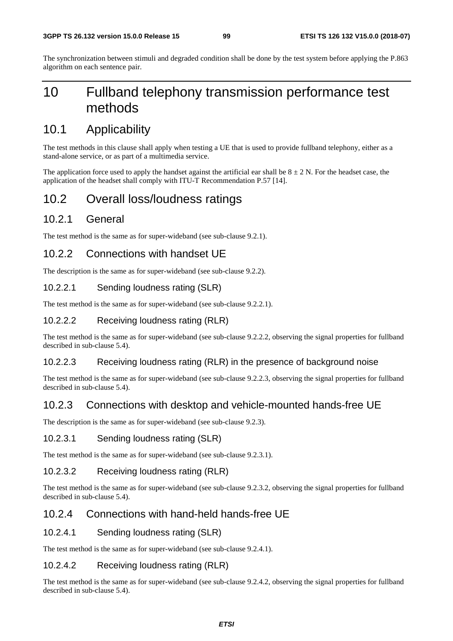The synchronization between stimuli and degraded condition shall be done by the test system before applying the P.863 algorithm on each sentence pair.

# 10 Fullband telephony transmission performance test methods

# 10.1 Applicability

The test methods in this clause shall apply when testing a UE that is used to provide fullband telephony, either as a stand-alone service, or as part of a multimedia service.

The application force used to apply the handset against the artificial ear shall be  $8 \pm 2$  N. For the headset case, the application of the headset shall comply with ITU-T Recommendation P.57 [14].

## 10.2 Overall loss/loudness ratings

### 10.2.1 General

The test method is the same as for super-wideband (see sub-clause 9.2.1).

### 10.2.2 Connections with handset UE

The description is the same as for super-wideband (see sub-clause 9.2.2).

#### 10.2.2.1 Sending loudness rating (SLR)

The test method is the same as for super-wideband (see sub-clause 9.2.2.1).

#### 10.2.2.2 Receiving loudness rating (RLR)

The test method is the same as for super-wideband (see sub-clause 9.2.2.2, observing the signal properties for fullband described in sub-clause 5.4).

#### 10.2.2.3 Receiving loudness rating (RLR) in the presence of background noise

The test method is the same as for super-wideband (see sub-clause 9.2.2.3, observing the signal properties for fullband described in sub-clause 5.4).

### 10.2.3 Connections with desktop and vehicle-mounted hands-free UE

The description is the same as for super-wideband (see sub-clause 9.2.3).

#### 10.2.3.1 Sending loudness rating (SLR)

The test method is the same as for super-wideband (see sub-clause 9.2.3.1).

#### 10.2.3.2 Receiving loudness rating (RLR)

The test method is the same as for super-wideband (see sub-clause 9.2.3.2, observing the signal properties for fullband described in sub-clause 5.4).

### 10.2.4 Connections with hand-held hands-free UE

#### 10.2.4.1 Sending loudness rating (SLR)

The test method is the same as for super-wideband (see sub-clause 9.2.4.1).

#### 10.2.4.2 Receiving loudness rating (RLR)

The test method is the same as for super-wideband (see sub-clause 9.2.4.2, observing the signal properties for fullband described in sub-clause 5.4).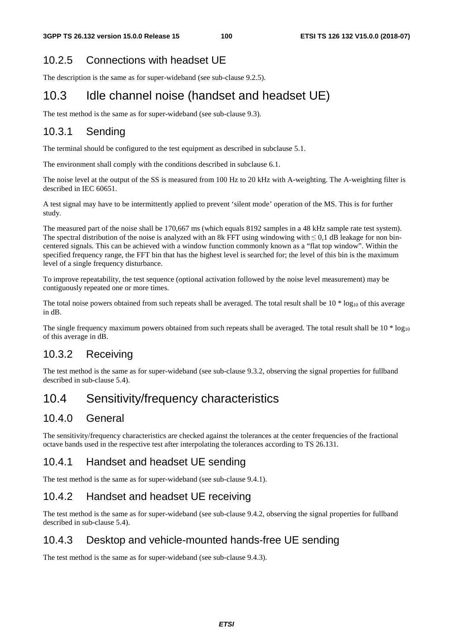### 10.2.5 Connections with headset UE

The description is the same as for super-wideband (see sub-clause 9.2.5).

# 10.3 Idle channel noise (handset and headset UE)

The test method is the same as for super-wideband (see sub-clause 9.3).

### 10.3.1 Sending

The terminal should be configured to the test equipment as described in subclause 5.1.

The environment shall comply with the conditions described in subclause 6.1.

The noise level at the output of the SS is measured from 100 Hz to 20 kHz with A-weighting. The A-weighting filter is described in IEC 60651.

A test signal may have to be intermittently applied to prevent 'silent mode' operation of the MS. This is for further study.

The measured part of the noise shall be 170,667 ms (which equals 8192 samples in a 48 kHz sample rate test system). The spectral distribution of the noise is analyzed with an 8k FFT using windowing with  $\leq 0,1$  dB leakage for non bincentered signals. This can be achieved with a window function commonly known as a "flat top window". Within the specified frequency range, the FFT bin that has the highest level is searched for; the level of this bin is the maximum level of a single frequency disturbance.

To improve repeatability, the test sequence (optional activation followed by the noise level measurement) may be contiguously repeated one or more times.

The total noise powers obtained from such repeats shall be averaged. The total result shall be  $10 * log_{10}$  of this average in dB.

The single frequency maximum powers obtained from such repeats shall be averaged. The total result shall be  $10 * log_{10}$ of this average in dB.

### 10.3.2 Receiving

The test method is the same as for super-wideband (see sub-clause 9.3.2, observing the signal properties for fullband described in sub-clause 5.4).

# 10.4 Sensitivity/frequency characteristics

### 10.4.0 General

The sensitivity/frequency characteristics are checked against the tolerances at the center frequencies of the fractional octave bands used in the respective test after interpolating the tolerances according to TS 26.131.

### 10.4.1 Handset and headset UE sending

The test method is the same as for super-wideband (see sub-clause 9.4.1).

### 10.4.2 Handset and headset UE receiving

The test method is the same as for super-wideband (see sub-clause 9.4.2, observing the signal properties for fullband described in sub-clause 5.4).

### 10.4.3 Desktop and vehicle-mounted hands-free UE sending

The test method is the same as for super-wideband (see sub-clause 9.4.3).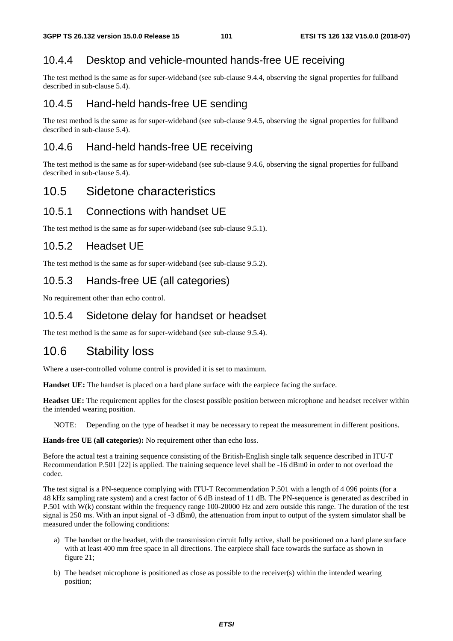### 10.4.4 Desktop and vehicle-mounted hands-free UE receiving

The test method is the same as for super-wideband (see sub-clause 9.4.4, observing the signal properties for fullband described in sub-clause 5.4).

### 10.4.5 Hand-held hands-free UE sending

The test method is the same as for super-wideband (see sub-clause 9.4.5, observing the signal properties for fullband described in sub-clause 5.4).

### 10.4.6 Hand-held hands-free UE receiving

The test method is the same as for super-wideband (see sub-clause 9.4.6, observing the signal properties for fullband described in sub-clause 5.4).

### 10.5 Sidetone characteristics

### 10.5.1 Connections with handset UE

The test method is the same as for super-wideband (see sub-clause 9.5.1).

### 10.5.2 Headset UE

The test method is the same as for super-wideband (see sub-clause 9.5.2).

### 10.5.3 Hands-free UE (all categories)

No requirement other than echo control.

### 10.5.4 Sidetone delay for handset or headset

The test method is the same as for super-wideband (see sub-clause 9.5.4).

## 10.6 Stability loss

Where a user-controlled volume control is provided it is set to maximum.

**Handset UE:** The handset is placed on a hard plane surface with the earpiece facing the surface.

**Headset UE:** The requirement applies for the closest possible position between microphone and headset receiver within the intended wearing position.

NOTE: Depending on the type of headset it may be necessary to repeat the measurement in different positions.

**Hands-free UE (all categories):** No requirement other than echo loss.

Before the actual test a training sequence consisting of the British-English single talk sequence described in ITU-T Recommendation P.501 [22] is applied. The training sequence level shall be -16 dBm0 in order to not overload the codec.

The test signal is a PN-sequence complying with ITU-T Recommendation P.501 with a length of 4 096 points (for a 48 kHz sampling rate system) and a crest factor of 6 dB instead of 11 dB. The PN-sequence is generated as described in P.501 with W(k) constant within the frequency range 100-20000 Hz and zero outside this range. The duration of the test signal is 250 ms. With an input signal of -3 dBm0, the attenuation from input to output of the system simulator shall be measured under the following conditions:

- a) The handset or the headset, with the transmission circuit fully active, shall be positioned on a hard plane surface with at least 400 mm free space in all directions. The earpiece shall face towards the surface as shown in figure 21;
- b) The headset microphone is positioned as close as possible to the receiver(s) within the intended wearing position;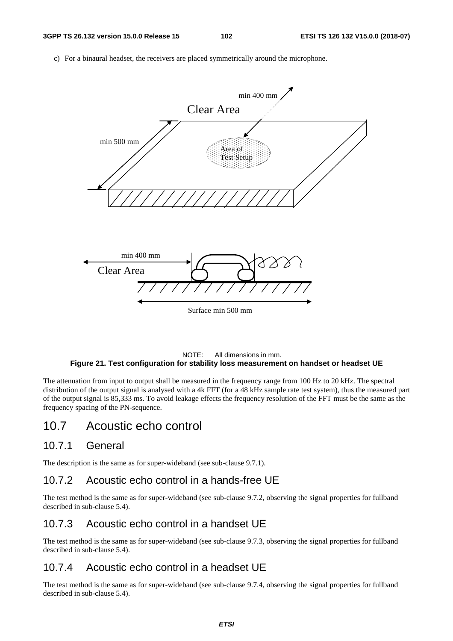c) For a binaural headset, the receivers are placed symmetrically around the microphone.



#### NOTE: All dimensions in mm. **Figure 21. Test configuration for stability loss measurement on handset or headset UE**

The attenuation from input to output shall be measured in the frequency range from 100 Hz to 20 kHz. The spectral distribution of the output signal is analysed with a 4k FFT (for a 48 kHz sample rate test system), thus the measured part of the output signal is 85,333 ms. To avoid leakage effects the frequency resolution of the FFT must be the same as the frequency spacing of the PN-sequence.

### 10.7 Acoustic echo control

#### 10.7.1 General

The description is the same as for super-wideband (see sub-clause 9.7.1).

### 10.7.2 Acoustic echo control in a hands-free UE

The test method is the same as for super-wideband (see sub-clause 9.7.2, observing the signal properties for fullband described in sub-clause 5.4).

### 10.7.3 Acoustic echo control in a handset UE

The test method is the same as for super-wideband (see sub-clause 9.7.3, observing the signal properties for fullband described in sub-clause 5.4).

### 10.7.4 Acoustic echo control in a headset UE

The test method is the same as for super-wideband (see sub-clause 9.7.4, observing the signal properties for fullband described in sub-clause 5.4).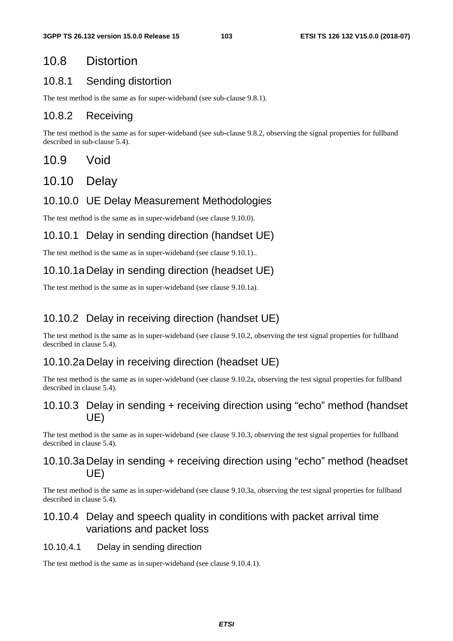# 10.8 Distortion

### 10.8.1 Sending distortion

The test method is the same as for super-wideband (see sub-clause 9.8.1).

### 10.8.2 Receiving

The test method is the same as for super-wideband (see sub-clause 9.8.2, observing the signal properties for fullband described in sub-clause 5.4).

### 10.9 Void

10.10 Delay

### 10.10.0 UE Delay Measurement Methodologies

The test method is the same as in super-wideband (see clause 9.10.0).

### 10.10.1 Delay in sending direction (handset UE)

The test method is the same as in super-wideband (see clause 9.10.1)..

### 10.10.1a Delay in sending direction (headset UE)

The test method is the same as in super-wideband (see clause 9.10.1a).

### 10.10.2 Delay in receiving direction (handset UE)

The test method is the same as in super-wideband (see clause 9.10.2, observing the test signal properties for fullband described in clause 5.4).

### 10.10.2a Delay in receiving direction (headset UE)

The test method is the same as in super-wideband (see clause 9.10.2a, observing the test signal properties for fullband described in clause 5.4).

### 10.10.3 Delay in sending + receiving direction using "echo" method (handset UE)

The test method is the same as in super-wideband (see clause 9.10.3, observing the test signal properties for fullband described in clause 5.4).

### 10.10.3a Delay in sending + receiving direction using "echo" method (headset UE)

The test method is the same as in super-wideband (see clause 9.10.3a, observing the test signal properties for fullband described in clause 5.4).

### 10.10.4 Delay and speech quality in conditions with packet arrival time variations and packet loss

#### 10.10.4.1 Delay in sending direction

The test method is the same as in super-wideband (see clause 9.10.4.1).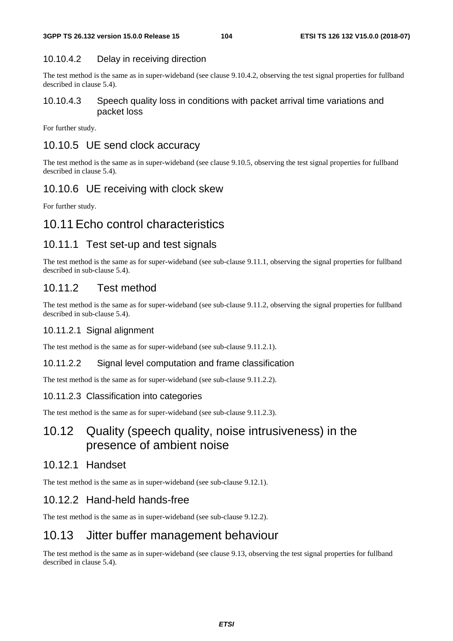#### 10.10.4.2 Delay in receiving direction

The test method is the same as in super-wideband (see clause 9.10.4.2, observing the test signal properties for fullband described in clause 5.4).

#### 10.10.4.3 Speech quality loss in conditions with packet arrival time variations and packet loss

For further study.

### 10.10.5 UE send clock accuracy

The test method is the same as in super-wideband (see clause 9.10.5, observing the test signal properties for fullband described in clause 5.4).

### 10.10.6 UE receiving with clock skew

For further study.

## 10.11 Echo control characteristics

### 10.11.1 Test set-up and test signals

The test method is the same as for super-wideband (see sub-clause 9.11.1, observing the signal properties for fullband described in sub-clause 5.4).

### 10.11.2 Test method

The test method is the same as for super-wideband (see sub-clause 9.11.2, observing the signal properties for fullband described in sub-clause 5.4).

#### 10.11.2.1 Signal alignment

The test method is the same as for super-wideband (see sub-clause 9.11.2.1).

#### 10.11.2.2 Signal level computation and frame classification

The test method is the same as for super-wideband (see sub-clause 9.11.2.2).

#### 10.11.2.3 Classification into categories

The test method is the same as for super-wideband (see sub-clause 9.11.2.3).

## 10.12 Quality (speech quality, noise intrusiveness) in the presence of ambient noise

#### 10.12.1 Handset

The test method is the same as in super-wideband (see sub-clause 9.12.1).

### 10.12.2 Hand-held hands-free

The test method is the same as in super-wideband (see sub-clause 9.12.2).

### 10.13 Jitter buffer management behaviour

The test method is the same as in super-wideband (see clause 9.13, observing the test signal properties for fullband described in clause 5.4).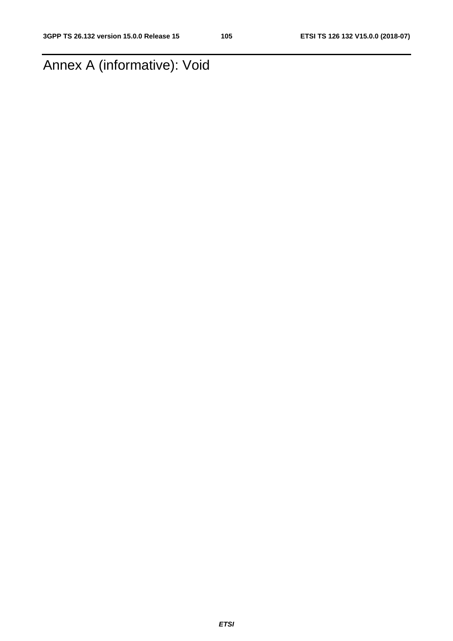# Annex A (informative): Void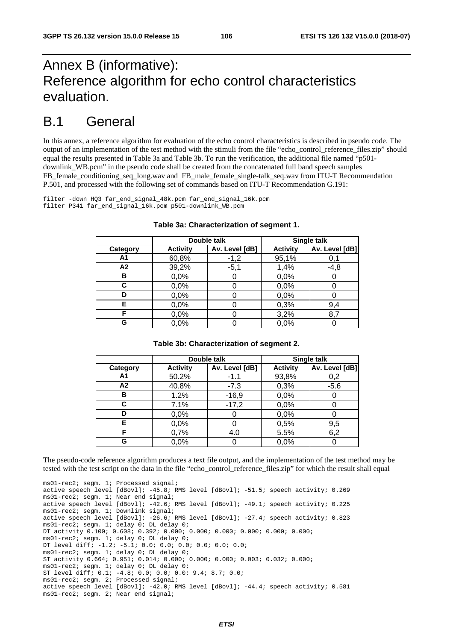# Annex B (informative): Reference algorithm for echo control characteristics evaluation.

# B.1 General

In this annex, a reference algorithm for evaluation of the echo control characteristics is described in pseudo code. The output of an implementation of the test method with the stimuli from the file "echo\_control\_reference\_files.zip" should equal the results presented in Table 3a and Table 3b. To run the verification, the additional file named "p501 downlink\_WB.pcm" in the pseudo code shall be created from the concatenated full band speech samples FB\_female\_conditioning\_seq\_long.wav and FB\_male\_female\_single-talk\_seq.wav from ITU-T Recommendation P.501, and processed with the following set of commands based on ITU-T Recommendation G.191:

filter -down HO3 far end signal 48k.pcm far end signal 16k.pcm filter P341 far\_end\_signal\_16k.pcm p501-downlink\_WB.pcm

|                | Double talk     |                |                 | Single talk    |
|----------------|-----------------|----------------|-----------------|----------------|
| Category       | <b>Activity</b> | Av. Level [dB] | <b>Activity</b> | Av. Level [dB] |
| A <sub>1</sub> | 60,8%           | $-1,2$         | 95,1%           | 0,1            |
| A2             | 39,2%           | $-5,1$         | 1,4%            | $-4,8$         |
| в              | 0,0%            |                | 0,0%            |                |
| С              | 0,0%            |                | 0,0%            |                |
| D              | 0,0%            |                | 0,0%            |                |
| Е              | 0,0%            |                | 0,3%            | 9,4            |
| F              | 0,0%            |                | 3,2%            | 8,7            |
| G              | 0,0%            |                | 0,0%            |                |

#### **Table 3a: Characterization of segment 1.**

#### **Table 3b: Characterization of segment 2.**

|          | Double talk     |                | Single talk     |                |
|----------|-----------------|----------------|-----------------|----------------|
| Category | <b>Activity</b> | Av. Level [dB] | <b>Activity</b> | Av. Level [dB] |
| Α1       | 50.2%           | $-1.1$         | 93,8%           | 0,2            |
| A2       | 40.8%           | $-7.3$         | 0,3%            | $-5.6$         |
| в        | 1.2%            | $-16,9$        | 0,0%            |                |
| С        | 7.1%            | $-17,2$        | 0,0%            |                |
| D        | 0,0%            |                | 0,0%            |                |
| Е        | 0,0%            |                | 0,5%            | 9,5            |
| F        | 0,7%            | 4.0            | 5.5%            | 6,2            |
| G        | 0,0%            |                | 0,0%            |                |

The pseudo-code reference algorithm produces a text file output, and the implementation of the test method may be tested with the test script on the data in the file "echo\_control\_reference\_files.zip" for which the result shall equal

```
ms01-rec2; segm. 1; Processed signal; 
active speech level [dBovl]; -45.8; RMS level [dBovl]; -51.5; speech activity; 0.269 
ms01-rec2; segm. 1; Near end signal; 
active speech level [dBovl]; -42.6; RMS level [dBovl]; -49.1; speech activity; 0.225 
ms01-rec2; segm. 1; Downlink signal; 
active speech level [dBovl]; -26.6; RMS level [dBovl]; -27.4; speech activity; 0.823 
ms01-rec2; segm. 1; delay 0; DL delay 0; 
DT activity 0.100; 0.608; 0.392; 0.000; 0.000; 0.000; 0.000; 0.000; 0.000; 
ms01-rec2; segm. 1; delay 0; DL delay 0; 
DT level diff; -1.2; -5.1; 0.0; 0.0; 0.0; 0.0; 0.0; 0.0; 
ms01-rec2; segm. 1; delay 0; DL delay 0; 
ST activity 0.664; 0.951; 0.014; 0.000; 0.000; 0.000; 0.003; 0.032; 0.000; 
ms01-rec2; segm. 1; delay 0; DL delay 0; 
ST level diff; 0.1; -4.8; 0.0; 0.0; 0.0; 9.4; 8.7; 0.0; 
ms01-rec2; segm. 2; Processed signal; 
active speech level [dBovl]; -42.0; RMS level [dBovl]; -44.4; speech activity; 0.581 
ms01-rec2; segm. 2; Near end signal;
```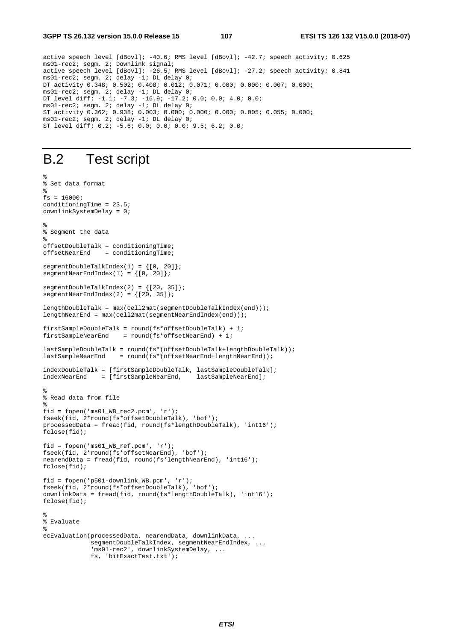active speech level [dBovl]; -40.6; RMS level [dBovl]; -42.7; speech activity; 0.625 ms01-rec2; segm. 2; Downlink signal; active speech level [dBovl]; -26.5; RMS level [dBovl]; -27.2; speech activity; 0.841 ms01-rec2; segm. 2; delay -1; DL delay 0; DT activity 0.348; 0.502; 0.408; 0.012; 0.071; 0.000; 0.000; 0.007; 0.000; ms01-rec2; segm. 2; delay -1; DL delay 0; DT level diff; -1.1; -7.3; -16.9; -17.2; 0.0; 0.0; 4.0; 0.0; ms01-rec2; segm. 2; delay -1; DL delay 0; ST activity 0.362; 0.938; 0.003; 0.000; 0.000; 0.000; 0.005; 0.055; 0.000; ms01-rec2; segm. 2; delay -1; DL delay 0; ST level diff; 0.2; -5.6; 0.0; 0.0; 0.0; 9.5; 6.2; 0.0;

# B.2 Test script

```
% 
% Set data format 
% 
fs = 16000;conditioningTime = 23.5; 
downlinkSystemDelay = 0; 
% 
% Segment the data 
% 
offsetDoubleTalk = conditioningTime; 
offsetNearEnd = conditioningTime; 
segmentDoubleTableIndex(1) = \{ [0, 20] \}segmentNearEndIndex(1) = \{ [0, 20] \};segmentDoubleTalkIndex(2) = \{ [ 20, 35] \};segmentNearEndIndex(2) = \{[20, 35]\};lengthDoubleTalk = max(cell2mat(segmentDoubleTalkIndex(end))); 
lengthNearEnd = max(cell2mat(segmentNearEndIndex(end))); 
firstSampleDoubleTalk = round(fs*offsetDoubleTalk) + 1; 
firstSampleNearEnd = round(fs*offsetNearEnd) + 1;
lastSampleDoubleTalk = round(fs*(offsetDoubleTalk+lengthDoubleTalk)); 
lastSampleNearEnd = round(fs*(offsetNearEnd+lengthNearEnd)); 
indexDoubleTalk = [firstSampleDoubleTalk, lastSampleDoubleTalk]; 
indexNearEnd = [firstSampleNearEnd, lastSampleNearEnd]; 
% 
% Read data from file 
% 
fid = fopen('ms01_WB_rec2.pcm', 'r'); 
fseek(fid, 2*round(fs*offsetDoubleTalk), 'bof'); 
processedData = fread(fid, round(fs*lengthDoubleTalk), 'int16'); 
fclose(fid); 
fid = fopen('ms01_WB_ref.pcm', 'r'); 
fseek(fid, 2*round(fs*offsetNearEnd), 'bof'); 
nearendData = fread(fid, round(fs*lengthNearEnd), 'int16'); 
fclose(fid); 
fid = fopen('p501-downlink_WB.pcm', 'r'); 
fseek(fid, 2*round(fs*offsetDoubleTalk), 'bof'); 
downlinkData = fread(fid, round(fs*lengthDoubleTalk), 'int16'); 
fclose(fid); 
% 
% Evaluate 
% 
ecEvaluation(processedData, nearendData, downlinkData, ... 
             segmentDoubleTalkIndex, segmentNearEndIndex, ...
              'ms01-rec2', downlinkSystemDelay, ... 
              fs, 'bitExactTest.txt');
```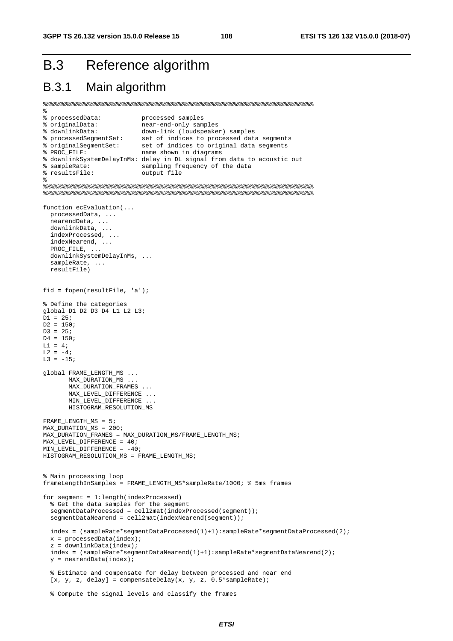## B.3 Reference algorithm

#### B.3.1 Main algorithm

```
%%%%%%%%%%%%%%%%%%%%%%%%%%%%%%%%%%%%%%%%%%%%%%%%%%%%%%%%%%%%%%%%%%%%%%%%%% 
% 
% processedData: processed samples 
% originalData: near-end-only samples<br>% downlinkData: down-link (loudspeaker) samples
% downlinkData: down-link (loudspeaker) samples 
% processedSegmentSet: set of indices to processed data segments 
% originalSegmentSet: set of indices to original data segments 
% PROC_FILE: name shown in diagrams 
% downlinkSystemDelayInMs: delay in DL signal from data to acoustic out 
% sampleRate: sampling frequency of the data 
% resultsFile: output file 
% 
%%%%%%%%%%%%%%%%%%%%%%%%%%%%%%%%%%%%%%%%%%%%%%%%%%%%%%%%%%%%%%%%%%%%%%%%%% 
%%%%%%%%%%%%%%%%%%%%%%%%%%%%%%%%%%%%%%%%%%%%%%%%%%%%%%%%%%%%%%%%%%%%%%%%%% 
function ecEvaluation(... 
   processedData, ... 
  -<br>nearendData, ...
   downlinkData, ... 
   indexProcessed, ... 
   indexNearend, ... 
  PROC_FILE, ..
   downlinkSystemDelayInMs, ... 
   sampleRate, ... 
   resultFile) 
fid = fopen(resultFile, 'a'); 
% Define the categories 
global D1 D2 D3 D4 L1 L2 L3; 
D1 = 25;D2 = 150;D3 = 25;D4 = 150;L1 = 4;L2 = -4;L3 = -15;global FRAME_LENGTH_MS ... 
        MAX_DURATION_MS ... 
        MAX_DURATION_FRAMES ... 
       MAX_LEVEL_DIFFERENCE ...
       MIN_LEVEL_DIFFERENCE ...
        HISTOGRAM_RESOLUTION_MS 
FRAME_LENGTH_MS = 5; 
MAX_DURATION_MS = 200; 
MAX_DURATION_FRAMES = MAX_DURATION_MS/FRAME_LENGTH_MS; 
MAX_LEVEL_DIFFERENCE = 40; 
MIN_LEVEL_DIFFERENCE = -40;HISTOGRAM_RESOLUTION_MS = FRAME_LENGTH_MS;
% Main processing loop 
frameLengthInSamples = FRAME_LENGTH_MS*sampleRate/1000; % 5ms frames 
for segment = 1:length(indexProcessed) 
   % Get the data samples for the segment 
   segmentDataProcessed = cell2mat(indexProcessed(segment)); 
   segmentDataNearend = cell2mat(indexNearend(segment)); 
   index = (sampleRate*segmentDataProcessed(1)+1):sampleRate*segmentDataProcessed(2); 
  x = processedData(index);
   z = downlinkData(index); 
   index = (sampleRate*segmentDataNearend(1)+1):sampleRate*segmentDataNearend(2); 
  y = nearendData(index);
   % Estimate and compensate for delay between processed and near end 
  [x, y, z, delay] = compensateDelay(x, y, z, 0.5*sampleRate);
   % Compute the signal levels and classify the frames
```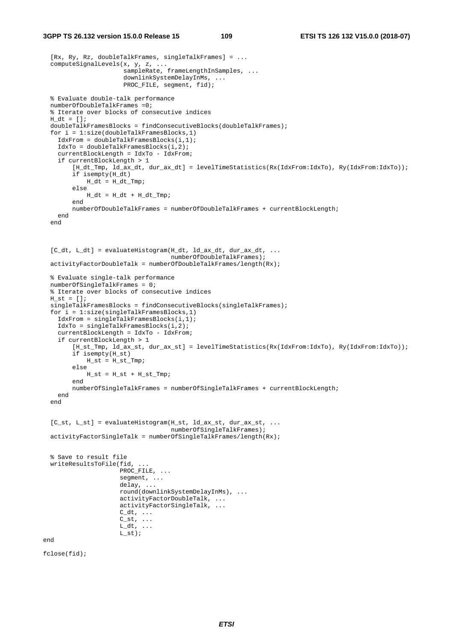#### **3GPP TS 26.132 version 15.0.0 Release 15 109 ETSI TS 126 132 V15.0.0 (2018-07)**

```
 [Rx, Ry, Rz, doubleTalkFrames, singleTalkFrames] = ... 
  computeSignalLevels(x, y, z, ... 
                       sampleRate, frameLengthInSamples, ...
                        downlinkSystemDelayInMs, ... 
                       PROC_FILE, segment, fid);
  % Evaluate double-talk performance 
  numberOfDoubleTalkFrames =0; 
  % Iterate over blocks of consecutive indices 
 H_dt = [];
  doubleTalkFramesBlocks = findConsecutiveBlocks(doubleTalkFrames); 
 for i = 1:size(doubleralkFramesBlocks, 1) IdxFrom = doubleTalkFramesBlocks(i,1); 
     IdxTo = doubleTalkFramesBlocks(i,2); 
     currentBlockLength = IdxTo - IdxFrom; 
     if currentBlockLength > 1 
         [H_dt_Tmp, ld_ax_dt, dur_ax_dt] = levelTimeStatistics(Rx(IdxFrom:IdxTo), Ry(IdxFrom:IdxTo)); 
         if isempty(H_dt) 
            H_dt = H_dt_Tmp; else 
           H_dt = H_dt + H_dt_Tmp; end 
         numberOfDoubleTalkFrames = numberOfDoubleTalkFrames + currentBlockLength; 
    end 
  end 
 [C_dt, L_dt] = evaluateHistoryram(H_dt, ld_a x_dt, dur_a x_dt, ... numberOfDoubleTalkFrames); 
  activityFactorDoubleTalk = numberOfDoubleTalkFrames/length(Rx); 
  % Evaluate single-talk performance 
 numberOfSingleTalkFrames = 0; % Iterate over blocks of consecutive indices 
 H st = [];
 singleTalkFramesBlocks = findConsecutiveBlocks(singleTalkFrames);
  for i = 1:size(singleTalkFramesBlocks,1) 
     IdxFrom = singleTalkFramesBlocks(i,1); 
     IdxTo = singleTalkFramesBlocks(i,2); 
     currentBlockLength = IdxTo - IdxFrom; 
     if currentBlockLength > 1 
         [H_st_Tmp, ld_ax_st, dur_ax_st] = levelTimeStatistics(Rx(IdxFrom:IdxTo), Ry(IdxFrom:IdxTo)); 
         if isempty(H_st) 
            H_s = H_s t_Tmp;
         else 
            H_st = H_st + H_st_Tmp; end 
         numberOfSingleTalkFrames = numberOfSingleTalkFrames + currentBlockLength; 
     end 
  end 
 [C_st, L_st] = evaluateHistogram(H_st, ld_ax_st, dur_ax_st, ...
                                    numberOfSingleTalkFrames);
  activityFactorSingleTalk = numberOfSingleTalkFrames/length(Rx); 
   % Save to result file 
  writeResultsToFile(fid, ... 
                      PROC_FILE, ...
                       segment, ... 
                       delay, ... 
                       round(downlinkSystemDelayInMs), ... 
                       activityFactorDoubleTalk, ... 
                       activityFactorSingleTalk, ... 
                      C_ddt, \ldotsC_st, ...
                      L_ddt, \ldotsL_st);
end
```
fclose(fid);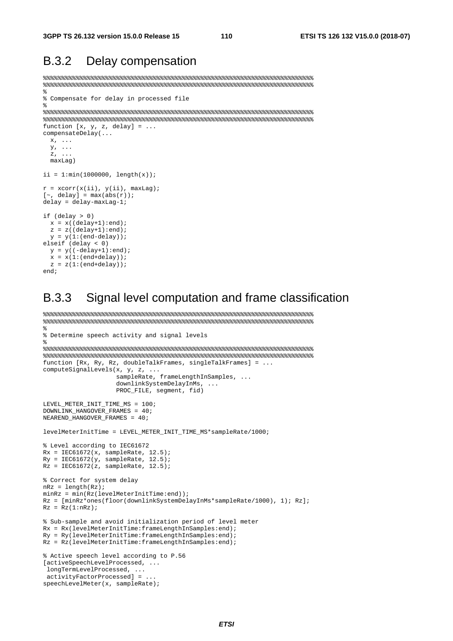#### B.3.2 Delay compensation

```
%%%%%%%%%%%%%%%%%%%%%%%%%%%%%%%%%%%%%%%%%%%%%%%%%%%%%%%%%%%%%%%%%%%%%%%%%% 
%%%%%%%%%%%%%%%%%%%%%%%%%%%%%%%%%%%%%%%%%%%%%%%%%%%%%%%%%%%%%%%%%%%%%%%%%% 
% 
% Compensate for delay in processed file 
% 
%%%%%%%%%%%%%%%%%%%%%%%%%%%%%%%%%%%%%%%%%%%%%%%%%%%%%%%%%%%%%%%%%%%%%%%%%% 
%%%%%%%%%%%%%%%%%%%%%%%%%%%%%%%%%%%%%%%%%%%%%%%%%%%%%%%%%%%%%%%%%%%%%%%%%% 
function [x, y, z, delay] = ...compensateDelay(... 
 x, \ldots y, ... 
  z, ... 
  maxLag) 
ii = 1: min(1000000, length(x));r = xcorr(x(ii), y(ii), maxLag);[\sim, delay] = \max(\texttt{abs}(r)) ;
delay = delay-maxLag-1; 
if (delay > 0) 
 x = x((delay+1):end);z = z((delay+1):end);y = y(1:(end-delay));elseif (delay < 0) 
 y = y((-delay+1):end);
 x = x(1:(end+delay));z = z(1:(end+delay));
```

```
end;
```
#### B.3.3 Signal level computation and frame classification

```
%%%%%%%%%%%%%%%%%%%%%%%%%%%%%%%%%%%%%%%%%%%%%%%%%%%%%%%%%%%%%%%%%%%%%%%%%% 
%%%%%%%%%%%%%%%%%%%%%%%%%%%%%%%%%%%%%%%%%%%%%%%%%%%%%%%%%%%%%%%%%%%%%%%%%% 
% 
% Determine speech activity and signal levels 
% 
%%%%%%%%%%%%%%%%%%%%%%%%%%%%%%%%%%%%%%%%%%%%%%%%%%%%%%%%%%%%%%%%%%%%%%%%%% 
%%%%%%%%%%%%%%%%%%%%%%%%%%%%%%%%%%%%%%%%%%%%%%%%%%%%%%%%%%%%%%%%%%%%%%%%%% 
function [Rx, Ry, Rz, doubleTalkFrames, singleTalkFrames] = ... 
computeSignalLevels(x, y, z, ... 
                    sampleRate, frameLengthInSamples, ...
                      downlinkSystemDelayInMs, ... 
                     PROC_FILE, segment, fid) 
LEVEL_METER_INIT_TIME_MS = 100; 
DOWNLINK_HANGOVER_FRAMES = 40; 
NEAREND_HANGOVER_FRAMES = 40; 
levelMeterInitTime = LEVEL_METER_INIT_TIME_MS*sampleRate/1000; 
% Level according to IEC61672 
Rx = \text{IEC61672}(x, \text{sampleRate}, 12.5);Ry = \text{IEC61672}(y, \text{sampleRate}, 12.5);Rz = \text{IEC61672}(z, \text{sampleRate}, 12.5);% Correct for system delay 
nRz = length(Rz); 
minRz = min(Rz(levelMeterInitTime:end));
Rz = [minRz*ones(floor(downlinkSystemDelayInMs*sampleRate/1000), 1); Rz]; 
Rz = Rz(1:nRz);
% Sub-sample and avoid initialization period of level meter 
Rx = Rx(levelMeterInitTime:frameLengthInSamples:end); 
Ry = Ry(levelMeterInitTime:frameLengthInSamples:end); 
Rz = Rz(levelMeterInitTime:frameLengthInSamples:end); 
% Active speech level according to P.56 
[activeSpeechLevelProcessed, ... 
 longTermLevelProcessed, ... 
 activityFactorProcessed] = ... 
speechLevelMeter(x, sampleRate);
```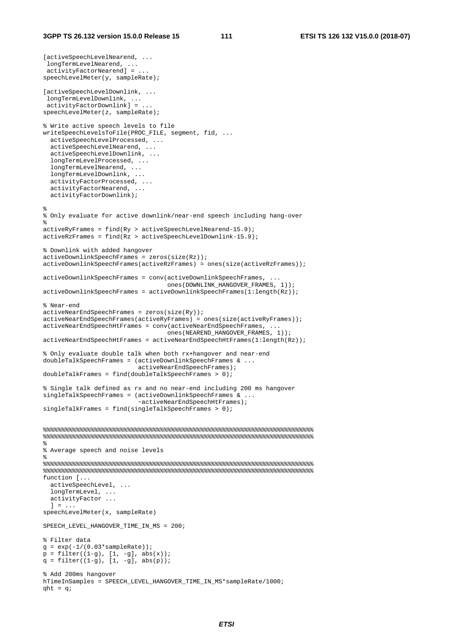```
[activeSpeechLevelNearend, ...
 longTermLevelNearend, ... 
 activityFactorNearend] = ... 
speechLevelMeter(y, sampleRate); 
[activeSpeechLevelDownlink, ... 
 longTermLevelDownlink, ... 
 activityFactorDownlink] = ... 
speechLevelMeter(z, sampleRate); 
% Write active speech levels to file 
writeSpeechLevelsToFile(PROC_FILE, segment, fid, ... 
   activeSpeechLevelProcessed, ... 
   activeSpeechLevelNearend, ... 
   activeSpeechLevelDownlink, ... 
  longTermLevelProcessed, ... 
   longTermLevelNearend, ... 
   longTermLevelDownlink, ... 
   activityFactorProcessed, ... 
   activityFactorNearend, ... 
  activityFactorDownlink); 
% 
% Only evaluate for active downlink/near-end speech including hang-over 
% 
activeRyFrames = find(Ry > activeSpeechLevelNearend-15.9); 
activeRzFrames = find(Rz > activeSpeechLevelDownlink-15.9); 
% Downlink with added hangover 
activeDownlinkSpeechFrames = zeros(size(Rz)); 
activeDownlinkSpeechFrames(activeRzFrames) = ones(size(activeRzFrames)); 
activeDownlinkSpeechFrames = conv(activeDownlinkSpeech....
                                    ones(DOWNLINK_HANGOVER_FRAMES, 1)); 
activeDownlinkSpeechFrames = activeDownlinkSpeechFrames(1:length(Rz)); 
% Near-end 
activeNearEndSpeechFrames = zeros(size(Ry)); 
activeNearEndSpeechFrames(activeRyFrames) = ones(size(activeRyFrames)); 
activeNearEndSpeechHtFrames = conv(activeNearEndSpeechFrames, ... 
                                    ones(NEAREND_HANGOVER_FRAMES, 1)); 
activeNearEndSpeechHtFrames = activeNearEndSpeechHtFrames(1:length(Rz)); 
% Only evaluate double talk when both rx+hangover and near-end 
doubleTalkSpeechFrames = (activeDownlinkSpeechFrames & ... 
                           activeNearEndSpeechFrames); 
doubleTalkFrames = find(doubleTalkSpeechFrames > 0);% Single talk defined as rx and no near-end including 200 ms hangover 
singleTalkSpeechFrames = (activeDownlinkSpeechFrames & ...
                            ~activeNearEndSpeechHtFrames); 
singleTalkFrames = find(singleTalkSpeechFrames > 0); 
%%%%%%%%%%%%%%%%%%%%%%%%%%%%%%%%%%%%%%%%%%%%%%%%%%%%%%%%%%%%%%%%%%%%%%%%%% 
%%%%%%%%%%%%%%%%%%%%%%%%%%%%%%%%%%%%%%%%%%%%%%%%%%%%%%%%%%%%%%%%%%%%%%%%%% 
\epsilon% Average speech and noise levels 
% 
%%%%%%%%%%%%%%%%%%%%%%%%%%%%%%%%%%%%%%%%%%%%%%%%%%%%%%%%%%%%%%%%%%%%%%%%%% 
%%%%%%%%%%%%%%%%%%%%%%%%%%%%%%%%%%%%%%%%%%%%%%%%%%%%%%%%%%%%%%%%%%%%%%%%%% 
function [... 
  activeSpeechLevel, ... 
   longTermLevel, ... 
  activityFactor ... 
 1 = \ldotsspeechLevelMeter(x, sampleRate) 
SPEECH_LEVEL_HANGOVER_TIME_IN_MS = 200;
% Filter data 
q = \exp(-1/(0.03* \text{sampleRate}))p = filter((1-g), [1, -g], abs(x));q = filter((1-g), [1, -g], abs(p));% Add 200ms hangover 
hTimeInSamples = SPEECH_LEVEL_HANGOVER_TIME_IN_MS*sampleRate/1000;
aht = \alpha;
```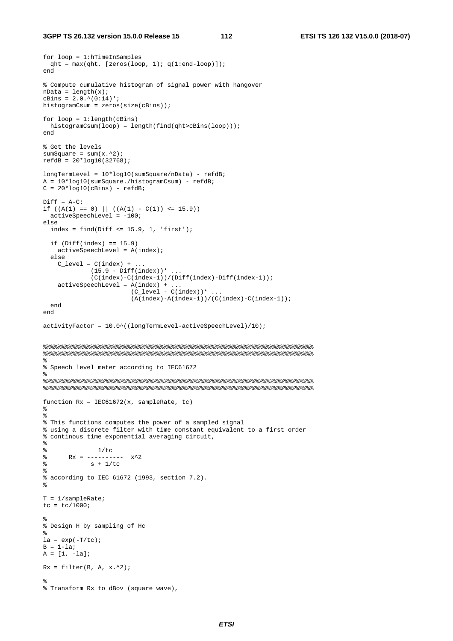```
for loop = 1:hTimeInSamples 
 qht = max(qht, [zeros(loop, 1); q(1:end-loop)]);end 
% Compute cumulative histogram of signal power with hangover 
nData = length(x);cBins = 2.0.^{\circ} (0:14)';
histogramCsum = zeros(size(cBins));
for loop = 1: length(cBins) histogramCsum(loop) = length(find(qht>cBins(loop))); 
end 
% Get the levels 
sumSquare = sum(x.^{2});
refdB = 20 * log10(32768);longTermLevel = 10*log10(sumSquare/nData) - refdB; 
A = 10 * log10 (sumSquare./histogramCsum) - refdB;
C = 20 * log10(cBins) - refdB;
Diff = A-C;if ((A(1) == 0) || ((A(1) - C(1)) <= 15.9)) activeSpeechLevel = -100; 
else 
  index = find(Diff <= 15.9, 1, 'first');if (Diff(index) == 15.9) activeSpeechLevel = A(index); 
   else 
    C_{\text{level}} = C(\text{index}) + ...(15.9 - Diff(int))*...
               (C(index)-C(index-1))/(Diff(index)-Diff(index-1)); 
    activeSpeedLevel = A/index) +(C_{\text{level}} - C(\text{index}))^* ...
                          (A(index)-A(index-1))/(C(index)-C(index-1)); 
   end 
end 
activityFactor = 10.0^((longTermLevel-activeSpeechLevel)/10); 
%%%%%%%%%%%%%%%%%%%%%%%%%%%%%%%%%%%%%%%%%%%%%%%%%%%%%%%%%%%%%%%%%%%%%%%%%% 
%%%%%%%%%%%%%%%%%%%%%%%%%%%%%%%%%%%%%%%%%%%%%%%%%%%%%%%%%%%%%%%%%%%%%%%%%% 
^{\circ}% Speech level meter according to IEC61672 
\mathbf{S}%%%%%%%%%%%%%%%%%%%%%%%%%%%%%%%%%%%%%%%%%%%%%%%%%%%%%%%%%%%%%%%%%%%%%%%%%% 
%%%%%%%%%%%%%%%%%%%%%%%%%%%%%%%%%%%%%%%%%%%%%%%%%%%%%%%%%%%%%%%%%%%%%%%%%% 
function Rx = IEC61672(x, sampleRate, tc) 
% 
\mathbf{S}% This functions computes the power of a sampled signal 
% using a discrete filter with time constant equivalent to a first order 
% continous time exponential averaging circuit, 
% 
% 1/tc\frac{1}{8} Rx = ---------- x<sup>2</sup>2
% S + 1/tc% 
% according to IEC 61672 (1993, section 7.2). 
% 
T = 1/sampleRate; 
tc = tc/1000;% 
% Design H by sampling of Hc 
% 
la = exp(-T/tc);B = 1-la;
A = [1, -la];Rx = filter(B, A, x.^2);% 
% Transform Rx to dBov (square wave),
```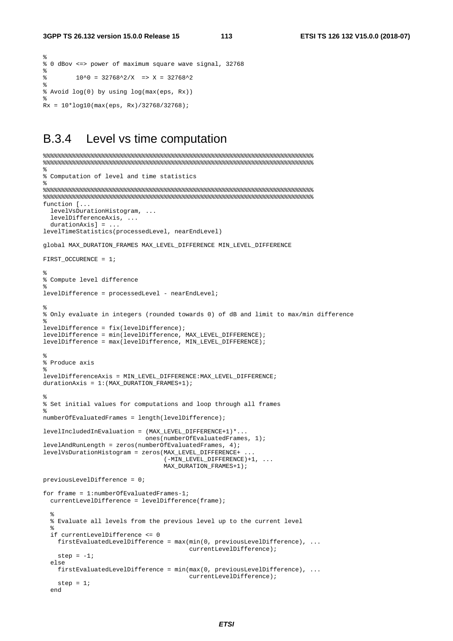$\epsilon$ 

```
% 0 dBov <=> power of maximum square wave signal, 32768 
% 
\frac{10^{6}0}{2} = \frac{32768^{6}2}{X} = \frac{12768^{6}2}{X}% 
% Avoid log(0) by using log(max(eps, Rx)) 
% 
Rx = 10*log10(max(eps, Rx)/32768/32768);
```
#### B.3.4 Level vs time computation

```
%%%%%%%%%%%%%%%%%%%%%%%%%%%%%%%%%%%%%%%%%%%%%%%%%%%%%%%%%%%%%%%%%%%%%%%%%% 
%%%%%%%%%%%%%%%%%%%%%%%%%%%%%%%%%%%%%%%%%%%%%%%%%%%%%%%%%%%%%%%%%%%%%%%%%% 
% 
% Computation of level and time statistics 
% 
%%%%%%%%%%%%%%%%%%%%%%%%%%%%%%%%%%%%%%%%%%%%%%%%%%%%%%%%%%%%%%%%%%%%%%%%%% 
%%%%%%%%%%%%%%%%%%%%%%%%%%%%%%%%%%%%%%%%%%%%%%%%%%%%%%%%%%%%%%%%%%%%%%%%%% 
function [... 
   levelVsDurationHistogram, ... 
   levelDifferenceAxis, ... 
   durationAxis] = ... 
levelTimeStatistics(processedLevel, nearEndLevel) 
global MAX_DURATION_FRAMES MAX_LEVEL_DIFFERENCE MIN_LEVEL_DIFFERENCE 
FIRST OCCURENCE = 1;
% 
% Compute level difference 
% 
levelDifference = processedLevel - nearEndLevel; 
% 
% Only evaluate in integers (rounded towards 0) of dB and limit to max/min difference 
\mathbf{S}levelDifference = fix(levelDifference); 
levelDifference = min(levelDifference, MAX_LEVEL_DIFFERENCE); 
levelDifference = max(levelDifference, MIN_LEVEL_DIFFERENCE); 
% 
% Produce axis 
% 
levelDifferenceAxis = MIN_LEVEL_DIFFERENCE:MAX_LEVEL_DIFFERENCE; 
durationAxis = 1:(MAX_DURATION_FRAMES+1); 
% 
% Set initial values for computations and loop through all frames 
% 
numberOfEvaluatedFrames = length(levelDifference); 
levelIncludedInEvaluation = (MAX_LEVEL_DIFFERENCE+1)*... 
                              ones(numberOfEvaluatedFrames, 1); 
levelAndRunLength = zeros(numberOfEvaluatedFrames, 4); 
levelVsDurationHistogram = zeros(MAX_LEVEL_DIFFERENCE+ ... 
                                   (-MIN_LEVEL_DIFFERENCE)+1, ... 
                                  MAX_DURATION_FRAMES+1);
previousLevelDifference = 0; 
for frame = 1:numberOfEvaluatedFrames-1; 
   currentLevelDifference = levelDifference(frame); 
\frac{8}{3} % Evaluate all levels from the previous level up to the current level 
\frac{8}{3} if currentLevelDifference <= 0 
     firstEvaluatedLevelDifference = max(min(0, previousLevelDifference), ... 
                                           currentLevelDifference); 
    step = -1;
   else 
     firstEvaluatedLevelDifference = min(max(0, previousLevelDifference), ... 
                                           currentLevelDifference); 
   step = 1;
   end
```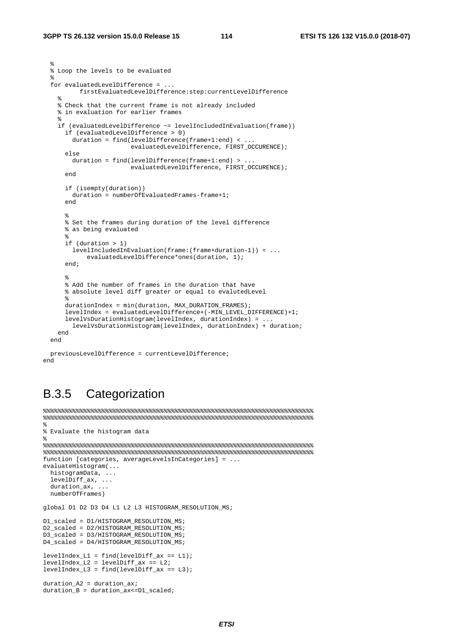```
 % 
  % Loop the levels to be evaluated 
\frac{8}{3} for evaluatedLevelDifference = ... 
          firstEvaluatedLevelDifference:step:currentLevelDifference 
\frac{1}{6} % Check that the current frame is not already included 
    % in evaluation for earlier frames 
\frac{1}{6} if (evaluatedLevelDifference ~= levelIncludedInEvaluation(frame)) 
       if (evaluatedLevelDifference > 0) 
        duration = find(levelDifference(frame+1:end) < ... 
                          evaluatedLevelDifference, FIRST_OCCURENCE); 
       else 
        duration = find(levelDifference(frame+1:end) > ... 
                         evaluatedLevelDifference, FIRST_OCCURENCE); 
       end 
       if (isempty(duration)) 
        duration = numberOfEvaluatedFrames-frame+1; 
       end 
% % Set the frames during duration of the level difference 
       % as being evaluated 
% if (duration > 1) 
         levelIncludedInEvaluation(frame:(frame+duration-1)) = ... 
             evaluatedLevelDifference*ones(duration, 1); 
       end; 
% % Add the number of frames in the duration that have 
       % absolute level diff greater or equal to evalutedLevel 
\mathscr{E} durationIndex = min(duration, MAX_DURATION_FRAMES); 
      levelIndex = evaluatedLevelDifference+(-MIN LEVEL DIFFERENCE)+1;
      levelVsDurationHistogram(levelIndex, durationIndex) = ... 
         levelVsDurationHistogram(levelIndex, durationIndex) + duration; 
    end 
  end 
  previousLevelDifference = currentLevelDifference;
```
#### end

#### B.3.5 Categorization

```
%%%%%%%%%%%%%%%%%%%%%%%%%%%%%%%%%%%%%%%%%%%%%%%%%%%%%%%%%%%%%%%%%%%%%%%%%% 
%%%%%%%%%%%%%%%%%%%%%%%%%%%%%%%%%%%%%%%%%%%%%%%%%%%%%%%%%%%%%%%%%%%%%%%%%% 
% 
% Evaluate the histogram data 
% 
%%%%%%%%%%%%%%%%%%%%%%%%%%%%%%%%%%%%%%%%%%%%%%%%%%%%%%%%%%%%%%%%%%%%%%%%%% 
%%%%%%%%%%%%%%%%%%%%%%%%%%%%%%%%%%%%%%%%%%%%%%%%%%%%%%%%%%%%%%%%%%%%%%%%%% 
function [categories, averageLevelsInCategories] = ... 
evaluateHistogram(...
  histogramData, ... 
   levelDiff_ax, ... 
  durationax, \ldots numberOfFrames) 
global D1 D2 D3 D4 L1 L2 L3 HISTOGRAM_RESOLUTION_MS; 
D1_scaled = D1/HISTOGRAM_RESOLUTION_MS;
D2_scaled = D2/HISTOGRAM_RESOLUTION_MS; 
D3_scaled = D3/HISTOGRAM_RESOLUTION_MS; 
D4_scaled = D4/HISTOGRAM_RESOLUTION_MS; 
levelIndex LI = find(levelDiffax == L1);levelIndex_L2 = levelDiff_ax == L2;levelIndex_L3 = find(levelDiff_ax == L3);duration_A2 = duration_ax;
```

```
duration_B = duration_ax<=D1_scaled;
```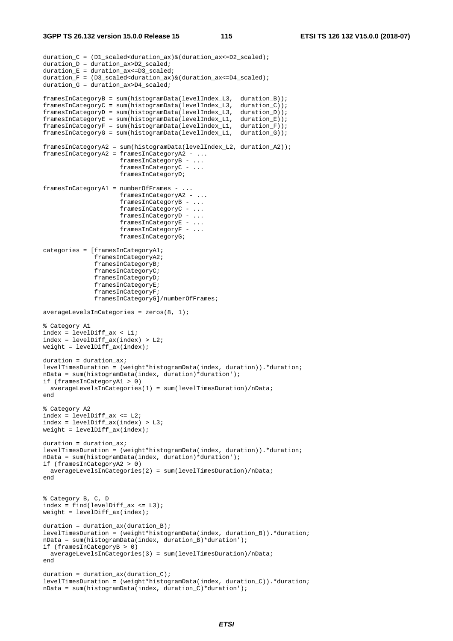```
duration_C = (D1_scaled<duration_ax)&(duration_ax<=D2_scaled); 
duration D = duration ax > D2 scaled;
duration_E = duration_ax \leq D3_scaled;duration_F = (D3_scaled<duration_ax)&(duration_ax<=D4_scaled); 
duration_G = duration_ax>D4_scaled; 
framesInCategoryB = sum(histogramData(levelIndex_L3, duration_B)); 
framesInCategoryC = sum(histogramData(levelIndex_L3, duration_C)); 
framesInCategoryD = sum(histogramData(levelIndex_L3, duration_D)); 
framesInCategoryE = sum(histogramData(levelIndex_L1, duration_E)); 
framesInCategoryF = sum(histogramData(levelIndex_L1, duration_F)); 
framesInCategoryG = sum(histogramData(levelIndex_L1, duration_G)); 
framesInCategoryA2 = sum(histogramData(levelIndex_L2, duration_A2)); 
framesInCategoryA2 = framesInCategoryA2 - ... 
                      framesInCategoryB - ... 
                       framesInCategoryC - ... 
                       framesInCategoryD; 
framesInCategoryA1 = numberOfFrames - ... 
                      framesInCategoryA2 - ... 
                      framesInCategoryB - ... 
                       framesInCategoryC - ... 
                       framesInCategoryD - ... 
                      framesInCategoryE - ...
                       framesInCategoryF - ... 
                      framesInCategoryG; 
categories = [framesInCategoryA1; 
               framesInCategoryA2; 
               framesInCategoryB; 
               framesInCategoryC; 
               framesInCategoryD; 
               framesInCategoryE; 
               framesInCategoryF; 
               framesInCategoryG]/numberOfFrames; 
averageLevelsInCategoricales = zeros(8, 1);% Category A1 
index = levelDiff_ax < L1; 
index = levelDiffax(index) > L2;weight = levelDiff_ax(index);
duration = duration_ax; 
levelTimesDuration = (weight*histogramData(index, duration)).*duration; 
nData = sum(histogramData(index, duration)*duration'); 
if (framesInCategoryA1 > 0) 
   averageLevelsInCategories(1) = sum(levelTimesDuration)/nData; 
end 
% Category A2 
index = levelDiff_ax <= L2; 
index = levelDiff_ax(index) > L3; 
weight = levelDiff_ax(index);
duration = duration ax;
levelTimesDuration = (weight*histogramData(index, duration)).*duration; 
nData = sum(histogramData(index, duration)*duration'); 
if (framesInCategoryA2 > 0) 
   averageLevelsInCategories(2) = sum(levelTimesDuration)/nData; 
end 
% Category B, C, D 
index = find(levelDiff_ax \le L3);weight = levelDiff_ax(index); 
duration = duration_ax(duration_B); 
levelTimesDuration = (weight*histogramData(index, duration_B)).*duration;
nData = sum(histogramData(index, duration_B)*duration'); 
if (framesInCategoryB > 0) 
  averageLevelsInCategories(3) = sum(levelTimesDuration)/nData; 
end 
duration = duration_ax(duration_C);
levelTimesDuration = (weight*histogramData(index, duration_C)).*duration; 
nData = sum(histogramData(index, duration_C)*duration');
```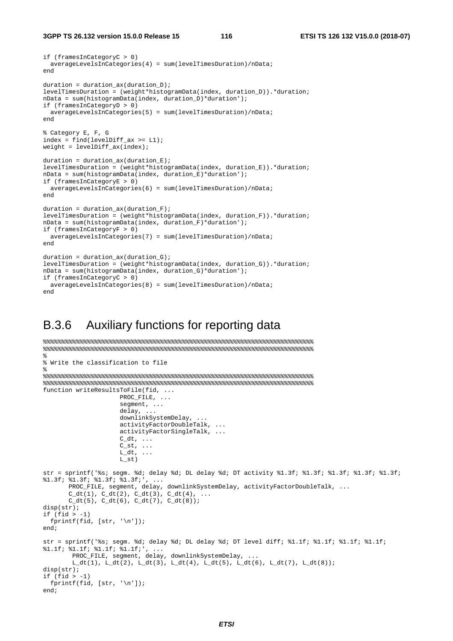```
if (framesInCategoryC > 0) 
  averageLevelsInCategories(4) = sum(levelTimesDuration)/nData; 
end 
duration = duration_ax(duration_D);
levelTimesDuration = (weight*histogramData(index, duration_D)).*duration; 
nData = sum(histogramData(index, duration_D)*duration'); 
if (framesInCategoryD > 0) 
  averageLevelsInCategories(5) = sum(levelTimesDuration)/nData; 
end 
% Category E, F, G 
index = find(levelDiff\_ax \geq L1);weight = levelDiff_ax(index);duration = duration_ax(duration_E); 
levelTimesDuration = (weight*histogramData(index, duration_E)).*duration; 
nData = sum(histogramData(index, duration_E)*duration'); 
if (framesInCategoryE > 0) 
  averageLevelsInCategories(6) = sum(levelTimesDuration)/nData; 
end 
duration = duration_ax(duration_F);
levelTimesDuration = (weight*histogramData(index, duration_F)).*duration; 
nData = sum(histogramData(index, duration_F)*duration'); 
if (framesInCategoryF > 0) 
   averageLevelsInCategories(7) = sum(levelTimesDuration)/nData; 
end 
duration = duration_ax(duration_G); 
levelTimesDuration = (weight*histogramData(index, duration_G)).*duration; 
nData = sum(histogramData(index, duration_G)*duration'); 
if (framesInCategoryC > 0) 
  averageLevelsInCategories(8) = sum(levelTimesDuration)/nData; 
end
```
### B.3.6 Auxiliary functions for reporting data

```
%%%%%%%%%%%%%%%%%%%%%%%%%%%%%%%%%%%%%%%%%%%%%%%%%%%%%%%%%%%%%%%%%%%%%%%%%% 
%%%%%%%%%%%%%%%%%%%%%%%%%%%%%%%%%%%%%%%%%%%%%%%%%%%%%%%%%%%%%%%%%%%%%%%%%% 
% 
% Write the classification to file 
% 
%%%%%%%%%%%%%%%%%%%%%%%%%%%%%%%%%%%%%%%%%%%%%%%%%%%%%%%%%%%%%%%%%%%%%%%%%% 
%%%%%%%%%%%%%%%%%%%%%%%%%%%%%%%%%%%%%%%%%%%%%%%%%%%%%%%%%%%%%%%%%%%%%%%%%% 
function writeResultsToFile(fid, ... 
                     PROC_FILE, ...
                     segment, ...
                      delay, ... 
                      downlinkSystemDelay, ... 
                      activityFactorDoubleTalk, ... 
                      activityFactorSingleTalk, ... 
                     C_d t, \ldotsC\_st, ...
                     L_ddt, ...
                     L st)str = sprintf('%s; segm. %d; delay %d; DL delay %d; DT activity %1.3f; %1.3f; %1.3f; %1.3f; %1.3f; 
%1.3f; %1.3f; %1.3f; %1.3f;', ... 
        PROC_FILE, segment, delay, downlinkSystemDelay, activityFactorDoubleTalk, ... 
       C_dt(1), C_dt(2), C_dt(3), C_dt(4), ...
       C_dt(5), C_dt(6), C_dt(7), C_dt(8);
disp(str); 
if (fid > -1) fprintf(fid, [str, '\n']); 
end; 
str = sprintf('%s; segm. %d; delay %d; DL delay %d; DT level diff; %1.1f; %1.1f; %1.1f; %1.1f; 
%1.1f; %1.1f; %1.1f; %1.1f;', ... 
        PROC_FILE, segment, delay, downlinkSystemDelay,
        L_dt(1), L_dt(2), L_dt(3), L_dt(4), L_dt(5), L_dt(6), L_dt(7), L_dt(8));disp(str); 
if (fid > -1) fprintf(fid, [str, '\n']); 
end;
```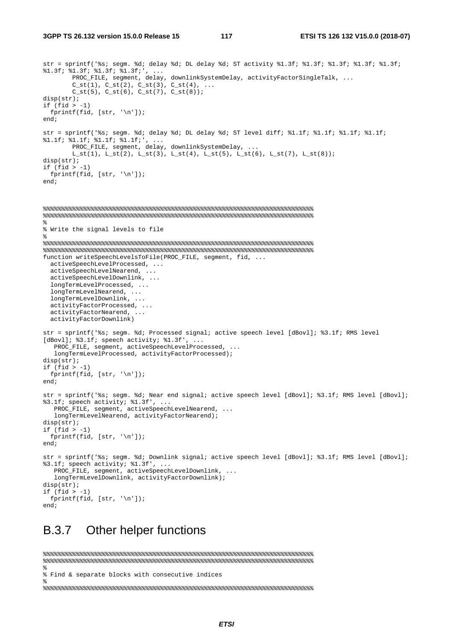```
str = sprintf('%s; segm. %d; delay %d; DL delay %d; ST activity %1.3f; %1.3f; %1.3f; %1.3f; %1.3f; 
*1.3f; *1.3f; *1.3f; *1.3f; ...
         PROC_FILE, segment, delay, downlinkSystemDelay, activityFactorSingleTalk, ... 
        C_st(1), C_st(2), C_st(3), C_st(4), ...
        C_st(5), C_st(6), C_st(7), C_st(8);
disp(str); 
if (fid > -1) fprintf(fid, [str, '\n']); 
end; 
str = sprintf('%s; segm. %d; delay %d; DL delay %d; ST level diff; %1.1f; %1.1f; %1.1f; %1.1f; 
%1.1f; %1.1f; %1.1f; %1.1f;', ... 
         PROC_FILE, segment, delay, downlinkSystemDelay, ... 
        L_st(1), L_st(2), L_st(3), L_st(4), L_st(5), L_st(6), L_st(7), L_st(8));
disp(str); 
if (fid > -1)
  fprintf(fid, [str, '\n']); 
end; 
%%%%%%%%%%%%%%%%%%%%%%%%%%%%%%%%%%%%%%%%%%%%%%%%%%%%%%%%%%%%%%%%%%%%%%%%%% 
%%%%%%%%%%%%%%%%%%%%%%%%%%%%%%%%%%%%%%%%%%%%%%%%%%%%%%%%%%%%%%%%%%%%%%%%%% 
% 
% Write the signal levels to file 
% 
%%%%%%%%%%%%%%%%%%%%%%%%%%%%%%%%%%%%%%%%%%%%%%%%%%%%%%%%%%%%%%%%%%%%%%%%%% 
%%%%%%%%%%%%%%%%%%%%%%%%%%%%%%%%%%%%%%%%%%%%%%%%%%%%%%%%%%%%%%%%%%%%%%%%%% 
function writeSpeechLevelsToFile(PROC_FILE, segment, fid, ... 
   activeSpeechLevelProcessed, ... 
   activeSpeechLevelNearend, ... 
   activeSpeechLevelDownlink, ... 
  longTermLevelProcessed, ... 
   longTermLevelNearend, ... 
   longTermLevelDownlink, ... 
   activityFactorProcessed, ... 
  activityFactorNearend, ... 
  activityFactorDownlink) 
str = sprintf('%s; segm. %d; Processed signal; active speech level [dBovl]; %3.1f; RMS level 
[dBovl]; %3.1f; speech activity; %1.3f', ...
   PROC_FILE, segment, activeSpeechLevelProcessed, ... 
   longTermLevelProcessed, activityFactorProcessed); 
disp(str); 
if (fid > -1) fprintf(fid, [str, '\n']); 
end; 
str = sprintf('%s; segm. %d; Near end signal; active speech level [dBovl]; %3.1f; RMS level [dBovl]; 
%3.1f; speech activity; %1.3f', ... 
   PROC_FILE, segment, activeSpeechLevelNearend, ... 
   longTermLevelNearend, activityFactorNearend); 
disp(str); 
if (fid > -1) fprintf(fid, [str, '\n']); 
end; 
str = sprintf('%s; segm. %d; Downlink signal; active speech level [dBovl]; %3.1f; RMS level [dBovl]; 
%3.1f; speech activity; %1.3f', ... 
   PROC_FILE, segment, activeSpeechLevelDownlink, ... 
   longTermLevelDownlink, activityFactorDownlink); 
disp(str); 
if (fid > -1) fprintf(fid, [str, '\n']); 
end;
```
### B.3.7 Other helper functions

```
%%%%%%%%%%%%%%%%%%%%%%%%%%%%%%%%%%%%%%%%%%%%%%%%%%%%%%%%%%%%%%%%%%%%%%%%%% 
%%%%%%%%%%%%%%%%%%%%%%%%%%%%%%%%%%%%%%%%%%%%%%%%%%%%%%%%%%%%%%%%%%%%%%%%%% 
% 
% Find & separate blocks with consecutive indices 
\mathbf{e}%%%%%%%%%%%%%%%%%%%%%%%%%%%%%%%%%%%%%%%%%%%%%%%%%%%%%%%%%%%%%%%%%%%%%%%%%%
```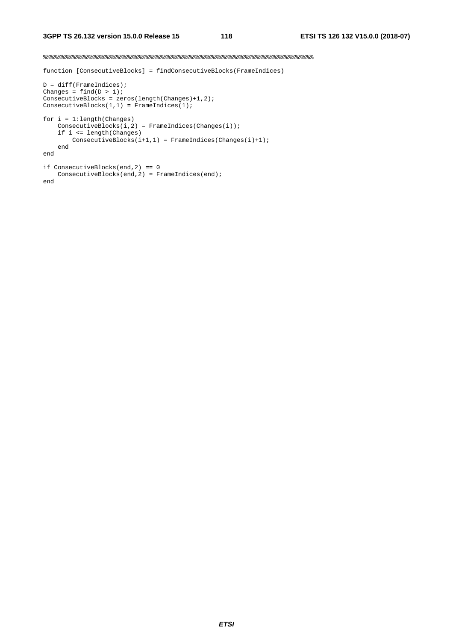#### %%%%%%%%%%%%%%%%%%%%%%%%%%%%%%%%%%%%%%%%%%%%%%%%%%%%%%%%%%%%%%%%%%%%%%%%%%

function [ConsecutiveBlocks] = findConsecutiveBlocks(FrameIndices)

```
D = diff(FrameIndices); 
Changes = find(D > 1);ConsecutiveBlocks = zeros(length(Changes)+1,2); 
ConsecutiveBlocks(1,1) = FrameIndices(1);
for i = 1:length(Changes) 
    ConsecutiveBlocks(i,2) = FrameIndices(Changes(i)): if i <= length(Changes) 
         \noindent \texttt{Consecutiveblocks}(\texttt{i+1,1}) = \texttt{FrameIndices}(\texttt{Changes}(\texttt{i})+\texttt{1}); end 
end
```

```
if ConsecutiveBlocks(end,2) == 0 
 ConsecutiveBlocks(end,2) = FrameIndices(end); 
end
```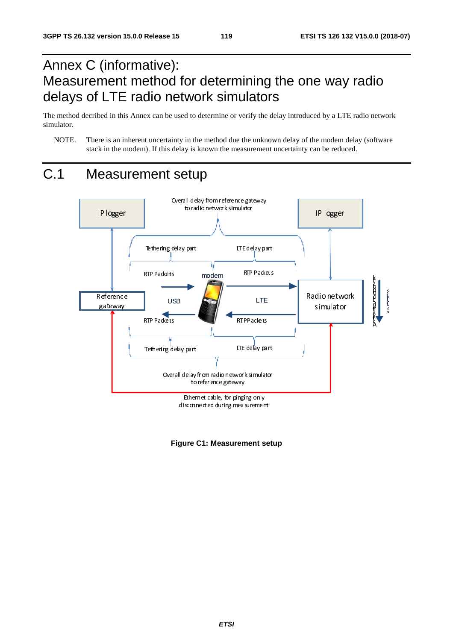# Annex C (informative): Measurement method for determining the one way radio delays of LTE radio network simulators

The method decribed in this Annex can be used to determine or verify the delay introduced by a LTE radio network simulator.

NOTE. There is an inherent uncertainty in the method due the unknown delay of the modem delay (software stack in the modem). If this delay is known the measurement uncertainty can be reduced.



**Figure C1: Measurement setup**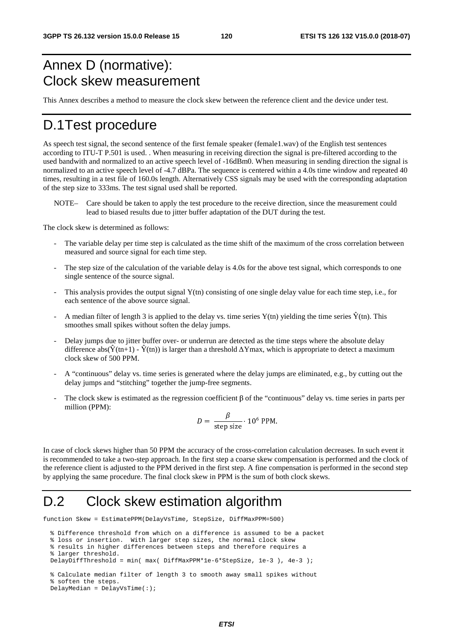# Annex D (normative): Clock skew measurement

This Annex describes a method to measure the clock skew between the reference client and the device under test.

### D.1 Test procedure

As speech test signal, the second sentence of the first female speaker (female1.wav) of the English test sentences according to ITU-T P.501 is used. . When measuring in receiving direction the signal is pre-filtered according to the used bandwith and normalized to an active speech level of -16dBm0. When measuring in sending direction the signal is normalized to an active speech level of -4.7 dBPa. The sequence is centered within a 4.0s time window and repeated 40 times, resulting in a test file of 160.0s length. Alternatively CSS signals may be used with the corresponding adaptation of the step size to 333ms. The test signal used shall be reported.

NOTE– Care should be taken to apply the test procedure to the receive direction, since the measurement could lead to biased results due to jitter buffer adaptation of the DUT during the test.

The clock skew is determined as follows:

- The variable delay per time step is calculated as the time shift of the maximum of the cross correlation between measured and source signal for each time step.
- The step size of the calculation of the variable delay is 4.0s for the above test signal, which corresponds to one single sentence of the source signal.
- This analysis provides the output signal Y(tn) consisting of one single delay value for each time step, i.e., for each sentence of the above source signal.
- A median filter of length 3 is applied to the delay vs. time series Y(tn) yielding the time series  $\hat{Y}(tn)$ . This smoothes small spikes without soften the delay jumps.
- Delay jumps due to jitter buffer over- or underrun are detected as the time steps where the absolute delay difference abs( $\hat{Y}(t_{n+1}) - \hat{Y}(t_n)$ ) is larger than a threshold  $\Delta Y$ max, which is appropriate to detect a maximum clock skew of 500 PPM.
- A "continuous" delay vs. time series is generated where the delay jumps are eliminated, e.g., by cutting out the delay jumps and "stitching" together the jump-free segments.
- The clock skew is estimated as the regression coefficient  $\beta$  of the "continuous" delay vs. time series in parts per million (PPM):

$$
D = \frac{\beta}{\text{step size}} \cdot 10^6 \text{ PPM}.
$$

In case of clock skews higher than 50 PPM the accuracy of the cross-correlation calculation decreases. In such event it is recommended to take a two-step approach. In the first step a coarse skew compensation is performed and the clock of the reference client is adjusted to the PPM derived in the first step. A fine compensation is performed in the second step by applying the same procedure. The final clock skew in PPM is the sum of both clock skews.

# D.2 Clock skew estimation algorithm

function Skew = EstimatePPM(DelayVsTime, StepSize, DiffMaxPPM=500)

```
 % Difference threshold from which on a difference is assumed to be a packet
```

```
 % loss or insertion. With larger step sizes, the normal clock skew
```

```
 % results in higher differences between steps and therefore requires a
```

```
 % larger threshold.
```

```
 DelayDiffThreshold = min( max( DiffMaxPPM*1e-6*StepSize, 1e-3 ), 4e-3 );
```

```
 % Calculate median filter of length 3 to smooth away small spikes without 
 % soften the steps.
```

```
 DelayMedian = DelayVsTime(:);
```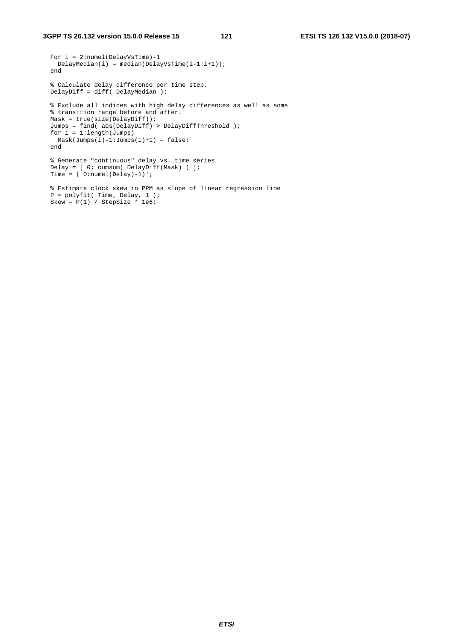P = polyfit( Time, Delay, 1 ); Skew = P(1) / StepSize \* 1e6;

```
 for i = 2:numel(DelayVsTime)-1 
 DelayMedian(i) = median(DelayVsTime(i-1:i+1)); end 
 % Calculate delay difference per time step. 
 DelayDiff = diff( DelayMedian ); 
 % Exclude all indices with high delay differences as well as some 
 % transition range before and after. 
 Mask = true(size(DelayDiff)); 
 Jumps = find( abs(DelayDiff) > DelayDiffThreshold ); 
for i = 1: length (Jumps)
 Mask(Jumps(i)-1:Jumps(i)+1) = false; end 
 % Generate "continuous" delay vs. time series 
 Delay = [ 0; cumsum( DelayDiff(Mask) ) ]; 
Time = (0:numel(Delay)-1)';
 % Estimate clock skew in PPM as slope of linear regression line
```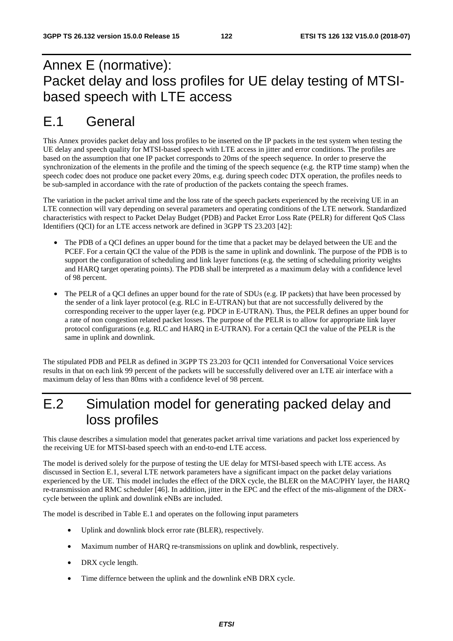# Annex E (normative): Packet delay and loss profiles for UE delay testing of MTSIbased speech with LTE access

## E.1 General

This Annex provides packet delay and loss profiles to be inserted on the IP packets in the test system when testing the UE delay and speech quality for MTSI-based speech with LTE access in jitter and error conditions. The profiles are based on the assumption that one IP packet corresponds to 20ms of the speech sequence. In order to preserve the synchronization of the elements in the profile and the timing of the speech sequence (e.g. the RTP time stamp) when the speech codec does not produce one packet every 20ms, e.g. during speech codec DTX operation, the profiles needs to be sub-sampled in accordance with the rate of production of the packets containg the speech frames.

The variation in the packet arrival time and the loss rate of the speech packets experienced by the receiving UE in an LTE connection will vary depending on several parameters and operating conditions of the LTE network. Standardized characteristics with respect to Packet Delay Budget (PDB) and Packet Error Loss Rate (PELR) for different QoS Class Identifiers (QCI) for an LTE access network are defined in 3GPP TS 23.203 [42]:

- The PDB of a QCI defines an upper bound for the time that a packet may be delayed between the UE and the PCEF. For a certain QCI the value of the PDB is the same in uplink and downlink. The purpose of the PDB is to support the configuration of scheduling and link layer functions (e.g. the setting of scheduling priority weights and HARQ target operating points). The PDB shall be interpreted as a maximum delay with a confidence level of 98 percent.
- The PELR of a QCI defines an upper bound for the rate of SDUs (e.g. IP packets) that have been processed by the sender of a link layer protocol (e.g. RLC in E-UTRAN) but that are not successfully delivered by the corresponding receiver to the upper layer (e.g. PDCP in E-UTRAN). Thus, the PELR defines an upper bound for a rate of non congestion related packet losses. The purpose of the PELR is to allow for appropriate link layer protocol configurations (e.g. RLC and HARQ in E-UTRAN). For a certain QCI the value of the PELR is the same in uplink and downlink.

The stipulated PDB and PELR as defined in 3GPP TS 23.203 for QCI1 intended for Conversational Voice services results in that on each link 99 percent of the packets will be successfully delivered over an LTE air interface with a maximum delay of less than 80ms with a confidence level of 98 percent.

## E.2 Simulation model for generating packed delay and loss profiles

This clause describes a simulation model that generates packet arrival time variations and packet loss experienced by the receiving UE for MTSI-based speech with an end-to-end LTE access.

The model is derived solely for the purpose of testing the UE delay for MTSI-based speech with LTE access. As discussed in Section E.1, several LTE network parameters have a significant impact on the packet delay variations experienced by the UE. This model includes the effect of the DRX cycle, the BLER on the MAC/PHY layer, the HARQ re-transmission and RMC scheduler [46]. In addition, jitter in the EPC and the effect of the mis-alignment of the DRXcycle between the uplink and downlink eNBs are included.

The model is described in Table E.1 and operates on the following input parameters

- Uplink and downlink block error rate (BLER), respectively.
- Maximum number of HARQ re-transmissions on uplink and dowblink, respectively.
- DRX cycle length.
- Time differnce between the uplink and the downlink eNB DRX cycle.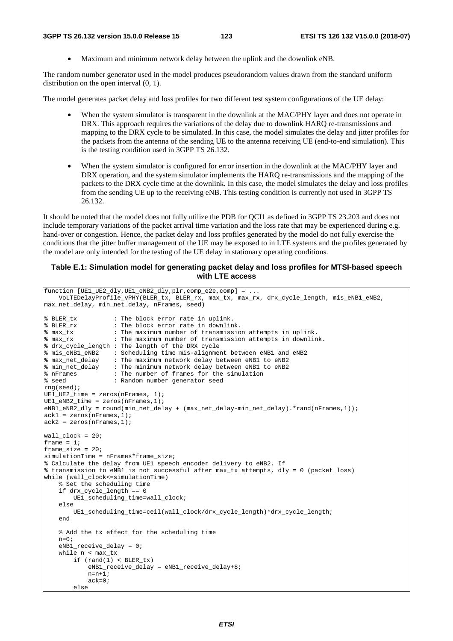• Maximum and minimum network delay between the uplink and the downlink eNB.

The random number generator used in the model produces pseudorandom values drawn from the standard uniform distribution on the open interval (0, 1).

The model generates packet delay and loss profiles for two different test system configurations of the UE delay:

- When the system simulator is transparent in the downlink at the MAC/PHY layer and does not operate in DRX. This approach requires the variations of the delay due to downlink HARQ re-transmissions and mapping to the DRX cycle to be simulated. In this case, the model simulates the delay and jitter profiles for the packets from the antenna of the sending UE to the antenna receiving UE (end-to-end simulation). This is the testing condition used in 3GPP TS 26.132.
- When the system simulator is configured for error insertion in the downlink at the MAC/PHY layer and DRX operation, and the system simulator implements the HARQ re-transmissions and the mapping of the packets to the DRX cycle time at the downlink. In this case, the model simulates the delay and loss profiles from the sending UE up to the receiving eNB. This testing condition is currently not used in 3GPP TS 26.132.

It should be noted that the model does not fully utilize the PDB for QCI1 as defined in 3GPP TS 23.203 and does not include temporary variations of the packet arrival time variation and the loss rate that may be experienced during e.g. hand-over or congestion. Hence, the packet delay and loss profiles generated by the model do not fully exercise the conditions that the jitter buffer management of the UE may be exposed to in LTE systems and the profiles generated by the model are only intended for the testing of the UE delay in stationary operating conditions.

#### **Table E.1: Simulation model for generating packet delay and loss profiles for MTSI-based speech with LTE access**

```
function [UE1_UE2_dly, UE1_eNB2_dly, plr, comp_e2e, comp] = ...
    VoLTEDelayProfile_vPHY(BLER_tx, BLER_rx, max_tx, max_rx, drx_cycle_length, mis_eNB1_eNB2, 
max_net_delay, min_net_delay, nFrames, seed) 
% BLER_tx : The block error rate in uplink. 
% BLER_rx : The block error rate in downlink. 
% max_tx : The maximum number of transmission attempts in uplink. 
% max_rx : The maximum number of transmission attempts in downlink. 
% drx_cycle_length : The length of the DRX cycle 
% mis_eNB1_eNB2 : Scheduling time mis-alignment between eNB1 and eNB2 
% max_net_delay : The maximum network delay between eNB1 to eNB2 
% min_net_delay : The minimum network delay between eNB1 to eNB2 
% nFrames : The number of frames for the simulation 
% seed : The number of frames for the<br>% seed : Random number generator seed
rng(seed); 
UE1_UE2_time = zeros(nFrames, 1); 
UE1_eNB2_time = zeros(nFrames,1); 
eNB1_eNB2_dly = round(min_net_delay + (max_net_delay-min_net_delay).*rand(nFrames,1)); 
ack1 = zeros(nFrames, 1);ack2 = zeros(nFrames, 1);wall\_clock = 20;
frame = 1;
frame_size = 20;
simulationTime = nFrames*frame_size; 
% Calculate the delay from UE1 speech encoder delivery to eNB2. If 
% transmission to eNB1 is not successful after max_tx attempts, dly = 0 (packet loss) 
while (wall_clock<=simulationTime) 
     % Set the scheduling time 
     if drx_cycle_length == 0 
         UE1_scheduling_time=wall_clock; 
     else 
         UE1_scheduling_time=ceil(wall_clock/drx_cycle_length)*drx_cycle_length; 
     end 
     % Add the tx effect for the scheduling time 
    n=0:
     eNB1_receive_delay = 0; 
     while n < max_tx 
        if (rand(1) < BLER_tx) eNB1_receive_delay = eNB1_receive_delay+8; 
            n=n+1; ack=0; 
         else
```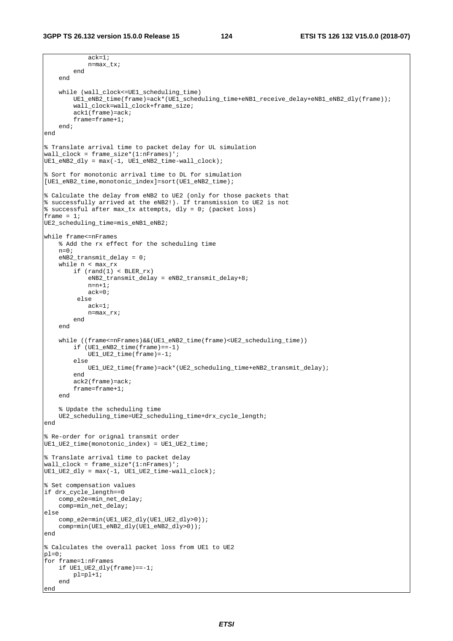```
 ack=1; 
             n=max_tx; 
         end 
     end 
     while (wall_clock<=UE1_scheduling_time) 
         UE1_eNB2_time(frame)=ack*(UE1_scheduling_time+eNB1_receive_delay+eNB1_eNB2_dly(frame)); 
         wall_clock=wall_clock+frame_size; 
         ack1(frame)=ack; 
         frame=frame+1; 
     end; 
end 
% Translate arrival time to packet delay for UL simulation 
wall_clock = frame_size*(1:nFrames)'; 
UE1<sub>e</sub>NB2<sup>dly = max(-1, UE1_eNB2_time-wall_clock);</sup>
% Sort for monotonic arrival time to DL for simulation 
[UE1_eNB2_time,monotonic_index]=sort(UE1_eNB2_time);
% Calculate the delay from eNB2 to UE2 (only for those packets that 
% successfully arrived at the eNB2!). If transmission to UE2 is not 
% successful after max_tx attempts, dly = 0; (packet loss) 
frame = 1;
UE2 scheduling time=mis_eNB1_eNB2;
while frame<=nFrames 
     % Add the rx effect for the scheduling time 
    n=0; eNB2_transmit_delay = 0; 
     while n < max_rx 
        if (rand(1) < BLER_rx) eNB2_transmit_delay = eNB2_transmit_delay+8; 
            n=n+1; ack=0; 
          else 
             ack=1; 
             n=max_rx; 
         end 
     end 
     while ((frame<=nFrames)&&(UE1_eNB2_time(frame)<UE2_scheduling_time)) 
         if (UE1_eNB2_time(frame)==-1) 
              UE1_UE2_time(frame)=-1; 
         else 
             UE1_UE2_time(frame)=ack*(UE2_scheduling_time+eNB2_transmit_delay); 
         end 
         ack2(frame)=ack; 
         frame=frame+1; 
     end 
     % Update the scheduling time 
     UE2_scheduling_time=UE2_scheduling_time+drx_cycle_length; 
end 
% Re-order for orignal transmit order 
UE1_UE2_time(monotonic_index) = UE1_UE2_time; 
% Translate arrival time to packet delay 
wall_clock = frame_size*(1:nFrames)'; 
UE1_UB2_dly = max(-1, UE1_UE2_time-wall_clock);% Set compensation values 
if drx_cycle_length==0 
     comp_e2e=min_net_delay; 
     comp=min_net_delay; 
else 
    comp_e2e=min(UE1_UE2_dly(UE1_UE2_dly>0)); 
     comp=min(UE1_eNB2_dly(UE1_eNB2_dly>0)); 
end 
% Calculates the overall packet loss from UE1 to UE2 
p = 0;
for frame=1:nFrames 
    if UE1_UE2_dly(frame) == -1; pl=pl+1; 
     end 
end
```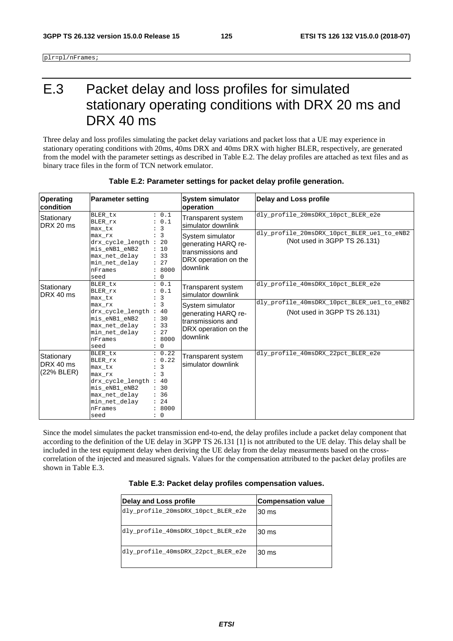plr=pl/nFrames;

# E.3 Packet delay and loss profiles for simulated stationary operating conditions with DRX 20 ms and DRX 40 ms

Three delay and loss profiles simulating the packet delay variations and packet loss that a UE may experience in stationary operating conditions with 20ms, 40ms DRX and 40ms DRX with higher BLER, respectively, are generated from the model with the parameter settings as described in Table E.2. The delay profiles are attached as text files and as binary trace files in the form of TCN network emulator.

| <b>Operating</b><br><b>condition</b>  | <b>Parameter setting</b>                                                                                                                                                                                                   | <b>System simulator</b><br>operation                                                             | <b>Delay and Loss profile</b>                                                    |
|---------------------------------------|----------------------------------------------------------------------------------------------------------------------------------------------------------------------------------------------------------------------------|--------------------------------------------------------------------------------------------------|----------------------------------------------------------------------------------|
| Stationary<br>DRX 20 ms               | : 0.1<br>BLER tx<br>: 0.1<br>BLER_rx<br>: 3<br>max_tx                                                                                                                                                                      | Transparent system<br>simulator downlink                                                         | dly_profile_20msDRX_10pct_BLER_e2e                                               |
|                                       | : 3<br>max rx<br>drx_cycle_length : 20<br>mis eNB1 eNB2<br>: 10<br>max_net_delay<br>: 33<br>: 27<br>min_net_delay<br>: 8000<br>nFrames<br>: 0<br>seed                                                                      | System simulator<br>generating HARQ re-<br>transmissions and<br>DRX operation on the<br>downlink | dly_profile_20msDRX_10pct_BLER_ue1_to_eNB2<br>(Not used in 3GPP TS 26.131)       |
| Stationary<br>DRX 40 ms               | : 0.1<br>BLER tx<br>: 0.1<br>BLER rx<br>: 3<br>max tx                                                                                                                                                                      | Transparent system<br>simulator downlink                                                         | dly profile 40msDRX 10pct BLER e2e<br>dly_profile_40msDRX_10pct_BLER_ue1_to_eNB2 |
|                                       | $\colon$ 3<br>$max_{rx}$<br>drx_cycle_length : 40<br>mis eNB1 eNB2<br>: 30<br>max_net_delay<br>: 33<br>: 27<br>min_net_delay<br>: 8000<br>nFrames<br>seed<br>$\colon 0$                                                    | System simulator<br>generating HARQ re-<br>transmissions and<br>DRX operation on the<br>downlink | (Not used in 3GPP TS 26.131)                                                     |
| Stationary<br>DRX 40 ms<br>(22% BLER) | : 0.22<br>BLER tx<br>: 0.22<br>BLER_rx<br>: 3<br>max tx<br>$\colon$ 3<br>max rx<br>drx_cycle_length :<br>40<br>mis_eNB1_eNB2<br>: 30<br>max_net_delay<br>: 36<br>min_net_delay<br>: 24<br>: 8000<br>nFrames<br>: 0<br>seed | Transparent system<br>simulator downlink                                                         | dly profile 40msDRX 22pct BLER e2e                                               |

#### **Table E.2: Parameter settings for packet delay profile generation.**

Since the model simulates the packet transmission end-to-end, the delay profiles include a packet delay component that according to the definition of the UE delay in 3GPP TS 26.131 [1] is not attributed to the UE delay. This delay shall be included in the test equipment delay when deriving the UE delay from the delay measurments based on the crosscorrelation of the injected and measured signals. Values for the compensation attributed to the packet delay profiles are shown in Table E.3.

|  |  |  |  |  | Table E.3: Packet delay profiles compensation values. |  |
|--|--|--|--|--|-------------------------------------------------------|--|
|--|--|--|--|--|-------------------------------------------------------|--|

| Delay and Loss profile             | <b>Compensation value</b> |
|------------------------------------|---------------------------|
| dly_profile_20msDRX_10pct_BLER_e2e | 30 ms                     |
| dly_profile_40msDRX_10pct_BLER_e2e | 30 ms                     |
| dly_profile_40msDRX_22pct_BLER_e2e | 30 ms                     |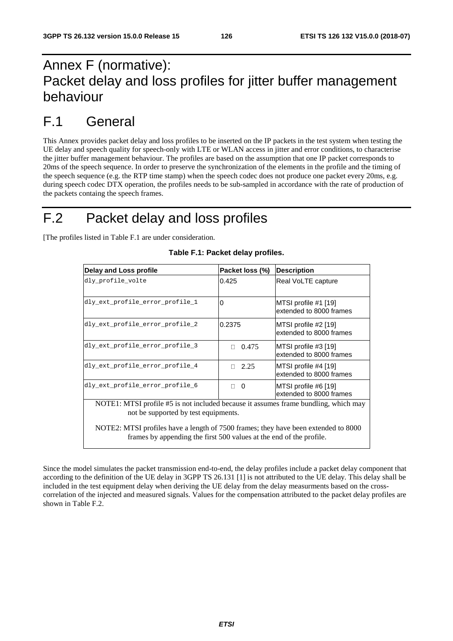# Annex F (normative): Packet delay and loss profiles for jitter buffer management behaviour

### F.1 General

This Annex provides packet delay and loss profiles to be inserted on the IP packets in the test system when testing the UE delay and speech quality for speech-only with LTE or WLAN access in jitter and error conditions, to characterise the jitter buffer management behaviour. The profiles are based on the assumption that one IP packet corresponds to 20ms of the speech sequence. In order to preserve the synchronization of the elements in the profile and the timing of the speech sequence (e.g. the RTP time stamp) when the speech codec does not produce one packet every 20ms, e.g. during speech codec DTX operation, the profiles needs to be sub-sampled in accordance with the rate of production of the packets containg the speech frames.

# F.2 Packet delay and loss profiles

[The profiles listed in Table F.1 are under consideration.

| Delay and Loss profile                                                                                                      | Packet loss (%) | <b>Description</b>                              |
|-----------------------------------------------------------------------------------------------------------------------------|-----------------|-------------------------------------------------|
| dly_profile_volte                                                                                                           | 0.425           | Real VoLTE capture                              |
| dly_ext_profile_error_profile_1                                                                                             | 0               | MTSI profile #1 [19]<br>extended to 8000 frames |
| dly_ext_profile_error_profile_2                                                                                             | 0.2375          | MTSI profile #2 [19]<br>extended to 8000 frames |
| dly_ext_profile_error_profile_3                                                                                             | 0.475<br>П.     | MTSI profile #3 [19]<br>extended to 8000 frames |
| dly_ext_profile_error_profile_4                                                                                             | 2.25<br>П.      | MTSI profile #4 [19]<br>extended to 8000 frames |
| dly_ext_profile_error_profile_6                                                                                             | - 0<br>П.       | MTSI profile #6 [19]<br>extended to 8000 frames |
| NOTE1: MTSI profile #5 is not included because it assumes frame bundling, which may<br>not be supported by test equipments. |                 |                                                 |

|  |  |  |  | Table F.1: Packet delay profiles. |
|--|--|--|--|-----------------------------------|
|--|--|--|--|-----------------------------------|

NOTE2: MTSI profiles have a length of 7500 frames; they have been extended to 8000 frames by appending the first 500 values at the end of the profile.

Since the model simulates the packet transmission end-to-end, the delay profiles include a packet delay component that according to the definition of the UE delay in 3GPP TS 26.131 [1] is not attributed to the UE delay. This delay shall be included in the test equipment delay when deriving the UE delay from the delay measurments based on the crosscorrelation of the injected and measured signals. Values for the compensation attributed to the packet delay profiles are shown in Table F.2.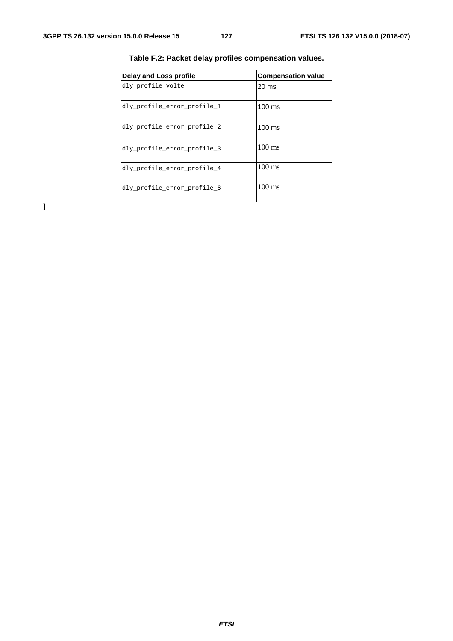| Delay and Loss profile      | <b>Compensation value</b> |
|-----------------------------|---------------------------|
| dly profile volte           | 20 ms                     |
| dly_profile_error_profile_1 | $100 \text{ ms}$          |
| dly_profile_error_profile_2 | $100$ ms                  |
| dly profile error profile 3 | $100 \text{ ms}$          |
| dly_profile_error_profile_4 | $100 \text{ ms}$          |
| dly profile error profile 6 | $100 \text{ ms}$          |

**Table F.2: Packet delay profiles compensation values.** 

 $\begin{array}{c} \end{array}$ 

*ETSI*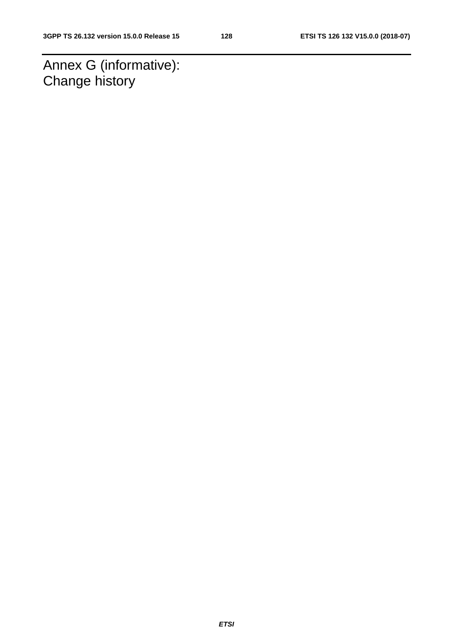Annex G (informative): Change history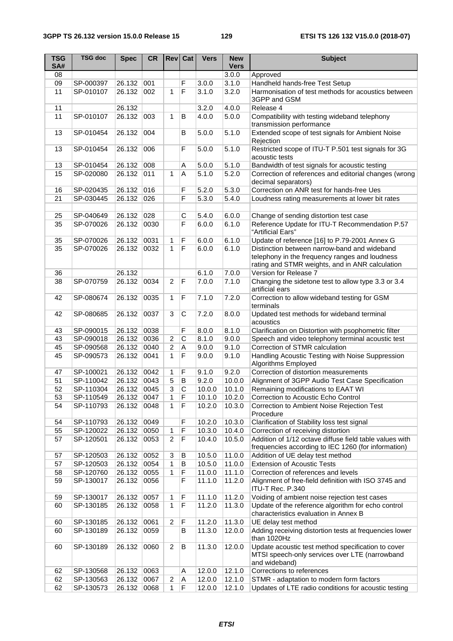| <b>TSG</b><br>SA# | <b>TSG doc</b> | <b>Spec</b> | <b>CR</b> | Rev                   | Cat                            | <b>Vers</b> | <b>New</b><br><b>Vers</b> | <b>Subject</b>                                                          |
|-------------------|----------------|-------------|-----------|-----------------------|--------------------------------|-------------|---------------------------|-------------------------------------------------------------------------|
| 08                |                |             |           |                       |                                |             | 3.0.0                     | Approved                                                                |
| 09                | SP-000397      | 26.132      | 001       |                       | F                              | 3.0.0       | 3.1.0                     | Handheld hands-free Test Setup                                          |
| 11                | SP-010107      | 26.132      | 002       | 1                     | $\overline{F}$                 | 3.1.0       | 3.2.0                     | Harmonisation of test methods for acoustics between                     |
|                   |                |             |           |                       |                                |             |                           | 3GPP and GSM                                                            |
| 11                |                | 26.132      |           |                       |                                | 3.2.0       | 4.0.0                     | Release 4                                                               |
| 11                | SP-010107      | 26.132      | 003       | 1                     | B                              | 4.0.0       | 5.0.0                     | Compatibility with testing wideband telephony                           |
|                   |                |             |           |                       |                                |             |                           | transmission performance                                                |
| 13                | SP-010454      | 26.132      | 004       |                       | В                              | 5.0.0       | 5.1.0                     | Extended scope of test signals for Ambient Noise<br>Rejection           |
| 13                | SP-010454      | 26.132      | 006       |                       | F                              | 5.0.0       | 5.1.0                     | Restricted scope of ITU-T P.501 test signals for 3G<br>acoustic tests   |
| 13                | SP-010454      | 26.132      | 008       |                       | A                              | 5.0.0       | 5.1.0                     | Bandwidth of test signals for acoustic testing                          |
| 15                | SP-020080      | 26.132      | 011       | $\mathbf{1}$          | A                              | 5.1.0       | 5.2.0                     | Correction of references and editorial changes (wrong                   |
|                   |                |             |           |                       |                                |             |                           | decimal separators)                                                     |
| 16                | SP-020435      | 26.132      | 016       |                       | F                              | 5.2.0       | 5.3.0                     | Correction on ANR test for hands-free Ues                               |
| 21                | SP-030445      | 26.132      | 026       |                       | F                              | 5.3.0       | 5.4.0                     | Loudness rating measurements at lower bit rates                         |
|                   |                |             |           |                       |                                |             |                           |                                                                         |
| 25                | SP-040649      | 26.132      | 028       |                       | C                              | 5.4.0       | 6.0.0                     | Change of sending distortion test case                                  |
| 35                | SP-070026      | 26.132      | 0030      |                       | F                              | 6.0.0       | 6.1.0                     | Reference Update for ITU-T Recommendation P.57                          |
|                   |                |             |           |                       |                                |             |                           | "Artificial Ears"                                                       |
| 35                | SP-070026      | 26.132      | 0031      | 1                     | F                              | 6.0.0       | 6.1.0                     | Update of reference [16] to P.79-2001 Annex G                           |
| 35                | SP-070026      | 26.132      | 0032      | $\mathbf{1}$          | $\overline{F}$                 | 6.0.0       | 6.1.0                     | Distinction between narrow-band and wideband                            |
|                   |                |             |           |                       |                                |             |                           | telephony in the frequency ranges and loudness                          |
|                   |                |             |           |                       |                                |             |                           | rating and STMR weights, and in ANR calculation                         |
| 36                |                | 26.132      |           |                       |                                | 6.1.0       | 7.0.0                     | Version for Release 7                                                   |
| 38                | SP-070759      | 26.132      | 0034      | $\overline{2}$        | F                              | 7.0.0       | 7.1.0                     | Changing the sidetone test to allow type 3.3 or 3.4                     |
|                   |                |             |           |                       |                                |             |                           | artificial ears                                                         |
| 42                | SP-080674      | 26.132      | 0035      | 1                     | F                              | 7.1.0       | 7.2.0                     | Correction to allow wideband testing for GSM                            |
|                   |                |             |           |                       |                                |             |                           | terminals                                                               |
| 42                | SP-080685      | 26.132      | 0037      | 3                     | C                              | 7.2.0       | 8.0.0                     | Updated test methods for wideband terminal                              |
|                   |                |             |           |                       |                                |             |                           | acoustics                                                               |
| 43                | SP-090015      | 26.132      | 0038      |                       | F                              | 8.0.0       | 8.1.0                     | Clarification on Distortion with psophometric filter                    |
| 43                | SP-090018      | 26.132      | 0036      | $\overline{2}$        | $\overline{C}$                 | 8.1.0       | 9.0.0                     | Speech and video telephony terminal acoustic test                       |
| 45                | SP-090568      | 26.132      | 0040      | $\overline{c}$        | A                              | 9.0.0       | 9.1.0                     | Correction of STMR calculation                                          |
| 45                | SP-090573      | 26.132      | 0041      | 1                     | F                              | 9.0.0       | 9.1.0                     | Handling Acoustic Testing with Noise Suppression<br>Algorithms Employed |
| 47                | SP-100021      | 26.132      | 0042      | 1                     | F                              | 9.1.0       | 9.2.0                     | Correction of distortion measurements                                   |
| 51                | SP-110042      | 26.132      | 0043      | $\overline{5}$        | $\overline{\mathsf{B}}$        | 9.2.0       | 10.0.0                    | Alignment of 3GPP Audio Test Case Specification                         |
| 52                | SP-110304      | 26.132      | 0045      | 3                     | $\overline{C}$                 | 10.0.0      | 10.1.0                    | Remaining modifications to EAAT WI                                      |
| 53                | SP-110549      | 26.132      | 0047      | 1                     | F                              | 10.1.0      | 10.2.0                    | Correction to Acoustic Echo Control                                     |
| 54                | SP-110793      | 26.132      | 0048      | 1                     | $\mathsf F$                    | 10.2.0      | 10.3.0                    | Correction to Ambient Noise Rejection Test                              |
|                   |                |             |           |                       |                                |             |                           | Procedure                                                               |
| 54                | SP-110793      | 26.132      | 0049      |                       | F                              | 10.2.0      | 10.3.0                    | Clarification of Stability loss test signal                             |
| 55                | SP-120022      | 26.132      | 0050      | 1                     | $\mathsf F$                    | 10.3.0      | 10.4.0                    | Correction of receiving distortion                                      |
| 57                | SP-120501      | 26.132      | 0053      | $\overline{2}$        | F                              | 10.4.0      | 10.5.0                    | Addition of 1/12 octave diffuse field table values with                 |
|                   |                |             |           |                       |                                |             |                           | frequencies according to IEC 1260 (for information)                     |
| 57                | SP-120503      | 26.132      | 0052      | 3                     | В                              | 10.5.0      | 11.0.0                    | Addition of UE delay test method                                        |
| 57                | SP-120503      | 26.132      | 0054      | 1                     | В                              | 10.5.0      | 11.0.0                    | <b>Extension of Acoustic Tests</b>                                      |
| 58                | SP-120760      | 26.132      | 0055      | 1                     | F                              | 11.0.0      | 11.1.0                    | Correction of references and levels                                     |
| 59                | SP-130017      | 26.132      | 0056      |                       | F                              | 11.1.0      | 11.2.0                    | Alignment of free-field definition with ISO 3745 and                    |
|                   |                |             |           |                       |                                |             |                           | ITU-T Rec. P.340                                                        |
| 59                | SP-130017      | 26.132      | 0057      | 1                     | F                              | 11.1.0      | 11.2.0                    | Voiding of ambient noise rejection test cases                           |
| 60                | SP-130185      | 26.132      | 0058      | $\mathbf{1}$          | F                              | 11.2.0      | 11.3.0                    | Update of the reference algorithm for echo control                      |
|                   |                |             |           |                       |                                |             |                           | characteristics evaluation in Annex B                                   |
| 60                | SP-130185      | 26.132      | 0061      | 2                     | F                              | 11.2.0      | 11.3.0                    | UE delay test method                                                    |
| 60                | SP-130189      | 26.132      | 0059      |                       | B                              | 11.3.0      | 12.0.0                    | Adding receiving distortion tests at frequencies lower                  |
|                   |                |             |           |                       |                                |             |                           | than 1020Hz                                                             |
| 60                | SP-130189      | 26.132      | 0060      | 2                     | B                              | 11.3.0      | 12.0.0                    | Update acoustic test method specification to cover                      |
|                   |                |             |           |                       |                                |             |                           | MTSI speech-only services over LTE (narrowband                          |
|                   |                |             |           |                       |                                |             |                           | and wideband)                                                           |
| 62                | SP-130568      | 26.132      | 0063      |                       | Α                              | 12.0.0      | 12.1.0                    | Corrections to references                                               |
| 62                | SP-130563      | 26.132      | 0067      | $\boldsymbol{2}$<br>1 | $\boldsymbol{\mathsf{A}}$<br>F | 12.0.0      | 12.1.0                    | STMR - adaptation to modern form factors                                |
| 62                | SP-130573      | 26.132      | 0068      |                       |                                | 12.0.0      | 12.1.0                    | Updates of LTE radio conditions for acoustic testing                    |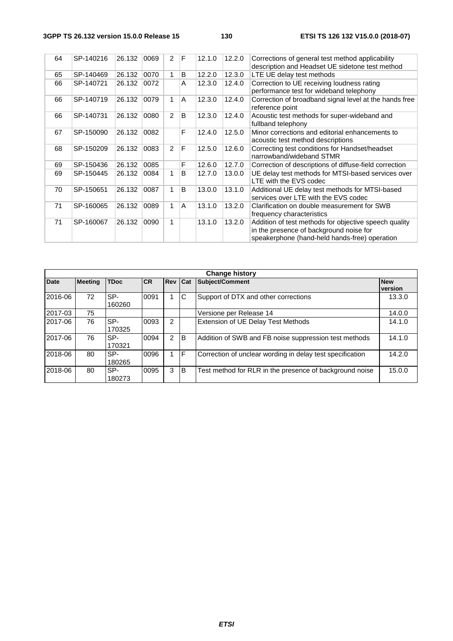| 64 | SP-140216 | 26.132 | 0069 | $\overline{2}$ | F | 12.1.0 | 12.2.0 | Corrections of general test method applicability<br>description and Headset UE sidetone test method                                               |
|----|-----------|--------|------|----------------|---|--------|--------|---------------------------------------------------------------------------------------------------------------------------------------------------|
| 65 | SP-140469 | 26.132 | 0070 | 1              | B | 12.2.0 | 12.3.0 | LTE UE delay test methods                                                                                                                         |
| 66 | SP-140721 | 26.132 | 0072 |                | A | 12.3.0 | 12.4.0 | Correction to UE receiving loudness rating<br>performance test for wideband telephony                                                             |
| 66 | SP-140719 | 26.132 | 0079 | 1              | A | 12.3.0 | 12.4.0 | Correction of broadband signal level at the hands free<br>reference point                                                                         |
| 66 | SP-140731 | 26.132 | 0080 | 2              | B | 12.3.0 | 12.4.0 | Acoustic test methods for super-wideband and<br>fullband telephony                                                                                |
| 67 | SP-150090 | 26.132 | 0082 |                | F | 12.4.0 | 12.5.0 | Minor corrections and editorial enhancements to<br>acoustic test method descriptions                                                              |
| 68 | SP-150209 | 26.132 | 0083 | 2              | F | 12.5.0 | 12.6.0 | Correcting test conditions for Handset/headset<br>narrowband/wideband STMR                                                                        |
| 69 | SP-150436 | 26.132 | 0085 |                | F | 12.6.0 | 12.7.0 | Correction of descriptions of diffuse-field correction                                                                                            |
| 69 | SP-150445 | 26.132 | 0084 | 1              | B | 12.7.0 | 13.0.0 | UE delay test methods for MTSI-based services over<br>LTE with the EVS codec                                                                      |
| 70 | SP-150651 | 26.132 | 0087 | 1              | B | 13.0.0 | 13.1.0 | Additional UE delay test methods for MTSI-based<br>services over LTE with the EVS codec                                                           |
| 71 | SP-160065 | 26.132 | 0089 | 1              | A | 13.1.0 | 13.2.0 | Clarification on double measurement for SWB<br>frequency characteristics                                                                          |
| 71 | SP-160067 | 26.132 | 0090 | $\mathbf 1$    |   | 13.1.0 | 13.2.0 | Addition of test methods for objective speech quality<br>in the presence of background noise for<br>speakerphone (hand-held hands-free) operation |

| <b>Change history</b> |                |               |           |                |          |                                                           |                       |  |
|-----------------------|----------------|---------------|-----------|----------------|----------|-----------------------------------------------------------|-----------------------|--|
| <b>Date</b>           | <b>Meeting</b> | <b>TDoc</b>   | <b>CR</b> | <b>Rev Cat</b> |          | Subject/Comment                                           | <b>New</b><br>version |  |
| 2016-06               | 72             | SP-<br>160260 | 0091      |                | IС       | Support of DTX and other corrections                      | 13.3.0                |  |
| 2017-03               | 75             |               |           |                |          | Versione per Release 14                                   | 14.0.0                |  |
| 2017-06               | 76             | SP-<br>170325 | 0093      | $\mathcal{P}$  |          | <b>Extension of UE Delay Test Methods</b>                 | 14.1.0                |  |
| 2017-06               | 76             | SP-<br>170321 | 0094      | 2              | <b>B</b> | Addition of SWB and FB noise suppression test methods     | 14.1.0                |  |
| 2018-06               | 80             | SP-<br>180265 | 0096      | 1              | IF.      | Correction of unclear wording in delay test specification | 14.2.0                |  |
| 2018-06               | 80             | SP-<br>180273 | 0095      | 3              | ΙB       | Test method for RLR in the presence of background noise   | 15.0.0                |  |